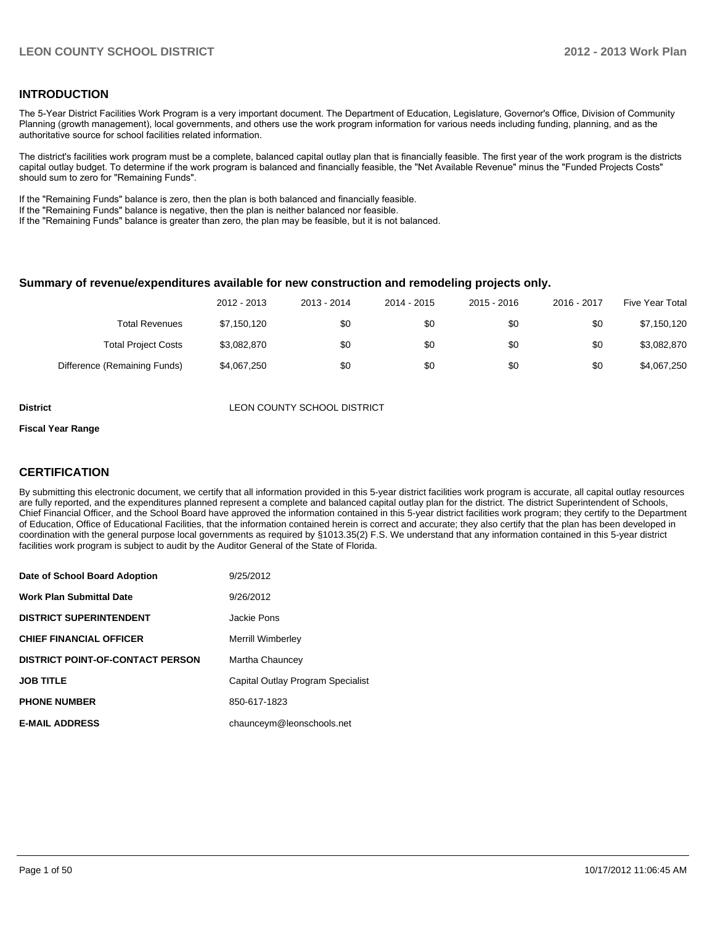#### **INTRODUCTION**

The 5-Year District Facilities Work Program is a very important document. The Department of Education, Legislature, Governor's Office, Division of Community Planning (growth management), local governments, and others use the work program information for various needs including funding, planning, and as the authoritative source for school facilities related information.

The district's facilities work program must be a complete, balanced capital outlay plan that is financially feasible. The first year of the work program is the districts capital outlay budget. To determine if the work program is balanced and financially feasible, the "Net Available Revenue" minus the "Funded Projects Costs" should sum to zero for "Remaining Funds".

If the "Remaining Funds" balance is zero, then the plan is both balanced and financially feasible.

If the "Remaining Funds" balance is negative, then the plan is neither balanced nor feasible.

If the "Remaining Funds" balance is greater than zero, the plan may be feasible, but it is not balanced.

#### **Summary of revenue/expenditures available for new construction and remodeling projects only.**

|                              | 2012 - 2013 | 2013 - 2014 | 2014 - 2015 | 2015 - 2016 | 2016 - 2017 | Five Year Total |
|------------------------------|-------------|-------------|-------------|-------------|-------------|-----------------|
| <b>Total Revenues</b>        | \$7.150.120 | \$0         | \$0         | \$0         | \$0         | \$7,150,120     |
| <b>Total Project Costs</b>   | \$3,082,870 | \$0         | \$0         | \$0         | \$0         | \$3,082,870     |
| Difference (Remaining Funds) | \$4,067,250 | \$0         | \$0         | \$0         | \$0         | \$4,067,250     |

**District District LEON COUNTY SCHOOL DISTRICT** 

#### **Fiscal Year Range**

#### **CERTIFICATION**

By submitting this electronic document, we certify that all information provided in this 5-year district facilities work program is accurate, all capital outlay resources are fully reported, and the expenditures planned represent a complete and balanced capital outlay plan for the district. The district Superintendent of Schools, Chief Financial Officer, and the School Board have approved the information contained in this 5-year district facilities work program; they certify to the Department of Education, Office of Educational Facilities, that the information contained herein is correct and accurate; they also certify that the plan has been developed in coordination with the general purpose local governments as required by §1013.35(2) F.S. We understand that any information contained in this 5-year district facilities work program is subject to audit by the Auditor General of the State of Florida.

| Date of School Board Adoption           | 9/25/2012                         |
|-----------------------------------------|-----------------------------------|
| <b>Work Plan Submittal Date</b>         | 9/26/2012                         |
| <b>DISTRICT SUPERINTENDENT</b>          | Jackie Pons                       |
| <b>CHIEF FINANCIAL OFFICER</b>          | <b>Merrill Wimberley</b>          |
| <b>DISTRICT POINT-OF-CONTACT PERSON</b> | Martha Chauncey                   |
| <b>JOB TITLE</b>                        | Capital Outlay Program Specialist |
| <b>PHONE NUMBER</b>                     | 850-617-1823                      |
| <b>E-MAIL ADDRESS</b>                   | chaunceym@leonschools.net         |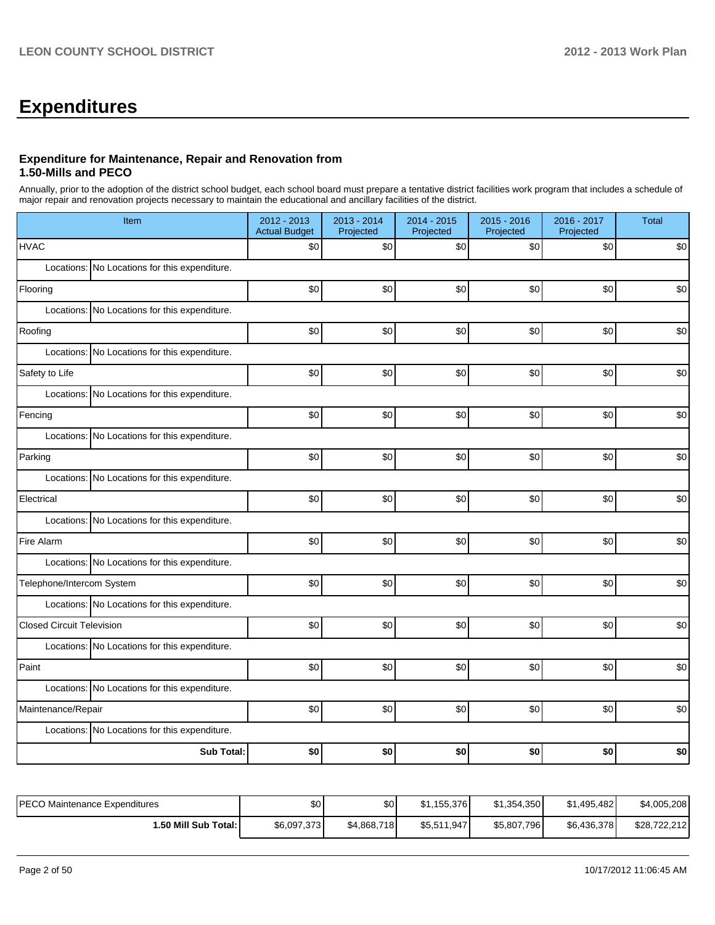# **Expenditures**

#### **Expenditure for Maintenance, Repair and Renovation from 1.50-Mills and PECO**

Annually, prior to the adoption of the district school budget, each school board must prepare a tentative district facilities work program that includes a schedule of major repair and renovation projects necessary to maintain the educational and ancillary facilities of the district.

| Item                                          | 2012 - 2013<br><b>Actual Budget</b> | 2013 - 2014<br>Projected | 2014 - 2015<br>Projected | 2015 - 2016<br>Projected | 2016 - 2017<br>Projected | <b>Total</b> |  |  |
|-----------------------------------------------|-------------------------------------|--------------------------|--------------------------|--------------------------|--------------------------|--------------|--|--|
| <b>HVAC</b>                                   | \$0                                 | \$0                      | \$0                      | \$0                      | \$0                      | \$0          |  |  |
| Locations: No Locations for this expenditure. |                                     |                          |                          |                          |                          |              |  |  |
| Flooring                                      | \$0                                 | \$0                      | \$0                      | \$0                      | \$0                      | \$0          |  |  |
| Locations: No Locations for this expenditure. |                                     |                          |                          |                          |                          |              |  |  |
| Roofing                                       | \$0                                 | \$0                      | \$0                      | \$0                      | \$0                      | \$0          |  |  |
| Locations: No Locations for this expenditure. |                                     |                          |                          |                          |                          |              |  |  |
| Safety to Life                                | \$0                                 | \$0                      | \$0                      | \$0                      | \$0                      | \$0          |  |  |
| Locations: No Locations for this expenditure. |                                     |                          |                          |                          |                          |              |  |  |
| Fencing                                       | \$0                                 | \$0                      | \$0                      | \$0                      | \$0                      | \$0          |  |  |
| Locations: No Locations for this expenditure. |                                     |                          |                          |                          |                          |              |  |  |
| Parking                                       | \$0                                 | \$0                      | \$0                      | \$0                      | \$0                      | \$0          |  |  |
| Locations: No Locations for this expenditure. |                                     |                          |                          |                          |                          |              |  |  |
| Electrical                                    | \$0                                 | \$0                      | \$0                      | \$0                      | \$0                      | \$0          |  |  |
| Locations: No Locations for this expenditure. |                                     |                          |                          |                          |                          |              |  |  |
| Fire Alarm                                    | \$0                                 | \$0                      | \$0                      | \$0                      | \$0                      | \$0          |  |  |
| Locations: No Locations for this expenditure. |                                     |                          |                          |                          |                          |              |  |  |
| Telephone/Intercom System                     | \$0                                 | \$0                      | \$0                      | \$0                      | \$0                      | \$0          |  |  |
| Locations: No Locations for this expenditure. |                                     |                          |                          |                          |                          |              |  |  |
| <b>Closed Circuit Television</b>              | \$0                                 | \$0                      | \$0                      | \$0                      | \$0                      | \$0          |  |  |
| Locations: No Locations for this expenditure. |                                     |                          |                          |                          |                          |              |  |  |
| Paint                                         | \$0                                 | \$0                      | \$0                      | \$0                      | \$0                      | \$0          |  |  |
| Locations: No Locations for this expenditure. |                                     |                          |                          |                          |                          |              |  |  |
| Maintenance/Repair                            | \$0                                 | \$0                      | \$0                      | \$0                      | \$0                      | \$0          |  |  |
| Locations: No Locations for this expenditure. |                                     |                          |                          |                          |                          |              |  |  |
| <b>Sub Total:</b>                             | \$0                                 | \$0                      | \$0                      | \$0                      | \$0                      | \$0          |  |  |

| PECO Maintenance Expenditures | \$0         | \$0         | \$1.155.376 | \$1,354,350 | \$1,495,482 | \$4,005,208  |
|-------------------------------|-------------|-------------|-------------|-------------|-------------|--------------|
| 1.50 Mill Sub Total: I        | \$6,097,373 | \$4,868,718 | \$5,511,947 | \$5,807,796 | \$6,436,378 | \$28,722,212 |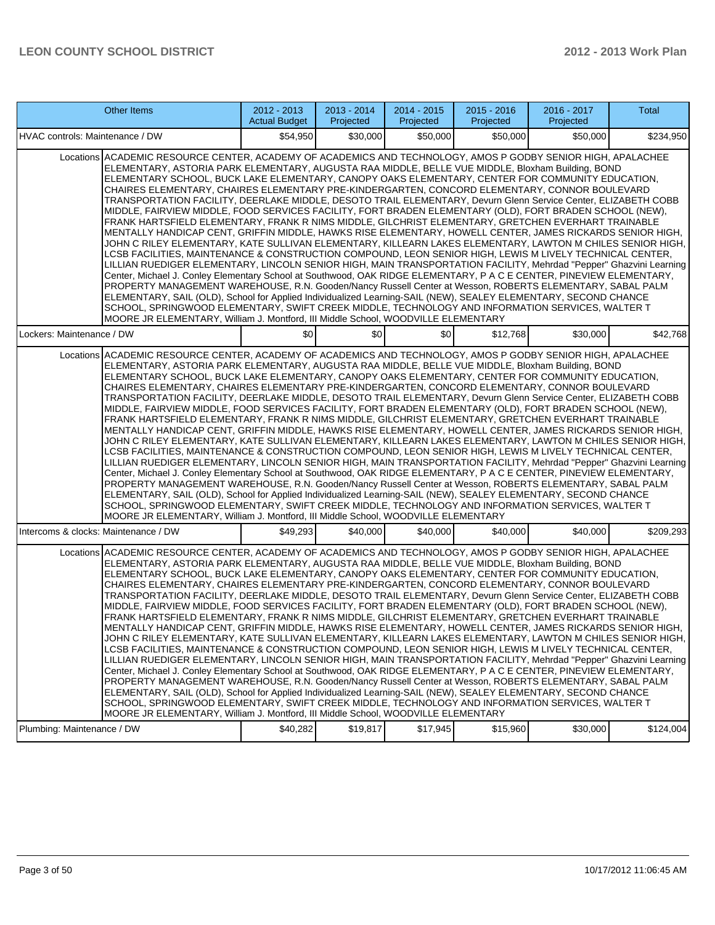| <b>Other Items</b>                                                                                                                                                                                                                                                                                                                                                                                                                                                                                                                                                                                                                                                                                                                                                                                                                                                                                                                                                                                                                                                                                                                                                                                                                                                                                                                                                                                                                                                                                                                                                                                                                                                                                                                                                        | $2012 - 2013$<br><b>Actual Budget</b>                                                                                                                                                                                                                                                                                                                                                                                                                                                                                                                                                                                                                                                                                                                                                                                                                                                                                                                                                                                                                                                                                                                                                                                                                                                                                                                                                                                                                                                                                                                                                                                                                                                                                                                                     | 2013 - 2014<br>Projected | 2014 - 2015<br>Projected | $2015 - 2016$<br>Projected | 2016 - 2017<br>Projected | <b>Total</b> |  |  |
|---------------------------------------------------------------------------------------------------------------------------------------------------------------------------------------------------------------------------------------------------------------------------------------------------------------------------------------------------------------------------------------------------------------------------------------------------------------------------------------------------------------------------------------------------------------------------------------------------------------------------------------------------------------------------------------------------------------------------------------------------------------------------------------------------------------------------------------------------------------------------------------------------------------------------------------------------------------------------------------------------------------------------------------------------------------------------------------------------------------------------------------------------------------------------------------------------------------------------------------------------------------------------------------------------------------------------------------------------------------------------------------------------------------------------------------------------------------------------------------------------------------------------------------------------------------------------------------------------------------------------------------------------------------------------------------------------------------------------------------------------------------------------|---------------------------------------------------------------------------------------------------------------------------------------------------------------------------------------------------------------------------------------------------------------------------------------------------------------------------------------------------------------------------------------------------------------------------------------------------------------------------------------------------------------------------------------------------------------------------------------------------------------------------------------------------------------------------------------------------------------------------------------------------------------------------------------------------------------------------------------------------------------------------------------------------------------------------------------------------------------------------------------------------------------------------------------------------------------------------------------------------------------------------------------------------------------------------------------------------------------------------------------------------------------------------------------------------------------------------------------------------------------------------------------------------------------------------------------------------------------------------------------------------------------------------------------------------------------------------------------------------------------------------------------------------------------------------------------------------------------------------------------------------------------------------|--------------------------|--------------------------|----------------------------|--------------------------|--------------|--|--|
| HVAC controls: Maintenance / DW                                                                                                                                                                                                                                                                                                                                                                                                                                                                                                                                                                                                                                                                                                                                                                                                                                                                                                                                                                                                                                                                                                                                                                                                                                                                                                                                                                                                                                                                                                                                                                                                                                                                                                                                           | \$54,950                                                                                                                                                                                                                                                                                                                                                                                                                                                                                                                                                                                                                                                                                                                                                                                                                                                                                                                                                                                                                                                                                                                                                                                                                                                                                                                                                                                                                                                                                                                                                                                                                                                                                                                                                                  | \$30,000                 | \$50,000                 | \$50,000                   | \$50,000                 | \$234,950    |  |  |
|                                                                                                                                                                                                                                                                                                                                                                                                                                                                                                                                                                                                                                                                                                                                                                                                                                                                                                                                                                                                                                                                                                                                                                                                                                                                                                                                                                                                                                                                                                                                                                                                                                                                                                                                                                           | Locations ACADEMIC RESOURCE CENTER, ACADEMY OF ACADEMICS AND TECHNOLOGY, AMOS P GODBY SENIOR HIGH, APALACHEE<br>ELEMENTARY, ASTORIA PARK ELEMENTARY, AUGUSTA RAA MIDDLE, BELLE VUE MIDDLE, Bloxham Building, BOND<br>ELEMENTARY SCHOOL, BUCK LAKE ELEMENTARY, CANOPY OAKS ELEMENTARY, CENTER FOR COMMUNITY EDUCATION,<br>CHAIRES ELEMENTARY, CHAIRES ELEMENTARY PRE-KINDERGARTEN, CONCORD ELEMENTARY, CONNOR BOULEVARD<br>TRANSPORTATION FACILITY, DEERLAKE MIDDLE, DESOTO TRAIL ELEMENTARY, Devurn Glenn Service Center, ELIZABETH COBB<br>MIDDLE, FAIRVIEW MIDDLE, FOOD SERVICES FACILITY, FORT BRADEN ELEMENTARY (OLD), FORT BRADEN SCHOOL (NEW),<br>FRANK HARTSFIELD ELEMENTARY, FRANK R NIMS MIDDLE, GILCHRIST ELEMENTARY, GRETCHEN EVERHART TRAINABLE<br>MENTALLY HANDICAP CENT, GRIFFIN MIDDLE, HAWKS RISE ELEMENTARY, HOWELL CENTER, JAMES RICKARDS SENIOR HIGH,<br>JOHN C RILEY ELEMENTARY, KATE SULLIVAN ELEMENTARY, KILLEARN LAKES ELEMENTARY, LAWTON M CHILES SENIOR HIGH,<br>LCSB FACILITIES, MAINTENANCE & CONSTRUCTION COMPOUND, LEON SENIOR HIGH, LEWIS M LIVELY TECHNICAL CENTER,<br>LILLIAN RUEDIGER ELEMENTARY, LINCOLN SENIOR HIGH, MAIN TRANSPORTATION FACILITY, Mehrdad "Pepper" Ghazvini Learning<br>Center, Michael J. Conley Elementary School at Southwood, OAK RIDGE ELEMENTARY, P A C E CENTER, PINEVIEW ELEMENTARY,<br>PROPERTY MANAGEMENT WAREHOUSE, R.N. Gooden/Nancy Russell Center at Wesson, ROBERTS ELEMENTARY, SABAL PALM<br>ELEMENTARY, SAIL (OLD), School for Applied Individualized Learning-SAIL (NEW), SEALEY ELEMENTARY, SECOND CHANCE<br>SCHOOL, SPRINGWOOD ELEMENTARY, SWIFT CREEK MIDDLE, TECHNOLOGY AND INFORMATION SERVICES, WALTER T<br>MOORE JR ELEMENTARY, William J. Montford, III Middle School, WOODVILLE ELEMENTARY |                          |                          |                            |                          |              |  |  |
| Lockers: Maintenance / DW                                                                                                                                                                                                                                                                                                                                                                                                                                                                                                                                                                                                                                                                                                                                                                                                                                                                                                                                                                                                                                                                                                                                                                                                                                                                                                                                                                                                                                                                                                                                                                                                                                                                                                                                                 | \$0                                                                                                                                                                                                                                                                                                                                                                                                                                                                                                                                                                                                                                                                                                                                                                                                                                                                                                                                                                                                                                                                                                                                                                                                                                                                                                                                                                                                                                                                                                                                                                                                                                                                                                                                                                       | \$0                      | \$0                      | \$12,768                   | \$30,000                 | \$42,768     |  |  |
| Locations ACADEMIC RESOURCE CENTER, ACADEMY OF ACADEMICS AND TECHNOLOGY, AMOS P GODBY SENIOR HIGH, APALACHEE<br>ELEMENTARY, ASTORIA PARK ELEMENTARY, AUGUSTA RAA MIDDLE, BELLE VUE MIDDLE, Bloxham Building, BOND<br>ELEMENTARY SCHOOL, BUCK LAKE ELEMENTARY, CANOPY OAKS ELEMENTARY, CENTER FOR COMMUNITY EDUCATION,<br>CHAIRES ELEMENTARY, CHAIRES ELEMENTARY PRE-KINDERGARTEN, CONCORD ELEMENTARY, CONNOR BOULEVARD<br>TRANSPORTATION FACILITY, DEERLAKE MIDDLE, DESOTO TRAIL ELEMENTARY, Devurn Glenn Service Center, ELIZABETH COBB<br>MIDDLE, FAIRVIEW MIDDLE, FOOD SERVICES FACILITY, FORT BRADEN ELEMENTARY (OLD), FORT BRADEN SCHOOL (NEW),<br>FRANK HARTSFIELD ELEMENTARY, FRANK R NIMS MIDDLE, GILCHRIST ELEMENTARY, GRETCHEN EVERHART TRAINABLE<br>MENTALLY HANDICAP CENT, GRIFFIN MIDDLE, HAWKS RISE ELEMENTARY, HOWELL CENTER, JAMES RICKARDS SENIOR HIGH,<br>JOHN C RILEY ELEMENTARY, KATE SULLIVAN ELEMENTARY, KILLEARN LAKES ELEMENTARY, LAWTON M CHILES SENIOR HIGH,<br>LCSB FACILITIES, MAINTENANCE & CONSTRUCTION COMPOUND, LEON SENIOR HIGH, LEWIS M LIVELY TECHNICAL CENTER,<br>LILLIAN RUEDIGER ELEMENTARY, LINCOLN SENIOR HIGH, MAIN TRANSPORTATION FACILITY, Mehrdad "Pepper" Ghazvini Learning<br>Center, Michael J. Conley Elementary School at Southwood, OAK RIDGE ELEMENTARY, P A C E CENTER, PINEVIEW ELEMENTARY,<br>PROPERTY MANAGEMENT WAREHOUSE, R.N. Gooden/Nancy Russell Center at Wesson, ROBERTS ELEMENTARY, SABAL PALM<br>ELEMENTARY, SAIL (OLD), School for Applied Individualized Learning-SAIL (NEW), SEALEY ELEMENTARY, SECOND CHANCE<br>SCHOOL, SPRINGWOOD ELEMENTARY, SWIFT CREEK MIDDLE, TECHNOLOGY AND INFORMATION SERVICES, WALTER T<br>MOORE JR ELEMENTARY, William J. Montford, III Middle School, WOODVILLE ELEMENTARY |                                                                                                                                                                                                                                                                                                                                                                                                                                                                                                                                                                                                                                                                                                                                                                                                                                                                                                                                                                                                                                                                                                                                                                                                                                                                                                                                                                                                                                                                                                                                                                                                                                                                                                                                                                           |                          |                          |                            |                          |              |  |  |
| Intercoms & clocks: Maintenance / DW                                                                                                                                                                                                                                                                                                                                                                                                                                                                                                                                                                                                                                                                                                                                                                                                                                                                                                                                                                                                                                                                                                                                                                                                                                                                                                                                                                                                                                                                                                                                                                                                                                                                                                                                      | \$49,293                                                                                                                                                                                                                                                                                                                                                                                                                                                                                                                                                                                                                                                                                                                                                                                                                                                                                                                                                                                                                                                                                                                                                                                                                                                                                                                                                                                                                                                                                                                                                                                                                                                                                                                                                                  | \$40,000                 | \$40,000                 | \$40,000                   | \$40,000                 | \$209,293    |  |  |
| Locations ACADEMIC RESOURCE CENTER, ACADEMY OF ACADEMICS AND TECHNOLOGY, AMOS P GODBY SENIOR HIGH, APALACHEE<br>ELEMENTARY, ASTORIA PARK ELEMENTARY, AUGUSTA RAA MIDDLE, BELLE VUE MIDDLE, Bloxham Building, BOND<br>ELEMENTARY SCHOOL, BUCK LAKE ELEMENTARY, CANOPY OAKS ELEMENTARY, CENTER FOR COMMUNITY EDUCATION,<br>CHAIRES ELEMENTARY, CHAIRES ELEMENTARY PRE-KINDERGARTEN, CONCORD ELEMENTARY, CONNOR BOULEVARD<br>TRANSPORTATION FACILITY, DEERLAKE MIDDLE, DESOTO TRAIL ELEMENTARY, Devurn Glenn Service Center, ELIZABETH COBB<br>MIDDLE, FAIRVIEW MIDDLE, FOOD SERVICES FACILITY, FORT BRADEN ELEMENTARY (OLD), FORT BRADEN SCHOOL (NEW),<br>FRANK HARTSFIELD ELEMENTARY, FRANK R NIMS MIDDLE, GILCHRIST ELEMENTARY, GRETCHEN EVERHART TRAINABLE<br>MENTALLY HANDICAP CENT, GRIFFIN MIDDLE, HAWKS RISE ELEMENTARY, HOWELL CENTER, JAMES RICKARDS SENIOR HIGH,<br>JOHN C RILEY ELEMENTARY, KATE SULLIVAN ELEMENTARY, KILLEARN LAKES ELEMENTARY, LAWTON M CHILES SENIOR HIGH,<br>LCSB FACILITIES, MAINTENANCE & CONSTRUCTION COMPOUND, LEON SENIOR HIGH, LEWIS M LIVELY TECHNICAL CENTER,<br>LILLIAN RUEDIGER ELEMENTARY, LINCOLN SENIOR HIGH, MAIN TRANSPORTATION FACILITY, Mehrdad "Pepper" Ghazvini Learning<br>Center, Michael J. Conley Elementary School at Southwood, OAK RIDGE ELEMENTARY, P A C E CENTER, PINEVIEW ELEMENTARY,<br>PROPERTY MANAGEMENT WAREHOUSE, R.N. Gooden/Nancy Russell Center at Wesson, ROBERTS ELEMENTARY, SABAL PALM<br>ELEMENTARY, SAIL (OLD), School for Applied Individualized Learning-SAIL (NEW), SEALEY ELEMENTARY, SECOND CHANCE<br>SCHOOL, SPRINGWOOD ELEMENTARY, SWIFT CREEK MIDDLE, TECHNOLOGY AND INFORMATION SERVICES, WALTER T<br>MOORE JR ELEMENTARY, William J. Montford, III Middle School, WOODVILLE ELEMENTARY |                                                                                                                                                                                                                                                                                                                                                                                                                                                                                                                                                                                                                                                                                                                                                                                                                                                                                                                                                                                                                                                                                                                                                                                                                                                                                                                                                                                                                                                                                                                                                                                                                                                                                                                                                                           |                          |                          |                            |                          |              |  |  |
| Plumbing: Maintenance / DW                                                                                                                                                                                                                                                                                                                                                                                                                                                                                                                                                                                                                                                                                                                                                                                                                                                                                                                                                                                                                                                                                                                                                                                                                                                                                                                                                                                                                                                                                                                                                                                                                                                                                                                                                | \$40,282                                                                                                                                                                                                                                                                                                                                                                                                                                                                                                                                                                                                                                                                                                                                                                                                                                                                                                                                                                                                                                                                                                                                                                                                                                                                                                                                                                                                                                                                                                                                                                                                                                                                                                                                                                  | \$19,817                 | \$17,945                 | \$15,960                   | \$30,000                 | \$124,004    |  |  |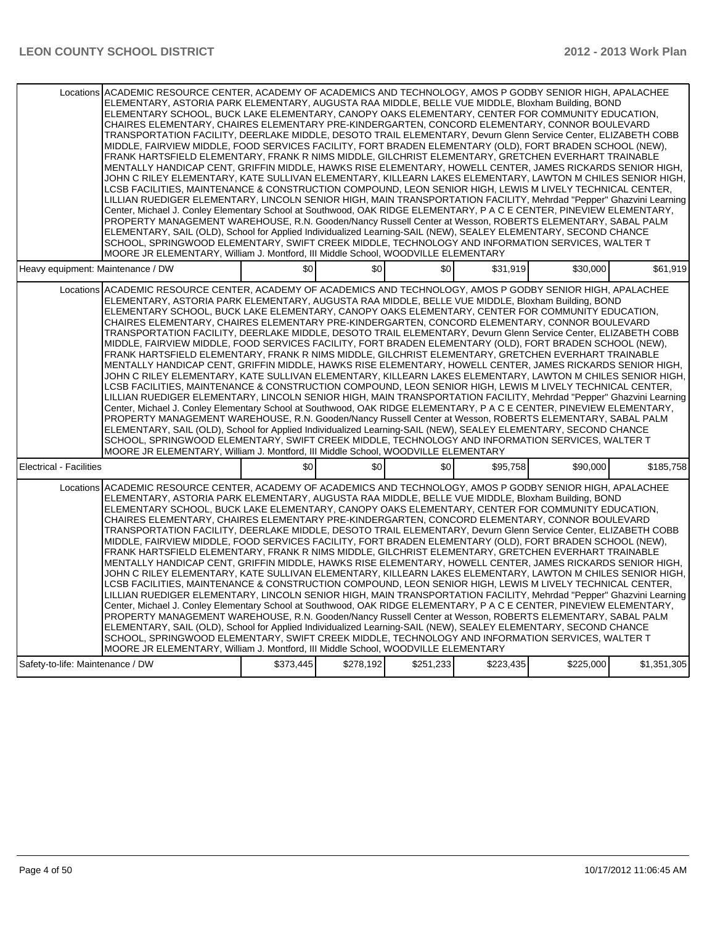| Locations ACADEMIC RESOURCE CENTER, ACADEMY OF ACADEMICS AND TECHNOLOGY, AMOS P GODBY SENIOR HIGH, APALACHEE<br>ELEMENTARY, ASTORIA PARK ELEMENTARY, AUGUSTA RAA MIDDLE, BELLE VUE MIDDLE, Bloxham Building, BOND<br>ELEMENTARY SCHOOL, BUCK LAKE ELEMENTARY, CANOPY OAKS ELEMENTARY, CENTER FOR COMMUNITY EDUCATION,<br>CHAIRES ELEMENTARY, CHAIRES ELEMENTARY PRE-KINDERGARTEN, CONCORD ELEMENTARY, CONNOR BOULEVARD<br>TRANSPORTATION FACILITY, DEERLAKE MIDDLE, DESOTO TRAIL ELEMENTARY, Devurn Glenn Service Center, ELIZABETH COBB<br>MIDDLE, FAIRVIEW MIDDLE, FOOD SERVICES FACILITY, FORT BRADEN ELEMENTARY (OLD), FORT BRADEN SCHOOL (NEW),<br>FRANK HARTSFIELD ELEMENTARY, FRANK R NIMS MIDDLE, GILCHRIST ELEMENTARY, GRETCHEN EVERHART TRAINABLE<br>MENTALLY HANDICAP CENT, GRIFFIN MIDDLE, HAWKS RISE ELEMENTARY, HOWELL CENTER, JAMES RICKARDS SENIOR HIGH,<br>JOHN C RILEY ELEMENTARY, KATE SULLIVAN ELEMENTARY, KILLEARN LAKES ELEMENTARY, LAWTON M CHILES SENIOR HIGH,<br>LCSB FACILITIES. MAINTENANCE & CONSTRUCTION COMPOUND. LEON SENIOR HIGH. LEWIS M LIVELY TECHNICAL CENTER.<br>LILLIAN RUEDIGER ELEMENTARY, LINCOLN SENIOR HIGH, MAIN TRANSPORTATION FACILITY, Mehrdad "Pepper" Ghazvini Learning<br>Center, Michael J. Conley Elementary School at Southwood, OAK RIDGE ELEMENTARY, P A C E CENTER, PINEVIEW ELEMENTARY,<br>PROPERTY MANAGEMENT WAREHOUSE, R.N. Gooden/Nancy Russell Center at Wesson, ROBERTS ELEMENTARY, SABAL PALM<br>ELEMENTARY, SAIL (OLD), School for Applied Individualized Learning-SAIL (NEW), SEALEY ELEMENTARY, SECOND CHANCE<br>SCHOOL, SPRINGWOOD ELEMENTARY, SWIFT CREEK MIDDLE, TECHNOLOGY AND INFORMATION SERVICES, WALTER T<br>MOORE JR ELEMENTARY, William J. Montford, III Middle School, WOODVILLE ELEMENTARY |     |     |     |          |          |           |
|---------------------------------------------------------------------------------------------------------------------------------------------------------------------------------------------------------------------------------------------------------------------------------------------------------------------------------------------------------------------------------------------------------------------------------------------------------------------------------------------------------------------------------------------------------------------------------------------------------------------------------------------------------------------------------------------------------------------------------------------------------------------------------------------------------------------------------------------------------------------------------------------------------------------------------------------------------------------------------------------------------------------------------------------------------------------------------------------------------------------------------------------------------------------------------------------------------------------------------------------------------------------------------------------------------------------------------------------------------------------------------------------------------------------------------------------------------------------------------------------------------------------------------------------------------------------------------------------------------------------------------------------------------------------------------------------------------------------------------------------------------------------------|-----|-----|-----|----------|----------|-----------|
| Heavy equipment: Maintenance / DW                                                                                                                                                                                                                                                                                                                                                                                                                                                                                                                                                                                                                                                                                                                                                                                                                                                                                                                                                                                                                                                                                                                                                                                                                                                                                                                                                                                                                                                                                                                                                                                                                                                                                                                                         | \$0 | \$0 | \$0 | \$31,919 | \$30,000 | \$61,919  |
| Locations ACADEMIC RESOURCE CENTER, ACADEMY OF ACADEMICS AND TECHNOLOGY, AMOS P GODBY SENIOR HIGH, APALACHEE<br>ELEMENTARY, ASTORIA PARK ELEMENTARY, AUGUSTA RAA MIDDLE, BELLE VUE MIDDLE, Bloxham Building, BOND<br>ELEMENTARY SCHOOL, BUCK LAKE ELEMENTARY, CANOPY OAKS ELEMENTARY, CENTER FOR COMMUNITY EDUCATION,<br>CHAIRES ELEMENTARY, CHAIRES ELEMENTARY PRE-KINDERGARTEN, CONCORD ELEMENTARY, CONNOR BOULEVARD<br>TRANSPORTATION FACILITY, DEERLAKE MIDDLE, DESOTO TRAIL ELEMENTARY, Devurn Glenn Service Center, ELIZABETH COBB<br>MIDDLE, FAIRVIEW MIDDLE, FOOD SERVICES FACILITY, FORT BRADEN ELEMENTARY (OLD), FORT BRADEN SCHOOL (NEW),<br>FRANK HARTSFIELD ELEMENTARY, FRANK R NIMS MIDDLE, GILCHRIST ELEMENTARY, GRETCHEN EVERHART TRAINABLE<br>MENTALLY HANDICAP CENT, GRIFFIN MIDDLE, HAWKS RISE ELEMENTARY, HOWELL CENTER, JAMES RICKARDS SENIOR HIGH,<br>JOHN C RILEY ELEMENTARY, KATE SULLIVAN ELEMENTARY, KILLEARN LAKES ELEMENTARY, LAWTON M CHILES SENIOR HIGH,<br>LCSB FACILITIES, MAINTENANCE & CONSTRUCTION COMPOUND, LEON SENIOR HIGH, LEWIS M LIVELY TECHNICAL CENTER,<br>LILLIAN RUEDIGER ELEMENTARY, LINCOLN SENIOR HIGH, MAIN TRANSPORTATION FACILITY, Mehrdad "Pepper" Ghazvini Learning<br>Center, Michael J. Conley Elementary School at Southwood, OAK RIDGE ELEMENTARY, P A C E CENTER, PINEVIEW ELEMENTARY,<br>PROPERTY MANAGEMENT WAREHOUSE, R.N. Gooden/Nancy Russell Center at Wesson, ROBERTS ELEMENTARY, SABAL PALM<br>ELEMENTARY, SAIL (OLD), School for Applied Individualized Learning-SAIL (NEW), SEALEY ELEMENTARY, SECOND CHANCE<br>SCHOOL, SPRINGWOOD ELEMENTARY, SWIFT CREEK MIDDLE, TECHNOLOGY AND INFORMATION SERVICES, WALTER T<br>MOORE JR ELEMENTARY, William J. Montford, III Middle School, WOODVILLE ELEMENTARY |     |     |     |          |          |           |
| <b>Electrical - Facilities</b>                                                                                                                                                                                                                                                                                                                                                                                                                                                                                                                                                                                                                                                                                                                                                                                                                                                                                                                                                                                                                                                                                                                                                                                                                                                                                                                                                                                                                                                                                                                                                                                                                                                                                                                                            | \$0 | \$0 | \$0 | \$95,758 | \$90,000 | \$185,758 |
| Locations ACADEMIC RESOURCE CENTER, ACADEMY OF ACADEMICS AND TECHNOLOGY, AMOS P GODBY SENIOR HIGH, APALACHEE<br>ELEMENTARY, ASTORIA PARK ELEMENTARY, AUGUSTA RAA MIDDLE, BELLE VUE MIDDLE, Bloxham Building, BOND<br>ELEMENTARY SCHOOL, BUCK LAKE ELEMENTARY, CANOPY OAKS ELEMENTARY, CENTER FOR COMMUNITY EDUCATION,<br>CHAIRES ELEMENTARY, CHAIRES ELEMENTARY PRE-KINDERGARTEN, CONCORD ELEMENTARY, CONNOR BOULEVARD<br>TRANSPORTATION FACILITY, DEERLAKE MIDDLE, DESOTO TRAIL ELEMENTARY, Devurn Glenn Service Center, ELIZABETH COBB<br>MIDDLE, FAIRVIEW MIDDLE, FOOD SERVICES FACILITY, FORT BRADEN ELEMENTARY (OLD), FORT BRADEN SCHOOL (NEW),<br>FRANK HARTSFIELD ELEMENTARY, FRANK R NIMS MIDDLE, GILCHRIST ELEMENTARY, GRETCHEN EVERHART TRAINABLE<br>MENTALLY HANDICAP CENT, GRIFFIN MIDDLE, HAWKS RISE ELEMENTARY, HOWELL CENTER, JAMES RICKARDS SENIOR HIGH,<br>JOHN C RILEY ELEMENTARY, KATE SULLIVAN ELEMENTARY, KILLEARN LAKES ELEMENTARY, LAWTON M CHILES SENIOR HIGH,<br>LCSB FACILITIES, MAINTENANCE & CONSTRUCTION COMPOUND, LEON SENIOR HIGH, LEWIS M LIVELY TECHNICAL CENTER,                                                                                                                                                                                                                                                                                                                                                                                                                                                                                                                                                                                                                                                                        |     |     |     |          |          |           |
| LILLIAN RUEDIGER ELEMENTARY, LINCOLN SENIOR HIGH, MAIN TRANSPORTATION FACILITY, Mehrdad "Pepper" Ghazvini Learning<br>Center, Michael J. Conley Elementary School at Southwood, OAK RIDGE ELEMENTARY, P A C E CENTER, PINEVIEW ELEMENTARY,<br>PROPERTY MANAGEMENT WAREHOUSE, R.N. Gooden/Nancy Russell Center at Wesson, ROBERTS ELEMENTARY, SABAL PALM<br>ELEMENTARY, SAIL (OLD), School for Applied Individualized Learning-SAIL (NEW), SEALEY ELEMENTARY, SECOND CHANCE<br>SCHOOL, SPRINGWOOD ELEMENTARY, SWIFT CREEK MIDDLE, TECHNOLOGY AND INFORMATION SERVICES, WALTER T<br>MOORE JR ELEMENTARY, William J. Montford, III Middle School, WOODVILLE ELEMENTARY                                                                                                                                                                                                                                                                                                                                                                                                                                                                                                                                                                                                                                                                                                                                                                                                                                                                                                                                                                                                                                                                                                       |     |     |     |          |          |           |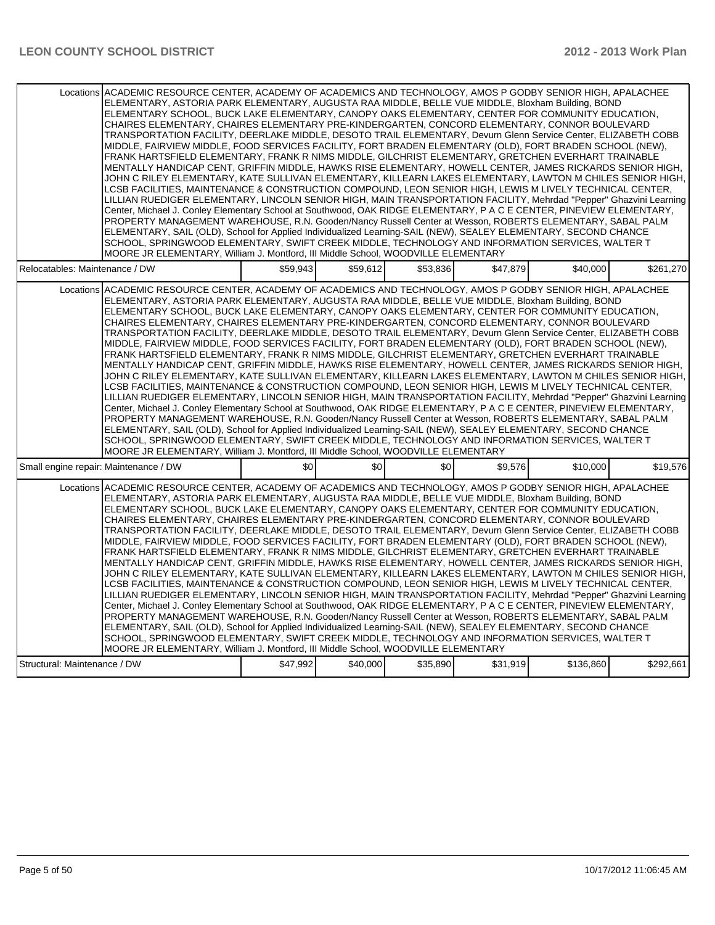|                                                                                                                                                                                                                                                                                                                                                                                                                                                                                                                                                                                                                                                                                                                                                                                                                                                                                                                                                                                                                                                                                                                                                                                                                                                                                                                                                                                                                                                                                                                                                                                                                                                                                                                                                                           | Locations ACADEMIC RESOURCE CENTER, ACADEMY OF ACADEMICS AND TECHNOLOGY, AMOS P GODBY SENIOR HIGH, APALACHEE<br>ELEMENTARY, ASTORIA PARK ELEMENTARY, AUGUSTA RAA MIDDLE, BELLE VUE MIDDLE, Bloxham Building, BOND<br>ELEMENTARY SCHOOL, BUCK LAKE ELEMENTARY, CANOPY OAKS ELEMENTARY, CENTER FOR COMMUNITY EDUCATION,<br>CHAIRES ELEMENTARY, CHAIRES ELEMENTARY PRE-KINDERGARTEN, CONCORD ELEMENTARY, CONNOR BOULEVARD<br>TRANSPORTATION FACILITY, DEERLAKE MIDDLE, DESOTO TRAIL ELEMENTARY, Devurn Glenn Service Center, ELIZABETH COBB<br>MIDDLE, FAIRVIEW MIDDLE, FOOD SERVICES FACILITY, FORT BRADEN ELEMENTARY (OLD), FORT BRADEN SCHOOL (NEW),<br>FRANK HARTSFIELD ELEMENTARY, FRANK R NIMS MIDDLE, GILCHRIST ELEMENTARY, GRETCHEN EVERHART TRAINABLE<br>MENTALLY HANDICAP CENT, GRIFFIN MIDDLE, HAWKS RISE ELEMENTARY, HOWELL CENTER, JAMES RICKARDS SENIOR HIGH,<br>JOHN C RILEY ELEMENTARY, KATE SULLIVAN ELEMENTARY, KILLEARN LAKES ELEMENTARY, LAWTON M CHILES SENIOR HIGH,<br>LCSB FACILITIES, MAINTENANCE & CONSTRUCTION COMPOUND, LEON SENIOR HIGH, LEWIS M LIVELY TECHNICAL CENTER,<br>LILLIAN RUEDIGER ELEMENTARY, LINCOLN SENIOR HIGH, MAIN TRANSPORTATION FACILITY, Mehrdad "Pepper" Ghazvini Learning<br>Center, Michael J. Conley Elementary School at Southwood, OAK RIDGE ELEMENTARY, P A C E CENTER, PINEVIEW ELEMENTARY,<br>PROPERTY MANAGEMENT WAREHOUSE, R.N. Gooden/Nancy Russell Center at Wesson, ROBERTS ELEMENTARY, SABAL PALM<br>ELEMENTARY, SAIL (OLD), School for Applied Individualized Learning-SAIL (NEW), SEALEY ELEMENTARY, SECOND CHANCE<br>SCHOOL, SPRINGWOOD ELEMENTARY, SWIFT CREEK MIDDLE, TECHNOLOGY AND INFORMATION SERVICES, WALTER T<br>MOORE JR ELEMENTARY, William J. Montford, III Middle School, WOODVILLE ELEMENTARY |          |          |          |           |           |  |
|---------------------------------------------------------------------------------------------------------------------------------------------------------------------------------------------------------------------------------------------------------------------------------------------------------------------------------------------------------------------------------------------------------------------------------------------------------------------------------------------------------------------------------------------------------------------------------------------------------------------------------------------------------------------------------------------------------------------------------------------------------------------------------------------------------------------------------------------------------------------------------------------------------------------------------------------------------------------------------------------------------------------------------------------------------------------------------------------------------------------------------------------------------------------------------------------------------------------------------------------------------------------------------------------------------------------------------------------------------------------------------------------------------------------------------------------------------------------------------------------------------------------------------------------------------------------------------------------------------------------------------------------------------------------------------------------------------------------------------------------------------------------------|---------------------------------------------------------------------------------------------------------------------------------------------------------------------------------------------------------------------------------------------------------------------------------------------------------------------------------------------------------------------------------------------------------------------------------------------------------------------------------------------------------------------------------------------------------------------------------------------------------------------------------------------------------------------------------------------------------------------------------------------------------------------------------------------------------------------------------------------------------------------------------------------------------------------------------------------------------------------------------------------------------------------------------------------------------------------------------------------------------------------------------------------------------------------------------------------------------------------------------------------------------------------------------------------------------------------------------------------------------------------------------------------------------------------------------------------------------------------------------------------------------------------------------------------------------------------------------------------------------------------------------------------------------------------------------------------------------------------------------------------------------------------------|----------|----------|----------|-----------|-----------|--|
| Relocatables: Maintenance / DW                                                                                                                                                                                                                                                                                                                                                                                                                                                                                                                                                                                                                                                                                                                                                                                                                                                                                                                                                                                                                                                                                                                                                                                                                                                                                                                                                                                                                                                                                                                                                                                                                                                                                                                                            | \$59.943                                                                                                                                                                                                                                                                                                                                                                                                                                                                                                                                                                                                                                                                                                                                                                                                                                                                                                                                                                                                                                                                                                                                                                                                                                                                                                                                                                                                                                                                                                                                                                                                                                                                                                                                                                  | \$59.612 | \$53.836 | \$47.879 | \$40.000  | \$261,270 |  |
| Locations ACADEMIC RESOURCE CENTER. ACADEMY OF ACADEMICS AND TECHNOLOGY. AMOS P GODBY SENIOR HIGH. APALACHEE<br>ELEMENTARY, ASTORIA PARK ELEMENTARY, AUGUSTA RAA MIDDLE, BELLE VUE MIDDLE, Bloxham Building, BOND<br>ELEMENTARY SCHOOL, BUCK LAKE ELEMENTARY, CANOPY OAKS ELEMENTARY, CENTER FOR COMMUNITY EDUCATION,<br>CHAIRES ELEMENTARY, CHAIRES ELEMENTARY PRE-KINDERGARTEN, CONCORD ELEMENTARY, CONNOR BOULEVARD<br>TRANSPORTATION FACILITY, DEERLAKE MIDDLE, DESOTO TRAIL ELEMENTARY, Devurn Glenn Service Center, ELIZABETH COBB<br>MIDDLE, FAIRVIEW MIDDLE, FOOD SERVICES FACILITY, FORT BRADEN ELEMENTARY (OLD), FORT BRADEN SCHOOL (NEW),<br>FRANK HARTSFIELD ELEMENTARY, FRANK R NIMS MIDDLE, GILCHRIST ELEMENTARY, GRETCHEN EVERHART TRAINABLE<br>MENTALLY HANDICAP CENT, GRIFFIN MIDDLE, HAWKS RISE ELEMENTARY, HOWELL CENTER, JAMES RICKARDS SENIOR HIGH,<br>JOHN C RILEY ELEMENTARY, KATE SULLIVAN ELEMENTARY, KILLEARN LAKES ELEMENTARY, LAWTON M CHILES SENIOR HIGH,<br>LCSB FACILITIES, MAINTENANCE & CONSTRUCTION COMPOUND, LEON SENIOR HIGH, LEWIS M LIVELY TECHNICAL CENTER,<br>LILLIAN RUEDIGER ELEMENTARY, LINCOLN SENIOR HIGH, MAIN TRANSPORTATION FACILITY, Mehrdad "Pepper" Ghazvini Learning<br>Center, Michael J. Conley Elementary School at Southwood, OAK RIDGE ELEMENTARY, P A C E CENTER, PINEVIEW ELEMENTARY,<br>PROPERTY MANAGEMENT WAREHOUSE, R.N. Gooden/Nancy Russell Center at Wesson, ROBERTS ELEMENTARY, SABAL PALM<br>ELEMENTARY, SAIL (OLD), School for Applied Individualized Learning-SAIL (NEW), SEALEY ELEMENTARY, SECOND CHANCE<br>SCHOOL, SPRINGWOOD ELEMENTARY, SWIFT CREEK MIDDLE, TECHNOLOGY AND INFORMATION SERVICES, WALTER T<br>MOORE JR ELEMENTARY, William J. Montford, III Middle School, WOODVILLE ELEMENTARY |                                                                                                                                                                                                                                                                                                                                                                                                                                                                                                                                                                                                                                                                                                                                                                                                                                                                                                                                                                                                                                                                                                                                                                                                                                                                                                                                                                                                                                                                                                                                                                                                                                                                                                                                                                           |          |          |          |           |           |  |
| Small engine repair: Maintenance / DW                                                                                                                                                                                                                                                                                                                                                                                                                                                                                                                                                                                                                                                                                                                                                                                                                                                                                                                                                                                                                                                                                                                                                                                                                                                                                                                                                                                                                                                                                                                                                                                                                                                                                                                                     | \$0                                                                                                                                                                                                                                                                                                                                                                                                                                                                                                                                                                                                                                                                                                                                                                                                                                                                                                                                                                                                                                                                                                                                                                                                                                                                                                                                                                                                                                                                                                                                                                                                                                                                                                                                                                       | \$0      | \$0      | \$9.576  | \$10,000  | \$19.576  |  |
| Locations ACADEMIC RESOURCE CENTER, ACADEMY OF ACADEMICS AND TECHNOLOGY, AMOS P GODBY SENIOR HIGH, APALACHEE<br>ELEMENTARY, ASTORIA PARK ELEMENTARY, AUGUSTA RAA MIDDLE, BELLE VUE MIDDLE, Bloxham Building, BOND<br>ELEMENTARY SCHOOL, BUCK LAKE ELEMENTARY, CANOPY OAKS ELEMENTARY, CENTER FOR COMMUNITY EDUCATION,<br>CHAIRES ELEMENTARY, CHAIRES ELEMENTARY PRE-KINDERGARTEN, CONCORD ELEMENTARY, CONNOR BOULEVARD<br>TRANSPORTATION FACILITY, DEERLAKE MIDDLE, DESOTO TRAIL ELEMENTARY, Devurn Glenn Service Center, ELIZABETH COBB<br>MIDDLE, FAIRVIEW MIDDLE, FOOD SERVICES FACILITY, FORT BRADEN ELEMENTARY (OLD), FORT BRADEN SCHOOL (NEW),<br>FRANK HARTSFIELD ELEMENTARY, FRANK R NIMS MIDDLE, GILCHRIST ELEMENTARY, GRETCHEN EVERHART TRAINABLE<br>MENTALLY HANDICAP CENT, GRIFFIN MIDDLE, HAWKS RISE ELEMENTARY, HOWELL CENTER, JAMES RICKARDS SENIOR HIGH,<br>JOHN C RILEY ELEMENTARY, KATE SULLIVAN ELEMENTARY, KILLEARN LAKES ELEMENTARY, LAWTON M CHILES SENIOR HIGH,<br>LCSB FACILITIES, MAINTENANCE & CONSTRUCTION COMPOUND, LEON SENIOR HIGH, LEWIS M LIVELY TECHNICAL CENTER,<br>LILLIAN RUEDIGER ELEMENTARY, LINCOLN SENIOR HIGH, MAIN TRANSPORTATION FACILITY, Mehrdad "Pepper" Ghazvini Learning<br>Center, Michael J. Conley Elementary School at Southwood, OAK RIDGE ELEMENTARY, P A C E CENTER, PINEVIEW ELEMENTARY,<br>PROPERTY MANAGEMENT WAREHOUSE, R.N. Gooden/Nancy Russell Center at Wesson, ROBERTS ELEMENTARY, SABAL PALM<br>ELEMENTARY, SAIL (OLD), School for Applied Individualized Learning-SAIL (NEW), SEALEY ELEMENTARY, SECOND CHANCE<br>SCHOOL, SPRINGWOOD ELEMENTARY, SWIFT CREEK MIDDLE, TECHNOLOGY AND INFORMATION SERVICES, WALTER T<br>MOORE JR ELEMENTARY, William J. Montford, III Middle School, WOODVILLE ELEMENTARY |                                                                                                                                                                                                                                                                                                                                                                                                                                                                                                                                                                                                                                                                                                                                                                                                                                                                                                                                                                                                                                                                                                                                                                                                                                                                                                                                                                                                                                                                                                                                                                                                                                                                                                                                                                           |          |          |          |           |           |  |
| Structural: Maintenance / DW                                                                                                                                                                                                                                                                                                                                                                                                                                                                                                                                                                                                                                                                                                                                                                                                                                                                                                                                                                                                                                                                                                                                                                                                                                                                                                                                                                                                                                                                                                                                                                                                                                                                                                                                              | \$47,992                                                                                                                                                                                                                                                                                                                                                                                                                                                                                                                                                                                                                                                                                                                                                                                                                                                                                                                                                                                                                                                                                                                                                                                                                                                                                                                                                                                                                                                                                                                                                                                                                                                                                                                                                                  | \$40,000 | \$35,890 | \$31,919 | \$136,860 | \$292,661 |  |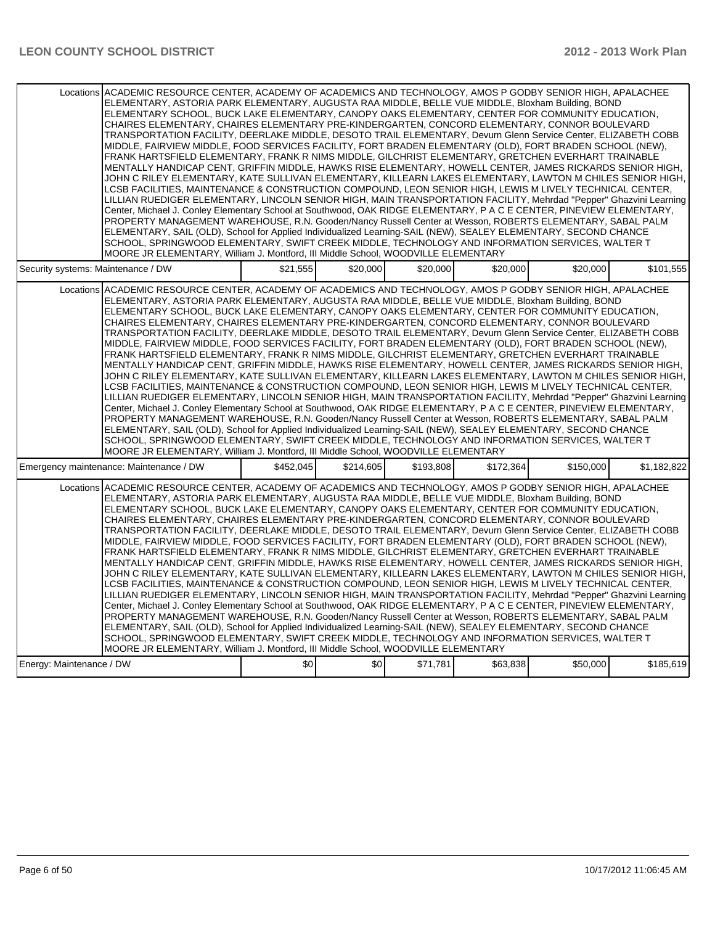|                                         | Locations ACADEMIC RESOURCE CENTER, ACADEMY OF ACADEMICS AND TECHNOLOGY, AMOS P GODBY SENIOR HIGH, APALACHEE<br>ELEMENTARY, ASTORIA PARK ELEMENTARY, AUGUSTA RAA MIDDLE, BELLE VUE MIDDLE, Bloxham Building, BOND<br>ELEMENTARY SCHOOL, BUCK LAKE ELEMENTARY, CANOPY OAKS ELEMENTARY, CENTER FOR COMMUNITY EDUCATION.<br>CHAIRES ELEMENTARY, CHAIRES ELEMENTARY PRE-KINDERGARTEN, CONCORD ELEMENTARY, CONNOR BOULEVARD<br>TRANSPORTATION FACILITY, DEERLAKE MIDDLE, DESOTO TRAIL ELEMENTARY, Devurn Glenn Service Center, ELIZABETH COBB<br>MIDDLE, FAIRVIEW MIDDLE, FOOD SERVICES FACILITY, FORT BRADEN ELEMENTARY (OLD), FORT BRADEN SCHOOL (NEW),<br>FRANK HARTSFIELD ELEMENTARY, FRANK R NIMS MIDDLE, GILCHRIST ELEMENTARY, GRETCHEN EVERHART TRAINABLE<br>MENTALLY HANDICAP CENT, GRIFFIN MIDDLE, HAWKS RISE ELEMENTARY, HOWELL CENTER, JAMES RICKARDS SENIOR HIGH,<br>JOHN C RILEY ELEMENTARY, KATE SULLIVAN ELEMENTARY, KILLEARN LAKES ELEMENTARY, LAWTON M CHILES SENIOR HIGH,<br>LCSB FACILITIES, MAINTENANCE & CONSTRUCTION COMPOUND, LEON SENIOR HIGH, LEWIS M LIVELY TECHNICAL CENTER,<br>LILLIAN RUEDIGER ELEMENTARY, LINCOLN SENIOR HIGH, MAIN TRANSPORTATION FACILITY, Mehrdad "Pepper" Ghazvini Learning<br>Center, Michael J. Conley Elementary School at Southwood, OAK RIDGE ELEMENTARY, P A C E CENTER, PINEVIEW ELEMENTARY,<br>PROPERTY MANAGEMENT WAREHOUSE, R.N. Gooden/Nancy Russell Center at Wesson, ROBERTS ELEMENTARY, SABAL PALM<br>ELEMENTARY, SAIL (OLD), School for Applied Individualized Learning-SAIL (NEW), SEALEY ELEMENTARY, SECOND CHANCE                                                                                                                                                                                          |           |           |           |           |           |             |
|-----------------------------------------|---------------------------------------------------------------------------------------------------------------------------------------------------------------------------------------------------------------------------------------------------------------------------------------------------------------------------------------------------------------------------------------------------------------------------------------------------------------------------------------------------------------------------------------------------------------------------------------------------------------------------------------------------------------------------------------------------------------------------------------------------------------------------------------------------------------------------------------------------------------------------------------------------------------------------------------------------------------------------------------------------------------------------------------------------------------------------------------------------------------------------------------------------------------------------------------------------------------------------------------------------------------------------------------------------------------------------------------------------------------------------------------------------------------------------------------------------------------------------------------------------------------------------------------------------------------------------------------------------------------------------------------------------------------------------------------------------------------------------------------------------------------------------|-----------|-----------|-----------|-----------|-----------|-------------|
|                                         | SCHOOL, SPRINGWOOD ELEMENTARY, SWIFT CREEK MIDDLE, TECHNOLOGY AND INFORMATION SERVICES, WALTER T                                                                                                                                                                                                                                                                                                                                                                                                                                                                                                                                                                                                                                                                                                                                                                                                                                                                                                                                                                                                                                                                                                                                                                                                                                                                                                                                                                                                                                                                                                                                                                                                                                                                          |           |           |           |           |           |             |
|                                         | MOORE JR ELEMENTARY, William J. Montford, III Middle School, WOODVILLE ELEMENTARY                                                                                                                                                                                                                                                                                                                                                                                                                                                                                                                                                                                                                                                                                                                                                                                                                                                                                                                                                                                                                                                                                                                                                                                                                                                                                                                                                                                                                                                                                                                                                                                                                                                                                         |           |           |           |           |           |             |
| Security systems: Maintenance / DW      |                                                                                                                                                                                                                                                                                                                                                                                                                                                                                                                                                                                                                                                                                                                                                                                                                                                                                                                                                                                                                                                                                                                                                                                                                                                                                                                                                                                                                                                                                                                                                                                                                                                                                                                                                                           | \$21,555  | \$20,000  | \$20,000  | \$20,000  | \$20,000  | \$101,555   |
|                                         | Locations ACADEMIC RESOURCE CENTER, ACADEMY OF ACADEMICS AND TECHNOLOGY, AMOS P GODBY SENIOR HIGH, APALACHEE<br>ELEMENTARY, ASTORIA PARK ELEMENTARY, AUGUSTA RAA MIDDLE, BELLE VUE MIDDLE, Bloxham Building, BOND<br>ELEMENTARY SCHOOL, BUCK LAKE ELEMENTARY, CANOPY OAKS ELEMENTARY, CENTER FOR COMMUNITY EDUCATION,<br>CHAIRES ELEMENTARY, CHAIRES ELEMENTARY PRE-KINDERGARTEN, CONCORD ELEMENTARY, CONNOR BOULEVARD<br>TRANSPORTATION FACILITY, DEERLAKE MIDDLE, DESOTO TRAIL ELEMENTARY, Devurn Glenn Service Center, ELIZABETH COBB<br>MIDDLE, FAIRVIEW MIDDLE, FOOD SERVICES FACILITY, FORT BRADEN ELEMENTARY (OLD), FORT BRADEN SCHOOL (NEW),<br>FRANK HARTSFIELD ELEMENTARY, FRANK R NIMS MIDDLE, GILCHRIST ELEMENTARY, GRETCHEN EVERHART TRAINABLE<br>MENTALLY HANDICAP CENT, GRIFFIN MIDDLE, HAWKS RISE ELEMENTARY, HOWELL CENTER, JAMES RICKARDS SENIOR HIGH,<br>JOHN C RILEY ELEMENTARY, KATE SULLIVAN ELEMENTARY, KILLEARN LAKES ELEMENTARY, LAWTON M CHILES SENIOR HIGH,<br>LCSB FACILITIES, MAINTENANCE & CONSTRUCTION COMPOUND, LEON SENIOR HIGH, LEWIS M LIVELY TECHNICAL CENTER,<br>LILLIAN RUEDIGER ELEMENTARY, LINCOLN SENIOR HIGH, MAIN TRANSPORTATION FACILITY, Mehrdad "Pepper" Ghazvini Learning<br>Center, Michael J. Conley Elementary School at Southwood, OAK RIDGE ELEMENTARY, P A C E CENTER, PINEVIEW ELEMENTARY,<br>PROPERTY MANAGEMENT WAREHOUSE, R.N. Gooden/Nancy Russell Center at Wesson, ROBERTS ELEMENTARY, SABAL PALM<br>ELEMENTARY, SAIL (OLD), School for Applied Individualized Learning-SAIL (NEW), SEALEY ELEMENTARY, SECOND CHANCE<br>SCHOOL, SPRINGWOOD ELEMENTARY, SWIFT CREEK MIDDLE, TECHNOLOGY AND INFORMATION SERVICES, WALTER T<br>MOORE JR ELEMENTARY, William J. Montford, III Middle School, WOODVILLE ELEMENTARY |           |           |           |           |           |             |
| Emergency maintenance: Maintenance / DW |                                                                                                                                                                                                                                                                                                                                                                                                                                                                                                                                                                                                                                                                                                                                                                                                                                                                                                                                                                                                                                                                                                                                                                                                                                                                                                                                                                                                                                                                                                                                                                                                                                                                                                                                                                           | \$452.045 | \$214,605 | \$193,808 | \$172,364 | \$150,000 | \$1,182,822 |
|                                         | Locations ACADEMIC RESOURCE CENTER. ACADEMY OF ACADEMICS AND TECHNOLOGY. AMOS P GODBY SENIOR HIGH. APALACHEE<br>ELEMENTARY, ASTORIA PARK ELEMENTARY, AUGUSTA RAA MIDDLE, BELLE VUE MIDDLE, Bloxham Building, BOND<br>ELEMENTARY SCHOOL, BUCK LAKE ELEMENTARY, CANOPY OAKS ELEMENTARY, CENTER FOR COMMUNITY EDUCATION,<br>CHAIRES ELEMENTARY, CHAIRES ELEMENTARY PRE-KINDERGARTEN, CONCORD ELEMENTARY, CONNOR BOULEVARD<br>TRANSPORTATION FACILITY, DEERLAKE MIDDLE, DESOTO TRAIL ELEMENTARY, Devurn Glenn Service Center, ELIZABETH COBB<br>MIDDLE, FAIRVIEW MIDDLE, FOOD SERVICES FACILITY, FORT BRADEN ELEMENTARY (OLD), FORT BRADEN SCHOOL (NEW),<br>FRANK HARTSFIELD ELEMENTARY, FRANK R NIMS MIDDLE, GILCHRIST ELEMENTARY, GRETCHEN EVERHART TRAINABLE<br>MENTALLY HANDICAP CENT, GRIFFIN MIDDLE, HAWKS RISE ELEMENTARY, HOWELL CENTER, JAMES RICKARDS SENIOR HIGH,<br>JOHN C RILEY ELEMENTARY, KATE SULLIVAN ELEMENTARY, KILLEARN LAKES ELEMENTARY, LAWTON M CHILES SENIOR HIGH,<br>LCSB FACILITIES, MAINTENANCE & CONSTRUCTION COMPOUND, LEON SENIOR HIGH, LEWIS M LIVELY TECHNICAL CENTER,<br>LILLIAN RUEDIGER ELEMENTARY, LINCOLN SENIOR HIGH, MAIN TRANSPORTATION FACILITY, Mehrdad "Pepper" Ghazvini Learning<br>Center, Michael J. Conley Elementary School at Southwood, OAK RIDGE ELEMENTARY, P A C E CENTER, PINEVIEW ELEMENTARY,<br>PROPERTY MANAGEMENT WAREHOUSE, R.N. Gooden/Nancy Russell Center at Wesson, ROBERTS ELEMENTARY, SABAL PALM<br>ELEMENTARY, SAIL (OLD), School for Applied Individualized Learning-SAIL (NEW), SEALEY ELEMENTARY, SECOND CHANCE<br>SCHOOL, SPRINGWOOD ELEMENTARY, SWIFT CREEK MIDDLE, TECHNOLOGY AND INFORMATION SERVICES, WALTER T<br>MOORE JR ELEMENTARY, William J. Montford, III Middle School, WOODVILLE ELEMENTARY |           |           |           |           |           |             |
| Energy: Maintenance / DW                |                                                                                                                                                                                                                                                                                                                                                                                                                                                                                                                                                                                                                                                                                                                                                                                                                                                                                                                                                                                                                                                                                                                                                                                                                                                                                                                                                                                                                                                                                                                                                                                                                                                                                                                                                                           | \$0       | \$0       | \$71,781  | \$63,838  | \$50,000  | \$185,619   |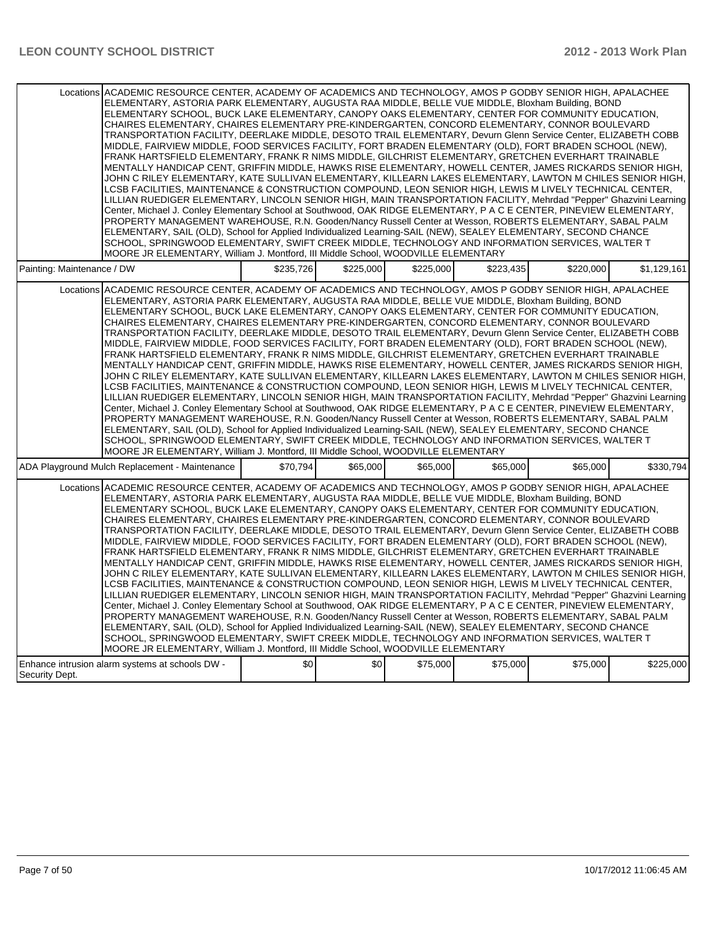|                                                                                                                                                                                                                                                                                                                                                                                                                                                                                                                                                                                                                                                                                                                                                                                                                                                                                                                                                                                                                                                                                                                                                                                                                                                                                                                                                                                                                                                                                                                                                                                                                                                                                                                                                                                                                                | Locations ACADEMIC RESOURCE CENTER, ACADEMY OF ACADEMICS AND TECHNOLOGY, AMOS P GODBY SENIOR HIGH, APALACHEE<br>ELEMENTARY, ASTORIA PARK ELEMENTARY, AUGUSTA RAA MIDDLE, BELLE VUE MIDDLE, Bloxham Building, BOND<br>ELEMENTARY SCHOOL. BUCK LAKE ELEMENTARY. CANOPY OAKS ELEMENTARY. CENTER FOR COMMUNITY EDUCATION.<br>CHAIRES ELEMENTARY, CHAIRES ELEMENTARY PRE-KINDERGARTEN, CONCORD ELEMENTARY, CONNOR BOULEVARD<br>TRANSPORTATION FACILITY, DEERLAKE MIDDLE, DESOTO TRAIL ELEMENTARY, Devurn Glenn Service Center, ELIZABETH COBB<br>MIDDLE, FAIRVIEW MIDDLE, FOOD SERVICES FACILITY, FORT BRADEN ELEMENTARY (OLD), FORT BRADEN SCHOOL (NEW),<br>FRANK HARTSFIELD ELEMENTARY, FRANK R NIMS MIDDLE, GILCHRIST ELEMENTARY, GRETCHEN EVERHART TRAINABLE<br>MENTALLY HANDICAP CENT, GRIFFIN MIDDLE, HAWKS RISE ELEMENTARY, HOWELL CENTER, JAMES RICKARDS SENIOR HIGH,<br>JOHN C RILEY ELEMENTARY, KATE SULLIVAN ELEMENTARY, KILLEARN LAKES ELEMENTARY, LAWTON M CHILES SENIOR HIGH,<br>LCSB FACILITIES, MAINTENANCE & CONSTRUCTION COMPOUND, LEON SENIOR HIGH, LEWIS M LIVELY TECHNICAL CENTER,<br>LILLIAN RUEDIGER ELEMENTARY, LINCOLN SENIOR HIGH, MAIN TRANSPORTATION FACILITY, Mehrdad "Pepper" Ghazvini Learning<br>Center, Michael J. Conley Elementary School at Southwood, OAK RIDGE ELEMENTARY, P A C E CENTER, PINEVIEW ELEMENTARY,<br>PROPERTY MANAGEMENT WAREHOUSE, R.N. Gooden/Nancy Russell Center at Wesson, ROBERTS ELEMENTARY, SABAL PALM<br>ELEMENTARY, SAIL (OLD), School for Applied Individualized Learning-SAIL (NEW), SEALEY ELEMENTARY, SECOND CHANCE<br>SCHOOL, SPRINGWOOD ELEMENTARY, SWIFT CREEK MIDDLE, TECHNOLOGY AND INFORMATION SERVICES, WALTER T<br>MOORE JR ELEMENTARY, William J. Montford, III Middle School, WOODVILLE ELEMENTARY |           |           |           |           |           |             |
|--------------------------------------------------------------------------------------------------------------------------------------------------------------------------------------------------------------------------------------------------------------------------------------------------------------------------------------------------------------------------------------------------------------------------------------------------------------------------------------------------------------------------------------------------------------------------------------------------------------------------------------------------------------------------------------------------------------------------------------------------------------------------------------------------------------------------------------------------------------------------------------------------------------------------------------------------------------------------------------------------------------------------------------------------------------------------------------------------------------------------------------------------------------------------------------------------------------------------------------------------------------------------------------------------------------------------------------------------------------------------------------------------------------------------------------------------------------------------------------------------------------------------------------------------------------------------------------------------------------------------------------------------------------------------------------------------------------------------------------------------------------------------------------------------------------------------------|---------------------------------------------------------------------------------------------------------------------------------------------------------------------------------------------------------------------------------------------------------------------------------------------------------------------------------------------------------------------------------------------------------------------------------------------------------------------------------------------------------------------------------------------------------------------------------------------------------------------------------------------------------------------------------------------------------------------------------------------------------------------------------------------------------------------------------------------------------------------------------------------------------------------------------------------------------------------------------------------------------------------------------------------------------------------------------------------------------------------------------------------------------------------------------------------------------------------------------------------------------------------------------------------------------------------------------------------------------------------------------------------------------------------------------------------------------------------------------------------------------------------------------------------------------------------------------------------------------------------------------------------------------------------------------------------------------------------------------------------------------------------------|-----------|-----------|-----------|-----------|-----------|-------------|
| Painting: Maintenance / DW                                                                                                                                                                                                                                                                                                                                                                                                                                                                                                                                                                                                                                                                                                                                                                                                                                                                                                                                                                                                                                                                                                                                                                                                                                                                                                                                                                                                                                                                                                                                                                                                                                                                                                                                                                                                     |                                                                                                                                                                                                                                                                                                                                                                                                                                                                                                                                                                                                                                                                                                                                                                                                                                                                                                                                                                                                                                                                                                                                                                                                                                                                                                                                                                                                                                                                                                                                                                                                                                                                                                                                                                           | \$235,726 | \$225,000 | \$225,000 | \$223,435 | \$220,000 | \$1,129,161 |
|                                                                                                                                                                                                                                                                                                                                                                                                                                                                                                                                                                                                                                                                                                                                                                                                                                                                                                                                                                                                                                                                                                                                                                                                                                                                                                                                                                                                                                                                                                                                                                                                                                                                                                                                                                                                                                | Locations ACADEMIC RESOURCE CENTER, ACADEMY OF ACADEMICS AND TECHNOLOGY, AMOS P GODBY SENIOR HIGH, APALACHEE<br>ELEMENTARY, ASTORIA PARK ELEMENTARY, AUGUSTA RAA MIDDLE, BELLE VUE MIDDLE, Bloxham Building, BOND<br>ELEMENTARY SCHOOL, BUCK LAKE ELEMENTARY, CANOPY OAKS ELEMENTARY, CENTER FOR COMMUNITY EDUCATION,<br>CHAIRES ELEMENTARY, CHAIRES ELEMENTARY PRE-KINDERGARTEN, CONCORD ELEMENTARY, CONNOR BOULEVARD<br>TRANSPORTATION FACILITY, DEERLAKE MIDDLE, DESOTO TRAIL ELEMENTARY, Devurn Glenn Service Center, ELIZABETH COBB<br>MIDDLE, FAIRVIEW MIDDLE, FOOD SERVICES FACILITY, FORT BRADEN ELEMENTARY (OLD), FORT BRADEN SCHOOL (NEW),<br>FRANK HARTSFIELD ELEMENTARY, FRANK R NIMS MIDDLE, GILCHRIST ELEMENTARY, GRETCHEN EVERHART TRAINABLE<br>MENTALLY HANDICAP CENT, GRIFFIN MIDDLE, HAWKS RISE ELEMENTARY, HOWELL CENTER, JAMES RICKARDS SENIOR HIGH,<br>JOHN C RILEY ELEMENTARY, KATE SULLIVAN ELEMENTARY, KILLEARN LAKES ELEMENTARY, LAWTON M CHILES SENIOR HIGH,<br>LCSB FACILITIES, MAINTENANCE & CONSTRUCTION COMPOUND, LEON SENIOR HIGH, LEWIS M LIVELY TECHNICAL CENTER,<br>LILLIAN RUEDIGER ELEMENTARY, LINCOLN SENIOR HIGH, MAIN TRANSPORTATION FACILITY, Mehrdad "Pepper" Ghazvini Learning<br>Center, Michael J. Conley Elementary School at Southwood, OAK RIDGE ELEMENTARY, P A C E CENTER, PINEVIEW ELEMENTARY,<br>PROPERTY MANAGEMENT WAREHOUSE, R.N. Gooden/Nancy Russell Center at Wesson, ROBERTS ELEMENTARY, SABAL PALM<br>ELEMENTARY, SAIL (OLD), School for Applied Individualized Learning-SAIL (NEW), SEALEY ELEMENTARY, SECOND CHANCE<br>SCHOOL, SPRINGWOOD ELEMENTARY, SWIFT CREEK MIDDLE, TECHNOLOGY AND INFORMATION SERVICES, WALTER T<br>MOORE JR ELEMENTARY, William J. Montford, III Middle School, WOODVILLE ELEMENTARY |           |           |           |           |           |             |
|                                                                                                                                                                                                                                                                                                                                                                                                                                                                                                                                                                                                                                                                                                                                                                                                                                                                                                                                                                                                                                                                                                                                                                                                                                                                                                                                                                                                                                                                                                                                                                                                                                                                                                                                                                                                                                |                                                                                                                                                                                                                                                                                                                                                                                                                                                                                                                                                                                                                                                                                                                                                                                                                                                                                                                                                                                                                                                                                                                                                                                                                                                                                                                                                                                                                                                                                                                                                                                                                                                                                                                                                                           | \$70,794  | \$65,000  | \$65,000  | \$65,000  | \$65,000  | \$330.794   |
| ADA Playground Mulch Replacement - Maintenance<br>ACADEMIC RESOURCE CENTER, ACADEMY OF ACADEMICS AND TECHNOLOGY, AMOS P GODBY SENIOR HIGH, APALACHEE<br>Locations<br>ELEMENTARY, ASTORIA PARK ELEMENTARY, AUGUSTA RAA MIDDLE, BELLE VUE MIDDLE, Bloxham Building, BOND<br>ELEMENTARY SCHOOL, BUCK LAKE ELEMENTARY, CANOPY OAKS ELEMENTARY, CENTER FOR COMMUNITY EDUCATION,<br>CHAIRES ELEMENTARY, CHAIRES ELEMENTARY PRE-KINDERGARTEN, CONCORD ELEMENTARY, CONNOR BOULEVARD<br>TRANSPORTATION FACILITY, DEERLAKE MIDDLE, DESOTO TRAIL ELEMENTARY, Devurn Glenn Service Center, ELIZABETH COBB<br>MIDDLE, FAIRVIEW MIDDLE, FOOD SERVICES FACILITY, FORT BRADEN ELEMENTARY (OLD), FORT BRADEN SCHOOL (NEW),<br>FRANK HARTSFIELD ELEMENTARY, FRANK R NIMS MIDDLE, GILCHRIST ELEMENTARY, GRETCHEN EVERHART TRAINABLE<br>MENTALLY HANDICAP CENT, GRIFFIN MIDDLE, HAWKS RISE ELEMENTARY, HOWELL CENTER, JAMES RICKARDS SENIOR HIGH,<br>JOHN C RILEY ELEMENTARY, KATE SULLIVAN ELEMENTARY, KILLEARN LAKES ELEMENTARY, LAWTON M CHILES SENIOR HIGH,<br>LCSB FACILITIES, MAINTENANCE & CONSTRUCTION COMPOUND, LEON SENIOR HIGH, LEWIS M LIVELY TECHNICAL CENTER,<br>LILLIAN RUEDIGER ELEMENTARY, LINCOLN SENIOR HIGH, MAIN TRANSPORTATION FACILITY, Mehrdad "Pepper" Ghazvini Learning<br>Center, Michael J. Conley Elementary School at Southwood, OAK RIDGE ELEMENTARY, P A C E CENTER, PINEVIEW ELEMENTARY,<br>PROPERTY MANAGEMENT WAREHOUSE, R.N. Gooden/Nancy Russell Center at Wesson, ROBERTS ELEMENTARY, SABAL PALM<br>ELEMENTARY, SAIL (OLD), School for Applied Individualized Learning-SAIL (NEW), SEALEY ELEMENTARY, SECOND CHANCE<br>SCHOOL, SPRINGWOOD ELEMENTARY, SWIFT CREEK MIDDLE, TECHNOLOGY AND INFORMATION SERVICES, WALTER T<br>MOORE JR ELEMENTARY, William J. Montford, III Middle School, WOODVILLE ELEMENTARY |                                                                                                                                                                                                                                                                                                                                                                                                                                                                                                                                                                                                                                                                                                                                                                                                                                                                                                                                                                                                                                                                                                                                                                                                                                                                                                                                                                                                                                                                                                                                                                                                                                                                                                                                                                           |           |           |           |           |           |             |
| Security Dept.                                                                                                                                                                                                                                                                                                                                                                                                                                                                                                                                                                                                                                                                                                                                                                                                                                                                                                                                                                                                                                                                                                                                                                                                                                                                                                                                                                                                                                                                                                                                                                                                                                                                                                                                                                                                                 | Enhance intrusion alarm systems at schools DW -                                                                                                                                                                                                                                                                                                                                                                                                                                                                                                                                                                                                                                                                                                                                                                                                                                                                                                                                                                                                                                                                                                                                                                                                                                                                                                                                                                                                                                                                                                                                                                                                                                                                                                                           | \$0       | \$0       | \$75,000  | \$75,000  | \$75,000  | \$225,000   |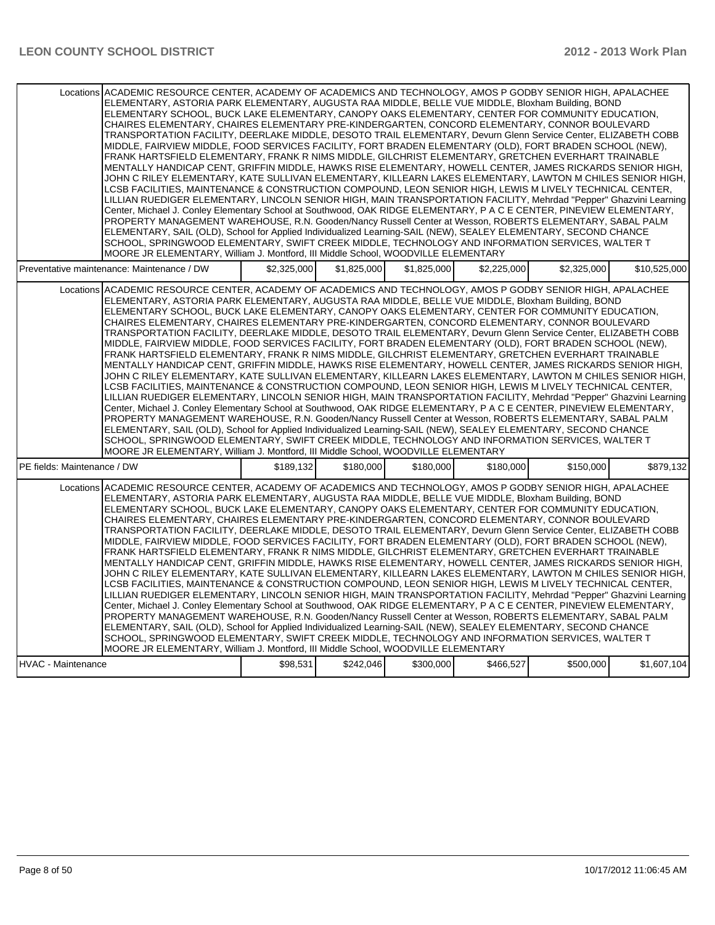| Locations ACADEMIC RESOURCE CENTER, ACADEMY OF ACADEMICS AND TECHNOLOGY, AMOS P GODBY SENIOR HIGH, APALACHEE<br>ELEMENTARY, ASTORIA PARK ELEMENTARY, AUGUSTA RAA MIDDLE, BELLE VUE MIDDLE, Bloxham Building, BOND<br>ELEMENTARY SCHOOL, BUCK LAKE ELEMENTARY, CANOPY OAKS ELEMENTARY, CENTER FOR COMMUNITY EDUCATION,<br>CHAIRES ELEMENTARY, CHAIRES ELEMENTARY PRE-KINDERGARTEN, CONCORD ELEMENTARY, CONNOR BOULEVARD<br>TRANSPORTATION FACILITY, DEERLAKE MIDDLE, DESOTO TRAIL ELEMENTARY, Devurn Glenn Service Center, ELIZABETH COBB<br>MIDDLE, FAIRVIEW MIDDLE, FOOD SERVICES FACILITY, FORT BRADEN ELEMENTARY (OLD), FORT BRADEN SCHOOL (NEW),<br>FRANK HARTSFIELD ELEMENTARY, FRANK R NIMS MIDDLE, GILCHRIST ELEMENTARY, GRETCHEN EVERHART TRAINABLE<br>MENTALLY HANDICAP CENT, GRIFFIN MIDDLE, HAWKS RISE ELEMENTARY, HOWELL CENTER, JAMES RICKARDS SENIOR HIGH,<br>JOHN C RILEY ELEMENTARY, KATE SULLIVAN ELEMENTARY, KILLEARN LAKES ELEMENTARY, LAWTON M CHILES SENIOR HIGH,<br>LCSB FACILITIES. MAINTENANCE & CONSTRUCTION COMPOUND. LEON SENIOR HIGH. LEWIS M LIVELY TECHNICAL CENTER.<br>LILLIAN RUEDIGER ELEMENTARY, LINCOLN SENIOR HIGH, MAIN TRANSPORTATION FACILITY, Mehrdad "Pepper" Ghazvini Learning<br>Center, Michael J. Conley Elementary School at Southwood, OAK RIDGE ELEMENTARY, P A C E CENTER, PINEVIEW ELEMENTARY,<br>PROPERTY MANAGEMENT WAREHOUSE, R.N. Gooden/Nancy Russell Center at Wesson, ROBERTS ELEMENTARY, SABAL PALM<br>ELEMENTARY, SAIL (OLD), School for Applied Individualized Learning-SAIL (NEW), SEALEY ELEMENTARY, SECOND CHANCE<br>SCHOOL, SPRINGWOOD ELEMENTARY, SWIFT CREEK MIDDLE, TECHNOLOGY AND INFORMATION SERVICES, WALTER T<br>MOORE JR ELEMENTARY, William J. Montford, III Middle School, WOODVILLE ELEMENTARY |             |             |             |             |             |              |
|---------------------------------------------------------------------------------------------------------------------------------------------------------------------------------------------------------------------------------------------------------------------------------------------------------------------------------------------------------------------------------------------------------------------------------------------------------------------------------------------------------------------------------------------------------------------------------------------------------------------------------------------------------------------------------------------------------------------------------------------------------------------------------------------------------------------------------------------------------------------------------------------------------------------------------------------------------------------------------------------------------------------------------------------------------------------------------------------------------------------------------------------------------------------------------------------------------------------------------------------------------------------------------------------------------------------------------------------------------------------------------------------------------------------------------------------------------------------------------------------------------------------------------------------------------------------------------------------------------------------------------------------------------------------------------------------------------------------------------------------------------------------------|-------------|-------------|-------------|-------------|-------------|--------------|
| Preventative maintenance: Maintenance / DW                                                                                                                                                                                                                                                                                                                                                                                                                                                                                                                                                                                                                                                                                                                                                                                                                                                                                                                                                                                                                                                                                                                                                                                                                                                                                                                                                                                                                                                                                                                                                                                                                                                                                                                                | \$2.325.000 | \$1.825,000 | \$1.825.000 | \$2.225.000 | \$2.325.000 | \$10,525,000 |
| Locations ACADEMIC RESOURCE CENTER, ACADEMY OF ACADEMICS AND TECHNOLOGY, AMOS P GODBY SENIOR HIGH, APALACHEE<br>ELEMENTARY, ASTORIA PARK ELEMENTARY, AUGUSTA RAA MIDDLE, BELLE VUE MIDDLE, Bloxham Building, BOND<br>ELEMENTARY SCHOOL, BUCK LAKE ELEMENTARY, CANOPY OAKS ELEMENTARY, CENTER FOR COMMUNITY EDUCATION,<br>CHAIRES ELEMENTARY, CHAIRES ELEMENTARY PRE-KINDERGARTEN, CONCORD ELEMENTARY, CONNOR BOULEVARD<br>TRANSPORTATION FACILITY, DEERLAKE MIDDLE, DESOTO TRAIL ELEMENTARY, Devurn Glenn Service Center, ELIZABETH COBB<br>MIDDLE, FAIRVIEW MIDDLE, FOOD SERVICES FACILITY, FORT BRADEN ELEMENTARY (OLD), FORT BRADEN SCHOOL (NEW),<br>FRANK HARTSFIELD ELEMENTARY, FRANK R NIMS MIDDLE, GILCHRIST ELEMENTARY, GRETCHEN EVERHART TRAINABLE<br>MENTALLY HANDICAP CENT, GRIFFIN MIDDLE, HAWKS RISE ELEMENTARY, HOWELL CENTER, JAMES RICKARDS SENIOR HIGH,<br>JOHN C RILEY ELEMENTARY, KATE SULLIVAN ELEMENTARY, KILLEARN LAKES ELEMENTARY, LAWTON M CHILES SENIOR HIGH,<br>LCSB FACILITIES, MAINTENANCE & CONSTRUCTION COMPOUND, LEON SENIOR HIGH, LEWIS M LIVELY TECHNICAL CENTER,<br>LILLIAN RUEDIGER ELEMENTARY, LINCOLN SENIOR HIGH, MAIN TRANSPORTATION FACILITY, Mehrdad "Pepper" Ghazvini Learning<br>Center, Michael J. Conley Elementary School at Southwood, OAK RIDGE ELEMENTARY, P A C E CENTER, PINEVIEW ELEMENTARY,<br>PROPERTY MANAGEMENT WAREHOUSE, R.N. Gooden/Nancy Russell Center at Wesson, ROBERTS ELEMENTARY, SABAL PALM<br>ELEMENTARY, SAIL (OLD), School for Applied Individualized Learning-SAIL (NEW), SEALEY ELEMENTARY, SECOND CHANCE<br>SCHOOL, SPRINGWOOD ELEMENTARY, SWIFT CREEK MIDDLE. TECHNOLOGY AND INFORMATION SERVICES, WALTER T<br>MOORE JR ELEMENTARY, William J. Montford, III Middle School, WOODVILLE ELEMENTARY |             |             |             |             |             |              |
| PE fields: Maintenance / DW                                                                                                                                                                                                                                                                                                                                                                                                                                                                                                                                                                                                                                                                                                                                                                                                                                                                                                                                                                                                                                                                                                                                                                                                                                                                                                                                                                                                                                                                                                                                                                                                                                                                                                                                               | \$189,132   | \$180,000   | \$180,000   | \$180,000   | \$150,000   | \$879,132    |
| Locations ACADEMIC RESOURCE CENTER. ACADEMY OF ACADEMICS AND TECHNOLOGY. AMOS P GODBY SENIOR HIGH. APALACHEE<br>ELEMENTARY, ASTORIA PARK ELEMENTARY, AUGUSTA RAA MIDDLE, BELLE VUE MIDDLE, Bloxham Building, BOND<br>ELEMENTARY SCHOOL, BUCK LAKE ELEMENTARY, CANOPY OAKS ELEMENTARY, CENTER FOR COMMUNITY EDUCATION,<br>CHAIRES ELEMENTARY, CHAIRES ELEMENTARY PRE-KINDERGARTEN, CONCORD ELEMENTARY, CONNOR BOULEVARD<br>TRANSPORTATION FACILITY, DEERLAKE MIDDLE, DESOTO TRAIL ELEMENTARY, Devurn Glenn Service Center, ELIZABETH COBB<br>MIDDLE, FAIRVIEW MIDDLE, FOOD SERVICES FACILITY, FORT BRADEN ELEMENTARY (OLD), FORT BRADEN SCHOOL (NEW),<br>FRANK HARTSFIELD ELEMENTARY, FRANK R NIMS MIDDLE, GILCHRIST ELEMENTARY, GRETCHEN EVERHART TRAINABLE<br>MENTALLY HANDICAP CENT, GRIFFIN MIDDLE, HAWKS RISE ELEMENTARY, HOWELL CENTER, JAMES RICKARDS SENIOR HIGH,<br>JOHN C RILEY ELEMENTARY, KATE SULLIVAN ELEMENTARY, KILLEARN LAKES ELEMENTARY, LAWTON M CHILES SENIOR HIGH,<br>LCSB FACILITIES, MAINTENANCE & CONSTRUCTION COMPOUND, LEON SENIOR HIGH, LEWIS M LIVELY TECHNICAL CENTER,<br>LILLIAN RUEDIGER ELEMENTARY, LINCOLN SENIOR HIGH, MAIN TRANSPORTATION FACILITY, Mehrdad "Pepper" Ghazvini Learning<br>Center, Michael J. Conley Elementary School at Southwood, OAK RIDGE ELEMENTARY, P A C E CENTER, PINEVIEW ELEMENTARY,<br>PROPERTY MANAGEMENT WAREHOUSE, R.N. Gooden/Nancy Russell Center at Wesson, ROBERTS ELEMENTARY, SABAL PALM<br>ELEMENTARY, SAIL (OLD), School for Applied Individualized Learning-SAIL (NEW), SEALEY ELEMENTARY, SECOND CHANCE<br>SCHOOL, SPRINGWOOD ELEMENTARY, SWIFT CREEK MIDDLE, TECHNOLOGY AND INFORMATION SERVICES, WALTER T<br>MOORE JR ELEMENTARY, William J. Montford, III Middle School, WOODVILLE ELEMENTARY |             |             |             |             |             |              |
| HVAC - Maintenance                                                                                                                                                                                                                                                                                                                                                                                                                                                                                                                                                                                                                                                                                                                                                                                                                                                                                                                                                                                                                                                                                                                                                                                                                                                                                                                                                                                                                                                                                                                                                                                                                                                                                                                                                        | \$98,531    | \$242,046   | \$300,000   | \$466,527   | \$500,000   | \$1,607,104  |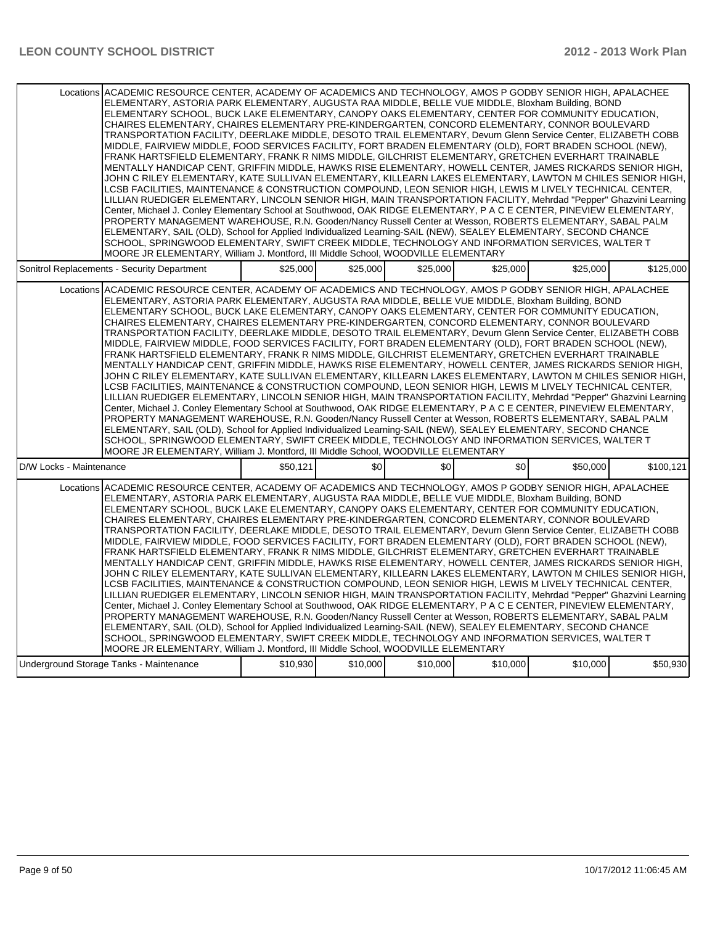|                                             | Locations ACADEMIC RESOURCE CENTER, ACADEMY OF ACADEMICS AND TECHNOLOGY, AMOS P GODBY SENIOR HIGH, APALACHEE<br>ELEMENTARY, ASTORIA PARK ELEMENTARY, AUGUSTA RAA MIDDLE, BELLE VUE MIDDLE, Bloxham Building, BOND<br>ELEMENTARY SCHOOL, BUCK LAKE ELEMENTARY, CANOPY OAKS ELEMENTARY, CENTER FOR COMMUNITY EDUCATION,<br>CHAIRES ELEMENTARY, CHAIRES ELEMENTARY PRE-KINDERGARTEN, CONCORD ELEMENTARY, CONNOR BOULEVARD<br>TRANSPORTATION FACILITY, DEERLAKE MIDDLE, DESOTO TRAIL ELEMENTARY, Devurn Glenn Service Center, ELIZABETH COBB<br>MIDDLE, FAIRVIEW MIDDLE, FOOD SERVICES FACILITY, FORT BRADEN ELEMENTARY (OLD), FORT BRADEN SCHOOL (NEW),<br>FRANK HARTSFIELD ELEMENTARY, FRANK R NIMS MIDDLE, GILCHRIST ELEMENTARY, GRETCHEN EVERHART TRAINABLE<br>MENTALLY HANDICAP CENT, GRIFFIN MIDDLE, HAWKS RISE ELEMENTARY, HOWELL CENTER, JAMES RICKARDS SENIOR HIGH,<br>JOHN C RILEY ELEMENTARY, KATE SULLIVAN ELEMENTARY, KILLEARN LAKES ELEMENTARY, LAWTON M CHILES SENIOR HIGH,<br>LCSB FACILITIES, MAINTENANCE & CONSTRUCTION COMPOUND, LEON SENIOR HIGH, LEWIS M LIVELY TECHNICAL CENTER,<br>LILLIAN RUEDIGER ELEMENTARY, LINCOLN SENIOR HIGH, MAIN TRANSPORTATION FACILITY, Mehrdad "Pepper" Ghazvini Learning<br>Center, Michael J. Conley Elementary School at Southwood, OAK RIDGE ELEMENTARY, P A C E CENTER, PINEVIEW ELEMENTARY,<br>PROPERTY MANAGEMENT WAREHOUSE, R.N. Gooden/Nancy Russell Center at Wesson, ROBERTS ELEMENTARY, SABAL PALM<br>ELEMENTARY, SAIL (OLD), School for Applied Individualized Learning-SAIL (NEW), SEALEY ELEMENTARY, SECOND CHANCE<br>SCHOOL, SPRINGWOOD ELEMENTARY, SWIFT CREEK MIDDLE, TECHNOLOGY AND INFORMATION SERVICES, WALTER T<br>MOORE JR ELEMENTARY, William J. Montford, III Middle School, WOODVILLE ELEMENTARY |          |          |          |                  |          |           |
|---------------------------------------------|---------------------------------------------------------------------------------------------------------------------------------------------------------------------------------------------------------------------------------------------------------------------------------------------------------------------------------------------------------------------------------------------------------------------------------------------------------------------------------------------------------------------------------------------------------------------------------------------------------------------------------------------------------------------------------------------------------------------------------------------------------------------------------------------------------------------------------------------------------------------------------------------------------------------------------------------------------------------------------------------------------------------------------------------------------------------------------------------------------------------------------------------------------------------------------------------------------------------------------------------------------------------------------------------------------------------------------------------------------------------------------------------------------------------------------------------------------------------------------------------------------------------------------------------------------------------------------------------------------------------------------------------------------------------------------------------------------------------------------------------------------------------------|----------|----------|----------|------------------|----------|-----------|
| Sonitrol Replacements - Security Department |                                                                                                                                                                                                                                                                                                                                                                                                                                                                                                                                                                                                                                                                                                                                                                                                                                                                                                                                                                                                                                                                                                                                                                                                                                                                                                                                                                                                                                                                                                                                                                                                                                                                                                                                                                           | \$25.000 | \$25,000 | \$25.000 | \$25,000         | \$25.000 | \$125.000 |
|                                             | Locations ACADEMIC RESOURCE CENTER, ACADEMY OF ACADEMICS AND TECHNOLOGY, AMOS P GODBY SENIOR HIGH, APALACHEE<br>ELEMENTARY, ASTORIA PARK ELEMENTARY, AUGUSTA RAA MIDDLE, BELLE VUE MIDDLE, Bloxham Building, BOND<br>ELEMENTARY SCHOOL, BUCK LAKE ELEMENTARY, CANOPY OAKS ELEMENTARY, CENTER FOR COMMUNITY EDUCATION,<br>CHAIRES ELEMENTARY, CHAIRES ELEMENTARY PRE-KINDERGARTEN, CONCORD ELEMENTARY, CONNOR BOULEVARD<br>TRANSPORTATION FACILITY, DEERLAKE MIDDLE, DESOTO TRAIL ELEMENTARY, Devurn Glenn Service Center, ELIZABETH COBB<br>MIDDLE, FAIRVIEW MIDDLE, FOOD SERVICES FACILITY, FORT BRADEN ELEMENTARY (OLD), FORT BRADEN SCHOOL (NEW),<br>FRANK HARTSFIELD ELEMENTARY, FRANK R NIMS MIDDLE, GILCHRIST ELEMENTARY, GRETCHEN EVERHART TRAINABLE<br>MENTALLY HANDICAP CENT, GRIFFIN MIDDLE, HAWKS RISE ELEMENTARY, HOWELL CENTER, JAMES RICKARDS SENIOR HIGH,<br>JOHN C RILEY ELEMENTARY, KATE SULLIVAN ELEMENTARY, KILLEARN LAKES ELEMENTARY, LAWTON M CHILES SENIOR HIGH,<br>LCSB FACILITIES, MAINTENANCE & CONSTRUCTION COMPOUND, LEON SENIOR HIGH, LEWIS M LIVELY TECHNICAL CENTER,<br>LILLIAN RUEDIGER ELEMENTARY, LINCOLN SENIOR HIGH, MAIN TRANSPORTATION FACILITY, Mehrdad "Pepper" Ghazvini Learning<br>Center, Michael J. Conley Elementary School at Southwood, OAK RIDGE ELEMENTARY, P A C E CENTER, PINEVIEW ELEMENTARY,<br>PROPERTY MANAGEMENT WAREHOUSE, R.N. Gooden/Nancy Russell Center at Wesson, ROBERTS ELEMENTARY, SABAL PALM<br>ELEMENTARY, SAIL (OLD), School for Applied Individualized Learning-SAIL (NEW), SEALEY ELEMENTARY, SECOND CHANCE<br>SCHOOL, SPRINGWOOD ELEMENTARY, SWIFT CREEK MIDDLE, TECHNOLOGY AND INFORMATION SERVICES, WALTER T<br>MOORE JR ELEMENTARY, William J. Montford, III Middle School, WOODVILLE ELEMENTARY |          |          |          |                  |          |           |
| D/W Locks - Maintenance                     |                                                                                                                                                                                                                                                                                                                                                                                                                                                                                                                                                                                                                                                                                                                                                                                                                                                                                                                                                                                                                                                                                                                                                                                                                                                                                                                                                                                                                                                                                                                                                                                                                                                                                                                                                                           | \$50.121 | \$0      | \$0      | \$0 <sub>1</sub> | \$50,000 | \$100.121 |
|                                             | Locations ACADEMIC RESOURCE CENTER, ACADEMY OF ACADEMICS AND TECHNOLOGY, AMOS P GODBY SENIOR HIGH, APALACHEE<br>ELEMENTARY, ASTORIA PARK ELEMENTARY, AUGUSTA RAA MIDDLE, BELLE VUE MIDDLE, Bloxham Building, BOND<br>ELEMENTARY SCHOOL, BUCK LAKE ELEMENTARY, CANOPY OAKS ELEMENTARY, CENTER FOR COMMUNITY EDUCATION,<br>CHAIRES ELEMENTARY, CHAIRES ELEMENTARY PRE-KINDERGARTEN, CONCORD ELEMENTARY, CONNOR BOULEVARD<br>TRANSPORTATION FACILITY. DEERLAKE MIDDLE. DESOTO TRAIL ELEMENTARY. Devurn Glenn Service Center. ELIZABETH COBB<br>MIDDLE, FAIRVIEW MIDDLE, FOOD SERVICES FACILITY, FORT BRADEN ELEMENTARY (OLD), FORT BRADEN SCHOOL (NEW),<br>FRANK HARTSFIELD ELEMENTARY. FRANK R NIMS MIDDLE, GILCHRIST ELEMENTARY, GRETCHEN EVERHART TRAINABLE<br>MENTALLY HANDICAP CENT, GRIFFIN MIDDLE, HAWKS RISE ELEMENTARY, HOWELL CENTER, JAMES RICKARDS SENIOR HIGH,<br>JOHN C RILEY ELEMENTARY, KATE SULLIVAN ELEMENTARY, KILLEARN LAKES ELEMENTARY, LAWTON M CHILES SENIOR HIGH,<br>LCSB FACILITIES, MAINTENANCE & CONSTRUCTION COMPOUND, LEON SENIOR HIGH, LEWIS M LIVELY TECHNICAL CENTER,<br>LILLIAN RUEDIGER ELEMENTARY, LINCOLN SENIOR HIGH, MAIN TRANSPORTATION FACILITY, Mehrdad "Pepper" Ghazvini Learning<br>Center, Michael J. Conley Elementary School at Southwood, OAK RIDGE ELEMENTARY, P A C E CENTER, PINEVIEW ELEMENTARY,<br>PROPERTY MANAGEMENT WAREHOUSE, R.N. Gooden/Nancy Russell Center at Wesson, ROBERTS ELEMENTARY, SABAL PALM<br>ELEMENTARY, SAIL (OLD), School for Applied Individualized Learning-SAIL (NEW), SEALEY ELEMENTARY, SECOND CHANCE<br>SCHOOL, SPRINGWOOD ELEMENTARY, SWIFT CREEK MIDDLE, TECHNOLOGY AND INFORMATION SERVICES, WALTER T<br>MOORE JR ELEMENTARY, William J. Montford, III Middle School, WOODVILLE ELEMENTARY |          |          |          |                  |          |           |
| Underground Storage Tanks - Maintenance     |                                                                                                                                                                                                                                                                                                                                                                                                                                                                                                                                                                                                                                                                                                                                                                                                                                                                                                                                                                                                                                                                                                                                                                                                                                                                                                                                                                                                                                                                                                                                                                                                                                                                                                                                                                           | \$10,930 | \$10,000 | \$10,000 | \$10,000         | \$10,000 | \$50,930  |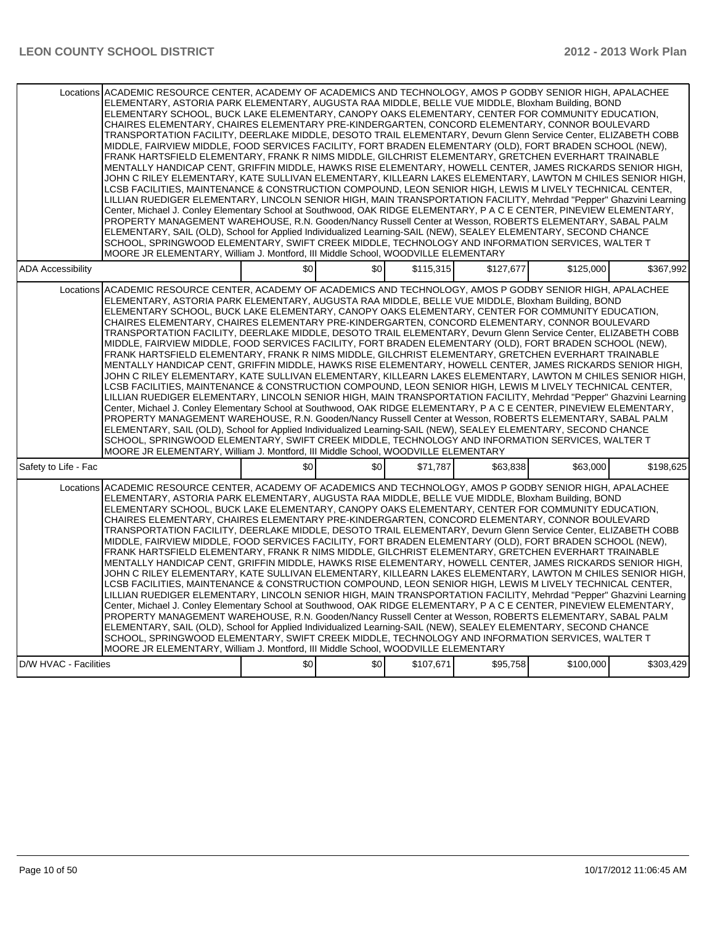|                          | Locations ACADEMIC RESOURCE CENTER, ACADEMY OF ACADEMICS AND TECHNOLOGY, AMOS P GODBY SENIOR HIGH, APALACHEE<br>ELEMENTARY, ASTORIA PARK ELEMENTARY, AUGUSTA RAA MIDDLE, BELLE VUE MIDDLE, Bloxham Building, BOND<br>ELEMENTARY SCHOOL, BUCK LAKE ELEMENTARY, CANOPY OAKS ELEMENTARY, CENTER FOR COMMUNITY EDUCATION,<br>CHAIRES ELEMENTARY, CHAIRES ELEMENTARY PRE-KINDERGARTEN, CONCORD ELEMENTARY, CONNOR BOULEVARD<br>TRANSPORTATION FACILITY, DEERLAKE MIDDLE, DESOTO TRAIL ELEMENTARY, Devurn Glenn Service Center, ELIZABETH COBB<br>MIDDLE, FAIRVIEW MIDDLE, FOOD SERVICES FACILITY, FORT BRADEN ELEMENTARY (OLD), FORT BRADEN SCHOOL (NEW),<br>FRANK HARTSFIELD ELEMENTARY, FRANK R NIMS MIDDLE, GILCHRIST ELEMENTARY, GRETCHEN EVERHART TRAINABLE<br>MENTALLY HANDICAP CENT, GRIFFIN MIDDLE, HAWKS RISE ELEMENTARY, HOWELL CENTER, JAMES RICKARDS SENIOR HIGH,<br>JOHN C RILEY ELEMENTARY, KATE SULLIVAN ELEMENTARY, KILLEARN LAKES ELEMENTARY, LAWTON M CHILES SENIOR HIGH,<br>LCSB FACILITIES, MAINTENANCE & CONSTRUCTION COMPOUND, LEON SENIOR HIGH, LEWIS M LIVELY TECHNICAL CENTER,<br>LILLIAN RUEDIGER ELEMENTARY, LINCOLN SENIOR HIGH, MAIN TRANSPORTATION FACILITY, Mehrdad "Pepper" Ghazvini Learning<br>Center, Michael J. Conley Elementary School at Southwood, OAK RIDGE ELEMENTARY, P A C E CENTER, PINEVIEW ELEMENTARY,<br>PROPERTY MANAGEMENT WAREHOUSE, R.N. Gooden/Nancy Russell Center at Wesson, ROBERTS ELEMENTARY, SABAL PALM<br>ELEMENTARY, SAIL (OLD), School for Applied Individualized Learning-SAIL (NEW), SEALEY ELEMENTARY, SECOND CHANCE<br>SCHOOL, SPRINGWOOD ELEMENTARY, SWIFT CREEK MIDDLE, TECHNOLOGY AND INFORMATION SERVICES, WALTER T<br>MOORE JR ELEMENTARY, William J. Montford, III Middle School, WOODVILLE ELEMENTARY   |     |     |           |           |           |           |
|--------------------------|-----------------------------------------------------------------------------------------------------------------------------------------------------------------------------------------------------------------------------------------------------------------------------------------------------------------------------------------------------------------------------------------------------------------------------------------------------------------------------------------------------------------------------------------------------------------------------------------------------------------------------------------------------------------------------------------------------------------------------------------------------------------------------------------------------------------------------------------------------------------------------------------------------------------------------------------------------------------------------------------------------------------------------------------------------------------------------------------------------------------------------------------------------------------------------------------------------------------------------------------------------------------------------------------------------------------------------------------------------------------------------------------------------------------------------------------------------------------------------------------------------------------------------------------------------------------------------------------------------------------------------------------------------------------------------------------------------------------------------------------------------------------------------|-----|-----|-----------|-----------|-----------|-----------|
| <b>ADA Accessibility</b> |                                                                                                                                                                                                                                                                                                                                                                                                                                                                                                                                                                                                                                                                                                                                                                                                                                                                                                                                                                                                                                                                                                                                                                                                                                                                                                                                                                                                                                                                                                                                                                                                                                                                                                                                                                             | \$0 | \$0 | \$115,315 | \$127,677 | \$125,000 | \$367,992 |
|                          | Locations ACADEMIC RESOURCE CENTER, ACADEMY OF ACADEMICS AND TECHNOLOGY, AMOS P GODBY SENIOR HIGH, APALACHEE<br>ELEMENTARY, ASTORIA PARK ELEMENTARY, AUGUSTA RAA MIDDLE, BELLE VUE MIDDLE, Bloxham Building, BOND<br>ELEMENTARY SCHOOL, BUCK LAKE ELEMENTARY, CANOPY OAKS ELEMENTARY, CENTER FOR COMMUNITY EDUCATION,<br>CHAIRES ELEMENTARY, CHAIRES ELEMENTARY PRE-KINDERGARTEN, CONCORD ELEMENTARY, CONNOR BOULEVARD<br>TRANSPORTATION FACILITY, DEERLAKE MIDDLE, DESOTO TRAIL ELEMENTARY, Devurn Glenn Service Center, ELIZABETH COBB<br>MIDDLE, FAIRVIEW MIDDLE, FOOD SERVICES FACILITY, FORT BRADEN ELEMENTARY (OLD), FORT BRADEN SCHOOL (NEW),<br>FRANK HARTSFIELD ELEMENTARY, FRANK R NIMS MIDDLE, GILCHRIST ELEMENTARY, GRETCHEN EVERHART TRAINABLE<br>MENTALLY HANDICAP CENT, GRIFFIN MIDDLE, HAWKS RISE ELEMENTARY, HOWELL CENTER, JAMES RICKARDS SENIOR HIGH,<br>JOHN C RILEY ELEMENTARY, KATE SULLIVAN ELEMENTARY, KILLEARN LAKES ELEMENTARY, LAWTON M CHILES SENIOR HIGH, I<br>LCSB FACILITIES, MAINTENANCE & CONSTRUCTION COMPOUND, LEON SENIOR HIGH, LEWIS M LIVELY TECHNICAL CENTER,<br>LILLIAN RUEDIGER ELEMENTARY, LINCOLN SENIOR HIGH, MAIN TRANSPORTATION FACILITY, Mehrdad "Pepper" Ghazvini Learning<br>Center, Michael J. Conley Elementary School at Southwood, OAK RIDGE ELEMENTARY, P A C E CENTER, PINEVIEW ELEMENTARY,<br>PROPERTY MANAGEMENT WAREHOUSE, R.N. Gooden/Nancy Russell Center at Wesson, ROBERTS ELEMENTARY, SABAL PALM<br>ELEMENTARY, SAIL (OLD), School for Applied Individualized Learning-SAIL (NEW), SEALEY ELEMENTARY, SECOND CHANCE<br>SCHOOL, SPRINGWOOD ELEMENTARY, SWIFT CREEK MIDDLE, TECHNOLOGY AND INFORMATION SERVICES, WALTER T<br>MOORE JR ELEMENTARY, William J. Montford, III Middle School, WOODVILLE ELEMENTARY |     |     |           |           |           |           |
| Safety to Life - Fac     |                                                                                                                                                                                                                                                                                                                                                                                                                                                                                                                                                                                                                                                                                                                                                                                                                                                                                                                                                                                                                                                                                                                                                                                                                                                                                                                                                                                                                                                                                                                                                                                                                                                                                                                                                                             | \$0 | \$0 | \$71.787  | \$63.838  | \$63,000  | \$198.625 |
| Locations                | ACADEMIC RESOURCE CENTER, ACADEMY OF ACADEMICS AND TECHNOLOGY, AMOS P GODBY SENIOR HIGH, APALACHEE<br>ELEMENTARY, ASTORIA PARK ELEMENTARY, AUGUSTA RAA MIDDLE, BELLE VUE MIDDLE, Bloxham Building, BOND<br>ELEMENTARY SCHOOL, BUCK LAKE ELEMENTARY, CANOPY OAKS ELEMENTARY, CENTER FOR COMMUNITY EDUCATION,<br>CHAIRES ELEMENTARY, CHAIRES ELEMENTARY PRE-KINDERGARTEN, CONCORD ELEMENTARY, CONNOR BOULEVARD<br>TRANSPORTATION FACILITY, DEERLAKE MIDDLE, DESOTO TRAIL ELEMENTARY, Devurn Glenn Service Center, ELIZABETH COBB<br>MIDDLE, FAIRVIEW MIDDLE, FOOD SERVICES FACILITY, FORT BRADEN ELEMENTARY (OLD), FORT BRADEN SCHOOL (NEW),<br>FRANK HARTSFIELD ELEMENTARY, FRANK R NIMS MIDDLE, GILCHRIST ELEMENTARY, GRETCHEN EVERHART TRAINABLE<br>MENTALLY HANDICAP CENT, GRIFFIN MIDDLE, HAWKS RISE ELEMENTARY, HOWELL CENTER, JAMES RICKARDS SENIOR HIGH,<br>JOHN C RILEY ELEMENTARY, KATE SULLIVAN ELEMENTARY, KILLEARN LAKES ELEMENTARY, LAWTON M CHILES SENIOR HIGH,<br>LCSB FACILITIES, MAINTENANCE & CONSTRUCTION COMPOUND, LEON SENIOR HIGH, LEWIS M LIVELY TECHNICAL CENTER,<br>LILLIAN RUEDIGER ELEMENTARY, LINCOLN SENIOR HIGH, MAIN TRANSPORTATION FACILITY, Mehrdad "Pepper" Ghazvini Learning<br>Center, Michael J. Conley Elementary School at Southwood, OAK RIDGE ELEMENTARY, P A C E CENTER, PINEVIEW ELEMENTARY,<br>PROPERTY MANAGEMENT WAREHOUSE, R.N. Gooden/Nancy Russell Center at Wesson, ROBERTS ELEMENTARY, SABAL PALM<br>ELEMENTARY, SAIL (OLD), School for Applied Individualized Learning-SAIL (NEW), SEALEY ELEMENTARY, SECOND CHANCE<br>SCHOOL, SPRINGWOOD ELEMENTARY, SWIFT CREEK MIDDLE, TECHNOLOGY AND INFORMATION SERVICES, WALTER T<br>MOORE JR ELEMENTARY, William J. Montford, III Middle School, WOODVILLE ELEMENTARY             |     |     |           |           |           |           |
| D/W HVAC - Facilities    |                                                                                                                                                                                                                                                                                                                                                                                                                                                                                                                                                                                                                                                                                                                                                                                                                                                                                                                                                                                                                                                                                                                                                                                                                                                                                                                                                                                                                                                                                                                                                                                                                                                                                                                                                                             | \$0 | \$0 | \$107,671 | \$95,758  | \$100,000 | \$303.429 |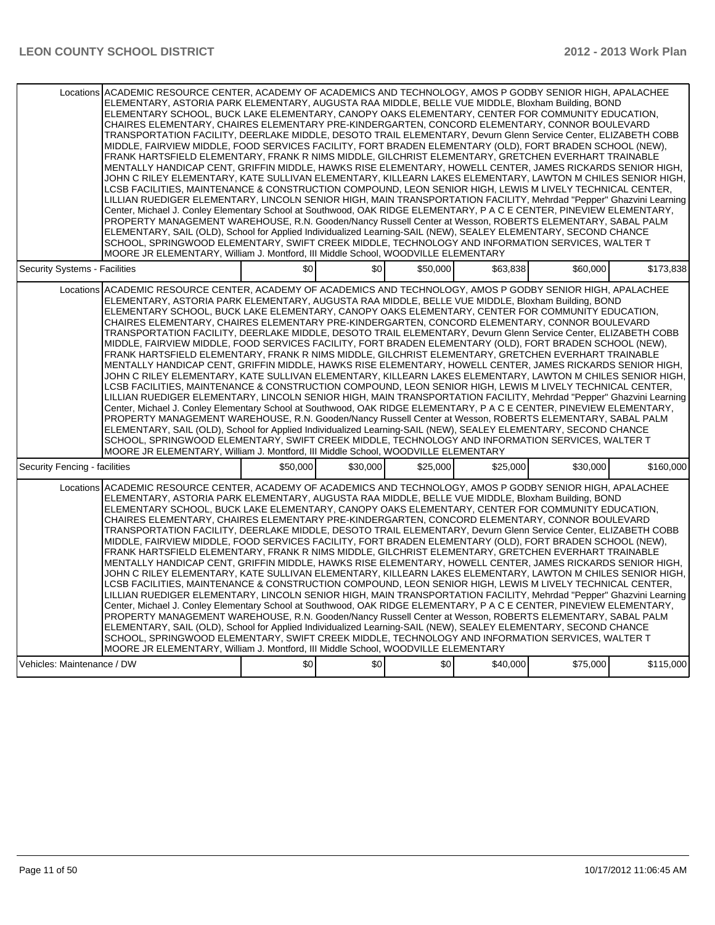| Locations ACADEMIC RESOURCE CENTER, ACADEMY OF ACADEMICS AND TECHNOLOGY, AMOS P GODBY SENIOR HIGH, APALACHEE<br>ELEMENTARY, ASTORIA PARK ELEMENTARY, AUGUSTA RAA MIDDLE, BELLE VUE MIDDLE, Bloxham Building, BOND<br>ELEMENTARY SCHOOL, BUCK LAKE ELEMENTARY, CANOPY OAKS ELEMENTARY, CENTER FOR COMMUNITY EDUCATION,<br>CHAIRES ELEMENTARY, CHAIRES ELEMENTARY PRE-KINDERGARTEN, CONCORD ELEMENTARY, CONNOR BOULEVARD<br>TRANSPORTATION FACILITY, DEERLAKE MIDDLE, DESOTO TRAIL ELEMENTARY, Devurn Glenn Service Center, ELIZABETH COBB<br>MIDDLE, FAIRVIEW MIDDLE, FOOD SERVICES FACILITY, FORT BRADEN ELEMENTARY (OLD), FORT BRADEN SCHOOL (NEW),<br>FRANK HARTSFIELD ELEMENTARY, FRANK R NIMS MIDDLE, GILCHRIST ELEMENTARY, GRETCHEN EVERHART TRAINABLE<br>MENTALLY HANDICAP CENT, GRIFFIN MIDDLE, HAWKS RISE ELEMENTARY, HOWELL CENTER, JAMES RICKARDS SENIOR HIGH,<br>JOHN C RILEY ELEMENTARY, KATE SULLIVAN ELEMENTARY, KILLEARN LAKES ELEMENTARY, LAWTON M CHILES SENIOR HIGH,<br>LCSB FACILITIES, MAINTENANCE & CONSTRUCTION COMPOUND, LEON SENIOR HIGH, LEWIS M LIVELY TECHNICAL CENTER,<br>LILLIAN RUEDIGER ELEMENTARY, LINCOLN SENIOR HIGH, MAIN TRANSPORTATION FACILITY, Mehrdad "Pepper" Ghazvini Learning<br>Center, Michael J. Conley Elementary School at Southwood, OAK RIDGE ELEMENTARY, P A C E CENTER, PINEVIEW ELEMENTARY,<br>PROPERTY MANAGEMENT WAREHOUSE, R.N. Gooden/Nancy Russell Center at Wesson, ROBERTS ELEMENTARY, SABAL PALM<br>ELEMENTARY, SAIL (OLD), School for Applied Individualized Learning-SAIL (NEW), SEALEY ELEMENTARY, SECOND CHANCE<br>SCHOOL, SPRINGWOOD ELEMENTARY, SWIFT CREEK MIDDLE, TECHNOLOGY AND INFORMATION SERVICES, WALTER T<br>MOORE JR ELEMENTARY, William J. Montford, III Middle School, WOODVILLE ELEMENTARY |          |          |          |          |          |           |
|---------------------------------------------------------------------------------------------------------------------------------------------------------------------------------------------------------------------------------------------------------------------------------------------------------------------------------------------------------------------------------------------------------------------------------------------------------------------------------------------------------------------------------------------------------------------------------------------------------------------------------------------------------------------------------------------------------------------------------------------------------------------------------------------------------------------------------------------------------------------------------------------------------------------------------------------------------------------------------------------------------------------------------------------------------------------------------------------------------------------------------------------------------------------------------------------------------------------------------------------------------------------------------------------------------------------------------------------------------------------------------------------------------------------------------------------------------------------------------------------------------------------------------------------------------------------------------------------------------------------------------------------------------------------------------------------------------------------------------------------------------------------------|----------|----------|----------|----------|----------|-----------|
| Security Systems - Facilities                                                                                                                                                                                                                                                                                                                                                                                                                                                                                                                                                                                                                                                                                                                                                                                                                                                                                                                                                                                                                                                                                                                                                                                                                                                                                                                                                                                                                                                                                                                                                                                                                                                                                                                                             | \$0      | \$0      | \$50,000 | \$63,838 | \$60,000 | \$173,838 |
| Locations ACADEMIC RESOURCE CENTER. ACADEMY OF ACADEMICS AND TECHNOLOGY. AMOS P GODBY SENIOR HIGH. APALACHEE<br>ELEMENTARY, ASTORIA PARK ELEMENTARY, AUGUSTA RAA MIDDLE, BELLE VUE MIDDLE, Bloxham Building, BOND<br>ELEMENTARY SCHOOL, BUCK LAKE ELEMENTARY, CANOPY OAKS ELEMENTARY, CENTER FOR COMMUNITY EDUCATION,<br>CHAIRES ELEMENTARY. CHAIRES ELEMENTARY PRE-KINDERGARTEN. CONCORD ELEMENTARY. CONNOR BOULEVARD<br>TRANSPORTATION FACILITY, DEERLAKE MIDDLE, DESOTO TRAIL ELEMENTARY, Devurn Glenn Service Center, ELIZABETH COBB<br>MIDDLE, FAIRVIEW MIDDLE, FOOD SERVICES FACILITY, FORT BRADEN ELEMENTARY (OLD), FORT BRADEN SCHOOL (NEW),<br>FRANK HARTSFIELD ELEMENTARY, FRANK R NIMS MIDDLE, GILCHRIST ELEMENTARY, GRETCHEN EVERHART TRAINABLE<br>MENTALLY HANDICAP CENT, GRIFFIN MIDDLE, HAWKS RISE ELEMENTARY, HOWELL CENTER, JAMES RICKARDS SENIOR HIGH,<br>JOHN C RILEY ELEMENTARY, KATE SULLIVAN ELEMENTARY, KILLEARN LAKES ELEMENTARY, LAWTON M CHILES SENIOR HIGH,<br>LCSB FACILITIES, MAINTENANCE & CONSTRUCTION COMPOUND, LEON SENIOR HIGH, LEWIS M LIVELY TECHNICAL CENTER,<br>LILLIAN RUEDIGER ELEMENTARY, LINCOLN SENIOR HIGH, MAIN TRANSPORTATION FACILITY, Mehrdad "Pepper" Ghazvini Learning<br>Center, Michael J. Conley Elementary School at Southwood, OAK RIDGE ELEMENTARY, P A C E CENTER, PINEVIEW ELEMENTARY,<br>PROPERTY MANAGEMENT WAREHOUSE, R.N. Gooden/Nancy Russell Center at Wesson, ROBERTS ELEMENTARY, SABAL PALM<br>ELEMENTARY, SAIL (OLD), School for Applied Individualized Learning-SAIL (NEW), SEALEY ELEMENTARY, SECOND CHANCE<br>SCHOOL, SPRINGWOOD ELEMENTARY, SWIFT CREEK MIDDLE, TECHNOLOGY AND INFORMATION SERVICES, WALTER T<br>MOORE JR ELEMENTARY, William J. Montford, III Middle School, WOODVILLE ELEMENTARY |          |          |          |          |          |           |
| Security Fencing - facilities                                                                                                                                                                                                                                                                                                                                                                                                                                                                                                                                                                                                                                                                                                                                                                                                                                                                                                                                                                                                                                                                                                                                                                                                                                                                                                                                                                                                                                                                                                                                                                                                                                                                                                                                             | \$50.000 | \$30,000 | \$25.000 | \$25,000 | \$30,000 | \$160.000 |
| Locations ACADEMIC RESOURCE CENTER. ACADEMY OF ACADEMICS AND TECHNOLOGY. AMOS P GODBY SENIOR HIGH. APALACHEE<br>ELEMENTARY, ASTORIA PARK ELEMENTARY, AUGUSTA RAA MIDDLE, BELLE VUE MIDDLE, Bloxham Building, BOND<br>ELEMENTARY SCHOOL, BUCK LAKE ELEMENTARY, CANOPY OAKS ELEMENTARY, CENTER FOR COMMUNITY EDUCATION,<br>CHAIRES ELEMENTARY, CHAIRES ELEMENTARY PRE-KINDERGARTEN, CONCORD ELEMENTARY, CONNOR BOULEVARD<br>TRANSPORTATION FACILITY, DEERLAKE MIDDLE, DESOTO TRAIL ELEMENTARY, Devurn Glenn Service Center, ELIZABETH COBB<br>MIDDLE, FAIRVIEW MIDDLE, FOOD SERVICES FACILITY, FORT BRADEN ELEMENTARY (OLD), FORT BRADEN SCHOOL (NEW),<br>FRANK HARTSFIELD ELEMENTARY, FRANK R NIMS MIDDLE, GILCHRIST ELEMENTARY, GRETCHEN EVERHART TRAINABLE<br>MENTALLY HANDICAP CENT, GRIFFIN MIDDLE, HAWKS RISE ELEMENTARY, HOWELL CENTER, JAMES RICKARDS SENIOR HIGH,<br>JOHN C RILEY ELEMENTARY, KATE SULLIVAN ELEMENTARY, KILLEARN LAKES ELEMENTARY, LAWTON M CHILES SENIOR HIGH,<br>LCSB FACILITIES, MAINTENANCE & CONSTRUCTION COMPOUND, LEON SENIOR HIGH, LEWIS M LIVELY TECHNICAL CENTER,<br>LILLIAN RUEDIGER ELEMENTARY, LINCOLN SENIOR HIGH, MAIN TRANSPORTATION FACILITY, Mehrdad "Pepper" Ghazvini Learning<br>Center, Michael J. Conley Elementary School at Southwood, OAK RIDGE ELEMENTARY, P A C E CENTER, PINEVIEW ELEMENTARY,<br>PROPERTY MANAGEMENT WAREHOUSE, R.N. Gooden/Nancy Russell Center at Wesson, ROBERTS ELEMENTARY, SABAL PALM<br>ELEMENTARY, SAIL (OLD), School for Applied Individualized Learning-SAIL (NEW), SEALEY ELEMENTARY, SECOND CHANCE<br>SCHOOL, SPRINGWOOD ELEMENTARY, SWIFT CREEK MIDDLE, TECHNOLOGY AND INFORMATION SERVICES, WALTER T<br>MOORE JR ELEMENTARY, William J. Montford, III Middle School, WOODVILLE ELEMENTARY |          |          |          |          |          |           |
| Vehicles: Maintenance / DW                                                                                                                                                                                                                                                                                                                                                                                                                                                                                                                                                                                                                                                                                                                                                                                                                                                                                                                                                                                                                                                                                                                                                                                                                                                                                                                                                                                                                                                                                                                                                                                                                                                                                                                                                | \$0      | \$0      | \$0      | \$40,000 | \$75,000 | \$115,000 |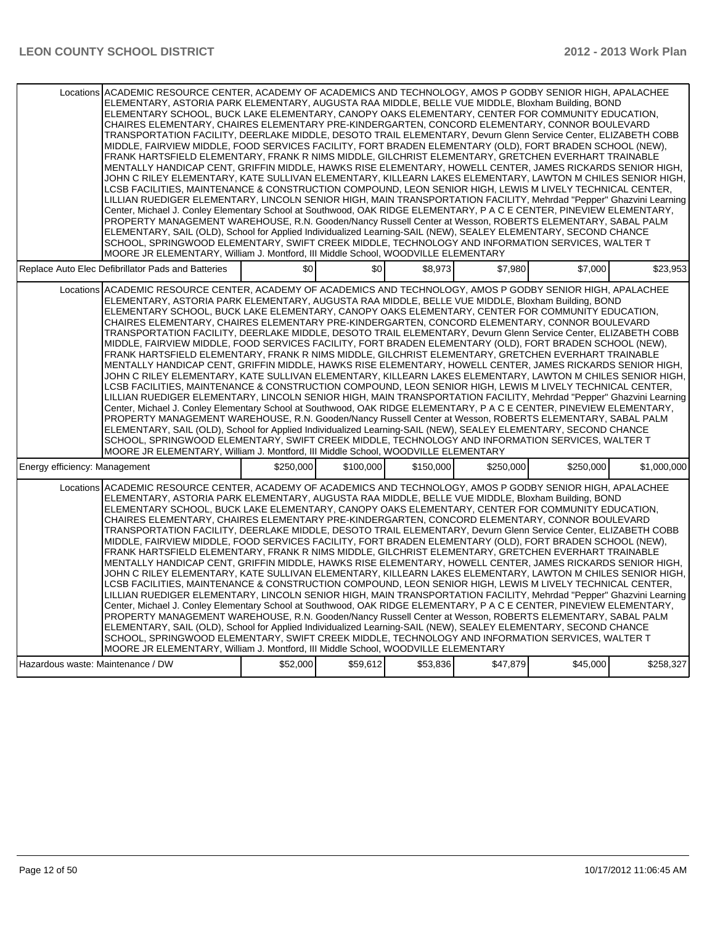| Locations ACADEMIC RESOURCE CENTER, ACADEMY OF ACADEMICS AND TECHNOLOGY, AMOS P GODBY SENIOR HIGH, APALACHEE<br>ELEMENTARY, ASTORIA PARK ELEMENTARY, AUGUSTA RAA MIDDLE, BELLE VUE MIDDLE, Bloxham Building, BOND<br>ELEMENTARY SCHOOL, BUCK LAKE ELEMENTARY, CANOPY OAKS ELEMENTARY, CENTER FOR COMMUNITY EDUCATION,<br>CHAIRES ELEMENTARY, CHAIRES ELEMENTARY PRE-KINDERGARTEN, CONCORD ELEMENTARY, CONNOR BOULEVARD<br>TRANSPORTATION FACILITY, DEERLAKE MIDDLE, DESOTO TRAIL ELEMENTARY, Devurn Glenn Service Center, ELIZABETH COBB<br>MIDDLE, FAIRVIEW MIDDLE, FOOD SERVICES FACILITY, FORT BRADEN ELEMENTARY (OLD), FORT BRADEN SCHOOL (NEW),<br>FRANK HARTSFIELD ELEMENTARY, FRANK R NIMS MIDDLE, GILCHRIST ELEMENTARY, GRETCHEN EVERHART TRAINABLE<br>MENTALLY HANDICAP CENT, GRIFFIN MIDDLE, HAWKS RISE ELEMENTARY, HOWELL CENTER, JAMES RICKARDS SENIOR HIGH,<br>JOHN C RILEY ELEMENTARY, KATE SULLIVAN ELEMENTARY, KILLEARN LAKES ELEMENTARY, LAWTON M CHILES SENIOR HIGH,<br>LCSB FACILITIES, MAINTENANCE & CONSTRUCTION COMPOUND, LEON SENIOR HIGH, LEWIS M LIVELY TECHNICAL CENTER,<br>LILLIAN RUEDIGER ELEMENTARY, LINCOLN SENIOR HIGH, MAIN TRANSPORTATION FACILITY, Mehrdad "Pepper" Ghazvini Learning<br>Center, Michael J. Conley Elementary School at Southwood, OAK RIDGE ELEMENTARY, P A C E CENTER, PINEVIEW ELEMENTARY,<br>PROPERTY MANAGEMENT WAREHOUSE, R.N. Gooden/Nancy Russell Center at Wesson, ROBERTS ELEMENTARY, SABAL PALM<br>ELEMENTARY, SAIL (OLD), School for Applied Individualized Learning-SAIL (NEW), SEALEY ELEMENTARY, SECOND CHANCE<br>SCHOOL, SPRINGWOOD ELEMENTARY, SWIFT CREEK MIDDLE, TECHNOLOGY AND INFORMATION SERVICES, WALTER T<br>MOORE JR ELEMENTARY, William J. Montford, III Middle School, WOODVILLE ELEMENTARY |           |           |           |           |           |             |
|---------------------------------------------------------------------------------------------------------------------------------------------------------------------------------------------------------------------------------------------------------------------------------------------------------------------------------------------------------------------------------------------------------------------------------------------------------------------------------------------------------------------------------------------------------------------------------------------------------------------------------------------------------------------------------------------------------------------------------------------------------------------------------------------------------------------------------------------------------------------------------------------------------------------------------------------------------------------------------------------------------------------------------------------------------------------------------------------------------------------------------------------------------------------------------------------------------------------------------------------------------------------------------------------------------------------------------------------------------------------------------------------------------------------------------------------------------------------------------------------------------------------------------------------------------------------------------------------------------------------------------------------------------------------------------------------------------------------------------------------------------------------------|-----------|-----------|-----------|-----------|-----------|-------------|
| Replace Auto Elec Defibrillator Pads and Batteries                                                                                                                                                                                                                                                                                                                                                                                                                                                                                                                                                                                                                                                                                                                                                                                                                                                                                                                                                                                                                                                                                                                                                                                                                                                                                                                                                                                                                                                                                                                                                                                                                                                                                                                        | \$0       | \$0       | \$8.973   | \$7.980   | \$7,000   | \$23,953    |
| Locations ACADEMIC RESOURCE CENTER, ACADEMY OF ACADEMICS AND TECHNOLOGY, AMOS P GODBY SENIOR HIGH, APALACHEE<br>ELEMENTARY, ASTORIA PARK ELEMENTARY, AUGUSTA RAA MIDDLE, BELLE VUE MIDDLE, Bloxham Building, BOND<br>ELEMENTARY SCHOOL, BUCK LAKE ELEMENTARY, CANOPY OAKS ELEMENTARY, CENTER FOR COMMUNITY EDUCATION,<br>CHAIRES ELEMENTARY. CHAIRES ELEMENTARY PRE-KINDERGARTEN. CONCORD ELEMENTARY. CONNOR BOULEVARD<br>TRANSPORTATION FACILITY, DEERLAKE MIDDLE, DESOTO TRAIL ELEMENTARY, Devurn Glenn Service Center, ELIZABETH COBB<br>MIDDLE, FAIRVIEW MIDDLE, FOOD SERVICES FACILITY, FORT BRADEN ELEMENTARY (OLD), FORT BRADEN SCHOOL (NEW),<br>FRANK HARTSFIELD ELEMENTARY, FRANK R NIMS MIDDLE, GILCHRIST ELEMENTARY, GRETCHEN EVERHART TRAINABLE<br>MENTALLY HANDICAP CENT, GRIFFIN MIDDLE, HAWKS RISE ELEMENTARY, HOWELL CENTER, JAMES RICKARDS SENIOR HIGH,<br>JOHN C RILEY ELEMENTARY, KATE SULLIVAN ELEMENTARY, KILLEARN LAKES ELEMENTARY, LAWTON M CHILES SENIOR HIGH,<br>LCSB FACILITIES, MAINTENANCE & CONSTRUCTION COMPOUND, LEON SENIOR HIGH, LEWIS M LIVELY TECHNICAL CENTER,<br>LILLIAN RUEDIGER ELEMENTARY, LINCOLN SENIOR HIGH, MAIN TRANSPORTATION FACILITY, Mehrdad "Pepper" Ghazvini Learning<br>Center, Michael J. Conley Elementary School at Southwood, OAK RIDGE ELEMENTARY, P A C E CENTER, PINEVIEW ELEMENTARY,<br>PROPERTY MANAGEMENT WAREHOUSE, R.N. Gooden/Nancy Russell Center at Wesson, ROBERTS ELEMENTARY, SABAL PALM<br>ELEMENTARY, SAIL (OLD), School for Applied Individualized Learning-SAIL (NEW), SEALEY ELEMENTARY, SECOND CHANCE<br>SCHOOL, SPRINGWOOD ELEMENTARY, SWIFT CREEK MIDDLE, TECHNOLOGY AND INFORMATION SERVICES, WALTER T<br>MOORE JR ELEMENTARY, William J. Montford, III Middle School, WOODVILLE ELEMENTARY |           |           |           |           |           |             |
| Energy efficiency: Management                                                                                                                                                                                                                                                                                                                                                                                                                                                                                                                                                                                                                                                                                                                                                                                                                                                                                                                                                                                                                                                                                                                                                                                                                                                                                                                                                                                                                                                                                                                                                                                                                                                                                                                                             | \$250,000 | \$100,000 | \$150,000 | \$250,000 | \$250,000 | \$1,000,000 |
| Locations ACADEMIC RESOURCE CENTER. ACADEMY OF ACADEMICS AND TECHNOLOGY. AMOS P GODBY SENIOR HIGH. APALACHEE<br>ELEMENTARY, ASTORIA PARK ELEMENTARY, AUGUSTA RAA MIDDLE, BELLE VUE MIDDLE, Bloxham Building, BOND<br>ELEMENTARY SCHOOL, BUCK LAKE ELEMENTARY, CANOPY OAKS ELEMENTARY, CENTER FOR COMMUNITY EDUCATION,<br>CHAIRES ELEMENTARY, CHAIRES ELEMENTARY PRE-KINDERGARTEN, CONCORD ELEMENTARY, CONNOR BOULEVARD<br>TRANSPORTATION FACILITY, DEERLAKE MIDDLE, DESOTO TRAIL ELEMENTARY, Devurn Glenn Service Center, ELIZABETH COBB<br>MIDDLE, FAIRVIEW MIDDLE, FOOD SERVICES FACILITY, FORT BRADEN ELEMENTARY (OLD), FORT BRADEN SCHOOL (NEW),<br>FRANK HARTSFIELD ELEMENTARY, FRANK R NIMS MIDDLE, GILCHRIST ELEMENTARY, GRETCHEN EVERHART TRAINABLE<br>MENTALLY HANDICAP CENT, GRIFFIN MIDDLE, HAWKS RISE ELEMENTARY, HOWELL CENTER, JAMES RICKARDS SENIOR HIGH,<br>JOHN C RILEY ELEMENTARY, KATE SULLIVAN ELEMENTARY, KILLEARN LAKES ELEMENTARY, LAWTON M CHILES SENIOR HIGH,<br>LCSB FACILITIES, MAINTENANCE & CONSTRUCTION COMPOUND, LEON SENIOR HIGH, LEWIS M LIVELY TECHNICAL CENTER,<br>LILLIAN RUEDIGER ELEMENTARY, LINCOLN SENIOR HIGH, MAIN TRANSPORTATION FACILITY, Mehrdad "Pepper" Ghazvini Learning<br>Center, Michael J. Conley Elementary School at Southwood, OAK RIDGE ELEMENTARY, P A C E CENTER, PINEVIEW ELEMENTARY,<br>PROPERTY MANAGEMENT WAREHOUSE, R.N. Gooden/Nancy Russell Center at Wesson, ROBERTS ELEMENTARY, SABAL PALM<br>ELEMENTARY, SAIL (OLD), School for Applied Individualized Learning-SAIL (NEW), SEALEY ELEMENTARY, SECOND CHANCE<br>SCHOOL, SPRINGWOOD ELEMENTARY, SWIFT CREEK MIDDLE, TECHNOLOGY AND INFORMATION SERVICES, WALTER T<br>MOORE JR ELEMENTARY, William J. Montford, III Middle School, WOODVILLE ELEMENTARY |           |           |           |           |           |             |
| Hazardous waste: Maintenance / DW                                                                                                                                                                                                                                                                                                                                                                                                                                                                                                                                                                                                                                                                                                                                                                                                                                                                                                                                                                                                                                                                                                                                                                                                                                                                                                                                                                                                                                                                                                                                                                                                                                                                                                                                         | \$52,000  | \$59,612  | \$53,836  | \$47,879  | \$45,000  | \$258,327   |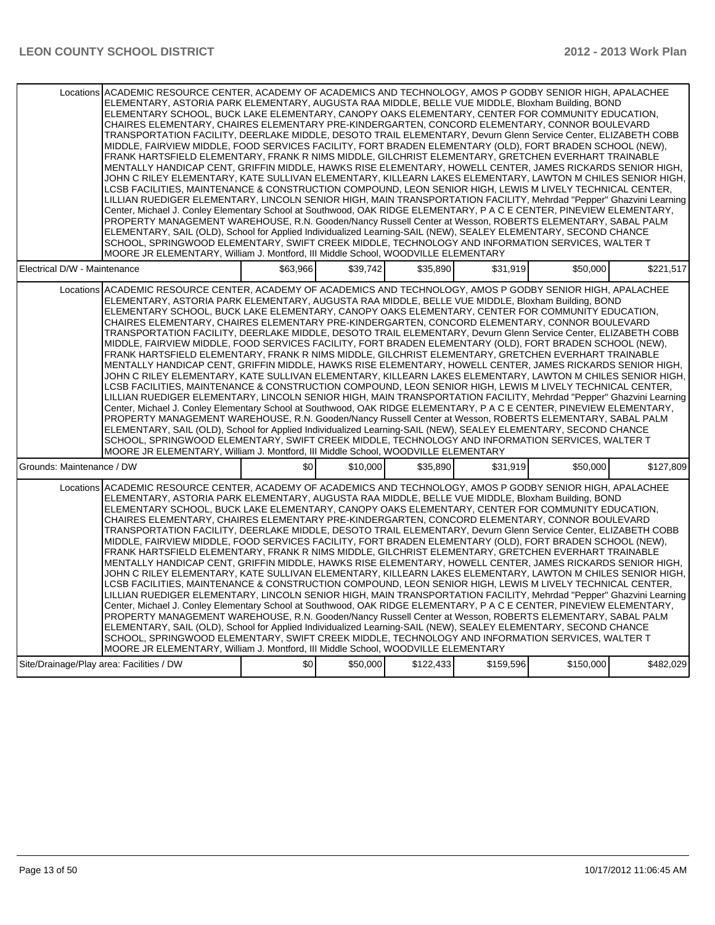| Locations ACADEMIC RESOURCE CENTER, ACADEMY OF ACADEMICS AND TECHNOLOGY, AMOS P GODBY SENIOR HIGH, APALACHEE<br>ELEMENTARY, ASTORIA PARK ELEMENTARY, AUGUSTA RAA MIDDLE, BELLE VUE MIDDLE, Bloxham Building, BOND<br>ELEMENTARY SCHOOL, BUCK LAKE ELEMENTARY, CANOPY OAKS ELEMENTARY, CENTER FOR COMMUNITY EDUCATION,<br>CHAIRES ELEMENTARY, CHAIRES ELEMENTARY PRE-KINDERGARTEN, CONCORD ELEMENTARY, CONNOR BOULEVARD<br>TRANSPORTATION FACILITY, DEERLAKE MIDDLE, DESOTO TRAIL ELEMENTARY, Devurn Glenn Service Center, ELIZABETH COBB<br>MIDDLE, FAIRVIEW MIDDLE, FOOD SERVICES FACILITY, FORT BRADEN ELEMENTARY (OLD), FORT BRADEN SCHOOL (NEW),<br>FRANK HARTSFIELD ELEMENTARY, FRANK R NIMS MIDDLE, GILCHRIST ELEMENTARY, GRETCHEN EVERHART TRAINABLE<br>MENTALLY HANDICAP CENT, GRIFFIN MIDDLE, HAWKS RISE ELEMENTARY, HOWELL CENTER, JAMES RICKARDS SENIOR HIGH,<br>JOHN C RILEY ELEMENTARY, KATE SULLIVAN ELEMENTARY, KILLEARN LAKES ELEMENTARY, LAWTON M CHILES SENIOR HIGH,<br>LCSB FACILITIES, MAINTENANCE & CONSTRUCTION COMPOUND, LEON SENIOR HIGH, LEWIS M LIVELY TECHNICAL CENTER,<br>LILLIAN RUEDIGER ELEMENTARY, LINCOLN SENIOR HIGH, MAIN TRANSPORTATION FACILITY, Mehrdad "Pepper" Ghazvini Learning<br>Center, Michael J. Conley Elementary School at Southwood, OAK RIDGE ELEMENTARY, P A C E CENTER, PINEVIEW ELEMENTARY,<br>PROPERTY MANAGEMENT WAREHOUSE, R.N. Gooden/Nancy Russell Center at Wesson, ROBERTS ELEMENTARY, SABAL PALM<br>ELEMENTARY, SAIL (OLD), School for Applied Individualized Learning-SAIL (NEW), SEALEY ELEMENTARY, SECOND CHANCE<br>SCHOOL, SPRINGWOOD ELEMENTARY, SWIFT CREEK MIDDLE, TECHNOLOGY AND INFORMATION SERVICES, WALTER T<br>MOORE JR ELEMENTARY, William J. Montford, III Middle School, WOODVILLE ELEMENTARY |          |          |          |          |                                                                                                           |           |
|---------------------------------------------------------------------------------------------------------------------------------------------------------------------------------------------------------------------------------------------------------------------------------------------------------------------------------------------------------------------------------------------------------------------------------------------------------------------------------------------------------------------------------------------------------------------------------------------------------------------------------------------------------------------------------------------------------------------------------------------------------------------------------------------------------------------------------------------------------------------------------------------------------------------------------------------------------------------------------------------------------------------------------------------------------------------------------------------------------------------------------------------------------------------------------------------------------------------------------------------------------------------------------------------------------------------------------------------------------------------------------------------------------------------------------------------------------------------------------------------------------------------------------------------------------------------------------------------------------------------------------------------------------------------------------------------------------------------------------------------------------------------------|----------|----------|----------|----------|-----------------------------------------------------------------------------------------------------------|-----------|
| Electrical D/W - Maintenance                                                                                                                                                                                                                                                                                                                                                                                                                                                                                                                                                                                                                                                                                                                                                                                                                                                                                                                                                                                                                                                                                                                                                                                                                                                                                                                                                                                                                                                                                                                                                                                                                                                                                                                                              | \$63.966 | \$39.742 | \$35.890 | \$31.919 | \$50,000                                                                                                  | \$221,517 |
| Locations ACADEMIC RESOURCE CENTER, ACADEMY OF ACADEMICS AND TECHNOLOGY, AMOS P GODBY SENIOR HIGH, APALACHEE<br>ELEMENTARY, ASTORIA PARK ELEMENTARY, AUGUSTA RAA MIDDLE, BELLE VUE MIDDLE, Bloxham Building, BOND<br>ELEMENTARY SCHOOL, BUCK LAKE ELEMENTARY, CANOPY OAKS ELEMENTARY, CENTER FOR COMMUNITY EDUCATION,<br>CHAIRES ELEMENTARY, CHAIRES ELEMENTARY PRE-KINDERGARTEN, CONCORD ELEMENTARY, CONNOR BOULEVARD<br>TRANSPORTATION FACILITY, DEERLAKE MIDDLE, DESOTO TRAIL ELEMENTARY, Devurn Glenn Service Center, ELIZABETH COBB<br>MIDDLE, FAIRVIEW MIDDLE, FOOD SERVICES FACILITY, FORT BRADEN ELEMENTARY (OLD), FORT BRADEN SCHOOL (NEW),<br>FRANK HARTSFIELD ELEMENTARY, FRANK R NIMS MIDDLE, GILCHRIST ELEMENTARY, GRETCHEN EVERHART TRAINABLE<br>MENTALLY HANDICAP CENT, GRIFFIN MIDDLE, HAWKS RISE ELEMENTARY, HOWELL CENTER, JAMES RICKARDS SENIOR HIGH,<br>JOHN C RILEY ELEMENTARY, KATE SULLIVAN ELEMENTARY, KILLEARN LAKES ELEMENTARY, LAWTON M CHILES SENIOR HIGH,<br>LCSB FACILITIES, MAINTENANCE & CONSTRUCTION COMPOUND, LEON SENIOR HIGH, LEWIS M LIVELY TECHNICAL CENTER,<br>LILLIAN RUEDIGER ELEMENTARY, LINCOLN SENIOR HIGH, MAIN TRANSPORTATION FACILITY, Mehrdad "Pepper" Ghazvini Learning<br>Center, Michael J. Conley Elementary School at Southwood, OAK RIDGE ELEMENTARY, P A C E CENTER, PINEVIEW ELEMENTARY,<br>PROPERTY MANAGEMENT WAREHOUSE, R.N. Gooden/Nancy Russell Center at Wesson, ROBERTS ELEMENTARY, SABAL PALM<br>ELEMENTARY, SAIL (OLD), School for Applied Individualized Learning-SAIL (NEW), SEALEY ELEMENTARY, SECOND CHANCE<br>SCHOOL, SPRINGWOOD ELEMENTARY, SWIFT CREEK MIDDLE, TECHNOLOGY AND INFORMATION SERVICES, WALTER T<br>MOORE JR ELEMENTARY, William J. Montford, III Middle School, WOODVILLE ELEMENTARY |          |          |          |          |                                                                                                           |           |
| Grounds: Maintenance / DW                                                                                                                                                                                                                                                                                                                                                                                                                                                                                                                                                                                                                                                                                                                                                                                                                                                                                                                                                                                                                                                                                                                                                                                                                                                                                                                                                                                                                                                                                                                                                                                                                                                                                                                                                 | \$0      | \$10,000 | \$35.890 | \$31.919 | \$50,000                                                                                                  | \$127,809 |
| Locations ACADEMIC RESOURCE CENTER, ACADEMY OF ACADEMICS AND TECHNOLOGY, AMOS P GODBY SENIOR HIGH, APALACHEE<br>ELEMENTARY, ASTORIA PARK ELEMENTARY, AUGUSTA RAA MIDDLE, BELLE VUE MIDDLE, Bloxham Building, BOND<br>ELEMENTARY SCHOOL, BUCK LAKE ELEMENTARY, CANOPY OAKS ELEMENTARY, CENTER FOR COMMUNITY EDUCATION,<br>CHAIRES ELEMENTARY, CHAIRES ELEMENTARY PRE-KINDERGARTEN, CONCORD ELEMENTARY, CONNOR BOULEVARD<br>TRANSPORTATION FACILITY, DEERLAKE MIDDLE, DESOTO TRAIL ELEMENTARY, Devurn Glenn Service Center, ELIZABETH COBB<br>MIDDLE, FAIRVIEW MIDDLE, FOOD SERVICES FACILITY, FORT BRADEN ELEMENTARY (OLD), FORT BRADEN SCHOOL (NEW),<br>FRANK HARTSFIELD ELEMENTARY, FRANK R NIMS MIDDLE, GILCHRIST ELEMENTARY, GRETCHEN EVERHART TRAINABLE<br>MENTALLY HANDICAP CENT, GRIFFIN MIDDLE, HAWKS RISE ELEMENTARY, HOWELL CENTER, JAMES RICKARDS SENIOR HIGH,<br>JOHN C RILEY ELEMENTARY, KATE SULLIVAN ELEMENTARY, KILLEARN LAKES ELEMENTARY, LAWTON M CHILES SENIOR HIGH,<br>LCSB FACILITIES, MAINTENANCE & CONSTRUCTION COMPOUND, LEON SENIOR HIGH, LEWIS M LIVELY TECHNICAL CENTER,<br>LILLIAN RUEDIGER ELEMENTARY, LINCOLN SENIOR HIGH, MAIN TRANSPORTATION FACILITY, Mehrdad "Pepper" Ghazvini Learning<br>Center, Michael J. Conley Elementary School at Southwood, OAK RIDGE ELEMENTARY, P A C E CENTER, PINEVIEW ELEMENTARY,                                                                                                                                                                                                                                                                                                                                                                                                                          |          |          |          |          |                                                                                                           |           |
| ELEMENTARY, SAIL (OLD), School for Applied Individualized Learning-SAIL (NEW), SEALEY ELEMENTARY, SECOND CHANCE<br>SCHOOL, SPRINGWOOD ELEMENTARY, SWIFT CREEK MIDDLE, TECHNOLOGY AND INFORMATION SERVICES, WALTER T<br>MOORE JR ELEMENTARY, William J. Montford, III Middle School, WOODVILLE ELEMENTARY                                                                                                                                                                                                                                                                                                                                                                                                                                                                                                                                                                                                                                                                                                                                                                                                                                                                                                                                                                                                                                                                                                                                                                                                                                                                                                                                                                                                                                                                  |          |          |          |          | PROPERTY MANAGEMENT WAREHOUSE, R.N. Gooden/Nancy Russell Center at Wesson, ROBERTS ELEMENTARY, SABAL PALM |           |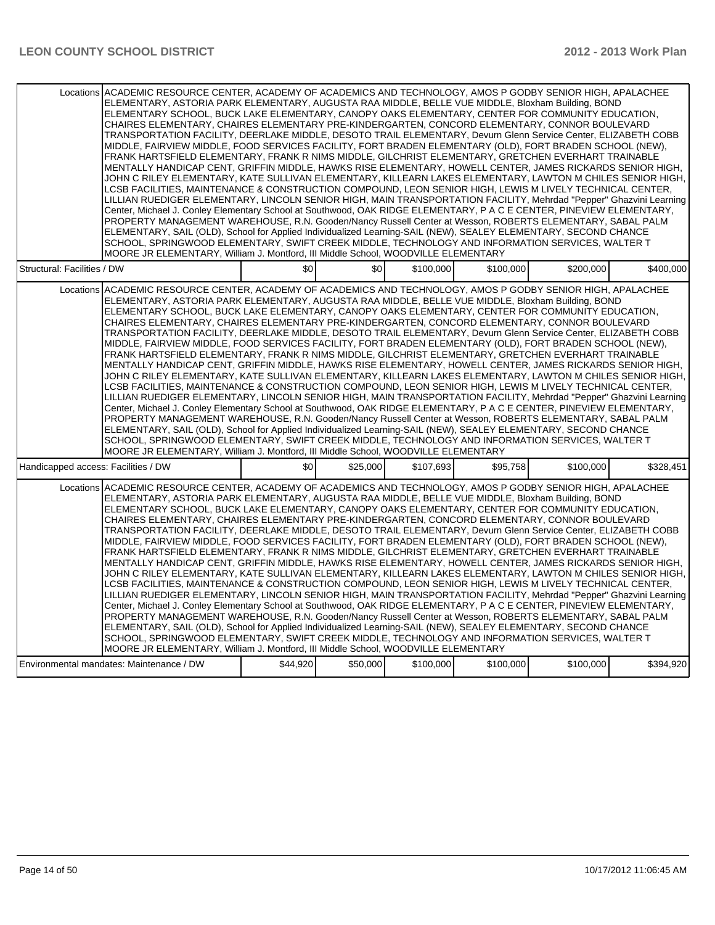| Locations ACADEMIC RESOURCE CENTER, ACADEMY OF ACADEMICS AND TECHNOLOGY, AMOS P GODBY SENIOR HIGH, APALACHEE<br>ELEMENTARY, ASTORIA PARK ELEMENTARY, AUGUSTA RAA MIDDLE, BELLE VUE MIDDLE, Bloxham Building, BOND<br>ELEMENTARY SCHOOL, BUCK LAKE ELEMENTARY, CANOPY OAKS ELEMENTARY, CENTER FOR COMMUNITY EDUCATION,<br>CHAIRES ELEMENTARY, CHAIRES ELEMENTARY PRE-KINDERGARTEN, CONCORD ELEMENTARY, CONNOR BOULEVARD<br>TRANSPORTATION FACILITY, DEERLAKE MIDDLE, DESOTO TRAIL ELEMENTARY, Devurn Glenn Service Center, ELIZABETH COBB<br>MIDDLE, FAIRVIEW MIDDLE, FOOD SERVICES FACILITY, FORT BRADEN ELEMENTARY (OLD), FORT BRADEN SCHOOL (NEW),<br>FRANK HARTSFIELD ELEMENTARY, FRANK R NIMS MIDDLE, GILCHRIST ELEMENTARY, GRETCHEN EVERHART TRAINABLE<br>MENTALLY HANDICAP CENT. GRIFFIN MIDDLE. HAWKS RISE ELEMENTARY. HOWELL CENTER. JAMES RICKARDS SENIOR HIGH.<br>JOHN C RILEY ELEMENTARY, KATE SULLIVAN ELEMENTARY, KILLEARN LAKES ELEMENTARY, LAWTON M CHILES SENIOR HIGH,<br>LCSB FACILITIES, MAINTENANCE & CONSTRUCTION COMPOUND, LEON SENIOR HIGH, LEWIS M LIVELY TECHNICAL CENTER,<br>LILLIAN RUEDIGER ELEMENTARY, LINCOLN SENIOR HIGH, MAIN TRANSPORTATION FACILITY, Mehrdad "Pepper" Ghazvini Learning<br>Center, Michael J. Conley Elementary School at Southwood, OAK RIDGE ELEMENTARY, P A C E CENTER, PINEVIEW ELEMENTARY,<br>PROPERTY MANAGEMENT WAREHOUSE, R.N. Gooden/Nancy Russell Center at Wesson, ROBERTS ELEMENTARY, SABAL PALM<br>ELEMENTARY, SAIL (OLD), School for Applied Individualized Learning-SAIL (NEW), SEALEY ELEMENTARY, SECOND CHANCE<br>SCHOOL, SPRINGWOOD ELEMENTARY, SWIFT CREEK MIDDLE, TECHNOLOGY AND INFORMATION SERVICES, WALTER T<br>MOORE JR ELEMENTARY, William J. Montford, III Middle School, WOODVILLE ELEMENTARY |          |          |           |           |           |           |
|---------------------------------------------------------------------------------------------------------------------------------------------------------------------------------------------------------------------------------------------------------------------------------------------------------------------------------------------------------------------------------------------------------------------------------------------------------------------------------------------------------------------------------------------------------------------------------------------------------------------------------------------------------------------------------------------------------------------------------------------------------------------------------------------------------------------------------------------------------------------------------------------------------------------------------------------------------------------------------------------------------------------------------------------------------------------------------------------------------------------------------------------------------------------------------------------------------------------------------------------------------------------------------------------------------------------------------------------------------------------------------------------------------------------------------------------------------------------------------------------------------------------------------------------------------------------------------------------------------------------------------------------------------------------------------------------------------------------------------------------------------------------------|----------|----------|-----------|-----------|-----------|-----------|
| Structural: Facilities / DW                                                                                                                                                                                                                                                                                                                                                                                                                                                                                                                                                                                                                                                                                                                                                                                                                                                                                                                                                                                                                                                                                                                                                                                                                                                                                                                                                                                                                                                                                                                                                                                                                                                                                                                                               | \$0      | \$0      | \$100,000 | \$100,000 | \$200,000 | \$400,000 |
| Locations ACADEMIC RESOURCE CENTER, ACADEMY OF ACADEMICS AND TECHNOLOGY, AMOS P GODBY SENIOR HIGH, APALACHEE<br>ELEMENTARY, ASTORIA PARK ELEMENTARY, AUGUSTA RAA MIDDLE, BELLE VUE MIDDLE, Bloxham Building, BOND<br>ELEMENTARY SCHOOL, BUCK LAKE ELEMENTARY, CANOPY OAKS ELEMENTARY, CENTER FOR COMMUNITY EDUCATION,<br>CHAIRES ELEMENTARY. CHAIRES ELEMENTARY PRE-KINDERGARTEN. CONCORD ELEMENTARY. CONNOR BOULEVARD<br>TRANSPORTATION FACILITY, DEERLAKE MIDDLE, DESOTO TRAIL ELEMENTARY, Devurn Glenn Service Center, ELIZABETH COBB<br>MIDDLE, FAIRVIEW MIDDLE, FOOD SERVICES FACILITY, FORT BRADEN ELEMENTARY (OLD), FORT BRADEN SCHOOL (NEW),<br>FRANK HARTSFIELD ELEMENTARY, FRANK R NIMS MIDDLE, GILCHRIST ELEMENTARY, GRETCHEN EVERHART TRAINABLE<br>MENTALLY HANDICAP CENT, GRIFFIN MIDDLE, HAWKS RISE ELEMENTARY, HOWELL CENTER, JAMES RICKARDS SENIOR HIGH,<br>JOHN C RILEY ELEMENTARY, KATE SULLIVAN ELEMENTARY, KILLEARN LAKES ELEMENTARY, LAWTON M CHILES SENIOR HIGH,<br>LCSB FACILITIES, MAINTENANCE & CONSTRUCTION COMPOUND, LEON SENIOR HIGH, LEWIS M LIVELY TECHNICAL CENTER,<br>LILLIAN RUEDIGER ELEMENTARY, LINCOLN SENIOR HIGH, MAIN TRANSPORTATION FACILITY, Mehrdad "Pepper" Ghazvini Learning<br>Center, Michael J. Conley Elementary School at Southwood, OAK RIDGE ELEMENTARY, P A C E CENTER, PINEVIEW ELEMENTARY,<br>PROPERTY MANAGEMENT WAREHOUSE, R.N. Gooden/Nancy Russell Center at Wesson, ROBERTS ELEMENTARY, SABAL PALM<br>ELEMENTARY, SAIL (OLD), School for Applied Individualized Learning-SAIL (NEW), SEALEY ELEMENTARY, SECOND CHANCE<br>SCHOOL, SPRINGWOOD ELEMENTARY, SWIFT CREEK MIDDLE, TECHNOLOGY AND INFORMATION SERVICES, WALTER T<br>MOORE JR ELEMENTARY, William J. Montford, III Middle School, WOODVILLE ELEMENTARY |          |          |           |           |           |           |
| Handicapped access: Facilities / DW                                                                                                                                                                                                                                                                                                                                                                                                                                                                                                                                                                                                                                                                                                                                                                                                                                                                                                                                                                                                                                                                                                                                                                                                                                                                                                                                                                                                                                                                                                                                                                                                                                                                                                                                       | \$0      | \$25,000 | \$107,693 | \$95,758  | \$100,000 | \$328,451 |
| Locations ACADEMIC RESOURCE CENTER, ACADEMY OF ACADEMICS AND TECHNOLOGY, AMOS P GODBY SENIOR HIGH, APALACHEE<br>ELEMENTARY, ASTORIA PARK ELEMENTARY, AUGUSTA RAA MIDDLE, BELLE VUE MIDDLE, Bloxham Building, BOND<br>ELEMENTARY SCHOOL, BUCK LAKE ELEMENTARY, CANOPY OAKS ELEMENTARY, CENTER FOR COMMUNITY EDUCATION,<br>CHAIRES ELEMENTARY, CHAIRES ELEMENTARY PRE-KINDERGARTEN, CONCORD ELEMENTARY, CONNOR BOULEVARD<br>TRANSPORTATION FACILITY, DEERLAKE MIDDLE, DESOTO TRAIL ELEMENTARY, Devurn Glenn Service Center, ELIZABETH COBB<br>MIDDLE, FAIRVIEW MIDDLE, FOOD SERVICES FACILITY, FORT BRADEN ELEMENTARY (OLD), FORT BRADEN SCHOOL (NEW),<br>FRANK HARTSFIELD ELEMENTARY, FRANK R NIMS MIDDLE, GILCHRIST ELEMENTARY, GRETCHEN EVERHART TRAINABLE<br>MENTALLY HANDICAP CENT, GRIFFIN MIDDLE, HAWKS RISE ELEMENTARY, HOWELL CENTER, JAMES RICKARDS SENIOR HIGH,<br>JOHN C RILEY ELEMENTARY. KATE SULLIVAN ELEMENTARY. KILLEARN LAKES ELEMENTARY. LAWTON M CHILES SENIOR HIGH.<br>LCSB FACILITIES, MAINTENANCE & CONSTRUCTION COMPOUND, LEON SENIOR HIGH, LEWIS M LIVELY TECHNICAL CENTER,<br>LILLIAN RUEDIGER ELEMENTARY, LINCOLN SENIOR HIGH, MAIN TRANSPORTATION FACILITY, Mehrdad "Pepper" Ghazvini Learning<br>Center, Michael J. Conley Elementary School at Southwood, OAK RIDGE ELEMENTARY, P A C E CENTER, PINEVIEW ELEMENTARY,<br>PROPERTY MANAGEMENT WAREHOUSE, R.N. Gooden/Nancy Russell Center at Wesson, ROBERTS ELEMENTARY, SABAL PALM<br>ELEMENTARY, SAIL (OLD), School for Applied Individualized Learning-SAIL (NEW), SEALEY ELEMENTARY, SECOND CHANCE<br>SCHOOL, SPRINGWOOD ELEMENTARY, SWIFT CREEK MIDDLE, TECHNOLOGY AND INFORMATION SERVICES, WALTER T<br>MOORE JR ELEMENTARY, William J. Montford, III Middle School, WOODVILLE ELEMENTARY |          |          |           |           |           |           |
| Environmental mandates: Maintenance / DW                                                                                                                                                                                                                                                                                                                                                                                                                                                                                                                                                                                                                                                                                                                                                                                                                                                                                                                                                                                                                                                                                                                                                                                                                                                                                                                                                                                                                                                                                                                                                                                                                                                                                                                                  | \$44,920 | \$50,000 | \$100,000 | \$100,000 | \$100,000 | \$394,920 |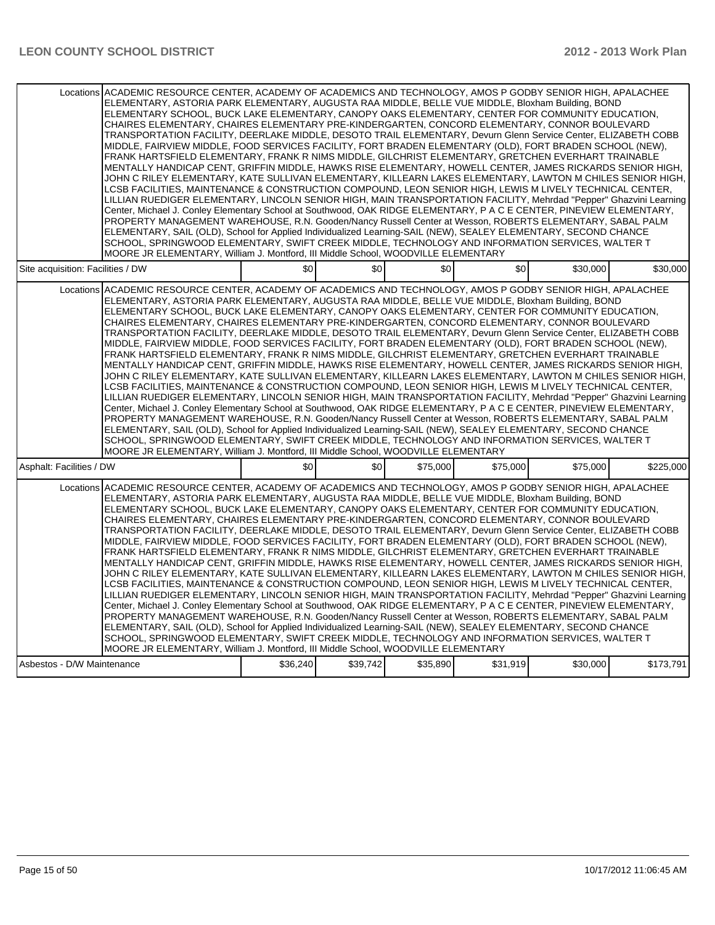| Locations ACADEMIC RESOURCE CENTER, ACADEMY OF ACADEMICS AND TECHNOLOGY, AMOS P GODBY SENIOR HIGH, APALACHEE<br>ELEMENTARY, ASTORIA PARK ELEMENTARY, AUGUSTA RAA MIDDLE, BELLE VUE MIDDLE, Bloxham Building, BOND<br>ELEMENTARY SCHOOL, BUCK LAKE ELEMENTARY, CANOPY OAKS ELEMENTARY, CENTER FOR COMMUNITY EDUCATION,<br>CHAIRES ELEMENTARY, CHAIRES ELEMENTARY PRE-KINDERGARTEN, CONCORD ELEMENTARY, CONNOR BOULEVARD<br>TRANSPORTATION FACILITY, DEERLAKE MIDDLE, DESOTO TRAIL ELEMENTARY, Devurn Glenn Service Center, ELIZABETH COBB<br>MIDDLE, FAIRVIEW MIDDLE, FOOD SERVICES FACILITY, FORT BRADEN ELEMENTARY (OLD), FORT BRADEN SCHOOL (NEW),<br>FRANK HARTSFIELD ELEMENTARY, FRANK R NIMS MIDDLE, GILCHRIST ELEMENTARY, GRETCHEN EVERHART TRAINABLE<br>MENTALLY HANDICAP CENT, GRIFFIN MIDDLE, HAWKS RISE ELEMENTARY, HOWELL CENTER, JAMES RICKARDS SENIOR HIGH,<br>JOHN C RILEY ELEMENTARY, KATE SULLIVAN ELEMENTARY, KILLEARN LAKES ELEMENTARY, LAWTON M CHILES SENIOR HIGH,<br>LCSB FACILITIES, MAINTENANCE & CONSTRUCTION COMPOUND, LEON SENIOR HIGH, LEWIS M LIVELY TECHNICAL CENTER,<br>LILLIAN RUEDIGER ELEMENTARY, LINCOLN SENIOR HIGH, MAIN TRANSPORTATION FACILITY, Mehrdad "Pepper" Ghazvini Learning<br>Center, Michael J. Conley Elementary School at Southwood, OAK RIDGE ELEMENTARY, P A C E CENTER, PINEVIEW ELEMENTARY,<br>PROPERTY MANAGEMENT WAREHOUSE, R.N. Gooden/Nancy Russell Center at Wesson, ROBERTS ELEMENTARY, SABAL PALM<br>ELEMENTARY, SAIL (OLD), School for Applied Individualized Learning-SAIL (NEW), SEALEY ELEMENTARY, SECOND CHANCE<br>SCHOOL, SPRINGWOOD ELEMENTARY, SWIFT CREEK MIDDLE, TECHNOLOGY AND INFORMATION SERVICES, WALTER T<br>MOORE JR ELEMENTARY, William J. Montford, III Middle School, WOODVILLE ELEMENTARY |          |          |          |          |          |           |
|---------------------------------------------------------------------------------------------------------------------------------------------------------------------------------------------------------------------------------------------------------------------------------------------------------------------------------------------------------------------------------------------------------------------------------------------------------------------------------------------------------------------------------------------------------------------------------------------------------------------------------------------------------------------------------------------------------------------------------------------------------------------------------------------------------------------------------------------------------------------------------------------------------------------------------------------------------------------------------------------------------------------------------------------------------------------------------------------------------------------------------------------------------------------------------------------------------------------------------------------------------------------------------------------------------------------------------------------------------------------------------------------------------------------------------------------------------------------------------------------------------------------------------------------------------------------------------------------------------------------------------------------------------------------------------------------------------------------------------------------------------------------------|----------|----------|----------|----------|----------|-----------|
| Site acquisition: Facilities / DW                                                                                                                                                                                                                                                                                                                                                                                                                                                                                                                                                                                                                                                                                                                                                                                                                                                                                                                                                                                                                                                                                                                                                                                                                                                                                                                                                                                                                                                                                                                                                                                                                                                                                                                                         | \$0      | \$0      | \$0      | \$0      | \$30,000 | \$30,000  |
| Locations ACADEMIC RESOURCE CENTER, ACADEMY OF ACADEMICS AND TECHNOLOGY, AMOS P GODBY SENIOR HIGH, APALACHEE<br>ELEMENTARY, ASTORIA PARK ELEMENTARY, AUGUSTA RAA MIDDLE, BELLE VUE MIDDLE, Bloxham Building, BOND<br>ELEMENTARY SCHOOL, BUCK LAKE ELEMENTARY, CANOPY OAKS ELEMENTARY, CENTER FOR COMMUNITY EDUCATION,<br>CHAIRES ELEMENTARY, CHAIRES ELEMENTARY PRE-KINDERGARTEN, CONCORD ELEMENTARY, CONNOR BOULEVARD<br>TRANSPORTATION FACILITY, DEERLAKE MIDDLE, DESOTO TRAIL ELEMENTARY, Devurn Glenn Service Center, ELIZABETH COBB<br>MIDDLE, FAIRVIEW MIDDLE, FOOD SERVICES FACILITY, FORT BRADEN ELEMENTARY (OLD), FORT BRADEN SCHOOL (NEW),<br>FRANK HARTSFIELD ELEMENTARY, FRANK R NIMS MIDDLE, GILCHRIST ELEMENTARY, GRETCHEN EVERHART TRAINABLE<br>MENTALLY HANDICAP CENT, GRIFFIN MIDDLE, HAWKS RISE ELEMENTARY, HOWELL CENTER, JAMES RICKARDS SENIOR HIGH,<br>JOHN C RILEY ELEMENTARY, KATE SULLIVAN ELEMENTARY, KILLEARN LAKES ELEMENTARY, LAWTON M CHILES SENIOR HIGH,<br>LCSB FACILITIES, MAINTENANCE & CONSTRUCTION COMPOUND, LEON SENIOR HIGH, LEWIS M LIVELY TECHNICAL CENTER,<br>LILLIAN RUEDIGER ELEMENTARY, LINCOLN SENIOR HIGH, MAIN TRANSPORTATION FACILITY, Mehrdad "Pepper" Ghazvini Learning<br>Center, Michael J. Conley Elementary School at Southwood, OAK RIDGE ELEMENTARY, P A C E CENTER, PINEVIEW ELEMENTARY,<br>PROPERTY MANAGEMENT WAREHOUSE, R.N. Gooden/Nancy Russell Center at Wesson, ROBERTS ELEMENTARY, SABAL PALM<br>ELEMENTARY, SAIL (OLD), School for Applied Individualized Learning-SAIL (NEW), SEALEY ELEMENTARY, SECOND CHANCE<br>SCHOOL, SPRINGWOOD ELEMENTARY, SWIFT CREEK MIDDLE. TECHNOLOGY AND INFORMATION SERVICES, WALTER T<br>MOORE JR ELEMENTARY, William J. Montford, III Middle School, WOODVILLE ELEMENTARY |          |          |          |          |          |           |
| Asphalt: Facilities / DW                                                                                                                                                                                                                                                                                                                                                                                                                                                                                                                                                                                                                                                                                                                                                                                                                                                                                                                                                                                                                                                                                                                                                                                                                                                                                                                                                                                                                                                                                                                                                                                                                                                                                                                                                  | \$0      | \$0      | \$75,000 | \$75,000 | \$75,000 | \$225,000 |
| Locations ACADEMIC RESOURCE CENTER, ACADEMY OF ACADEMICS AND TECHNOLOGY, AMOS P GODBY SENIOR HIGH, APALACHEE<br>ELEMENTARY, ASTORIA PARK ELEMENTARY, AUGUSTA RAA MIDDLE, BELLE VUE MIDDLE, Bloxham Building, BOND<br>ELEMENTARY SCHOOL, BUCK LAKE ELEMENTARY, CANOPY OAKS ELEMENTARY, CENTER FOR COMMUNITY EDUCATION,<br>CHAIRES ELEMENTARY, CHAIRES ELEMENTARY PRE-KINDERGARTEN, CONCORD ELEMENTARY, CONNOR BOULEVARD<br>TRANSPORTATION FACILITY, DEERLAKE MIDDLE, DESOTO TRAIL ELEMENTARY, Devurn Glenn Service Center, ELIZABETH COBB<br>MIDDLE, FAIRVIEW MIDDLE, FOOD SERVICES FACILITY, FORT BRADEN ELEMENTARY (OLD), FORT BRADEN SCHOOL (NEW),<br>FRANK HARTSFIELD ELEMENTARY. FRANK R NIMS MIDDLE, GILCHRIST ELEMENTARY, GRETCHEN EVERHART TRAINABLE<br>MENTALLY HANDICAP CENT, GRIFFIN MIDDLE, HAWKS RISE ELEMENTARY, HOWELL CENTER, JAMES RICKARDS SENIOR HIGH,<br>JOHN C RILEY ELEMENTARY. KATE SULLIVAN ELEMENTARY. KILLEARN LAKES ELEMENTARY. LAWTON M CHILES SENIOR HIGH.<br>LCSB FACILITIES, MAINTENANCE & CONSTRUCTION COMPOUND, LEON SENIOR HIGH, LEWIS M LIVELY TECHNICAL CENTER,<br>LILLIAN RUEDIGER ELEMENTARY, LINCOLN SENIOR HIGH, MAIN TRANSPORTATION FACILITY, Mehrdad "Pepper" Ghazvini Learning<br>Center, Michael J. Conley Elementary School at Southwood, OAK RIDGE ELEMENTARY, P A C E CENTER, PINEVIEW ELEMENTARY,<br>PROPERTY MANAGEMENT WAREHOUSE, R.N. Gooden/Nancy Russell Center at Wesson, ROBERTS ELEMENTARY, SABAL PALM<br>ELEMENTARY, SAIL (OLD), School for Applied Individualized Learning-SAIL (NEW), SEALEY ELEMENTARY, SECOND CHANCE<br>SCHOOL, SPRINGWOOD ELEMENTARY, SWIFT CREEK MIDDLE, TECHNOLOGY AND INFORMATION SERVICES, WALTER T<br>MOORE JR ELEMENTARY, William J. Montford, III Middle School, WOODVILLE ELEMENTARY |          |          |          |          |          |           |
| Asbestos - D/W Maintenance                                                                                                                                                                                                                                                                                                                                                                                                                                                                                                                                                                                                                                                                                                                                                                                                                                                                                                                                                                                                                                                                                                                                                                                                                                                                                                                                                                                                                                                                                                                                                                                                                                                                                                                                                | \$36,240 | \$39,742 | \$35,890 | \$31,919 | \$30,000 | \$173,791 |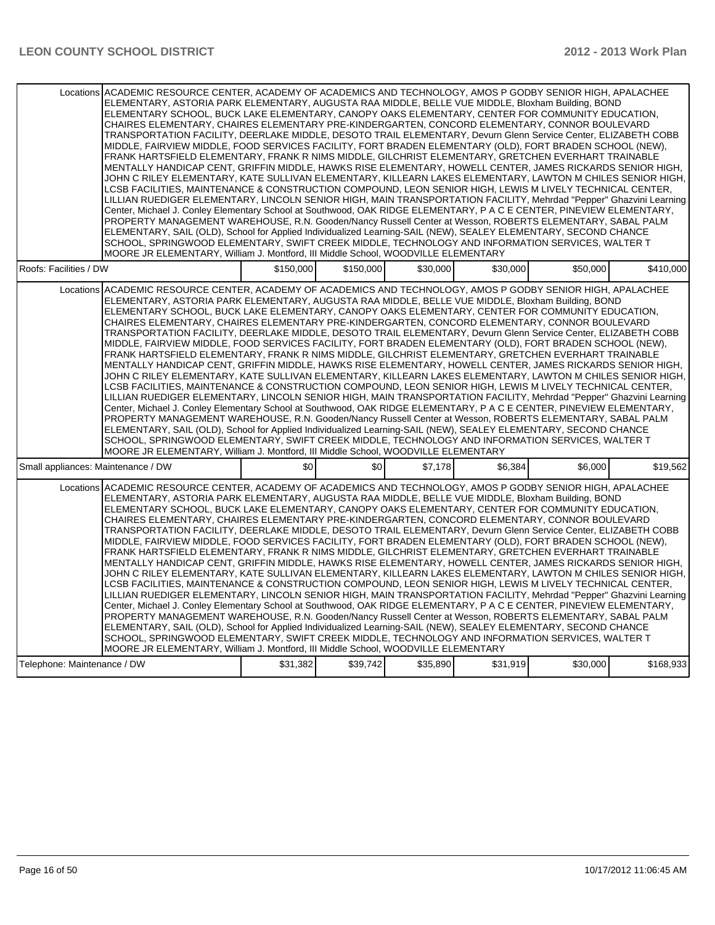|                                    | Locations ACADEMIC RESOURCE CENTER, ACADEMY OF ACADEMICS AND TECHNOLOGY, AMOS P GODBY SENIOR HIGH, APALACHEE                                                                                                        |           |           |          |          |          |           |
|------------------------------------|---------------------------------------------------------------------------------------------------------------------------------------------------------------------------------------------------------------------|-----------|-----------|----------|----------|----------|-----------|
|                                    | ELEMENTARY, ASTORIA PARK ELEMENTARY, AUGUSTA RAA MIDDLE, BELLE VUE MIDDLE, Bloxham Building, BOND                                                                                                                   |           |           |          |          |          |           |
|                                    | ELEMENTARY SCHOOL, BUCK LAKE ELEMENTARY, CANOPY OAKS ELEMENTARY, CENTER FOR COMMUNITY EDUCATION,                                                                                                                    |           |           |          |          |          |           |
|                                    | CHAIRES ELEMENTARY, CHAIRES ELEMENTARY PRE-KINDERGARTEN, CONCORD ELEMENTARY, CONNOR BOULEVARD                                                                                                                       |           |           |          |          |          |           |
|                                    | TRANSPORTATION FACILITY, DEERLAKE MIDDLE, DESOTO TRAIL ELEMENTARY, Devurn Glenn Service Center, ELIZABETH COBB                                                                                                      |           |           |          |          |          |           |
|                                    | MIDDLE, FAIRVIEW MIDDLE, FOOD SERVICES FACILITY, FORT BRADEN ELEMENTARY (OLD), FORT BRADEN SCHOOL (NEW),                                                                                                            |           |           |          |          |          |           |
|                                    | FRANK HARTSFIELD ELEMENTARY, FRANK R NIMS MIDDLE, GILCHRIST ELEMENTARY, GRETCHEN EVERHART TRAINABLE                                                                                                                 |           |           |          |          |          |           |
|                                    | MENTALLY HANDICAP CENT, GRIFFIN MIDDLE, HAWKS RISE ELEMENTARY, HOWELL CENTER, JAMES RICKARDS SENIOR HIGH,                                                                                                           |           |           |          |          |          |           |
|                                    | JOHN C RILEY ELEMENTARY, KATE SULLIVAN ELEMENTARY, KILLEARN LAKES ELEMENTARY, LAWTON M CHILES SENIOR HIGH,                                                                                                          |           |           |          |          |          |           |
|                                    | LCSB FACILITIES, MAINTENANCE & CONSTRUCTION COMPOUND, LEON SENIOR HIGH, LEWIS M LIVELY TECHNICAL CENTER,                                                                                                            |           |           |          |          |          |           |
|                                    | LILLIAN RUEDIGER ELEMENTARY, LINCOLN SENIOR HIGH, MAIN TRANSPORTATION FACILITY, Mehrdad "Pepper" Ghazvini Learning                                                                                                  |           |           |          |          |          |           |
|                                    | Center, Michael J. Conley Elementary School at Southwood, OAK RIDGE ELEMENTARY, P A C E CENTER, PINEVIEW ELEMENTARY,                                                                                                |           |           |          |          |          |           |
|                                    | PROPERTY MANAGEMENT WAREHOUSE, R.N. Gooden/Nancy Russell Center at Wesson, ROBERTS ELEMENTARY, SABAL PALM                                                                                                           |           |           |          |          |          |           |
|                                    | ELEMENTARY, SAIL (OLD), School for Applied Individualized Learning-SAIL (NEW), SEALEY ELEMENTARY, SECOND CHANCE                                                                                                     |           |           |          |          |          |           |
|                                    | SCHOOL, SPRINGWOOD ELEMENTARY, SWIFT CREEK MIDDLE, TECHNOLOGY AND INFORMATION SERVICES, WALTER T                                                                                                                    |           |           |          |          |          |           |
|                                    | MOORE JR ELEMENTARY, William J. Montford, III Middle School, WOODVILLE ELEMENTARY                                                                                                                                   |           |           |          |          |          |           |
| Roofs: Facilities / DW             |                                                                                                                                                                                                                     | \$150,000 | \$150,000 | \$30,000 | \$30,000 | \$50,000 | \$410,000 |
|                                    | Locations ACADEMIC RESOURCE CENTER, ACADEMY OF ACADEMICS AND TECHNOLOGY, AMOS P GODBY SENIOR HIGH, APALACHEE                                                                                                        |           |           |          |          |          |           |
|                                    | ELEMENTARY, ASTORIA PARK ELEMENTARY, AUGUSTA RAA MIDDLE, BELLE VUE MIDDLE, Bloxham Building, BOND                                                                                                                   |           |           |          |          |          |           |
|                                    | ELEMENTARY SCHOOL, BUCK LAKE ELEMENTARY, CANOPY OAKS ELEMENTARY, CENTER FOR COMMUNITY EDUCATION,                                                                                                                    |           |           |          |          |          |           |
|                                    | CHAIRES ELEMENTARY, CHAIRES ELEMENTARY PRE-KINDERGARTEN, CONCORD ELEMENTARY, CONNOR BOULEVARD                                                                                                                       |           |           |          |          |          |           |
|                                    | TRANSPORTATION FACILITY, DEERLAKE MIDDLE, DESOTO TRAIL ELEMENTARY, Devurn Glenn Service Center, ELIZABETH COBB                                                                                                      |           |           |          |          |          |           |
|                                    | MIDDLE, FAIRVIEW MIDDLE, FOOD SERVICES FACILITY, FORT BRADEN ELEMENTARY (OLD), FORT BRADEN SCHOOL (NEW),                                                                                                            |           |           |          |          |          |           |
|                                    | FRANK HARTSFIELD ELEMENTARY, FRANK R NIMS MIDDLE, GILCHRIST ELEMENTARY, GRETCHEN EVERHART TRAINABLE                                                                                                                 |           |           |          |          |          |           |
|                                    | MENTALLY HANDICAP CENT, GRIFFIN MIDDLE, HAWKS RISE ELEMENTARY, HOWELL CENTER, JAMES RICKARDS SENIOR HIGH,                                                                                                           |           |           |          |          |          |           |
|                                    | JOHN C RILEY ELEMENTARY, KATE SULLIVAN ELEMENTARY, KILLEARN LAKES ELEMENTARY, LAWTON M CHILES SENIOR HIGH,                                                                                                          |           |           |          |          |          |           |
|                                    | LCSB FACILITIES, MAINTENANCE & CONSTRUCTION COMPOUND, LEON SENIOR HIGH, LEWIS M LIVELY TECHNICAL CENTER,                                                                                                            |           |           |          |          |          |           |
|                                    | LILLIAN RUEDIGER ELEMENTARY, LINCOLN SENIOR HIGH, MAIN TRANSPORTATION FACILITY, Mehrdad "Pepper" Ghazvini Learning                                                                                                  |           |           |          |          |          |           |
|                                    | Center, Michael J. Conley Elementary School at Southwood, OAK RIDGE ELEMENTARY, P A C E CENTER, PINEVIEW ELEMENTARY,                                                                                                |           |           |          |          |          |           |
|                                    | PROPERTY MANAGEMENT WAREHOUSE, R.N. Gooden/Nancy Russell Center at Wesson, ROBERTS ELEMENTARY, SABAL PALM                                                                                                           |           |           |          |          |          |           |
|                                    | ELEMENTARY, SAIL (OLD), School for Applied Individualized Learning-SAIL (NEW), SEALEY ELEMENTARY, SECOND CHANCE<br>SCHOOL, SPRINGWOOD ELEMENTARY, SWIFT CREEK MIDDLE, TECHNOLOGY AND INFORMATION SERVICES, WALTER T |           |           |          |          |          |           |
|                                    | MOORE JR ELEMENTARY, William J. Montford, III Middle School, WOODVILLE ELEMENTARY                                                                                                                                   |           |           |          |          |          |           |
| Small appliances: Maintenance / DW |                                                                                                                                                                                                                     | \$0       | \$0       | \$7,178  | \$6.384  | \$6,000  | \$19,562  |
|                                    |                                                                                                                                                                                                                     |           |           |          |          |          |           |
|                                    | Locations ACADEMIC RESOURCE CENTER, ACADEMY OF ACADEMICS AND TECHNOLOGY, AMOS P GODBY SENIOR HIGH, APALACHEE                                                                                                        |           |           |          |          |          |           |
|                                    | ELEMENTARY, ASTORIA PARK ELEMENTARY, AUGUSTA RAA MIDDLE, BELLE VUE MIDDLE, Bloxham Building, BOND                                                                                                                   |           |           |          |          |          |           |
|                                    | ELEMENTARY SCHOOL, BUCK LAKE ELEMENTARY, CANOPY OAKS ELEMENTARY, CENTER FOR COMMUNITY EDUCATION,                                                                                                                    |           |           |          |          |          |           |
|                                    | CHAIRES ELEMENTARY, CHAIRES ELEMENTARY PRE-KINDERGARTEN, CONCORD ELEMENTARY, CONNOR BOULEVARD                                                                                                                       |           |           |          |          |          |           |
|                                    | TRANSPORTATION FACILITY, DEERLAKE MIDDLE, DESOTO TRAIL ELEMENTARY, Devurn Glenn Service Center, ELIZABETH COBB                                                                                                      |           |           |          |          |          |           |
|                                    | MIDDLE, FAIRVIEW MIDDLE, FOOD SERVICES FACILITY, FORT BRADEN ELEMENTARY (OLD), FORT BRADEN SCHOOL (NEW),                                                                                                            |           |           |          |          |          |           |
|                                    | FRANK HARTSFIELD ELEMENTARY, FRANK R NIMS MIDDLE, GILCHRIST ELEMENTARY, GRETCHEN EVERHART TRAINABLE<br>MENTALLY HANDICAP CENT, GRIFFIN MIDDLE, HAWKS RISE ELEMENTARY, HOWELL CENTER, JAMES RICKARDS SENIOR HIGH,    |           |           |          |          |          |           |
|                                    | JOHN C RILEY ELEMENTARY, KATE SULLIVAN ELEMENTARY, KILLEARN LAKES ELEMENTARY, LAWTON M CHILES SENIOR HIGH,                                                                                                          |           |           |          |          |          |           |
|                                    | LCSB FACILITIES, MAINTENANCE & CONSTRUCTION COMPOUND, LEON SENIOR HIGH, LEWIS M LIVELY TECHNICAL CENTER,                                                                                                            |           |           |          |          |          |           |
|                                    | LILLIAN RUEDIGER ELEMENTARY, LINCOLN SENIOR HIGH, MAIN TRANSPORTATION FACILITY, Mehrdad "Pepper" Ghazvini Learning                                                                                                  |           |           |          |          |          |           |
|                                    | Center, Michael J. Conley Elementary School at Southwood, OAK RIDGE ELEMENTARY, P A C E CENTER, PINEVIEW ELEMENTARY,                                                                                                |           |           |          |          |          |           |
|                                    | PROPERTY MANAGEMENT WAREHOUSE, R.N. Gooden/Nancy Russell Center at Wesson, ROBERTS ELEMENTARY, SABAL PALM                                                                                                           |           |           |          |          |          |           |
|                                    | ELEMENTARY, SAIL (OLD), School for Applied Individualized Learning-SAIL (NEW), SEALEY ELEMENTARY, SECOND CHANCE                                                                                                     |           |           |          |          |          |           |
|                                    | SCHOOL, SPRINGWOOD ELEMENTARY, SWIFT CREEK MIDDLE, TECHNOLOGY AND INFORMATION SERVICES, WALTER T                                                                                                                    |           |           |          |          |          |           |
|                                    | MOORE JR ELEMENTARY, William J. Montford, III Middle School, WOODVILLE ELEMENTARY                                                                                                                                   |           |           |          |          |          |           |
| Telephone: Maintenance / DW        |                                                                                                                                                                                                                     | \$31,382  | \$39,742  | \$35,890 | \$31,919 | \$30,000 | \$168,933 |
|                                    |                                                                                                                                                                                                                     |           |           |          |          |          |           |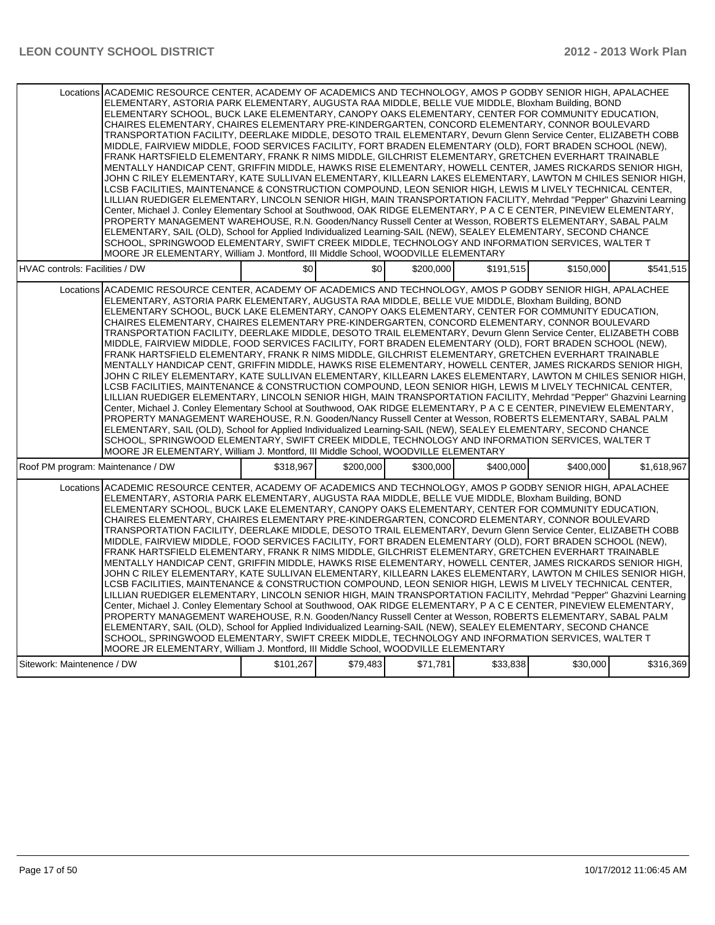|                                   | Locations ACADEMIC RESOURCE CENTER, ACADEMY OF ACADEMICS AND TECHNOLOGY, AMOS P GODBY SENIOR HIGH, APALACHEE<br>ELEMENTARY, ASTORIA PARK ELEMENTARY, AUGUSTA RAA MIDDLE, BELLE VUE MIDDLE, Bloxham Building, BOND<br>ELEMENTARY SCHOOL, BUCK LAKE ELEMENTARY, CANOPY OAKS ELEMENTARY, CENTER FOR COMMUNITY EDUCATION.<br>CHAIRES ELEMENTARY, CHAIRES ELEMENTARY PRE-KINDERGARTEN, CONCORD ELEMENTARY, CONNOR BOULEVARD<br>TRANSPORTATION FACILITY, DEERLAKE MIDDLE, DESOTO TRAIL ELEMENTARY, Devurn Glenn Service Center, ELIZABETH COBB<br>MIDDLE, FAIRVIEW MIDDLE, FOOD SERVICES FACILITY, FORT BRADEN ELEMENTARY (OLD), FORT BRADEN SCHOOL (NEW),<br>FRANK HARTSFIELD ELEMENTARY, FRANK R NIMS MIDDLE, GILCHRIST ELEMENTARY, GRETCHEN EVERHART TRAINABLE<br>MENTALLY HANDICAP CENT, GRIFFIN MIDDLE, HAWKS RISE ELEMENTARY, HOWELL CENTER, JAMES RICKARDS SENIOR HIGH,<br>JOHN C RILEY ELEMENTARY, KATE SULLIVAN ELEMENTARY, KILLEARN LAKES ELEMENTARY, LAWTON M CHILES SENIOR HIGH,<br>LCSB FACILITIES, MAINTENANCE & CONSTRUCTION COMPOUND, LEON SENIOR HIGH, LEWIS M LIVELY TECHNICAL CENTER,<br>LILLIAN RUEDIGER ELEMENTARY, LINCOLN SENIOR HIGH, MAIN TRANSPORTATION FACILITY, Mehrdad "Pepper" Ghazvini Learning<br>Center, Michael J. Conley Elementary School at Southwood, OAK RIDGE ELEMENTARY, P A C E CENTER, PINEVIEW ELEMENTARY,<br>PROPERTY MANAGEMENT WAREHOUSE, R.N. Gooden/Nancy Russell Center at Wesson, ROBERTS ELEMENTARY, SABAL PALM<br>ELEMENTARY, SAIL (OLD), School for Applied Individualized Learning-SAIL (NEW), SEALEY ELEMENTARY, SECOND CHANCE<br>SCHOOL, SPRINGWOOD ELEMENTARY, SWIFT CREEK MIDDLE, TECHNOLOGY AND INFORMATION SERVICES, WALTER T<br>MOORE JR ELEMENTARY, William J. Montford, III Middle School, WOODVILLE ELEMENTARY |           |           |           |           |           |             |
|-----------------------------------|---------------------------------------------------------------------------------------------------------------------------------------------------------------------------------------------------------------------------------------------------------------------------------------------------------------------------------------------------------------------------------------------------------------------------------------------------------------------------------------------------------------------------------------------------------------------------------------------------------------------------------------------------------------------------------------------------------------------------------------------------------------------------------------------------------------------------------------------------------------------------------------------------------------------------------------------------------------------------------------------------------------------------------------------------------------------------------------------------------------------------------------------------------------------------------------------------------------------------------------------------------------------------------------------------------------------------------------------------------------------------------------------------------------------------------------------------------------------------------------------------------------------------------------------------------------------------------------------------------------------------------------------------------------------------------------------------------------------------------------------------------------------------|-----------|-----------|-----------|-----------|-----------|-------------|
| HVAC controls: Facilities / DW    |                                                                                                                                                                                                                                                                                                                                                                                                                                                                                                                                                                                                                                                                                                                                                                                                                                                                                                                                                                                                                                                                                                                                                                                                                                                                                                                                                                                                                                                                                                                                                                                                                                                                                                                                                                           | \$0       | \$0       | \$200,000 | \$191,515 | \$150,000 | \$541,515   |
|                                   | Locations ACADEMIC RESOURCE CENTER, ACADEMY OF ACADEMICS AND TECHNOLOGY, AMOS P GODBY SENIOR HIGH, APALACHEE<br>ELEMENTARY, ASTORIA PARK ELEMENTARY, AUGUSTA RAA MIDDLE, BELLE VUE MIDDLE, Bloxham Building, BOND<br>ELEMENTARY SCHOOL, BUCK LAKE ELEMENTARY, CANOPY OAKS ELEMENTARY, CENTER FOR COMMUNITY EDUCATION,<br>CHAIRES ELEMENTARY, CHAIRES ELEMENTARY PRE-KINDERGARTEN, CONCORD ELEMENTARY, CONNOR BOULEVARD<br>TRANSPORTATION FACILITY, DEERLAKE MIDDLE, DESOTO TRAIL ELEMENTARY, Devurn Glenn Service Center, ELIZABETH COBB<br>MIDDLE, FAIRVIEW MIDDLE, FOOD SERVICES FACILITY, FORT BRADEN ELEMENTARY (OLD), FORT BRADEN SCHOOL (NEW),<br>FRANK HARTSFIELD ELEMENTARY, FRANK R NIMS MIDDLE, GILCHRIST ELEMENTARY, GRETCHEN EVERHART TRAINABLE<br>MENTALLY HANDICAP CENT, GRIFFIN MIDDLE, HAWKS RISE ELEMENTARY, HOWELL CENTER, JAMES RICKARDS SENIOR HIGH,<br>JOHN C RILEY ELEMENTARY, KATE SULLIVAN ELEMENTARY, KILLEARN LAKES ELEMENTARY, LAWTON M CHILES SENIOR HIGH,<br>LCSB FACILITIES, MAINTENANCE & CONSTRUCTION COMPOUND, LEON SENIOR HIGH, LEWIS M LIVELY TECHNICAL CENTER,<br>LILLIAN RUEDIGER ELEMENTARY, LINCOLN SENIOR HIGH, MAIN TRANSPORTATION FACILITY, Mehrdad "Pepper" Ghazvini Learning<br>Center, Michael J. Conley Elementary School at Southwood, OAK RIDGE ELEMENTARY, P A C E CENTER, PINEVIEW ELEMENTARY,<br>PROPERTY MANAGEMENT WAREHOUSE, R.N. Gooden/Nancy Russell Center at Wesson, ROBERTS ELEMENTARY, SABAL PALM<br>ELEMENTARY, SAIL (OLD), School for Applied Individualized Learning-SAIL (NEW), SEALEY ELEMENTARY, SECOND CHANCE<br>SCHOOL, SPRINGWOOD ELEMENTARY, SWIFT CREEK MIDDLE, TECHNOLOGY AND INFORMATION SERVICES, WALTER T<br>MOORE JR ELEMENTARY, William J. Montford, III Middle School, WOODVILLE ELEMENTARY |           |           |           |           |           |             |
| Roof PM program: Maintenance / DW |                                                                                                                                                                                                                                                                                                                                                                                                                                                                                                                                                                                                                                                                                                                                                                                                                                                                                                                                                                                                                                                                                                                                                                                                                                                                                                                                                                                                                                                                                                                                                                                                                                                                                                                                                                           | \$318.967 | \$200.000 | \$300.000 | \$400.000 | \$400,000 | \$1,618,967 |
|                                   | Locations ACADEMIC RESOURCE CENTER, ACADEMY OF ACADEMICS AND TECHNOLOGY, AMOS P GODBY SENIOR HIGH, APALACHEE<br>ELEMENTARY, ASTORIA PARK ELEMENTARY, AUGUSTA RAA MIDDLE, BELLE VUE MIDDLE, Bloxham Building, BOND<br>ELEMENTARY SCHOOL, BUCK LAKE ELEMENTARY, CANOPY OAKS ELEMENTARY, CENTER FOR COMMUNITY EDUCATION,<br>CHAIRES ELEMENTARY, CHAIRES ELEMENTARY PRE-KINDERGARTEN, CONCORD ELEMENTARY, CONNOR BOULEVARD<br>TRANSPORTATION FACILITY, DEERLAKE MIDDLE, DESOTO TRAIL ELEMENTARY, Devurn Glenn Service Center, ELIZABETH COBB<br>MIDDLE, FAIRVIEW MIDDLE, FOOD SERVICES FACILITY, FORT BRADEN ELEMENTARY (OLD), FORT BRADEN SCHOOL (NEW),<br>FRANK HARTSFIELD ELEMENTARY, FRANK R NIMS MIDDLE, GILCHRIST ELEMENTARY, GRETCHEN EVERHART TRAINABLE<br>MENTALLY HANDICAP CENT, GRIFFIN MIDDLE, HAWKS RISE ELEMENTARY, HOWELL CENTER, JAMES RICKARDS SENIOR HIGH,<br>JOHN C RILEY ELEMENTARY, KATE SULLIVAN ELEMENTARY, KILLEARN LAKES ELEMENTARY, LAWTON M CHILES SENIOR HIGH,<br>LCSB FACILITIES, MAINTENANCE & CONSTRUCTION COMPOUND, LEON SENIOR HIGH, LEWIS M LIVELY TECHNICAL CENTER,<br>LILLIAN RUEDIGER ELEMENTARY, LINCOLN SENIOR HIGH, MAIN TRANSPORTATION FACILITY, Mehrdad "Pepper" Ghazvini Learning<br>Center, Michael J. Conley Elementary School at Southwood, OAK RIDGE ELEMENTARY, P A C E CENTER, PINEVIEW ELEMENTARY,<br>PROPERTY MANAGEMENT WAREHOUSE, R.N. Gooden/Nancy Russell Center at Wesson, ROBERTS ELEMENTARY, SABAL PALM<br>ELEMENTARY, SAIL (OLD), School for Applied Individualized Learning-SAIL (NEW), SEALEY ELEMENTARY, SECOND CHANCE<br>SCHOOL, SPRINGWOOD ELEMENTARY, SWIFT CREEK MIDDLE, TECHNOLOGY AND INFORMATION SERVICES, WALTER T<br>MOORE JR ELEMENTARY, William J. Montford, III Middle School, WOODVILLE ELEMENTARY |           |           |           |           |           |             |
| Sitework: Maintenence / DW        |                                                                                                                                                                                                                                                                                                                                                                                                                                                                                                                                                                                                                                                                                                                                                                                                                                                                                                                                                                                                                                                                                                                                                                                                                                                                                                                                                                                                                                                                                                                                                                                                                                                                                                                                                                           | \$101,267 | \$79,483  | \$71,781  | \$33,838  | \$30,000  | \$316,369   |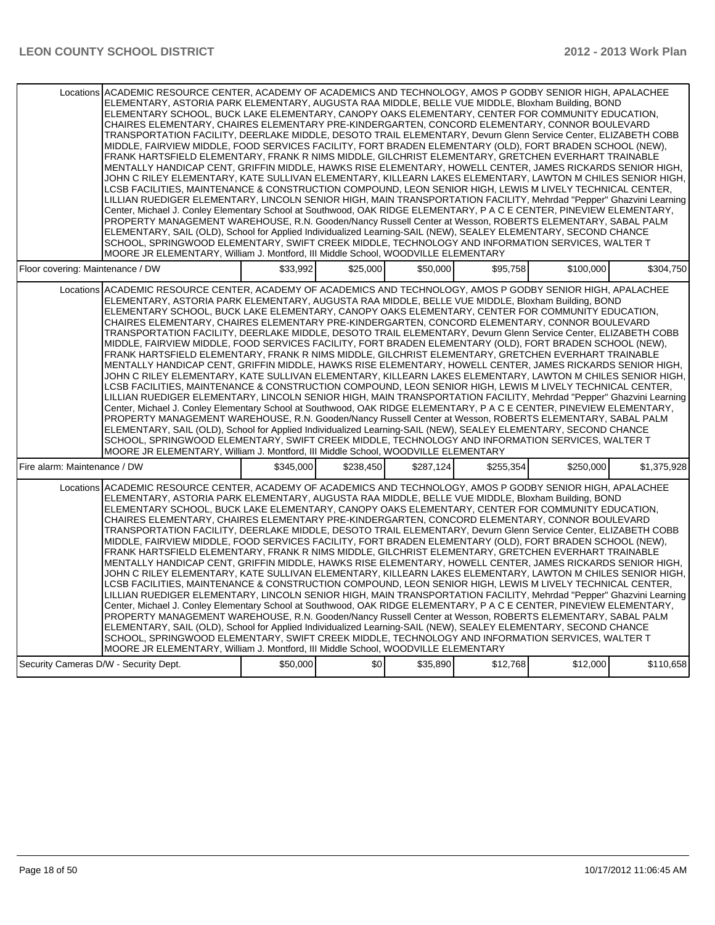|                                  | Locations ACADEMIC RESOURCE CENTER, ACADEMY OF ACADEMICS AND TECHNOLOGY, AMOS P GODBY SENIOR HIGH, APALACHEE                                                                                                                   |           |           |           |           |           |             |
|----------------------------------|--------------------------------------------------------------------------------------------------------------------------------------------------------------------------------------------------------------------------------|-----------|-----------|-----------|-----------|-----------|-------------|
|                                  | ELEMENTARY, ASTORIA PARK ELEMENTARY, AUGUSTA RAA MIDDLE, BELLE VUE MIDDLE, Bloxham Building, BOND                                                                                                                              |           |           |           |           |           |             |
|                                  | ELEMENTARY SCHOOL, BUCK LAKE ELEMENTARY, CANOPY OAKS ELEMENTARY, CENTER FOR COMMUNITY EDUCATION,                                                                                                                               |           |           |           |           |           |             |
|                                  | CHAIRES ELEMENTARY, CHAIRES ELEMENTARY PRE-KINDERGARTEN, CONCORD ELEMENTARY, CONNOR BOULEVARD<br>TRANSPORTATION FACILITY. DEERLAKE MIDDLE. DESOTO TRAIL ELEMENTARY. Devurn Glenn Service Center. ELIZABETH COBB                |           |           |           |           |           |             |
|                                  | MIDDLE, FAIRVIEW MIDDLE, FOOD SERVICES FACILITY, FORT BRADEN ELEMENTARY (OLD), FORT BRADEN SCHOOL (NEW),                                                                                                                       |           |           |           |           |           |             |
|                                  | FRANK HARTSFIELD ELEMENTARY, FRANK R NIMS MIDDLE, GILCHRIST ELEMENTARY, GRETCHEN EVERHART TRAINABLE                                                                                                                            |           |           |           |           |           |             |
|                                  | MENTALLY HANDICAP CENT, GRIFFIN MIDDLE, HAWKS RISE ELEMENTARY, HOWELL CENTER, JAMES RICKARDS SENIOR HIGH,                                                                                                                      |           |           |           |           |           |             |
|                                  | JOHN C RILEY ELEMENTARY, KATE SULLIVAN ELEMENTARY, KILLEARN LAKES ELEMENTARY, LAWTON M CHILES SENIOR HIGH,                                                                                                                     |           |           |           |           |           |             |
|                                  | LCSB FACILITIES, MAINTENANCE & CONSTRUCTION COMPOUND, LEON SENIOR HIGH, LEWIS M LIVELY TECHNICAL CENTER,                                                                                                                       |           |           |           |           |           |             |
|                                  | LILLIAN RUEDIGER ELEMENTARY, LINCOLN SENIOR HIGH, MAIN TRANSPORTATION FACILITY, Mehrdad "Pepper" Ghazvini Learning                                                                                                             |           |           |           |           |           |             |
|                                  | Center, Michael J. Conley Elementary School at Southwood, OAK RIDGE ELEMENTARY, P A C E CENTER, PINEVIEW ELEMENTARY,                                                                                                           |           |           |           |           |           |             |
|                                  | PROPERTY MANAGEMENT WAREHOUSE, R.N. Gooden/Nancy Russell Center at Wesson, ROBERTS ELEMENTARY, SABAL PALM<br>ELEMENTARY, SAIL (OLD), School for Applied Individualized Learning-SAIL (NEW), SEALEY ELEMENTARY, SECOND CHANCE   |           |           |           |           |           |             |
|                                  | SCHOOL, SPRINGWOOD ELEMENTARY, SWIFT CREEK MIDDLE, TECHNOLOGY AND INFORMATION SERVICES, WALTER T                                                                                                                               |           |           |           |           |           |             |
|                                  | MOORE JR ELEMENTARY, William J. Montford, III Middle School, WOODVILLE ELEMENTARY                                                                                                                                              |           |           |           |           |           |             |
| Floor covering: Maintenance / DW |                                                                                                                                                                                                                                | \$33.992  | \$25,000  | \$50,000  | \$95,758  | \$100,000 | \$304,750   |
|                                  |                                                                                                                                                                                                                                |           |           |           |           |           |             |
|                                  | Locations ACADEMIC RESOURCE CENTER, ACADEMY OF ACADEMICS AND TECHNOLOGY, AMOS P GODBY SENIOR HIGH, APALACHEE<br>ELEMENTARY, ASTORIA PARK ELEMENTARY, AUGUSTA RAA MIDDLE, BELLE VUE MIDDLE, Bloxham Building, BOND              |           |           |           |           |           |             |
|                                  | ELEMENTARY SCHOOL, BUCK LAKE ELEMENTARY, CANOPY OAKS ELEMENTARY, CENTER FOR COMMUNITY EDUCATION,                                                                                                                               |           |           |           |           |           |             |
|                                  | CHAIRES ELEMENTARY. CHAIRES ELEMENTARY PRE-KINDERGARTEN. CONCORD ELEMENTARY. CONNOR BOULEVARD                                                                                                                                  |           |           |           |           |           |             |
|                                  | TRANSPORTATION FACILITY, DEERLAKE MIDDLE, DESOTO TRAIL ELEMENTARY, Devurn Glenn Service Center, ELIZABETH COBB                                                                                                                 |           |           |           |           |           |             |
|                                  | MIDDLE, FAIRVIEW MIDDLE, FOOD SERVICES FACILITY, FORT BRADEN ELEMENTARY (OLD), FORT BRADEN SCHOOL (NEW),                                                                                                                       |           |           |           |           |           |             |
|                                  | FRANK HARTSFIELD ELEMENTARY, FRANK R NIMS MIDDLE, GILCHRIST ELEMENTARY, GRETCHEN EVERHART TRAINABLE                                                                                                                            |           |           |           |           |           |             |
|                                  | MENTALLY HANDICAP CENT, GRIFFIN MIDDLE, HAWKS RISE ELEMENTARY, HOWELL CENTER, JAMES RICKARDS SENIOR HIGH,                                                                                                                      |           |           |           |           |           |             |
|                                  | JOHN C RILEY ELEMENTARY, KATE SULLIVAN ELEMENTARY, KILLEARN LAKES ELEMENTARY, LAWTON M CHILES SENIOR HIGH,                                                                                                                     |           |           |           |           |           |             |
|                                  | LCSB FACILITIES, MAINTENANCE & CONSTRUCTION COMPOUND, LEON SENIOR HIGH, LEWIS M LIVELY TECHNICAL CENTER,<br>LILLIAN RUEDIGER ELEMENTARY, LINCOLN SENIOR HIGH, MAIN TRANSPORTATION FACILITY, Mehrdad "Pepper" Ghazvini Learning |           |           |           |           |           |             |
|                                  | Center, Michael J. Conley Elementary School at Southwood, OAK RIDGE ELEMENTARY, P A C E CENTER, PINEVIEW ELEMENTARY,                                                                                                           |           |           |           |           |           |             |
|                                  | PROPERTY MANAGEMENT WAREHOUSE, R.N. Gooden/Nancy Russell Center at Wesson, ROBERTS ELEMENTARY, SABAL PALM                                                                                                                      |           |           |           |           |           |             |
|                                  | ELEMENTARY, SAIL (OLD), School for Applied Individualized Learning-SAIL (NEW), SEALEY ELEMENTARY, SECOND CHANCE                                                                                                                |           |           |           |           |           |             |
|                                  | SCHOOL, SPRINGWOOD ELEMENTARY, SWIFT CREEK MIDDLE, TECHNOLOGY AND INFORMATION SERVICES, WALTER T                                                                                                                               |           |           |           |           |           |             |
|                                  | MOORE JR ELEMENTARY, William J. Montford, III Middle School, WOODVILLE ELEMENTARY                                                                                                                                              |           |           |           |           |           |             |
| Fire alarm: Maintenance / DW     |                                                                                                                                                                                                                                | \$345.000 | \$238,450 | \$287.124 | \$255.354 | \$250,000 | \$1,375,928 |
|                                  | Locations ACADEMIC RESOURCE CENTER. ACADEMY OF ACADEMICS AND TECHNOLOGY. AMOS P GODBY SENIOR HIGH. APALACHEE                                                                                                                   |           |           |           |           |           |             |
|                                  | ELEMENTARY, ASTORIA PARK ELEMENTARY, AUGUSTA RAA MIDDLE, BELLE VUE MIDDLE, Bloxham Building, BOND                                                                                                                              |           |           |           |           |           |             |
|                                  | ELEMENTARY SCHOOL, BUCK LAKE ELEMENTARY, CANOPY OAKS ELEMENTARY, CENTER FOR COMMUNITY EDUCATION,                                                                                                                               |           |           |           |           |           |             |
|                                  | CHAIRES ELEMENTARY, CHAIRES ELEMENTARY PRE-KINDERGARTEN, CONCORD ELEMENTARY, CONNOR BOULEVARD                                                                                                                                  |           |           |           |           |           |             |
|                                  | TRANSPORTATION FACILITY, DEERLAKE MIDDLE, DESOTO TRAIL ELEMENTARY, Devurn Glenn Service Center, ELIZABETH COBB                                                                                                                 |           |           |           |           |           |             |
|                                  | MIDDLE, FAIRVIEW MIDDLE, FOOD SERVICES FACILITY, FORT BRADEN ELEMENTARY (OLD), FORT BRADEN SCHOOL (NEW),                                                                                                                       |           |           |           |           |           |             |
|                                  | FRANK HARTSFIELD ELEMENTARY, FRANK R NIMS MIDDLE, GILCHRIST ELEMENTARY, GRETCHEN EVERHART TRAINABLE<br>MENTALLY HANDICAP CENT, GRIFFIN MIDDLE, HAWKS RISE ELEMENTARY, HOWELL CENTER, JAMES RICKARDS SENIOR HIGH,               |           |           |           |           |           |             |
|                                  | JOHN C RILEY ELEMENTARY, KATE SULLIVAN ELEMENTARY, KILLEARN LAKES ELEMENTARY, LAWTON M CHILES SENIOR HIGH,                                                                                                                     |           |           |           |           |           |             |
|                                  | LCSB FACILITIES, MAINTENANCE & CONSTRUCTION COMPOUND, LEON SENIOR HIGH, LEWIS M LIVELY TECHNICAL CENTER,                                                                                                                       |           |           |           |           |           |             |
|                                  | LILLIAN RUEDIGER ELEMENTARY, LINCOLN SENIOR HIGH, MAIN TRANSPORTATION FACILITY, Mehrdad "Pepper" Ghazvini Learning                                                                                                             |           |           |           |           |           |             |
|                                  | Center, Michael J. Conley Elementary School at Southwood, OAK RIDGE ELEMENTARY, P A C E CENTER, PINEVIEW ELEMENTARY,                                                                                                           |           |           |           |           |           |             |
|                                  | PROPERTY MANAGEMENT WAREHOUSE, R.N. Gooden/Nancy Russell Center at Wesson, ROBERTS ELEMENTARY, SABAL PALM                                                                                                                      |           |           |           |           |           |             |
|                                  | ELEMENTARY, SAIL (OLD), School for Applied Individualized Learning-SAIL (NEW), SEALEY ELEMENTARY, SECOND CHANCE                                                                                                                |           |           |           |           |           |             |
|                                  | SCHOOL, SPRINGWOOD ELEMENTARY, SWIFT CREEK MIDDLE, TECHNOLOGY AND INFORMATION SERVICES, WALTER T<br>MOORE JR ELEMENTARY, William J. Montford, III Middle School, WOODVILLE ELEMENTARY                                          |           |           |           |           |           |             |
|                                  | Security Cameras D/W - Security Dept.                                                                                                                                                                                          | \$50,000  | \$0       | \$35,890  | \$12,768  | \$12,000  | \$110,658   |
|                                  |                                                                                                                                                                                                                                |           |           |           |           |           |             |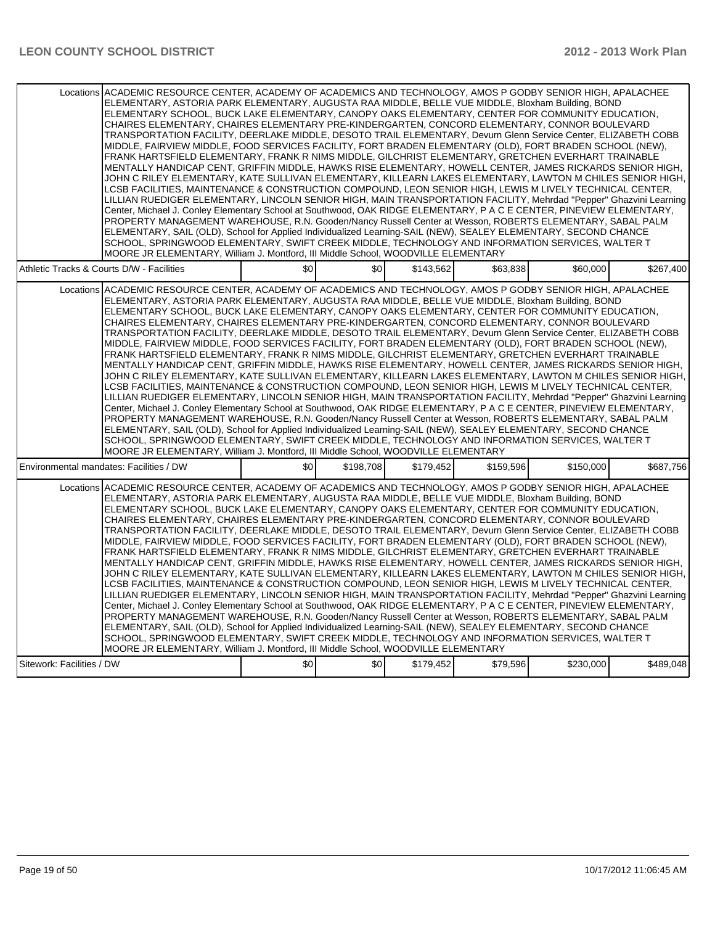| Locations ACADEMIC RESOURCE CENTER, ACADEMY OF ACADEMICS AND TECHNOLOGY, AMOS P GODBY SENIOR HIGH, APALACHEE<br>ELEMENTARY, ASTORIA PARK ELEMENTARY, AUGUSTA RAA MIDDLE, BELLE VUE MIDDLE, Bloxham Building, BOND<br>ELEMENTARY SCHOOL, BUCK LAKE ELEMENTARY, CANOPY OAKS ELEMENTARY, CENTER FOR COMMUNITY EDUCATION,<br>CHAIRES ELEMENTARY, CHAIRES ELEMENTARY PRE-KINDERGARTEN, CONCORD ELEMENTARY, CONNOR BOULEVARD<br>TRANSPORTATION FACILITY, DEERLAKE MIDDLE, DESOTO TRAIL ELEMENTARY, Devurn Glenn Service Center, ELIZABETH COBB<br>MIDDLE, FAIRVIEW MIDDLE, FOOD SERVICES FACILITY, FORT BRADEN ELEMENTARY (OLD), FORT BRADEN SCHOOL (NEW),<br>FRANK HARTSFIELD ELEMENTARY, FRANK R NIMS MIDDLE, GILCHRIST ELEMENTARY, GRETCHEN EVERHART TRAINABLE<br>MENTALLY HANDICAP CENT, GRIFFIN MIDDLE, HAWKS RISE ELEMENTARY, HOWELL CENTER, JAMES RICKARDS SENIOR HIGH,<br>JOHN C RILEY ELEMENTARY, KATE SULLIVAN ELEMENTARY, KILLEARN LAKES ELEMENTARY, LAWTON M CHILES SENIOR HIGH,<br>LCSB FACILITIES. MAINTENANCE & CONSTRUCTION COMPOUND. LEON SENIOR HIGH. LEWIS M LIVELY TECHNICAL CENTER.<br>LILLIAN RUEDIGER ELEMENTARY, LINCOLN SENIOR HIGH, MAIN TRANSPORTATION FACILITY, Mehrdad "Pepper" Ghazvini Learning<br>Center, Michael J. Conley Elementary School at Southwood, OAK RIDGE ELEMENTARY, P A C E CENTER, PINEVIEW ELEMENTARY,<br>PROPERTY MANAGEMENT WAREHOUSE, R.N. Gooden/Nancy Russell Center at Wesson, ROBERTS ELEMENTARY, SABAL PALM<br>ELEMENTARY, SAIL (OLD), School for Applied Individualized Learning-SAIL (NEW), SEALEY ELEMENTARY, SECOND CHANCE<br>SCHOOL, SPRINGWOOD ELEMENTARY, SWIFT CREEK MIDDLE, TECHNOLOGY AND INFORMATION SERVICES, WALTER T<br>MOORE JR ELEMENTARY, William J. Montford, III Middle School, WOODVILLE ELEMENTARY |     |           |           |           |           |           |
|---------------------------------------------------------------------------------------------------------------------------------------------------------------------------------------------------------------------------------------------------------------------------------------------------------------------------------------------------------------------------------------------------------------------------------------------------------------------------------------------------------------------------------------------------------------------------------------------------------------------------------------------------------------------------------------------------------------------------------------------------------------------------------------------------------------------------------------------------------------------------------------------------------------------------------------------------------------------------------------------------------------------------------------------------------------------------------------------------------------------------------------------------------------------------------------------------------------------------------------------------------------------------------------------------------------------------------------------------------------------------------------------------------------------------------------------------------------------------------------------------------------------------------------------------------------------------------------------------------------------------------------------------------------------------------------------------------------------------------------------------------------------------|-----|-----------|-----------|-----------|-----------|-----------|
| Athletic Tracks & Courts D/W - Facilities                                                                                                                                                                                                                                                                                                                                                                                                                                                                                                                                                                                                                                                                                                                                                                                                                                                                                                                                                                                                                                                                                                                                                                                                                                                                                                                                                                                                                                                                                                                                                                                                                                                                                                                                 | \$0 | \$0       | \$143.562 | \$63.838  | \$60,000  | \$267.400 |
| Locations ACADEMIC RESOURCE CENTER, ACADEMY OF ACADEMICS AND TECHNOLOGY, AMOS P GODBY SENIOR HIGH, APALACHEE<br>ELEMENTARY, ASTORIA PARK ELEMENTARY, AUGUSTA RAA MIDDLE, BELLE VUE MIDDLE, Bloxham Building, BOND<br>ELEMENTARY SCHOOL, BUCK LAKE ELEMENTARY, CANOPY OAKS ELEMENTARY, CENTER FOR COMMUNITY EDUCATION,<br>CHAIRES ELEMENTARY, CHAIRES ELEMENTARY PRE-KINDERGARTEN, CONCORD ELEMENTARY, CONNOR BOULEVARD<br>TRANSPORTATION FACILITY, DEERLAKE MIDDLE, DESOTO TRAIL ELEMENTARY, Devurn Glenn Service Center, ELIZABETH COBB<br>MIDDLE, FAIRVIEW MIDDLE, FOOD SERVICES FACILITY, FORT BRADEN ELEMENTARY (OLD), FORT BRADEN SCHOOL (NEW),<br>FRANK HARTSFIELD ELEMENTARY, FRANK R NIMS MIDDLE, GILCHRIST ELEMENTARY, GRETCHEN EVERHART TRAINABLE<br>MENTALLY HANDICAP CENT, GRIFFIN MIDDLE, HAWKS RISE ELEMENTARY, HOWELL CENTER, JAMES RICKARDS SENIOR HIGH,<br>JOHN C RILEY ELEMENTARY, KATE SULLIVAN ELEMENTARY, KILLEARN LAKES ELEMENTARY, LAWTON M CHILES SENIOR HIGH,<br>LCSB FACILITIES, MAINTENANCE & CONSTRUCTION COMPOUND, LEON SENIOR HIGH, LEWIS M LIVELY TECHNICAL CENTER,<br>LILLIAN RUEDIGER ELEMENTARY, LINCOLN SENIOR HIGH, MAIN TRANSPORTATION FACILITY, Mehrdad "Pepper" Ghazvini Learning<br>Center, Michael J. Conley Elementary School at Southwood, OAK RIDGE ELEMENTARY, P A C E CENTER, PINEVIEW ELEMENTARY,<br>PROPERTY MANAGEMENT WAREHOUSE, R.N. Gooden/Nancy Russell Center at Wesson, ROBERTS ELEMENTARY, SABAL PALM<br>ELEMENTARY, SAIL (OLD), School for Applied Individualized Learning-SAIL (NEW), SEALEY ELEMENTARY, SECOND CHANCE<br>SCHOOL, SPRINGWOOD ELEMENTARY, SWIFT CREEK MIDDLE, TECHNOLOGY AND INFORMATION SERVICES, WALTER T<br>MOORE JR ELEMENTARY, William J. Montford, III Middle School, WOODVILLE ELEMENTARY |     |           |           |           |           |           |
| Environmental mandates: Facilities / DW                                                                                                                                                                                                                                                                                                                                                                                                                                                                                                                                                                                                                                                                                                                                                                                                                                                                                                                                                                                                                                                                                                                                                                                                                                                                                                                                                                                                                                                                                                                                                                                                                                                                                                                                   | \$0 | \$198,708 | \$179,452 | \$159,596 | \$150,000 | \$687,756 |
| Locations ACADEMIC RESOURCE CENTER. ACADEMY OF ACADEMICS AND TECHNOLOGY. AMOS P GODBY SENIOR HIGH. APALACHEE<br>ELEMENTARY, ASTORIA PARK ELEMENTARY, AUGUSTA RAA MIDDLE, BELLE VUE MIDDLE, Bloxham Building, BOND<br>ELEMENTARY SCHOOL, BUCK LAKE ELEMENTARY, CANOPY OAKS ELEMENTARY, CENTER FOR COMMUNITY EDUCATION,<br>CHAIRES ELEMENTARY, CHAIRES ELEMENTARY PRE-KINDERGARTEN, CONCORD ELEMENTARY, CONNOR BOULEVARD<br>TRANSPORTATION FACILITY, DEERLAKE MIDDLE, DESOTO TRAIL ELEMENTARY, Devurn Glenn Service Center, ELIZABETH COBB<br>MIDDLE, FAIRVIEW MIDDLE, FOOD SERVICES FACILITY, FORT BRADEN ELEMENTARY (OLD), FORT BRADEN SCHOOL (NEW),<br>FRANK HARTSFIELD ELEMENTARY, FRANK R NIMS MIDDLE, GILCHRIST ELEMENTARY, GRETCHEN EVERHART TRAINABLE<br>MENTALLY HANDICAP CENT, GRIFFIN MIDDLE, HAWKS RISE ELEMENTARY, HOWELL CENTER, JAMES RICKARDS SENIOR HIGH,<br>JOHN C RILEY ELEMENTARY, KATE SULLIVAN ELEMENTARY, KILLEARN LAKES ELEMENTARY, LAWTON M CHILES SENIOR HIGH,<br>LCSB FACILITIES, MAINTENANCE & CONSTRUCTION COMPOUND, LEON SENIOR HIGH, LEWIS M LIVELY TECHNICAL CENTER,<br>LILLIAN RUEDIGER ELEMENTARY, LINCOLN SENIOR HIGH, MAIN TRANSPORTATION FACILITY, Mehrdad "Pepper" Ghazvini Learning<br>Center, Michael J. Conley Elementary School at Southwood, OAK RIDGE ELEMENTARY, P A C E CENTER, PINEVIEW ELEMENTARY,<br>PROPERTY MANAGEMENT WAREHOUSE, R.N. Gooden/Nancy Russell Center at Wesson, ROBERTS ELEMENTARY, SABAL PALM<br>ELEMENTARY, SAIL (OLD), School for Applied Individualized Learning-SAIL (NEW), SEALEY ELEMENTARY, SECOND CHANCE<br>SCHOOL, SPRINGWOOD ELEMENTARY, SWIFT CREEK MIDDLE, TECHNOLOGY AND INFORMATION SERVICES, WALTER T<br>MOORE JR ELEMENTARY, William J. Montford, III Middle School, WOODVILLE ELEMENTARY |     |           |           |           |           |           |
| Sitework: Facilities / DW                                                                                                                                                                                                                                                                                                                                                                                                                                                                                                                                                                                                                                                                                                                                                                                                                                                                                                                                                                                                                                                                                                                                                                                                                                                                                                                                                                                                                                                                                                                                                                                                                                                                                                                                                 | \$0 | \$0       | \$179,452 | \$79,596  | \$230,000 | \$489,048 |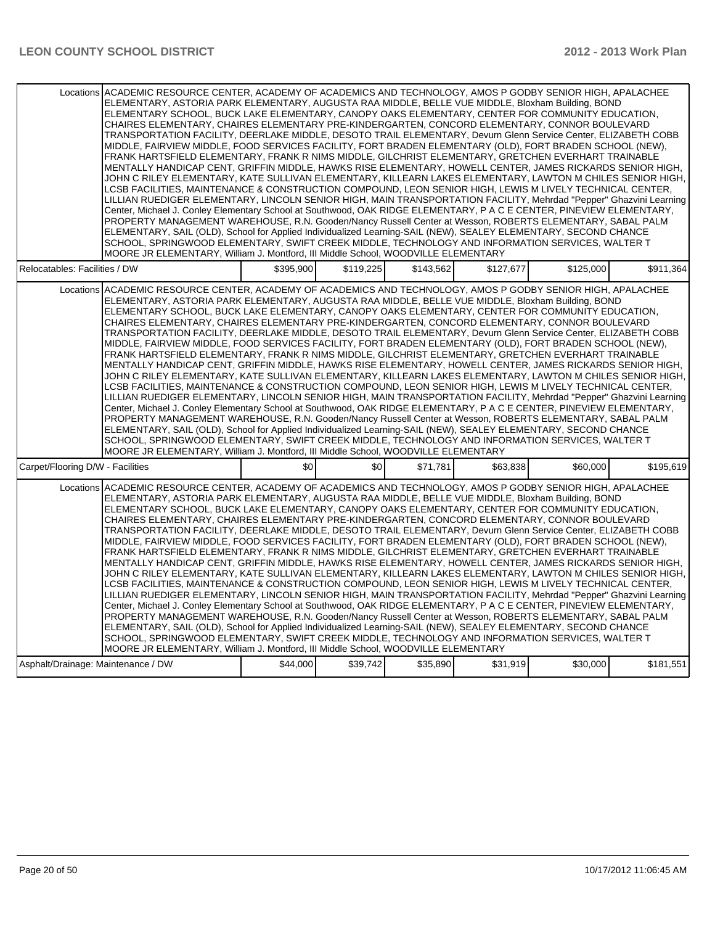| Locations ACADEMIC RESOURCE CENTER, ACADEMY OF ACADEMICS AND TECHNOLOGY, AMOS P GODBY SENIOR HIGH, APALACHEE<br>ELEMENTARY, ASTORIA PARK ELEMENTARY, AUGUSTA RAA MIDDLE, BELLE VUE MIDDLE, Bloxham Building, BOND<br>ELEMENTARY SCHOOL, BUCK LAKE ELEMENTARY, CANOPY OAKS ELEMENTARY, CENTER FOR COMMUNITY EDUCATION,<br>CHAIRES ELEMENTARY, CHAIRES ELEMENTARY PRE-KINDERGARTEN, CONCORD ELEMENTARY, CONNOR BOULEVARD<br>TRANSPORTATION FACILITY, DEERLAKE MIDDLE, DESOTO TRAIL ELEMENTARY, Devurn Glenn Service Center, ELIZABETH COBB<br>MIDDLE, FAIRVIEW MIDDLE, FOOD SERVICES FACILITY, FORT BRADEN ELEMENTARY (OLD), FORT BRADEN SCHOOL (NEW),<br>FRANK HARTSFIELD ELEMENTARY, FRANK R NIMS MIDDLE, GILCHRIST ELEMENTARY, GRETCHEN EVERHART TRAINABLE<br>MENTALLY HANDICAP CENT, GRIFFIN MIDDLE, HAWKS RISE ELEMENTARY, HOWELL CENTER, JAMES RICKARDS SENIOR HIGH,<br>JOHN C RILEY ELEMENTARY, KATE SULLIVAN ELEMENTARY, KILLEARN LAKES ELEMENTARY, LAWTON M CHILES SENIOR HIGH,<br>LCSB FACILITIES, MAINTENANCE & CONSTRUCTION COMPOUND, LEON SENIOR HIGH, LEWIS M LIVELY TECHNICAL CENTER,<br>LILLIAN RUEDIGER ELEMENTARY, LINCOLN SENIOR HIGH, MAIN TRANSPORTATION FACILITY, Mehrdad "Pepper" Ghazvini Learning<br>Center, Michael J. Conley Elementary School at Southwood, OAK RIDGE ELEMENTARY, P A C E CENTER, PINEVIEW ELEMENTARY,<br>PROPERTY MANAGEMENT WAREHOUSE, R.N. Gooden/Nancy Russell Center at Wesson, ROBERTS ELEMENTARY, SABAL PALM<br>ELEMENTARY, SAIL (OLD), School for Applied Individualized Learning-SAIL (NEW), SEALEY ELEMENTARY, SECOND CHANCE<br>SCHOOL, SPRINGWOOD ELEMENTARY, SWIFT CREEK MIDDLE, TECHNOLOGY AND INFORMATION SERVICES, WALTER T<br>MOORE JR ELEMENTARY, William J. Montford, III Middle School, WOODVILLE ELEMENTARY |           |           |           |           |           |           |
|---------------------------------------------------------------------------------------------------------------------------------------------------------------------------------------------------------------------------------------------------------------------------------------------------------------------------------------------------------------------------------------------------------------------------------------------------------------------------------------------------------------------------------------------------------------------------------------------------------------------------------------------------------------------------------------------------------------------------------------------------------------------------------------------------------------------------------------------------------------------------------------------------------------------------------------------------------------------------------------------------------------------------------------------------------------------------------------------------------------------------------------------------------------------------------------------------------------------------------------------------------------------------------------------------------------------------------------------------------------------------------------------------------------------------------------------------------------------------------------------------------------------------------------------------------------------------------------------------------------------------------------------------------------------------------------------------------------------------------------------------------------------------|-----------|-----------|-----------|-----------|-----------|-----------|
| Relocatables: Facilities / DW                                                                                                                                                                                                                                                                                                                                                                                                                                                                                                                                                                                                                                                                                                                                                                                                                                                                                                                                                                                                                                                                                                                                                                                                                                                                                                                                                                                                                                                                                                                                                                                                                                                                                                                                             | \$395.900 | \$119.225 | \$143.562 | \$127.677 | \$125,000 | \$911,364 |
| Locations ACADEMIC RESOURCE CENTER, ACADEMY OF ACADEMICS AND TECHNOLOGY, AMOS P GODBY SENIOR HIGH, APALACHEE<br>ELEMENTARY, ASTORIA PARK ELEMENTARY, AUGUSTA RAA MIDDLE, BELLE VUE MIDDLE, Bloxham Building, BOND<br>ELEMENTARY SCHOOL, BUCK LAKE ELEMENTARY, CANOPY OAKS ELEMENTARY, CENTER FOR COMMUNITY EDUCATION,<br>CHAIRES ELEMENTARY, CHAIRES ELEMENTARY PRE-KINDERGARTEN, CONCORD ELEMENTARY, CONNOR BOULEVARD<br>TRANSPORTATION FACILITY, DEERLAKE MIDDLE, DESOTO TRAIL ELEMENTARY, Devurn Glenn Service Center, ELIZABETH COBB<br>MIDDLE, FAIRVIEW MIDDLE, FOOD SERVICES FACILITY, FORT BRADEN ELEMENTARY (OLD), FORT BRADEN SCHOOL (NEW),<br>FRANK HARTSFIELD ELEMENTARY, FRANK R NIMS MIDDLE, GILCHRIST ELEMENTARY, GRETCHEN EVERHART TRAINABLE<br>MENTALLY HANDICAP CENT, GRIFFIN MIDDLE, HAWKS RISE ELEMENTARY, HOWELL CENTER, JAMES RICKARDS SENIOR HIGH,<br>JOHN C RILEY ELEMENTARY, KATE SULLIVAN ELEMENTARY, KILLEARN LAKES ELEMENTARY, LAWTON M CHILES SENIOR HIGH,<br>LCSB FACILITIES, MAINTENANCE & CONSTRUCTION COMPOUND, LEON SENIOR HIGH, LEWIS M LIVELY TECHNICAL CENTER,<br>LILLIAN RUEDIGER ELEMENTARY, LINCOLN SENIOR HIGH, MAIN TRANSPORTATION FACILITY, Mehrdad "Pepper" Ghazvini Learning<br>Center, Michael J. Conley Elementary School at Southwood, OAK RIDGE ELEMENTARY, P A C E CENTER, PINEVIEW ELEMENTARY,<br>PROPERTY MANAGEMENT WAREHOUSE, R.N. Gooden/Nancy Russell Center at Wesson, ROBERTS ELEMENTARY, SABAL PALM<br>ELEMENTARY, SAIL (OLD), School for Applied Individualized Learning-SAIL (NEW), SEALEY ELEMENTARY, SECOND CHANCE<br>SCHOOL, SPRINGWOOD ELEMENTARY, SWIFT CREEK MIDDLE, TECHNOLOGY AND INFORMATION SERVICES, WALTER T<br>MOORE JR ELEMENTARY, William J. Montford, III Middle School, WOODVILLE ELEMENTARY |           |           |           |           |           |           |
| Carpet/Flooring D/W - Facilities                                                                                                                                                                                                                                                                                                                                                                                                                                                                                                                                                                                                                                                                                                                                                                                                                                                                                                                                                                                                                                                                                                                                                                                                                                                                                                                                                                                                                                                                                                                                                                                                                                                                                                                                          | \$0       | \$0       | \$71,781  | \$63.838  | \$60,000  | \$195,619 |
| Locations ACADEMIC RESOURCE CENTER, ACADEMY OF ACADEMICS AND TECHNOLOGY, AMOS P GODBY SENIOR HIGH, APALACHEE<br>ELEMENTARY, ASTORIA PARK ELEMENTARY, AUGUSTA RAA MIDDLE, BELLE VUE MIDDLE, Bloxham Building, BOND<br>ELEMENTARY SCHOOL, BUCK LAKE ELEMENTARY, CANOPY OAKS ELEMENTARY, CENTER FOR COMMUNITY EDUCATION,<br>CHAIRES ELEMENTARY, CHAIRES ELEMENTARY PRE-KINDERGARTEN, CONCORD ELEMENTARY, CONNOR BOULEVARD<br>TRANSPORTATION FACILITY, DEERLAKE MIDDLE, DESOTO TRAIL ELEMENTARY, Devurn Glenn Service Center, ELIZABETH COBB<br>MIDDLE, FAIRVIEW MIDDLE, FOOD SERVICES FACILITY, FORT BRADEN ELEMENTARY (OLD), FORT BRADEN SCHOOL (NEW),<br>FRANK HARTSFIELD ELEMENTARY, FRANK R NIMS MIDDLE, GILCHRIST ELEMENTARY, GRETCHEN EVERHART TRAINABLE<br>MENTALLY HANDICAP CENT, GRIFFIN MIDDLE, HAWKS RISE ELEMENTARY, HOWELL CENTER, JAMES RICKARDS SENIOR HIGH,<br>JOHN C RILEY ELEMENTARY, KATE SULLIVAN ELEMENTARY, KILLEARN LAKES ELEMENTARY, LAWTON M CHILES SENIOR HIGH,<br>LCSB FACILITIES, MAINTENANCE & CONSTRUCTION COMPOUND, LEON SENIOR HIGH, LEWIS M LIVELY TECHNICAL CENTER,<br>LILLIAN RUEDIGER ELEMENTARY, LINCOLN SENIOR HIGH, MAIN TRANSPORTATION FACILITY, Mehrdad "Pepper" Ghazvini Learning<br>Center, Michael J. Conley Elementary School at Southwood, OAK RIDGE ELEMENTARY, P A C E CENTER, PINEVIEW ELEMENTARY,<br>PROPERTY MANAGEMENT WAREHOUSE, R.N. Gooden/Nancy Russell Center at Wesson, ROBERTS ELEMENTARY, SABAL PALM<br>ELEMENTARY, SAIL (OLD), School for Applied Individualized Learning-SAIL (NEW), SEALEY ELEMENTARY, SECOND CHANCE<br>SCHOOL, SPRINGWOOD ELEMENTARY, SWIFT CREEK MIDDLE, TECHNOLOGY AND INFORMATION SERVICES, WALTER T<br>MOORE JR ELEMENTARY, William J. Montford, III Middle School, WOODVILLE ELEMENTARY |           |           |           |           |           |           |
| Asphalt/Drainage: Maintenance / DW                                                                                                                                                                                                                                                                                                                                                                                                                                                                                                                                                                                                                                                                                                                                                                                                                                                                                                                                                                                                                                                                                                                                                                                                                                                                                                                                                                                                                                                                                                                                                                                                                                                                                                                                        | \$44,000  | \$39,742  | \$35,890  | \$31,919  | \$30,000  | \$181,551 |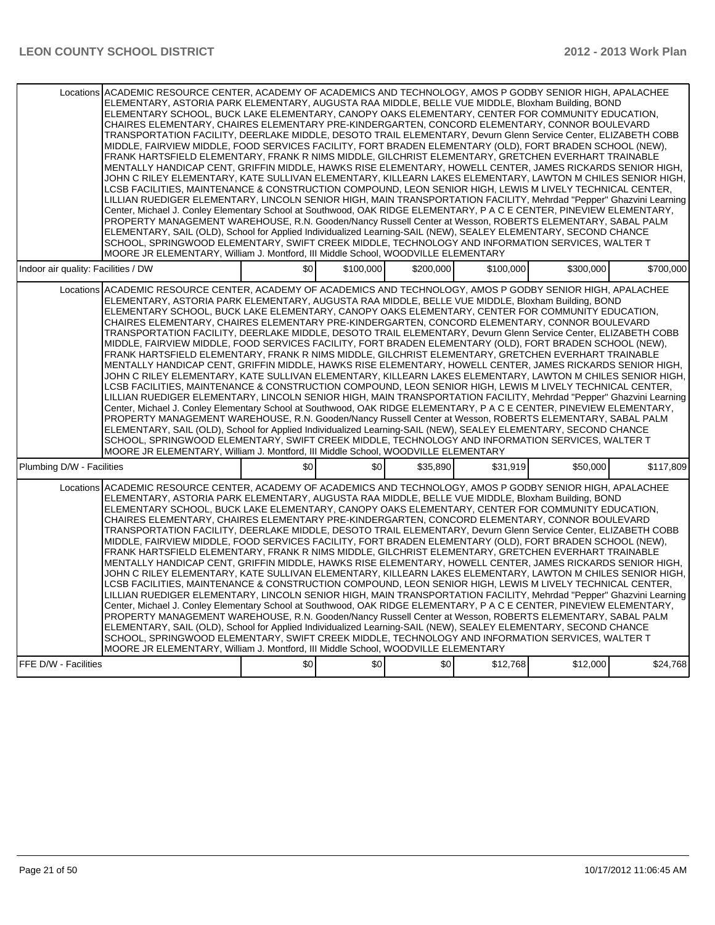| Locations ACADEMIC RESOURCE CENTER, ACADEMY OF ACADEMICS AND TECHNOLOGY, AMOS P GODBY SENIOR HIGH, APALACHEE<br>ELEMENTARY, ASTORIA PARK ELEMENTARY, AUGUSTA RAA MIDDLE, BELLE VUE MIDDLE, Bloxham Building, BOND<br>ELEMENTARY SCHOOL, BUCK LAKE ELEMENTARY, CANOPY OAKS ELEMENTARY, CENTER FOR COMMUNITY EDUCATION,<br>CHAIRES ELEMENTARY, CHAIRES ELEMENTARY PRE-KINDERGARTEN, CONCORD ELEMENTARY, CONNOR BOULEVARD<br>TRANSPORTATION FACILITY, DEERLAKE MIDDLE, DESOTO TRAIL ELEMENTARY, Devurn Glenn Service Center, ELIZABETH COBB<br>MIDDLE, FAIRVIEW MIDDLE, FOOD SERVICES FACILITY, FORT BRADEN ELEMENTARY (OLD), FORT BRADEN SCHOOL (NEW),<br>FRANK HARTSFIELD ELEMENTARY, FRANK R NIMS MIDDLE, GILCHRIST ELEMENTARY, GRETCHEN EVERHART TRAINABLE<br>MENTALLY HANDICAP CENT, GRIFFIN MIDDLE, HAWKS RISE ELEMENTARY, HOWELL CENTER, JAMES RICKARDS SENIOR HIGH,<br>JOHN C RILEY ELEMENTARY, KATE SULLIVAN ELEMENTARY, KILLEARN LAKES ELEMENTARY, LAWTON M CHILES SENIOR HIGH,<br>LCSB FACILITIES, MAINTENANCE & CONSTRUCTION COMPOUND, LEON SENIOR HIGH, LEWIS M LIVELY TECHNICAL CENTER,<br>LILLIAN RUEDIGER ELEMENTARY, LINCOLN SENIOR HIGH, MAIN TRANSPORTATION FACILITY, Mehrdad "Pepper" Ghazvini Learning<br>Center, Michael J. Conley Elementary School at Southwood, OAK RIDGE ELEMENTARY, P A C E CENTER, PINEVIEW ELEMENTARY,<br>PROPERTY MANAGEMENT WAREHOUSE, R.N. Gooden/Nancy Russell Center at Wesson, ROBERTS ELEMENTARY, SABAL PALM<br>ELEMENTARY, SAIL (OLD), School for Applied Individualized Learning-SAIL (NEW), SEALEY ELEMENTARY, SECOND CHANCE<br>SCHOOL, SPRINGWOOD ELEMENTARY, SWIFT CREEK MIDDLE, TECHNOLOGY AND INFORMATION SERVICES, WALTER T<br>MOORE JR ELEMENTARY, William J. Montford, III Middle School, WOODVILLE ELEMENTARY |     |                  |                  |           |           |           |
|---------------------------------------------------------------------------------------------------------------------------------------------------------------------------------------------------------------------------------------------------------------------------------------------------------------------------------------------------------------------------------------------------------------------------------------------------------------------------------------------------------------------------------------------------------------------------------------------------------------------------------------------------------------------------------------------------------------------------------------------------------------------------------------------------------------------------------------------------------------------------------------------------------------------------------------------------------------------------------------------------------------------------------------------------------------------------------------------------------------------------------------------------------------------------------------------------------------------------------------------------------------------------------------------------------------------------------------------------------------------------------------------------------------------------------------------------------------------------------------------------------------------------------------------------------------------------------------------------------------------------------------------------------------------------------------------------------------------------------------------------------------------------|-----|------------------|------------------|-----------|-----------|-----------|
| Indoor air quality: Facilities / DW                                                                                                                                                                                                                                                                                                                                                                                                                                                                                                                                                                                                                                                                                                                                                                                                                                                                                                                                                                                                                                                                                                                                                                                                                                                                                                                                                                                                                                                                                                                                                                                                                                                                                                                                       | \$0 | \$100,000        | \$200.000        | \$100,000 | \$300.000 | \$700.000 |
| Locations ACADEMIC RESOURCE CENTER, ACADEMY OF ACADEMICS AND TECHNOLOGY, AMOS P GODBY SENIOR HIGH, APALACHEE<br>ELEMENTARY, ASTORIA PARK ELEMENTARY, AUGUSTA RAA MIDDLE, BELLE VUE MIDDLE, Bloxham Building, BOND<br>ELEMENTARY SCHOOL, BUCK LAKE ELEMENTARY, CANOPY OAKS ELEMENTARY, CENTER FOR COMMUNITY EDUCATION,<br>CHAIRES ELEMENTARY, CHAIRES ELEMENTARY PRE-KINDERGARTEN, CONCORD ELEMENTARY, CONNOR BOULEVARD<br>TRANSPORTATION FACILITY, DEERLAKE MIDDLE, DESOTO TRAIL ELEMENTARY, Devurn Glenn Service Center, ELIZABETH COBB<br>MIDDLE, FAIRVIEW MIDDLE, FOOD SERVICES FACILITY, FORT BRADEN ELEMENTARY (OLD), FORT BRADEN SCHOOL (NEW),<br>FRANK HARTSFIELD ELEMENTARY, FRANK R NIMS MIDDLE, GILCHRIST ELEMENTARY, GRETCHEN EVERHART TRAINABLE<br>MENTALLY HANDICAP CENT, GRIFFIN MIDDLE, HAWKS RISE ELEMENTARY, HOWELL CENTER, JAMES RICKARDS SENIOR HIGH,<br>JOHN C RILEY ELEMENTARY, KATE SULLIVAN ELEMENTARY, KILLEARN LAKES ELEMENTARY, LAWTON M CHILES SENIOR HIGH,<br>LCSB FACILITIES, MAINTENANCE & CONSTRUCTION COMPOUND, LEON SENIOR HIGH, LEWIS M LIVELY TECHNICAL CENTER,<br>LILLIAN RUEDIGER ELEMENTARY, LINCOLN SENIOR HIGH, MAIN TRANSPORTATION FACILITY, Mehrdad "Pepper" Ghazvini Learning<br>Center, Michael J. Conley Elementary School at Southwood, OAK RIDGE ELEMENTARY, P A C E CENTER, PINEVIEW ELEMENTARY,<br>PROPERTY MANAGEMENT WAREHOUSE, R.N. Gooden/Nancy Russell Center at Wesson, ROBERTS ELEMENTARY, SABAL PALM<br>ELEMENTARY, SAIL (OLD), School for Applied Individualized Learning-SAIL (NEW), SEALEY ELEMENTARY, SECOND CHANCE<br>SCHOOL, SPRINGWOOD ELEMENTARY, SWIFT CREEK MIDDLE, TECHNOLOGY AND INFORMATION SERVICES, WALTER T<br>MOORE JR ELEMENTARY, William J. Montford, III Middle School, WOODVILLE ELEMENTARY |     |                  |                  |           |           |           |
| Plumbing D/W - Facilities                                                                                                                                                                                                                                                                                                                                                                                                                                                                                                                                                                                                                                                                                                                                                                                                                                                                                                                                                                                                                                                                                                                                                                                                                                                                                                                                                                                                                                                                                                                                                                                                                                                                                                                                                 | \$0 | \$0 <sub>1</sub> | \$35,890         | \$31.919  | \$50,000  | \$117,809 |
| Locations ACADEMIC RESOURCE CENTER, ACADEMY OF ACADEMICS AND TECHNOLOGY, AMOS P GODBY SENIOR HIGH, APALACHEE<br>ELEMENTARY, ASTORIA PARK ELEMENTARY, AUGUSTA RAA MIDDLE, BELLE VUE MIDDLE, Bloxham Building, BOND<br>ELEMENTARY SCHOOL, BUCK LAKE ELEMENTARY, CANOPY OAKS ELEMENTARY, CENTER FOR COMMUNITY EDUCATION,<br>CHAIRES ELEMENTARY, CHAIRES ELEMENTARY PRE-KINDERGARTEN, CONCORD ELEMENTARY, CONNOR BOULEVARD<br>TRANSPORTATION FACILITY, DEERLAKE MIDDLE, DESOTO TRAIL ELEMENTARY, Devurn Glenn Service Center, ELIZABETH COBB<br>MIDDLE, FAIRVIEW MIDDLE, FOOD SERVICES FACILITY, FORT BRADEN ELEMENTARY (OLD), FORT BRADEN SCHOOL (NEW),<br>FRANK HARTSFIELD ELEMENTARY, FRANK R NIMS MIDDLE, GILCHRIST ELEMENTARY, GRETCHEN EVERHART TRAINABLE<br>MENTALLY HANDICAP CENT, GRIFFIN MIDDLE, HAWKS RISE ELEMENTARY, HOWELL CENTER, JAMES RICKARDS SENIOR HIGH,<br>JOHN C RILEY ELEMENTARY, KATE SULLIVAN ELEMENTARY, KILLEARN LAKES ELEMENTARY, LAWTON M CHILES SENIOR HIGH,<br>LCSB FACILITIES, MAINTENANCE & CONSTRUCTION COMPOUND, LEON SENIOR HIGH, LEWIS M LIVELY TECHNICAL CENTER,<br>LILLIAN RUEDIGER ELEMENTARY, LINCOLN SENIOR HIGH, MAIN TRANSPORTATION FACILITY, Mehrdad "Pepper" Ghazvini Learning<br>Center, Michael J. Conley Elementary School at Southwood, OAK RIDGE ELEMENTARY, P A C E CENTER, PINEVIEW ELEMENTARY,<br>PROPERTY MANAGEMENT WAREHOUSE, R.N. Gooden/Nancy Russell Center at Wesson, ROBERTS ELEMENTARY, SABAL PALM<br>ELEMENTARY, SAIL (OLD), School for Applied Individualized Learning-SAIL (NEW), SEALEY ELEMENTARY, SECOND CHANCE<br>SCHOOL, SPRINGWOOD ELEMENTARY, SWIFT CREEK MIDDLE, TECHNOLOGY AND INFORMATION SERVICES, WALTER T<br>MOORE JR ELEMENTARY, William J. Montford, III Middle School, WOODVILLE ELEMENTARY |     |                  |                  |           |           |           |
| FFE D/W - Facilities                                                                                                                                                                                                                                                                                                                                                                                                                                                                                                                                                                                                                                                                                                                                                                                                                                                                                                                                                                                                                                                                                                                                                                                                                                                                                                                                                                                                                                                                                                                                                                                                                                                                                                                                                      | \$0 | \$0              | \$0 <sub>1</sub> | \$12,768  | \$12,000  | \$24,768  |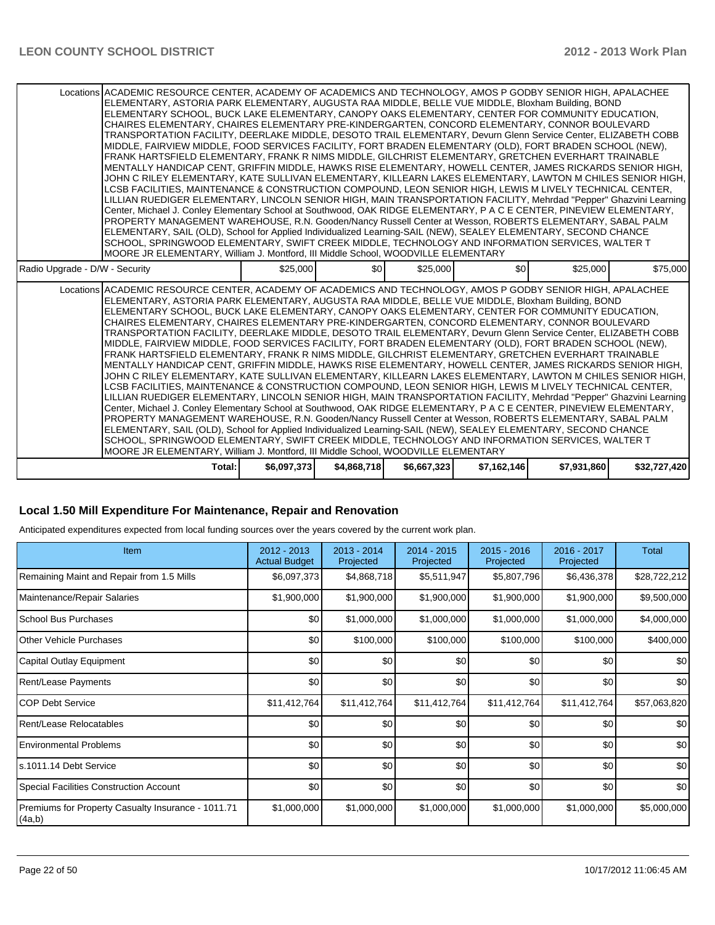#### **Local 1.50 Mill Expenditure For Maintenance, Repair and Renovation**

Anticipated expenditures expected from local funding sources over the years covered by the current work plan.

| <b>Item</b>                                                  | 2012 - 2013<br><b>Actual Budget</b> | 2013 - 2014<br>Projected | $2014 - 2015$<br>Projected | $2015 - 2016$<br>Projected | 2016 - 2017<br>Projected | Total        |
|--------------------------------------------------------------|-------------------------------------|--------------------------|----------------------------|----------------------------|--------------------------|--------------|
| Remaining Maint and Repair from 1.5 Mills                    | \$6,097,373                         | \$4,868,718              | \$5,511,947                | \$5,807,796                | \$6,436,378              | \$28,722,212 |
| Maintenance/Repair Salaries                                  | \$1,900,000                         | \$1,900,000              | \$1,900,000                | \$1,900,000                | \$1,900,000              | \$9,500,000  |
| School Bus Purchases                                         | \$0                                 | \$1,000,000              | \$1,000,000                | \$1,000,000                | \$1,000,000              | \$4,000,000  |
| <b>Other Vehicle Purchases</b>                               | \$0                                 | \$100,000                | \$100,000                  | \$100,000                  | \$100,000                | \$400,000    |
| Capital Outlay Equipment                                     | \$0                                 | \$0                      | \$0                        | \$0                        | \$0                      | \$0          |
| <b>Rent/Lease Payments</b>                                   | \$0                                 | \$0                      | \$0                        | \$0                        | \$0                      | \$0          |
| ICOP Debt Service                                            | \$11,412,764                        | \$11,412,764             | \$11,412,764               | \$11,412,764               | \$11,412,764             | \$57,063,820 |
| Rent/Lease Relocatables                                      | \$0                                 | \$0                      | \$0                        | \$0                        | \$0                      | \$0          |
| <b>Environmental Problems</b>                                | \$0                                 | \$0                      | \$0                        | \$0                        | \$0                      | \$0          |
| ls.1011.14 Debt Service                                      | \$0                                 | \$0                      | \$0                        | \$0                        | \$0                      | \$0          |
| Special Facilities Construction Account                      | \$0                                 | \$0                      | \$0                        | \$0                        | \$0                      | \$0          |
| Premiums for Property Casualty Insurance - 1011.71<br>(4a,b) | \$1,000,000                         | \$1,000,000              | \$1,000,000                | \$1,000,000                | \$1,000,000              | \$5,000,000  |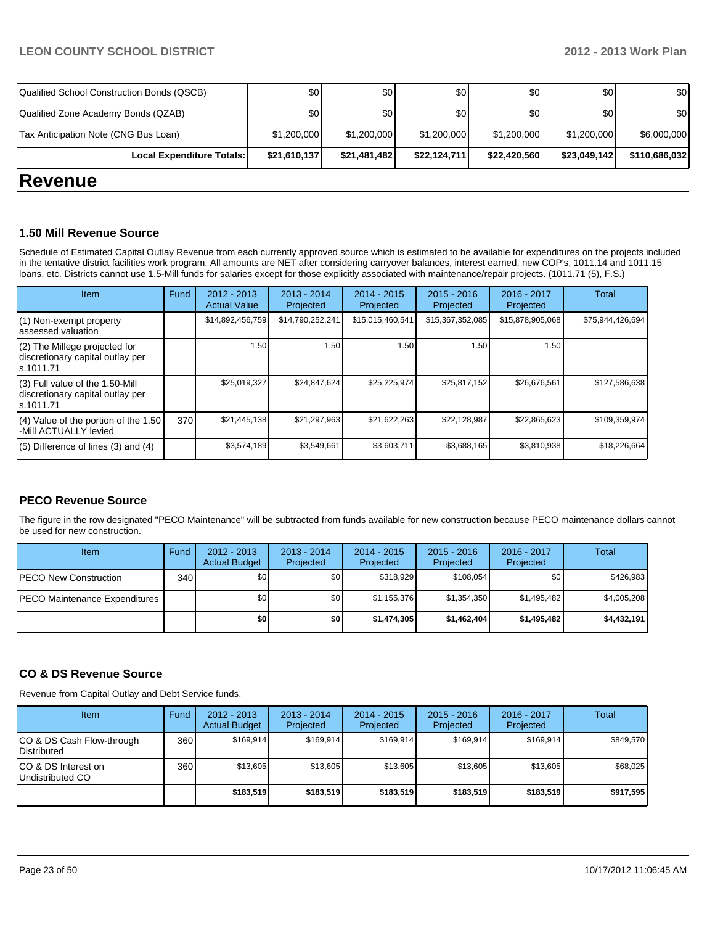| Local Expenditure Totals:                  | \$21,610,137 | \$21,481,482 | \$22,124,711 | \$22,420,560 | \$23,049,142 | \$110,686,032 |
|--------------------------------------------|--------------|--------------|--------------|--------------|--------------|---------------|
| Tax Anticipation Note (CNG Bus Loan)       | \$1,200,000  | \$1,200,000  | \$1,200,000  | \$1,200,000  | \$1,200,000  | \$6,000,000   |
| Qualified Zone Academy Bonds (QZAB)        | \$0          | \$0          | \$0          | \$0          | \$٥Ι         | \$0           |
| Qualified School Construction Bonds (QSCB) | \$0          | \$0 I        | \$0          | \$0          | \$٥Ι         | \$0           |

### **Revenue**

#### **1.50 Mill Revenue Source**

Schedule of Estimated Capital Outlay Revenue from each currently approved source which is estimated to be available for expenditures on the projects included in the tentative district facilities work program. All amounts are NET after considering carryover balances, interest earned, new COP's, 1011.14 and 1011.15 loans, etc. Districts cannot use 1.5-Mill funds for salaries except for those explicitly associated with maintenance/repair projects. (1011.71 (5), F.S.)

| Item                                                                              | Fund | $2012 - 2013$<br><b>Actual Value</b> | $2013 - 2014$<br>Projected | $2014 - 2015$<br>Projected | $2015 - 2016$<br>Projected | 2016 - 2017<br>Projected | Total            |
|-----------------------------------------------------------------------------------|------|--------------------------------------|----------------------------|----------------------------|----------------------------|--------------------------|------------------|
| (1) Non-exempt property<br>assessed valuation                                     |      | \$14,892,456,759                     | \$14,790,252,241           | \$15,015,460,541           | \$15,367,352,085           | \$15,878,905,068         | \$75,944,426,694 |
| (2) The Millege projected for<br>discretionary capital outlay per<br>ls.1011.71   |      | 1.50                                 | 1.50                       | 1.50                       | 1.50                       | 1.50                     |                  |
| (3) Full value of the 1.50-Mill<br>discretionary capital outlay per<br>ls.1011.71 |      | \$25.019.327                         | \$24.847.624               | \$25,225,974               | \$25,817,152               | \$26.676.561             | \$127,586,638    |
| $(4)$ Value of the portion of the 1.50<br>-Mill ACTUALLY levied                   | 370  | \$21,445,138                         | \$21,297,963               | \$21,622,263               | \$22,128,987               | \$22,865,623             | \$109,359,974    |
| $(5)$ Difference of lines $(3)$ and $(4)$                                         |      | \$3,574,189                          | \$3,549,661                | \$3,603,711                | \$3,688,165                | \$3,810,938              | \$18,226,664     |

#### **PECO Revenue Source**

The figure in the row designated "PECO Maintenance" will be subtracted from funds available for new construction because PECO maintenance dollars cannot be used for new construction.

| Item                          | Fund | $2012 - 2013$<br><b>Actual Budget</b> | $2013 - 2014$<br>Projected | $2014 - 2015$<br>Projected | $2015 - 2016$<br>Projected | 2016 - 2017<br>Projected | Total       |
|-------------------------------|------|---------------------------------------|----------------------------|----------------------------|----------------------------|--------------------------|-------------|
| IPECO New Construction        | 340  | \$0                                   | \$0                        | \$318.929                  | \$108.054                  | \$0                      | \$426,983   |
| PECO Maintenance Expenditures |      | \$0                                   | \$0                        | \$1,155,376                | \$1,354,350                | \$1,495,482              | \$4,005,208 |
|                               |      | \$0                                   | \$0                        | \$1,474,305                | \$1,462,404                | \$1,495,482              | \$4,432,191 |

#### **CO & DS Revenue Source**

Revenue from Capital Outlay and Debt Service funds.

| <b>Item</b>                                        | Fund | $2012 - 2013$<br><b>Actual Budget</b> | $2013 - 2014$<br>Projected | $2014 - 2015$<br>Projected | $2015 - 2016$<br>Projected | $2016 - 2017$<br>Projected | <b>Total</b> |
|----------------------------------------------------|------|---------------------------------------|----------------------------|----------------------------|----------------------------|----------------------------|--------------|
| ICO & DS Cash Flow-through<br><b>I</b> Distributed | 360  | \$169.914                             | \$169.914                  | \$169.914                  | \$169.914                  | \$169.914                  | \$849.570    |
| ICO & DS Interest on<br>Undistributed CO           | 360  | \$13,605                              | \$13,605                   | \$13.605                   | \$13,605                   | \$13,605                   | \$68,025     |
|                                                    |      | \$183,519                             | \$183.519                  | \$183.519                  | \$183,519                  | \$183.519                  | \$917,595    |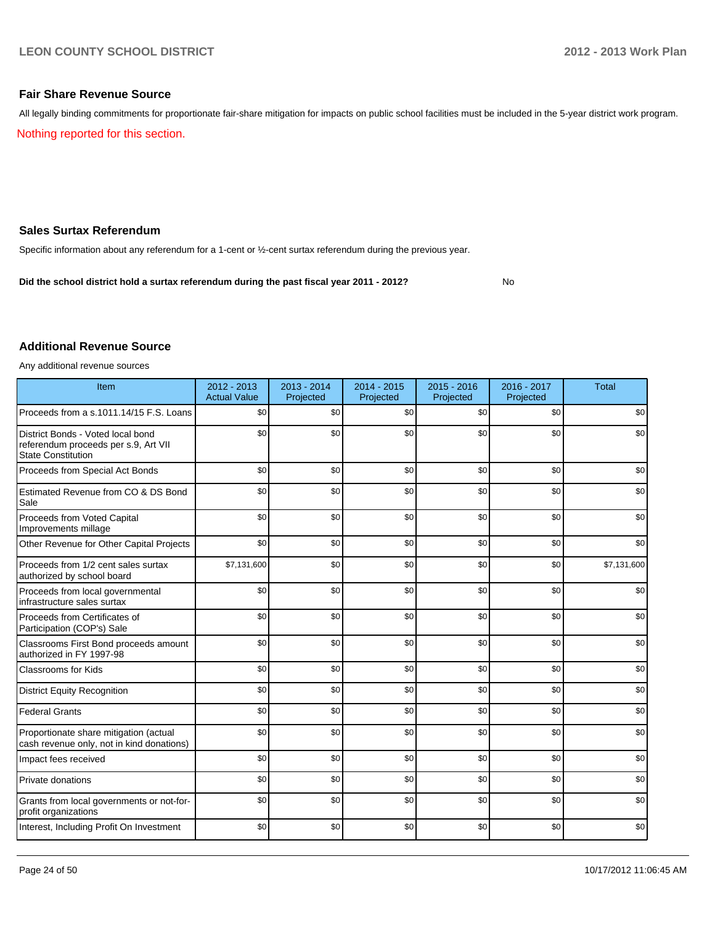No

#### **Fair Share Revenue Source**

Nothing reported for this section. All legally binding commitments for proportionate fair-share mitigation for impacts on public school facilities must be included in the 5-year district work program.

#### **Sales Surtax Referendum**

Specific information about any referendum for a 1-cent or ½-cent surtax referendum during the previous year.

**Did the school district hold a surtax referendum during the past fiscal year 2011 - 2012?**

#### **Additional Revenue Source**

Any additional revenue sources

| Item                                                                                                   | 2012 - 2013<br><b>Actual Value</b> | 2013 - 2014<br>Projected | 2014 - 2015<br>Projected | $2015 - 2016$<br>Projected | 2016 - 2017<br>Projected | <b>Total</b> |
|--------------------------------------------------------------------------------------------------------|------------------------------------|--------------------------|--------------------------|----------------------------|--------------------------|--------------|
| Proceeds from a s.1011.14/15 F.S. Loans                                                                | \$0                                | \$0                      | \$0                      | \$0                        | \$0                      | \$0          |
| District Bonds - Voted local bond<br>referendum proceeds per s.9, Art VII<br><b>State Constitution</b> | \$0                                | \$0                      | \$0                      | \$0                        | \$0                      | \$0          |
| Proceeds from Special Act Bonds                                                                        | \$0                                | \$0                      | \$0                      | \$0                        | \$0                      | \$0          |
| Estimated Revenue from CO & DS Bond<br>Sale                                                            | \$0                                | \$0                      | \$0                      | \$0                        | \$0                      | \$0          |
| Proceeds from Voted Capital<br>Improvements millage                                                    | \$0                                | \$0                      | \$0                      | \$0                        | \$0                      | \$0          |
| Other Revenue for Other Capital Projects                                                               | \$0                                | \$0                      | \$0                      | \$0                        | \$0                      | \$0          |
| Proceeds from 1/2 cent sales surtax<br>authorized by school board                                      | \$7,131,600                        | \$0                      | \$0                      | \$0                        | \$0                      | \$7,131,600  |
| Proceeds from local governmental<br>infrastructure sales surtax                                        | \$0                                | \$0                      | \$0                      | \$0                        | \$0                      | \$0          |
| Proceeds from Certificates of<br>Participation (COP's) Sale                                            | \$0                                | \$0                      | \$0                      | \$0                        | \$0                      | \$0          |
| Classrooms First Bond proceeds amount<br>authorized in FY 1997-98                                      | \$0                                | \$0                      | \$0                      | \$0                        | \$0                      | \$0          |
| <b>Classrooms for Kids</b>                                                                             | \$0                                | \$0                      | \$0                      | \$0                        | \$0                      | \$0          |
| <b>District Equity Recognition</b>                                                                     | \$0                                | \$0                      | \$0                      | \$0                        | \$0                      | \$0          |
| <b>Federal Grants</b>                                                                                  | \$0                                | \$0                      | \$0                      | \$0                        | \$0                      | \$0          |
| Proportionate share mitigation (actual<br>cash revenue only, not in kind donations)                    | \$0                                | \$0                      | \$0                      | \$0                        | \$0                      | \$0          |
| Impact fees received                                                                                   | \$0                                | \$0                      | \$0                      | \$0                        | \$0                      | \$0          |
| Private donations                                                                                      | \$0                                | \$0                      | \$0                      | \$0                        | \$0                      | \$0          |
| Grants from local governments or not-for-<br>profit organizations                                      | \$0                                | \$0                      | \$0                      | \$0                        | \$0                      | \$0          |
| Interest, Including Profit On Investment                                                               | \$0                                | \$0                      | \$0                      | \$0                        | \$0                      | \$0          |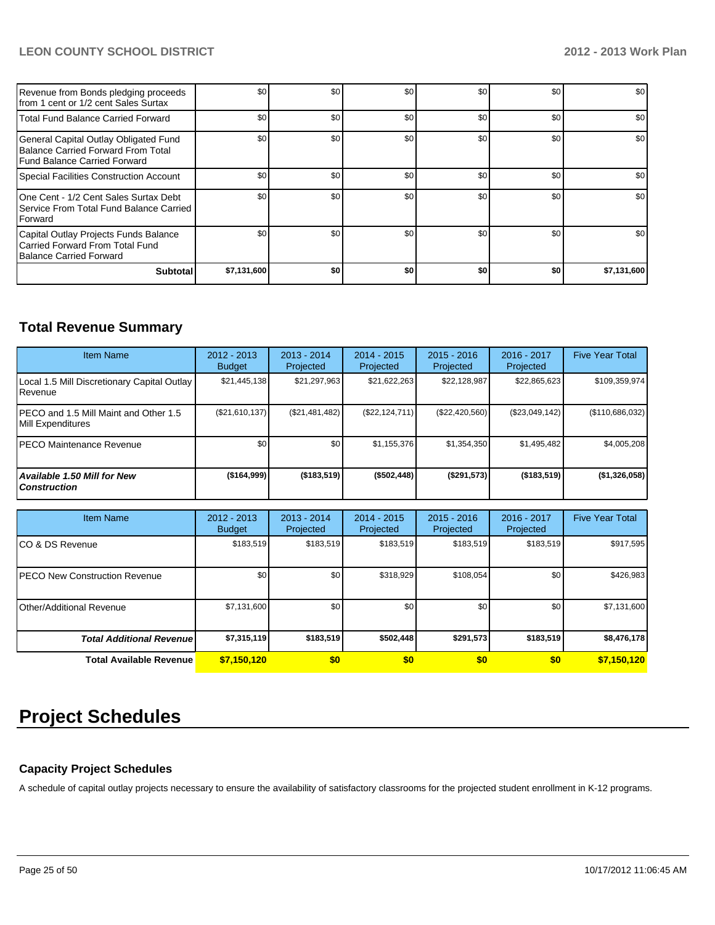| Revenue from Bonds pledging proceeds<br>Ifrom 1 cent or 1/2 cent Sales Surtax                               | \$0         | \$0 | \$0 | \$0 | \$0 | \$0         |
|-------------------------------------------------------------------------------------------------------------|-------------|-----|-----|-----|-----|-------------|
| Total Fund Balance Carried Forward                                                                          | \$0         | \$0 | \$0 | \$0 | \$0 | \$0         |
| General Capital Outlay Obligated Fund<br>Balance Carried Forward From Total<br>Fund Balance Carried Forward | \$0         | \$0 | \$0 | \$0 | \$0 | \$0         |
| Special Facilities Construction Account                                                                     | \$0         | \$0 | \$0 | \$0 | \$0 | \$0         |
| One Cent - 1/2 Cent Sales Surtax Debt<br>Service From Total Fund Balance Carried<br><b>IForward</b>         | \$0         | \$0 | \$0 | \$0 | \$0 | \$0         |
| Capital Outlay Projects Funds Balance<br>Carried Forward From Total Fund<br>Balance Carried Forward         | \$0         | \$0 | \$0 | \$0 | \$0 | \$0         |
| <b>Subtotal</b>                                                                                             | \$7,131,600 | \$0 | \$0 | \$0 | \$0 | \$7,131,600 |

# **Total Revenue Summary**

| <b>Item Name</b>                                            | $2012 - 2013$<br><b>Budget</b> | $2013 - 2014$<br>Projected | $2014 - 2015$<br><b>Projected</b> | $2015 - 2016$<br>Projected | $2016 - 2017$<br>Projected | <b>Five Year Total</b> |
|-------------------------------------------------------------|--------------------------------|----------------------------|-----------------------------------|----------------------------|----------------------------|------------------------|
| Local 1.5 Mill Discretionary Capital Outlay<br>Revenue      | \$21,445,138                   | \$21,297,963               | \$21,622,263                      | \$22,128,987               | \$22,865,623               | \$109,359,974          |
| IPECO and 1.5 Mill Maint and Other 1.5<br>Mill Expenditures | (\$21,610,137)                 | (\$21,481,482)             | (\$22, 124, 711)                  | $(\$22,420,560)$           | (\$23,049,142)             | (\$110,686,032)        |
| IPECO Maintenance Revenue                                   | \$0 <sub>1</sub>               | \$0                        | \$1,155,376                       | \$1,354,350                | \$1,495,482                | \$4,005,208            |
| <b>Available 1.50 Mill for New</b><br><b>Construction</b>   | (\$164,999]                    | $($ \$183,519)             | (\$502,448)                       | (S291, 573)                | ( \$183, 519)              | (\$1,326,058)          |

| <b>Item Name</b>                 | 2012 - 2013<br><b>Budget</b> | $2013 - 2014$<br>Projected | $2014 - 2015$<br>Projected | $2015 - 2016$<br>Projected | 2016 - 2017<br>Projected | <b>Five Year Total</b> |
|----------------------------------|------------------------------|----------------------------|----------------------------|----------------------------|--------------------------|------------------------|
| ICO & DS Revenue                 | \$183,519                    | \$183,519                  | \$183,519                  | \$183,519                  | \$183,519                | \$917,595              |
| IPECO New Construction Revenue   | \$0                          | \$0                        | \$318,929                  | \$108,054                  | \$0                      | \$426,983              |
| <b>Other/Additional Revenue</b>  | \$7,131,600                  | \$0                        | \$0                        | \$0                        | \$0                      | \$7,131,600            |
| <b>Total Additional Revenuel</b> | \$7,315,119                  | \$183,519                  | \$502,448                  | \$291,573                  | \$183,519                | \$8,476,178            |
| <b>Total Available Revenue</b>   | \$7,150,120                  | \$0                        | \$0                        | \$0                        | \$0                      | \$7,150,120            |

# **Project Schedules**

#### **Capacity Project Schedules**

A schedule of capital outlay projects necessary to ensure the availability of satisfactory classrooms for the projected student enrollment in K-12 programs.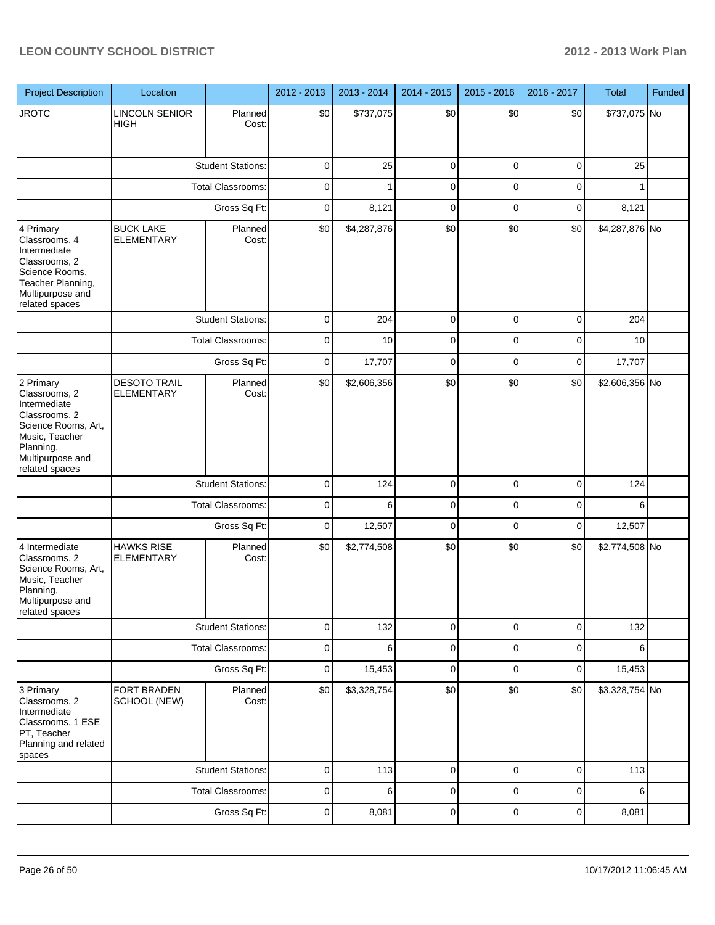| <b>Project Description</b>                                                                                                                              | Location                                 |                          | 2012 - 2013 | 2013 - 2014 | 2014 - 2015 | 2015 - 2016 | 2016 - 2017 | Total          | Funded |
|---------------------------------------------------------------------------------------------------------------------------------------------------------|------------------------------------------|--------------------------|-------------|-------------|-------------|-------------|-------------|----------------|--------|
| <b>JROTC</b>                                                                                                                                            | <b>LINCOLN SENIOR</b><br>HIGH            | Planned<br>Cost:         | \$0         | \$737,075   | \$0         | \$0         | \$0         | \$737,075 No   |        |
|                                                                                                                                                         |                                          | <b>Student Stations:</b> | $\mathbf 0$ | 25          | $\mathbf 0$ | $\mathbf 0$ | $\mathbf 0$ | 25             |        |
|                                                                                                                                                         |                                          | <b>Total Classrooms:</b> | $\mathbf 0$ | 1           | $\mathbf 0$ | $\mathbf 0$ | $\mathbf 0$ | 1              |        |
|                                                                                                                                                         |                                          | Gross Sq Ft:             | $\mathbf 0$ | 8,121       | $\mathbf 0$ | $\mathbf 0$ | $\mathbf 0$ | 8,121          |        |
| 4 Primary<br>Classrooms, 4<br>Intermediate<br>Classrooms, 2<br>Science Rooms,<br>Teacher Planning,<br>Multipurpose and<br>related spaces                | <b>BUCK LAKE</b><br><b>ELEMENTARY</b>    | Planned<br>Cost:         | \$0         | \$4,287,876 | \$0         | \$0         | \$0         | \$4,287,876 No |        |
|                                                                                                                                                         |                                          | <b>Student Stations:</b> | $\mathbf 0$ | 204         | $\mathbf 0$ | $\mathbf 0$ | $\mathbf 0$ | 204            |        |
|                                                                                                                                                         |                                          | <b>Total Classrooms:</b> | $\mathbf 0$ | 10          | $\mathbf 0$ | $\mathbf 0$ | $\mathbf 0$ | 10             |        |
|                                                                                                                                                         |                                          | Gross Sq Ft:             | $\mathbf 0$ | 17,707      | $\mathbf 0$ | $\mathbf 0$ | $\mathbf 0$ | 17,707         |        |
| 2 Primary<br>Classrooms, 2<br>Intermediate<br>Classrooms, 2<br>Science Rooms, Art,<br>Music, Teacher<br>Planning,<br>Multipurpose and<br>related spaces | <b>DESOTO TRAIL</b><br><b>ELEMENTARY</b> | Planned<br>Cost:         | \$0         | \$2,606,356 | \$0         | \$0         | \$0         | \$2,606,356 No |        |
|                                                                                                                                                         |                                          | <b>Student Stations:</b> | $\mathbf 0$ | 124         | $\mathbf 0$ | $\mathbf 0$ | $\mathbf 0$ | 124            |        |
|                                                                                                                                                         |                                          | Total Classrooms:        | $\mathbf 0$ | 6           | $\mathbf 0$ | $\mathbf 0$ | $\mathbf 0$ | 6              |        |
|                                                                                                                                                         |                                          | Gross Sq Ft:             | $\mathbf 0$ | 12,507      | $\mathbf 0$ | $\mathbf 0$ | $\mathbf 0$ | 12,507         |        |
| 4 Intermediate<br>Classrooms, 2<br>Science Rooms, Art,<br>Music, Teacher<br>Planning,<br>Multipurpose and<br>related spaces                             | <b>HAWKS RISE</b><br>ELEMENTARY          | Planned<br>Cost:         | \$0         | \$2,774,508 | \$0         | \$0         | \$0         | \$2,774,508 No |        |
|                                                                                                                                                         |                                          | <b>Student Stations:</b> | $\mathbf 0$ | 132         | $\mathbf 0$ | $\mathbf 0$ | $\mathbf 0$ | 132            |        |
|                                                                                                                                                         |                                          | Total Classrooms:        | $\mathbf 0$ | 6           | $\mathbf 0$ | $\mathbf 0$ | $\mathbf 0$ | 6              |        |
|                                                                                                                                                         |                                          | Gross Sq Ft:             | $\mathbf 0$ | 15,453      | $\mathbf 0$ | $\mathbf 0$ | $\mathbf 0$ | 15,453         |        |
| 3 Primary<br>Classrooms, 2<br>Intermediate<br>Classrooms, 1 ESE<br>PT, Teacher<br>Planning and related<br>spaces                                        | FORT BRADEN<br>SCHOOL (NEW)              | Planned<br>Cost:         | \$0         | \$3,328,754 | \$0         | \$0         | \$0         | \$3,328,754 No |        |
|                                                                                                                                                         |                                          | <b>Student Stations:</b> | $\mathbf 0$ | 113         | $\mathbf 0$ | $\mathbf 0$ | $\mathbf 0$ | 113            |        |
|                                                                                                                                                         |                                          | <b>Total Classrooms:</b> | $\mathbf 0$ | 6           | $\mathbf 0$ | $\mathbf 0$ | $\mathbf 0$ | 6              |        |
|                                                                                                                                                         |                                          | Gross Sq Ft:             | $\mathbf 0$ | 8,081       | $\mathbf 0$ | $\mathbf 0$ | $\mathbf 0$ | 8,081          |        |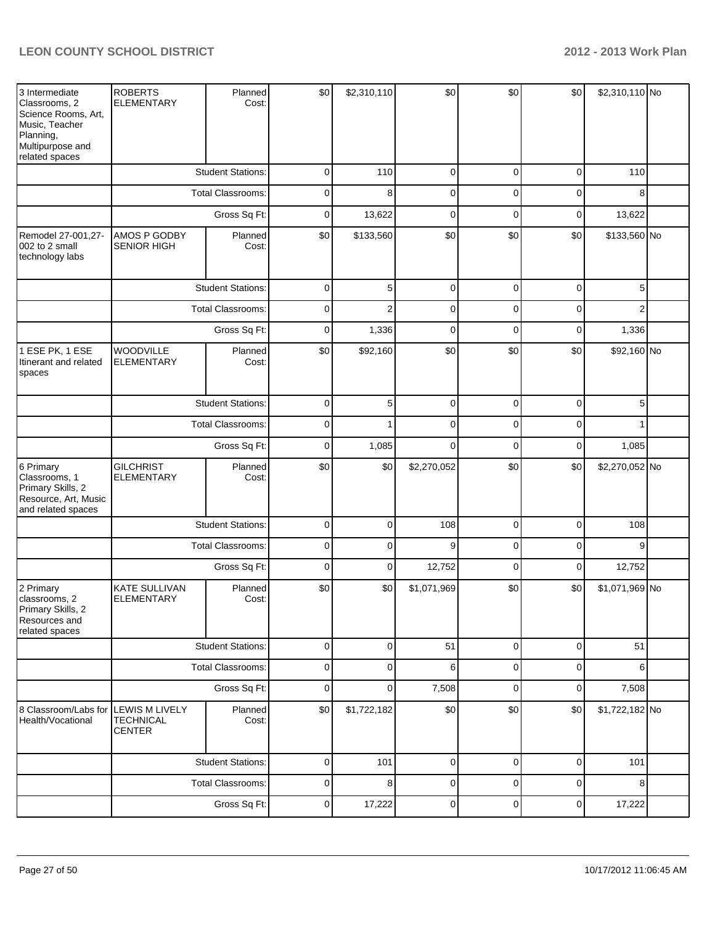| 3 Intermediate<br>Classrooms, 2<br>Science Rooms, Art,<br>Music, Teacher<br>Planning,<br>Multipurpose and<br>related spaces | <b>ROBERTS</b><br><b>ELEMENTARY</b>                        | Planned<br>Cost:         | \$0         | \$2,310,110    | \$0         | \$0         | \$0]        | \$2,310,110 No |  |
|-----------------------------------------------------------------------------------------------------------------------------|------------------------------------------------------------|--------------------------|-------------|----------------|-------------|-------------|-------------|----------------|--|
|                                                                                                                             |                                                            | <b>Student Stations:</b> | 0           | 110            | $\mathbf 0$ | 0           | $\mathbf 0$ | 110            |  |
|                                                                                                                             |                                                            | <b>Total Classrooms:</b> | 0           | 8              | $\mathbf 0$ | 0           | 0           | 8              |  |
|                                                                                                                             |                                                            | Gross Sq Ft:             | 0           | 13,622         | $\mathbf 0$ | $\mathbf 0$ | $\mathbf 0$ | 13,622         |  |
| Remodel 27-001,27-<br>002 to 2 small<br>technology labs                                                                     | AMOS P GODBY<br><b>SENIOR HIGH</b>                         | Planned<br>Cost:         | \$0         | \$133,560      | \$0         | \$0         | \$0         | \$133,560 No   |  |
|                                                                                                                             |                                                            | <b>Student Stations:</b> |             | 5              | $\mathbf 0$ | $\mathbf 0$ | $\pmb{0}$   | 5              |  |
|                                                                                                                             |                                                            | <b>Total Classrooms:</b> | 0           | $\overline{2}$ | $\mathbf 0$ | $\mathbf 0$ | $\mathbf 0$ | $\overline{2}$ |  |
|                                                                                                                             |                                                            | Gross Sq Ft:             | 0           | 1,336          | $\mathbf 0$ | $\mathbf 0$ | $\mathbf 0$ | 1,336          |  |
| 1 ESE PK, 1 ESE<br>Itinerant and related<br>spaces                                                                          | <b>WOODVILLE</b><br><b>ELEMENTARY</b>                      | Planned<br>Cost:         | \$0         | \$92,160       | \$0         | \$0         | \$0         | \$92,160 No    |  |
|                                                                                                                             |                                                            | <b>Student Stations:</b> | 0           | 5              | $\mathbf 0$ | $\mathbf 0$ | $\mathbf 0$ | 5              |  |
|                                                                                                                             |                                                            | <b>Total Classrooms:</b> | 0           | 1              | $\mathbf 0$ | $\mathbf 0$ | $\mathbf 0$ | 1              |  |
|                                                                                                                             |                                                            | Gross Sq Ft:             | $\mathbf 0$ | 1,085          | $\mathbf 0$ | $\mathbf 0$ | $\mathbf 0$ | 1,085          |  |
| 6 Primary<br>Classrooms, 1<br>Primary Skills, 2<br>Resource, Art, Music<br>and related spaces                               | <b>GILCHRIST</b><br>ELEMENTARY                             | Planned<br>Cost:         | \$0         | \$0            | \$2,270,052 | \$0         | \$0         | \$2,270,052 No |  |
|                                                                                                                             |                                                            | <b>Student Stations:</b> |             | $\mathbf 0$    | 108         | $\mathbf 0$ | $\mathbf 0$ | 108            |  |
|                                                                                                                             |                                                            | Total Classrooms:        | $\mathbf 0$ | $\mathbf 0$    | 9           | $\mathbf 0$ | $\mathbf 0$ | 9              |  |
|                                                                                                                             |                                                            | Gross Sq Ft:             | $\mathbf 0$ | $\mathbf 0$    | 12,752      | $\mathbf 0$ | $\mathbf 0$ | 12,752         |  |
| 2 Primary<br>classrooms, 2<br>Primary Skills, 2<br>Resources and<br>related spaces                                          | <b>KATE SULLIVAN</b><br><b>ELEMENTARY</b>                  | Planned<br>Cost:         | \$0         | \$0            | \$1,071,969 | \$0         | \$0         | \$1,071,969 No |  |
|                                                                                                                             |                                                            | <b>Student Stations:</b> | $\pmb{0}$   | $\mathbf 0$    | 51          | $\mathbf 0$ | $\mathbf 0$ | 51             |  |
|                                                                                                                             |                                                            | Total Classrooms:        | $\pmb{0}$   | $\mathbf 0$    | 6           | $\mathbf 0$ | $\mathbf 0$ | 6              |  |
|                                                                                                                             |                                                            | Gross Sq Ft:             | $\mathbf 0$ | $\mathbf 0$    | 7,508       | $\mathbf 0$ | $\mathbf 0$ | 7,508          |  |
| 8 Classroom/Labs for<br>Health/Vocational                                                                                   | <b>LEWIS M LIVELY</b><br><b>TECHNICAL</b><br><b>CENTER</b> | Planned<br>Cost:         | \$0         | \$1,722,182    | \$0         | \$0         | \$0         | \$1,722,182 No |  |
|                                                                                                                             |                                                            | <b>Student Stations:</b> | $\pmb{0}$   | 101            | $\pmb{0}$   | $\mathbf 0$ | $\mathbf 0$ | 101            |  |
|                                                                                                                             |                                                            | Total Classrooms:        | $\pmb{0}$   | 8              | $\pmb{0}$   | $\mathbf 0$ | $\pmb{0}$   | 8              |  |
|                                                                                                                             |                                                            | Gross Sq Ft:             | $\pmb{0}$   | 17,222         | $\pmb{0}$   | $\mathbf 0$ | $\pmb{0}$   | 17,222         |  |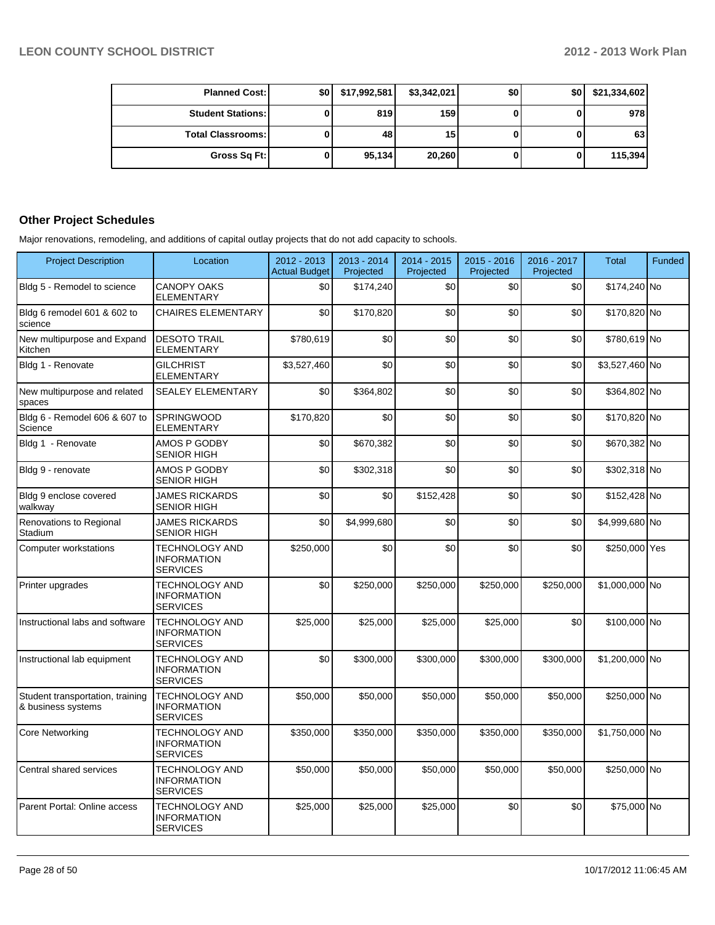| <b>Planned Cost:</b>     | \$01 | \$17,992,581 | \$3,342,021 | \$0 | \$0 | \$21,334,602 |
|--------------------------|------|--------------|-------------|-----|-----|--------------|
| <b>Student Stations:</b> |      | 819          | <b>159</b>  |     |     | 978          |
| <b>Total Classrooms:</b> |      | 48           | 15          |     |     | 63           |
| Gross Sq Ft:             |      | 95,134       | 20,260      |     |     | 115,394      |

#### **Other Project Schedules**

Major renovations, remodeling, and additions of capital outlay projects that do not add capacity to schools.

| <b>Project Description</b>                             | Location                                                       | 2012 - 2013<br><b>Actual Budget</b> | 2013 - 2014<br>Projected | 2014 - 2015<br>Projected | $2015 - 2016$<br>Projected | 2016 - 2017<br>Projected | <b>Total</b>   | <b>Funded</b> |
|--------------------------------------------------------|----------------------------------------------------------------|-------------------------------------|--------------------------|--------------------------|----------------------------|--------------------------|----------------|---------------|
| Bldg 5 - Remodel to science                            | <b>CANOPY OAKS</b><br><b>ELEMENTARY</b>                        | \$0                                 | \$174,240                | \$0                      | \$0                        | \$0                      | \$174,240 No   |               |
| Bldg 6 remodel 601 & 602 to<br>science                 | <b>CHAIRES ELEMENTARY</b>                                      | \$0                                 | \$170,820                | \$0                      | \$0                        | \$0                      | \$170,820 No   |               |
| New multipurpose and Expand<br>Kitchen                 | <b>DESOTO TRAIL</b><br><b>ELEMENTARY</b>                       | \$780,619                           | \$0                      | \$0                      | \$0                        | \$0                      | \$780,619 No   |               |
| Bldg 1 - Renovate                                      | <b>GILCHRIST</b><br><b>ELEMENTARY</b>                          | \$3,527,460                         | \$0                      | \$0                      | \$0                        | \$0                      | \$3,527,460 No |               |
| New multipurpose and related<br>spaces                 | <b>SEALEY ELEMENTARY</b>                                       | \$0                                 | \$364,802                | \$0                      | \$0                        | \$0                      | \$364,802 No   |               |
| Bldg 6 - Remodel 606 & 607 to<br>Science               | <b>SPRINGWOOD</b><br><b>ELEMENTARY</b>                         | \$170,820                           | \$0                      | \$0                      | \$0                        | \$0                      | \$170,820 No   |               |
| Bldg 1 - Renovate                                      | AMOS P GODBY<br><b>SENIOR HIGH</b>                             | \$0                                 | \$670,382                | \$0                      | \$0                        | \$0                      | \$670,382 No   |               |
| Bldg 9 - renovate                                      | AMOS P GODBY<br><b>SENIOR HIGH</b>                             | \$0                                 | \$302,318                | \$0                      | \$0                        | \$0                      | \$302,318 No   |               |
| Bldg 9 enclose covered<br>walkway                      | <b>JAMES RICKARDS</b><br>SENIOR HIGH                           | \$0                                 | \$0                      | \$152,428                | \$0                        | \$0                      | \$152,428 No   |               |
| Renovations to Regional<br>Stadium                     | <b>JAMES RICKARDS</b><br><b>SENIOR HIGH</b>                    | \$0                                 | \$4.999.680              | \$0                      | \$0                        | \$0                      | \$4,999,680 No |               |
| Computer workstations                                  | TECHNOLOGY AND<br><b>INFORMATION</b><br><b>SERVICES</b>        | \$250,000                           | \$0                      | \$0                      | \$0                        | \$0                      | \$250,000 Yes  |               |
| Printer upgrades                                       | <b>TECHNOLOGY AND</b><br><b>INFORMATION</b><br><b>SERVICES</b> | \$0                                 | \$250,000                | \$250,000                | \$250,000                  | \$250,000                | \$1,000,000 No |               |
| Instructional labs and software                        | <b>TECHNOLOGY AND</b><br><b>INFORMATION</b><br><b>SERVICES</b> | \$25,000                            | \$25,000                 | \$25,000                 | \$25,000                   | \$0                      | \$100,000 No   |               |
| Instructional lab equipment                            | <b>TECHNOLOGY AND</b><br><b>INFORMATION</b><br><b>SERVICES</b> | \$0                                 | \$300,000                | \$300,000                | \$300,000                  | \$300,000                | \$1,200,000 No |               |
| Student transportation, training<br>& business systems | <b>TECHNOLOGY AND</b><br><b>INFORMATION</b><br><b>SERVICES</b> | \$50,000                            | \$50,000                 | \$50,000                 | \$50,000                   | \$50,000                 | \$250,000 No   |               |
| <b>Core Networking</b>                                 | <b>TECHNOLOGY AND</b><br><b>INFORMATION</b><br><b>SERVICES</b> | \$350,000                           | \$350,000                | \$350,000                | \$350,000                  | \$350,000                | \$1,750,000 No |               |
| Central shared services                                | <b>TECHNOLOGY AND</b><br><b>INFORMATION</b><br><b>SERVICES</b> | \$50,000                            | \$50,000                 | \$50,000                 | \$50,000                   | \$50,000                 | \$250,000 No   |               |
| Parent Portal: Online access                           | <b>TECHNOLOGY AND</b><br><b>INFORMATION</b><br><b>SERVICES</b> | \$25,000                            | \$25,000                 | \$25,000                 | \$0                        | \$0                      | \$75,000 No    |               |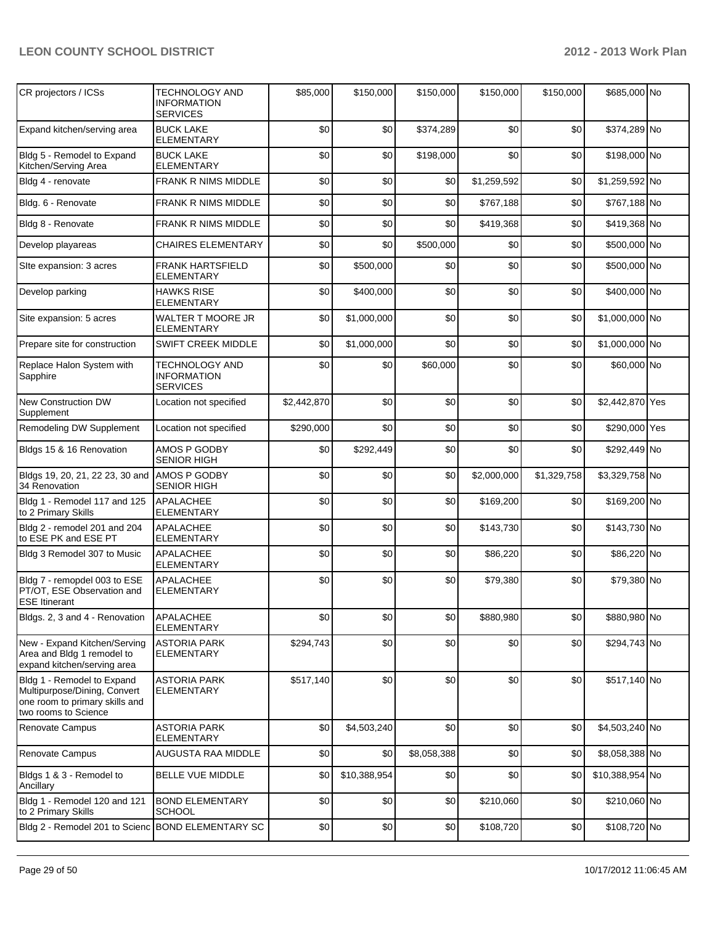| CR projectors / ICSs                                                                                                 | TECHNOLOGY AND<br><b>INFORMATION</b><br><b>SERVICES</b>        | \$85,000    | \$150,000    | \$150,000   | \$150,000   | \$150,000   | \$685,000 No    |  |
|----------------------------------------------------------------------------------------------------------------------|----------------------------------------------------------------|-------------|--------------|-------------|-------------|-------------|-----------------|--|
| Expand kitchen/serving area                                                                                          | <b>BUCK LAKE</b><br><b>ELEMENTARY</b>                          | \$0         | \$0          | \$374,289   | \$0         | \$0         | \$374,289 No    |  |
| Bldg 5 - Remodel to Expand<br>Kitchen/Serving Area                                                                   | <b>BUCK LAKE</b><br><b>ELEMENTARY</b>                          | \$0         | \$0          | \$198,000   | \$0         | \$0         | \$198,000 No    |  |
| Bldg 4 - renovate                                                                                                    | FRANK R NIMS MIDDLE                                            | \$0         | \$0          | \$0         | \$1,259,592 | \$0         | \$1,259,592 No  |  |
| Bldg. 6 - Renovate                                                                                                   | FRANK R NIMS MIDDLE                                            | \$0         | \$0          | \$0         | \$767,188   | \$0         | \$767,188 No    |  |
| Bldg 8 - Renovate                                                                                                    | FRANK R NIMS MIDDLE                                            | \$0         | \$0          | \$0         | \$419,368   | \$0         | \$419,368 No    |  |
| Develop playareas                                                                                                    | <b>CHAIRES ELEMENTARY</b>                                      | \$0         | \$0          | \$500,000   | \$0         | \$0         | \$500,000 No    |  |
| Site expansion: 3 acres                                                                                              | <b>FRANK HARTSFIELD</b><br><b>ELEMENTARY</b>                   | \$0         | \$500,000    | \$0         | \$0         | \$0         | \$500,000 No    |  |
| Develop parking                                                                                                      | <b>HAWKS RISE</b><br><b>ELEMENTARY</b>                         | \$0         | \$400,000    | \$0         | \$0         | \$0         | \$400,000 No    |  |
| Site expansion: 5 acres                                                                                              | WALTER T MOORE JR<br><b>ELEMENTARY</b>                         | \$0         | \$1,000,000  | \$0         | \$0         | \$0         | \$1,000,000 No  |  |
| Prepare site for construction                                                                                        | <b>SWIFT CREEK MIDDLE</b>                                      | \$0         | \$1,000,000  | \$0         | \$0         | \$0         | \$1,000,000 No  |  |
| Replace Halon System with<br>Sapphire                                                                                | <b>TECHNOLOGY AND</b><br><b>INFORMATION</b><br><b>SERVICES</b> | \$0         | \$0          | \$60,000    | \$0         | \$0         | \$60,000 No     |  |
| New Construction DW<br>Supplement                                                                                    | Location not specified                                         | \$2,442,870 | \$0          | \$0         | \$0         | \$0         | \$2,442,870 Yes |  |
| Remodeling DW Supplement                                                                                             | Location not specified                                         | \$290,000   | \$0          | \$0         | \$0         | \$0         | \$290,000 Yes   |  |
| Bldgs 15 & 16 Renovation                                                                                             | AMOS P GODBY<br><b>SENIOR HIGH</b>                             | \$0         | \$292,449    | \$0         | \$0         | \$0         | \$292,449 No    |  |
| Bldgs 19, 20, 21, 22 23, 30 and<br>34 Renovation                                                                     | AMOS P GODBY<br><b>SENIOR HIGH</b>                             | \$0         | \$0          | \$0         | \$2,000,000 | \$1,329,758 | \$3,329,758 No  |  |
| Bldg 1 - Remodel 117 and 125<br>to 2 Primary Skills                                                                  | APALACHEE<br><b>ELEMENTARY</b>                                 | \$0         | \$0          | \$0         | \$169,200   | \$0         | \$169,200 No    |  |
| Bldg 2 - remodel 201 and 204<br>to ESE PK and ESE PT                                                                 | APALACHEE<br><b>ELEMENTARY</b>                                 | \$0         | \$0          | \$0         | \$143,730   | \$0         | \$143,730 No    |  |
| Bldg 3 Remodel 307 to Music                                                                                          | <b>APALACHEE</b><br><b>ELEMENTARY</b>                          | \$0         | \$0          | \$0         | \$86,220    | \$0         | \$86,220 No     |  |
| Bldg 7 - remopdel 003 to ESE<br>PT/OT, ESE Observation and<br><b>ESE Itinerant</b>                                   | APALACHEE<br><b>ELEMENTARY</b>                                 | \$0         | \$0          | \$0         | \$79,380    | \$0         | \$79,380 No     |  |
| Bldgs. 2, 3 and 4 - Renovation                                                                                       | APALACHEE<br><b>ELEMENTARY</b>                                 | \$0         | \$0          | \$0         | \$880,980   | \$0         | \$880,980 No    |  |
| New - Expand Kitchen/Serving<br>Area and Bldg 1 remodel to<br>expand kitchen/serving area                            | <b>ASTORIA PARK</b><br><b>ELEMENTARY</b>                       | \$294,743   | \$0          | \$0         | \$0         | \$0         | \$294,743 No    |  |
| Bldg 1 - Remodel to Expand<br>Multipurpose/Dining, Convert<br>one room to primary skills and<br>two rooms to Science | <b>ASTORIA PARK</b><br><b>ELEMENTARY</b>                       | \$517,140   | \$0          | \$0         | \$0         | \$0         | \$517,140 No    |  |
| Renovate Campus                                                                                                      | <b>ASTORIA PARK</b><br><b>ELEMENTARY</b>                       | \$0         | \$4,503,240  | \$0         | \$0         | \$0         | \$4,503,240 No  |  |
| Renovate Campus                                                                                                      | AUGUSTA RAA MIDDLE                                             | \$0         | \$0          | \$8,058,388 | \$0         | \$0         | \$8,058,388 No  |  |
| Bldgs 1 & 3 - Remodel to<br>Ancillary                                                                                | <b>BELLE VUE MIDDLE</b>                                        | \$0         | \$10,388,954 | \$0         | \$0         | \$0         | \$10,388,954 No |  |
| Bldg 1 - Remodel 120 and 121<br>to 2 Primary Skills                                                                  | <b>BOND ELEMENTARY</b><br><b>SCHOOL</b>                        | \$0         | \$0          | \$0         | \$210,060   | \$0         | \$210,060 No    |  |
| Bldg 2 - Remodel 201 to Scienc BOND ELEMENTARY SC                                                                    |                                                                | \$0         | \$0          | \$0         | \$108,720   | \$0         | \$108,720 No    |  |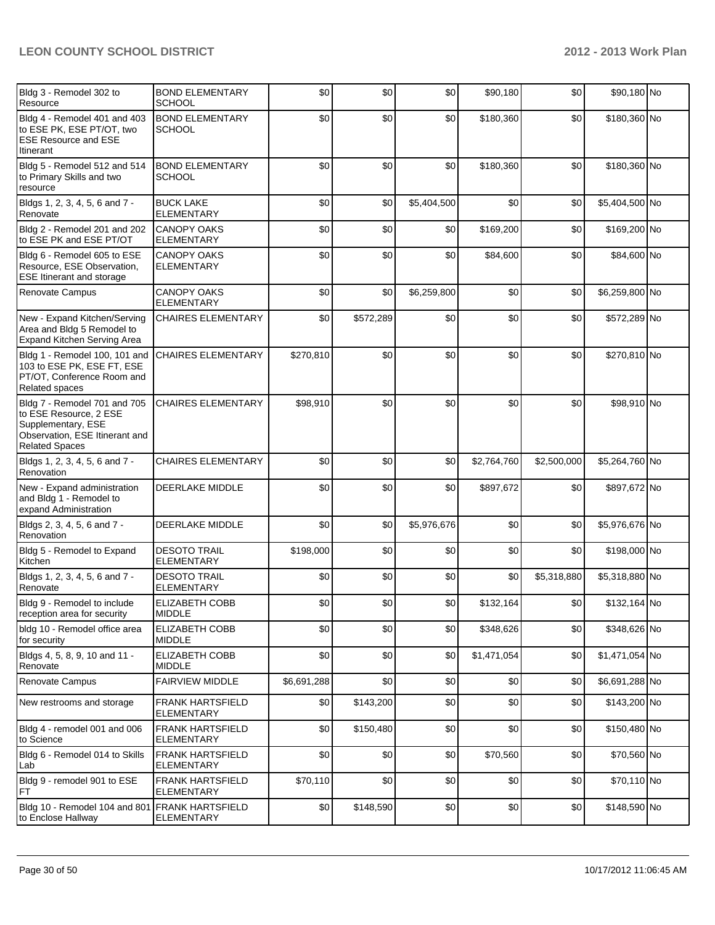| Bldg 3 - Remodel 302 to<br>Resource                                                                                                     | <b>BOND ELEMENTARY</b><br><b>SCHOOL</b>      | \$0         | \$0       | \$0         | \$90,180    | \$0         | \$90,180 No    |  |
|-----------------------------------------------------------------------------------------------------------------------------------------|----------------------------------------------|-------------|-----------|-------------|-------------|-------------|----------------|--|
| Bldg 4 - Remodel 401 and 403<br>to ESE PK, ESE PT/OT, two<br><b>ESE Resource and ESE</b><br>Itinerant                                   | <b>BOND ELEMENTARY</b><br><b>SCHOOL</b>      | \$0         | \$0       | \$0         | \$180,360   | \$0         | \$180,360 No   |  |
| Bldg 5 - Remodel 512 and 514<br>to Primary Skills and two<br>resource                                                                   | <b>BOND ELEMENTARY</b><br><b>SCHOOL</b>      | \$0         | \$0       | \$0         | \$180,360   | \$0         | \$180,360 No   |  |
| Bldgs 1, 2, 3, 4, 5, 6 and 7 -<br>Renovate                                                                                              | <b>BUCK LAKE</b><br><b>ELEMENTARY</b>        | \$0         | \$0       | \$5,404,500 | \$0         | \$0         | \$5,404,500 No |  |
| Bldg 2 - Remodel 201 and 202<br>to ESE PK and ESE PT/OT                                                                                 | <b>CANOPY OAKS</b><br><b>ELEMENTARY</b>      | \$0         | \$0       | \$0         | \$169,200   | \$0         | \$169,200 No   |  |
| Bldg 6 - Remodel 605 to ESE<br>Resource, ESE Observation,<br><b>ESE Itinerant and storage</b>                                           | <b>CANOPY OAKS</b><br><b>ELEMENTARY</b>      | \$0         | \$0       | \$0         | \$84,600    | \$0         | \$84,600 No    |  |
| <b>Renovate Campus</b>                                                                                                                  | <b>CANOPY OAKS</b><br><b>ELEMENTARY</b>      | \$0         | \$0       | \$6,259,800 | \$0         | \$0         | \$6,259,800 No |  |
| New - Expand Kitchen/Serving<br>Area and Bldg 5 Remodel to<br>Expand Kitchen Serving Area                                               | <b>CHAIRES ELEMENTARY</b>                    | \$0         | \$572,289 | \$0         | \$0         | \$0         | \$572,289 No   |  |
| Bldg 1 - Remodel 100, 101 and<br>103 to ESE PK, ESE FT, ESE<br>PT/OT, Conference Room and<br>Related spaces                             | <b>CHAIRES ELEMENTARY</b>                    | \$270,810   | \$0       | \$0         | \$0         | \$0         | \$270,810 No   |  |
| Bldg 7 - Remodel 701 and 705<br>to ESE Resource, 2 ESE<br>Supplementary, ESE<br>Observation, ESE Itinerant and<br><b>Related Spaces</b> | <b>CHAIRES ELEMENTARY</b>                    | \$98,910    | \$0       | \$0         | \$0         | \$0         | \$98,910 No    |  |
| Bldgs 1, 2, 3, 4, 5, 6 and 7 -<br>Renovation                                                                                            | <b>CHAIRES ELEMENTARY</b>                    | \$0         | \$0       | \$0         | \$2,764,760 | \$2,500,000 | \$5,264,760 No |  |
| New - Expand administration<br>and Bldg 1 - Remodel to<br>expand Administration                                                         | <b>DEERLAKE MIDDLE</b>                       | \$0         | \$0       | \$0         | \$897,672   | \$0         | \$897,672 No   |  |
| Bldgs 2, 3, 4, 5, 6 and 7 -<br>Renovation                                                                                               | DEERLAKE MIDDLE                              | \$0         | \$0       | \$5,976,676 | \$0         | \$0         | \$5,976,676 No |  |
| Bldg 5 - Remodel to Expand<br>Kitchen                                                                                                   | <b>DESOTO TRAIL</b><br><b>ELEMENTARY</b>     | \$198,000   | \$0       | \$0         | \$0         | \$0         | \$198,000 No   |  |
| Bldgs 1, 2, 3, 4, 5, 6 and 7 -<br>Renovate                                                                                              | <b>DESOTO TRAIL</b><br><b>ELEMENTARY</b>     | \$0         | \$0       | \$0         | \$0         | \$5,318,880 | \$5,318,880 No |  |
| Bldg 9 - Remodel to include<br>reception area for security                                                                              | <b>ELIZABETH COBB</b><br><b>MIDDLE</b>       | \$0         | \$0       | \$0         | \$132,164   | \$0         | \$132,164 No   |  |
| bldg 10 - Remodel office area<br>for security                                                                                           | <b>ELIZABETH COBB</b><br><b>MIDDLE</b>       | \$0         | \$0       | \$0         | \$348,626   | \$0         | \$348,626 No   |  |
| Bldgs 4, 5, 8, 9, 10 and 11 -<br>Renovate                                                                                               | <b>ELIZABETH COBB</b><br><b>MIDDLE</b>       | \$0         | \$0       | \$0         | \$1,471,054 | \$0         | \$1,471,054 No |  |
| Renovate Campus                                                                                                                         | <b>FAIRVIEW MIDDLE</b>                       | \$6,691,288 | \$0       | \$0         | \$0         | \$0         | \$6,691,288 No |  |
| New restrooms and storage                                                                                                               | <b>FRANK HARTSFIELD</b><br><b>ELEMENTARY</b> | \$0         | \$143,200 | \$0         | \$0         | \$0         | \$143,200 No   |  |
| Bldg 4 - remodel 001 and 006<br>to Science                                                                                              | <b>FRANK HARTSFIELD</b><br><b>ELEMENTARY</b> | \$0         | \$150,480 | \$0         | \$0         | \$0         | \$150,480 No   |  |
| Bldg 6 - Remodel 014 to Skills<br>Lab                                                                                                   | <b>FRANK HARTSFIELD</b><br><b>ELEMENTARY</b> | \$0         | \$0       | \$0         | \$70,560    | \$0         | \$70,560 No    |  |
| Bldg 9 - remodel 901 to ESE<br>FT                                                                                                       | <b>FRANK HARTSFIELD</b><br><b>ELEMENTARY</b> | \$70,110    | \$0       | \$0         | \$0         | \$0         | \$70,110 No    |  |
| Bldg 10 - Remodel 104 and 801 FRANK HARTSFIELD<br>to Enclose Hallway                                                                    | <b>ELEMENTARY</b>                            | \$0         | \$148,590 | \$0         | \$0         | \$0         | \$148,590 No   |  |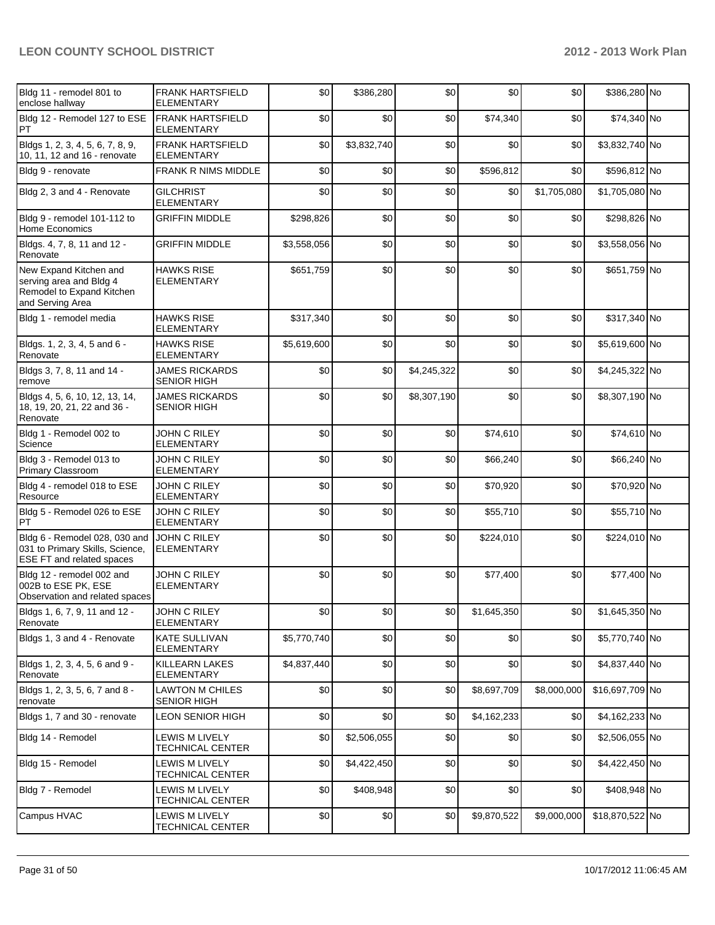| Bldg 11 - remodel 801 to<br>enclose hallway                                                        | <b>FRANK HARTSFIELD</b><br><b>ELEMENTARY</b> | \$0         | \$386,280   | \$0         | \$0         | \$0         | \$386,280 No    |  |
|----------------------------------------------------------------------------------------------------|----------------------------------------------|-------------|-------------|-------------|-------------|-------------|-----------------|--|
| Bldg 12 - Remodel 127 to ESE<br>PT                                                                 | <b>FRANK HARTSFIELD</b><br><b>ELEMENTARY</b> | \$0         | \$0         | \$0         | \$74,340    | \$0         | \$74,340 No     |  |
| Bldgs 1, 2, 3, 4, 5, 6, 7, 8, 9,<br>10, 11, 12 and 16 - renovate                                   | <b>FRANK HARTSFIELD</b><br><b>ELEMENTARY</b> | \$0         | \$3,832,740 | \$0         | \$0         | \$0         | \$3,832,740 No  |  |
| Bldg 9 - renovate                                                                                  | <b>FRANK R NIMS MIDDLE</b>                   | \$0         | \$0         | \$0         | \$596,812   | \$0         | \$596,812 No    |  |
| Bldg 2, 3 and 4 - Renovate                                                                         | <b>GILCHRIST</b><br><b>ELEMENTARY</b>        | \$0         | \$0         | \$0         | \$0         | \$1,705,080 | \$1,705,080 No  |  |
| Bldg 9 - remodel 101-112 to<br>Home Economics                                                      | <b>GRIFFIN MIDDLE</b>                        | \$298,826   | \$0         | \$0         | \$0         | \$0         | \$298,826 No    |  |
| Bldgs. 4, 7, 8, 11 and 12 -<br>Renovate                                                            | <b>GRIFFIN MIDDLE</b>                        | \$3,558,056 | \$0         | \$0         | \$0         | \$0         | \$3,558,056 No  |  |
| New Expand Kitchen and<br>serving area and Bldg 4<br>Remodel to Expand Kitchen<br>and Serving Area | <b>HAWKS RISE</b><br><b>ELEMENTARY</b>       | \$651,759   | \$0         | \$0         | \$0         | \$0         | \$651,759 No    |  |
| Bldg 1 - remodel media                                                                             | <b>HAWKS RISE</b><br><b>ELEMENTARY</b>       | \$317,340   | \$0         | \$0         | \$0         | \$0         | \$317,340 No    |  |
| Bldgs. 1, 2, 3, 4, 5 and 6 -<br>Renovate                                                           | <b>HAWKS RISE</b><br><b>ELEMENTARY</b>       | \$5,619,600 | \$0         | \$0         | \$0         | \$0         | \$5,619,600 No  |  |
| Bldgs 3, 7, 8, 11 and 14 -<br>remove                                                               | <b>JAMES RICKARDS</b><br><b>SENIOR HIGH</b>  | \$0         | \$0         | \$4,245,322 | \$0         | \$0         | \$4,245,322 No  |  |
| Bldgs 4, 5, 6, 10, 12, 13, 14,<br>18, 19, 20, 21, 22 and 36 -<br>Renovate                          | <b>JAMES RICKARDS</b><br><b>SENIOR HIGH</b>  | \$0         | \$0         | \$8,307,190 | \$0         | \$0         | \$8,307,190 No  |  |
| Bldg 1 - Remodel 002 to<br>Science                                                                 | JOHN C RILEY<br><b>ELEMENTARY</b>            | \$0         | \$0         | \$0         | \$74,610    | \$0         | \$74,610 No     |  |
| Bldg 3 - Remodel 013 to<br>Primary Classroom                                                       | JOHN C RILEY<br><b>ELEMENTARY</b>            | \$0         | \$0         | \$0         | \$66,240    | \$0         | \$66,240 No     |  |
| Bldg 4 - remodel 018 to ESE<br>Resource                                                            | <b>JOHN C RILEY</b><br><b>ELEMENTARY</b>     | \$0         | \$0         | \$0         | \$70,920    | \$0         | \$70,920 No     |  |
| Bldg 5 - Remodel 026 to ESE<br>PT                                                                  | JOHN C RILEY<br><b>ELEMENTARY</b>            | \$0         | \$0         | \$0         | \$55,710    | \$0         | \$55,710 No     |  |
| Bldg 6 - Remodel 028, 030 and<br>031 to Primary Skills, Science,<br>ESE FT and related spaces      | <b>JOHN C RILEY</b><br><b>ELEMENTARY</b>     | \$0         | \$0         | \$0         | \$224,010   | \$0         | \$224,010 No    |  |
| Bldg 12 - remodel 002 and<br>002B to ESE PK, ESE<br>Observation and related spaces                 | <b>JOHN C RILEY</b><br><b>ELEMENTARY</b>     | \$0         | \$0         | \$0         | \$77,400    | \$0         | \$77,400 No     |  |
| Bldgs 1, 6, 7, 9, 11 and 12 -<br>Renovate                                                          | JOHN C RILEY<br><b>ELEMENTARY</b>            | \$0         | \$0         | \$0         | \$1,645,350 | \$0         | \$1,645,350 No  |  |
| Bldgs 1, 3 and 4 - Renovate                                                                        | <b>KATE SULLIVAN</b><br><b>ELEMENTARY</b>    | \$5,770,740 | \$0         | \$0         | \$0         | \$0         | \$5,770,740 No  |  |
| Bldgs 1, 2, 3, 4, 5, 6 and 9 -<br>Renovate                                                         | <b>KILLEARN LAKES</b><br><b>ELEMENTARY</b>   | \$4,837,440 | \$0         | \$0         | \$0         | \$0         | \$4,837,440 No  |  |
| Bldgs 1, 2, 3, 5, 6, 7 and 8 -<br>renovate                                                         | <b>LAWTON M CHILES</b><br><b>SENIOR HIGH</b> | \$0         | \$0         | \$0         | \$8,697,709 | \$8,000,000 | \$16,697,709 No |  |
| Bldgs 1, 7 and 30 - renovate                                                                       | <b>LEON SENIOR HIGH</b>                      | \$0         | \$0         | \$0         | \$4,162,233 | \$0         | \$4,162,233 No  |  |
| Bldg 14 - Remodel                                                                                  | LEWIS M LIVELY<br>TECHNICAL CENTER           | \$0         | \$2,506,055 | \$0         | \$0         | \$0         | \$2,506,055 No  |  |
| Bldg 15 - Remodel                                                                                  | LEWIS M LIVELY<br>TECHNICAL CENTER           | \$0         | \$4,422,450 | \$0         | \$0         | \$0         | \$4,422,450 No  |  |
| Bldg 7 - Remodel                                                                                   | LEWIS M LIVELY<br>TECHNICAL CENTER           | \$0         | \$408,948   | \$0         | \$0         | \$0         | \$408,948 No    |  |
| Campus HVAC                                                                                        | LEWIS M LIVELY<br>TECHNICAL CENTER           | \$0         | \$0         | \$0         | \$9,870,522 | \$9,000,000 | \$18,870,522 No |  |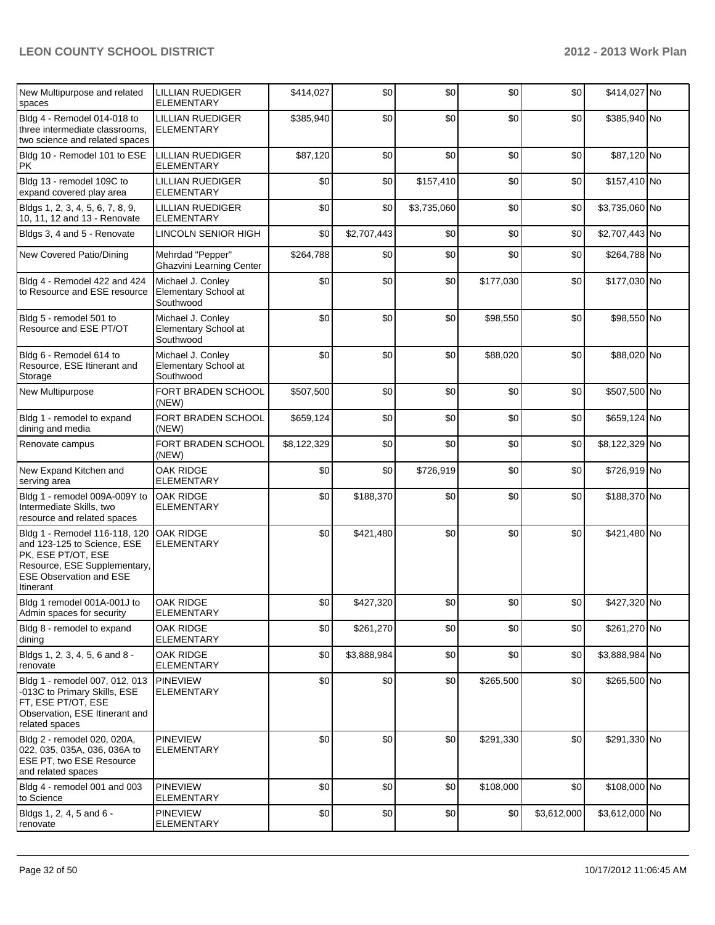| New Multipurpose and related<br>spaces                                                                                                                            | LILLIAN RUEDIGER<br><b>ELEMENTARY</b>                  | \$414,027   | \$0         | \$0         | \$0       | \$0         | \$414,027 No   |  |
|-------------------------------------------------------------------------------------------------------------------------------------------------------------------|--------------------------------------------------------|-------------|-------------|-------------|-----------|-------------|----------------|--|
| Bldg 4 - Remodel 014-018 to<br>three intermediate classrooms,<br>two science and related spaces                                                                   | <b>LILLIAN RUEDIGER</b><br><b>ELEMENTARY</b>           | \$385,940   | \$0         | \$0         | \$0       | \$0         | \$385,940 No   |  |
| Bldg 10 - Remodel 101 to ESE<br><b>PK</b>                                                                                                                         | LILLIAN RUEDIGER<br><b>ELEMENTARY</b>                  | \$87,120    | \$0         | \$0         | \$0       | \$0         | \$87,120 No    |  |
| Bldg 13 - remodel 109C to<br>expand covered play area                                                                                                             | <b>LILLIAN RUEDIGER</b><br><b>ELEMENTARY</b>           | \$0         | \$0         | \$157,410   | \$0       | \$0         | \$157,410 No   |  |
| Bldgs 1, 2, 3, 4, 5, 6, 7, 8, 9,<br>10, 11, 12 and 13 - Renovate                                                                                                  | <b>LILLIAN RUEDIGER</b><br><b>ELEMENTARY</b>           | \$0         | \$0         | \$3,735,060 | \$0       | \$0         | \$3,735,060 No |  |
| Bldgs 3, 4 and 5 - Renovate                                                                                                                                       | LINCOLN SENIOR HIGH                                    | \$0         | \$2,707,443 | \$0         | \$0       | \$0         | \$2,707,443 No |  |
| New Covered Patio/Dining                                                                                                                                          | Mehrdad "Pepper"<br>Ghazvini Learning Center           | \$264,788   | \$0         | \$0         | \$0       | \$0         | \$264,788 No   |  |
| Bldg 4 - Remodel 422 and 424<br>to Resource and ESE resource                                                                                                      | Michael J. Conley<br>Elementary School at<br>Southwood | \$0         | \$0         | \$0         | \$177,030 | \$0         | \$177,030 No   |  |
| Bldg 5 - remodel 501 to<br>Resource and ESE PT/OT                                                                                                                 | Michael J. Conley<br>Elementary School at<br>Southwood | \$0         | \$0         | \$0         | \$98,550  | \$0         | \$98,550 No    |  |
| Bldg 6 - Remodel 614 to<br>Resource, ESE Itinerant and<br>Storage                                                                                                 | Michael J. Conley<br>Elementary School at<br>Southwood | \$0         | \$0         | \$0         | \$88,020  | \$0         | \$88,020 No    |  |
| New Multipurpose                                                                                                                                                  | FORT BRADEN SCHOOL<br>(NEW)                            | \$507,500   | \$0         | \$0         | \$0       | \$0         | \$507,500 No   |  |
| Bldg 1 - remodel to expand<br>dining and media                                                                                                                    | FORT BRADEN SCHOOL<br>(NEW)                            | \$659,124   | \$0         | \$0         | \$0       | \$0         | \$659,124 No   |  |
| Renovate campus                                                                                                                                                   | FORT BRADEN SCHOOL<br>(NEW)                            | \$8,122,329 | \$0         | \$0         | \$0       | \$0         | \$8,122,329 No |  |
| New Expand Kitchen and<br>serving area                                                                                                                            | <b>OAK RIDGE</b><br><b>ELEMENTARY</b>                  | \$0         | \$0         | \$726,919   | \$0       | \$0         | \$726,919 No   |  |
| Bldg 1 - remodel 009A-009Y to<br>Intermediate Skills, two<br>resource and related spaces                                                                          | <b>OAK RIDGE</b><br><b>ELEMENTARY</b>                  | \$0         | \$188,370   | \$0         | \$0       | \$0         | \$188,370 No   |  |
| Bldg 1 - Remodel 116-118, 120<br>and 123-125 to Science, ESE<br>PK, ESE PT/OT, ESE<br>Resource, ESE Supplementary,<br><b>ESE Observation and ESE</b><br>Itinerant | OAK RIDGE<br><b>ELEMENTARY</b>                         | \$0         | \$421,480   | \$0         | \$0       | \$0         | \$421,480 No   |  |
| Bldg 1 remodel 001A-001J to<br>Admin spaces for security                                                                                                          | OAK RIDGE<br><b>ELEMENTARY</b>                         | \$0         | \$427,320   | \$0         | \$0       | \$0         | \$427,320 No   |  |
| Bidg 8 - remodel to expand<br>dining                                                                                                                              | OAK RIDGE<br><b>ELEMENTARY</b>                         | \$0         | \$261,270   | \$0         | \$0       | \$0         | \$261,270 No   |  |
| Bldgs 1, 2, 3, 4, 5, 6 and 8 -<br>renovate                                                                                                                        | OAK RIDGE<br><b>ELEMENTARY</b>                         | \$0         | \$3,888,984 | \$0         | \$0       | \$0         | \$3,888,984 No |  |
| Bldg 1 - remodel 007, 012, 013<br>-013C to Primary Skills, ESE<br>FT, ESE PT/OT, ESE<br>Observation, ESE Itinerant and<br>related spaces                          | <b>PINEVIEW</b><br><b>ELEMENTARY</b>                   | \$0         | \$0         | \$0         | \$265,500 | \$0         | \$265,500 No   |  |
| Bldg 2 - remodel 020, 020A,<br>022, 035, 035A, 036, 036A to<br>ESE PT, two ESE Resource<br>and related spaces                                                     | <b>PINEVIEW</b><br><b>ELEMENTARY</b>                   | \$0         | \$0         | \$0         | \$291,330 | \$0         | \$291,330 No   |  |
| Bldg 4 - remodel 001 and 003<br>to Science                                                                                                                        | <b>PINEVIEW</b><br><b>ELEMENTARY</b>                   | \$0         | \$0         | \$0         | \$108,000 | \$0         | \$108,000 No   |  |
| Bldgs 1, 2, 4, 5 and 6 -<br>renovate                                                                                                                              | <b>PINEVIEW</b><br><b>ELEMENTARY</b>                   | \$0         | \$0         | \$0         | \$0       | \$3,612,000 | \$3,612,000 No |  |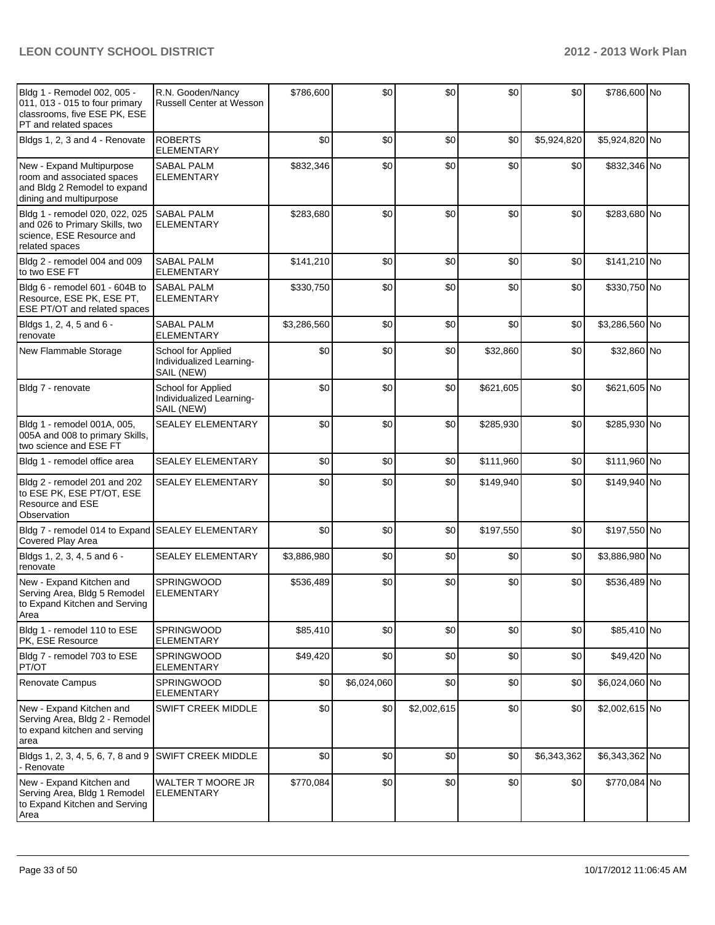| Bldg 1 - Remodel 002, 005 -<br>011, 013 - 015 to four primary<br>classrooms, five ESE PK, ESE<br>PT and related spaces | R.N. Gooden/Nancy<br>Russell Center at Wesson                | \$786,600   | \$0         | \$0         | \$0       | \$0         | \$786,600 No   |  |
|------------------------------------------------------------------------------------------------------------------------|--------------------------------------------------------------|-------------|-------------|-------------|-----------|-------------|----------------|--|
| Bldgs 1, 2, 3 and 4 - Renovate                                                                                         | <b>ROBERTS</b><br><b>ELEMENTARY</b>                          | \$0         | \$0         | \$0         | \$0       | \$5,924,820 | \$5,924,820 No |  |
| New - Expand Multipurpose<br>room and associated spaces<br>and Bldg 2 Remodel to expand<br>dining and multipurpose     | <b>SABAL PALM</b><br><b>ELEMENTARY</b>                       | \$832,346   | \$0         | \$0         | \$0       | \$0         | \$832,346 No   |  |
| Bldg 1 - remodel 020, 022, 025<br>and 026 to Primary Skills, two<br>science, ESE Resource and<br>related spaces        | <b>SABAL PALM</b><br><b>ELEMENTARY</b>                       | \$283,680   | \$0         | \$0         | \$0       | \$0         | \$283,680 No   |  |
| Bldg 2 - remodel 004 and 009<br>to two ESE FT                                                                          | <b>SABAL PALM</b><br><b>ELEMENTARY</b>                       | \$141,210   | \$0         | \$0         | \$0       | \$0         | \$141,210 No   |  |
| Bldg 6 - remodel 601 - 604B to<br>Resource, ESE PK, ESE PT,<br>ESE PT/OT and related spaces                            | <b>SABAL PALM</b><br><b>ELEMENTARY</b>                       | \$330,750   | \$0         | \$0         | \$0       | \$0         | \$330,750 No   |  |
| Bldgs 1, 2, 4, 5 and 6 -<br>renovate                                                                                   | SABAL PALM<br><b>ELEMENTARY</b>                              | \$3,286,560 | \$0         | \$0         | \$0       | \$0         | \$3,286,560 No |  |
| New Flammable Storage                                                                                                  | School for Applied<br>Individualized Learning-<br>SAIL (NEW) | \$0         | \$0         | \$0         | \$32,860  | \$0         | \$32,860 No    |  |
| Bldg 7 - renovate                                                                                                      | School for Applied<br>Individualized Learning-<br>SAIL (NEW) | \$0         | \$0         | \$0         | \$621,605 | \$0         | \$621,605 No   |  |
| Bldg 1 - remodel 001A, 005,<br>005A and 008 to primary Skills,<br>two science and ESE FT                               | <b>SEALEY ELEMENTARY</b>                                     | \$0         | \$0         | \$0         | \$285,930 | \$0         | \$285,930 No   |  |
| Bldg 1 - remodel office area                                                                                           | <b>SEALEY ELEMENTARY</b>                                     | \$0         | \$0         | \$0         | \$111,960 | \$0         | \$111,960 No   |  |
| Bldg 2 - remodel 201 and 202<br>to ESE PK, ESE PT/OT, ESE<br><b>Resource and ESE</b><br>Observation                    | <b>SEALEY ELEMENTARY</b>                                     | \$0         | \$0         | \$0         | \$149,940 | \$0         | \$149,940 No   |  |
| Bldg 7 - remodel 014 to Expand SEALEY ELEMENTARY<br>Covered Play Area                                                  |                                                              | \$0         | \$0         | \$0         | \$197,550 | \$0         | \$197,550 No   |  |
| Bldgs 1, 2, 3, 4, 5 and 6 -<br>renovate                                                                                | <b>SEALEY ELEMENTARY</b>                                     | \$3,886,980 | \$0         | \$0         | \$0       | \$0         | \$3,886,980 No |  |
| New - Expand Kitchen and<br>Serving Area, Bldg 5 Remodel<br>to Expand Kitchen and Serving<br>Area                      | SPRINGWOOD<br><b>ELEMENTARY</b>                              | \$536,489   | \$0         | \$0         | \$0       | \$0         | \$536,489 No   |  |
| Bldg 1 - remodel 110 to ESE<br>PK, ESE Resource                                                                        | <b>SPRINGWOOD</b><br>ELEMENTARY                              | \$85,410    | \$0         | \$0         | \$0       | \$0         | \$85,410 No    |  |
| Bldg 7 - remodel 703 to ESE<br>PT/OT                                                                                   | <b>SPRINGWOOD</b><br><b>ELEMENTARY</b>                       | \$49,420    | \$0         | \$0         | \$0       | \$0         | \$49,420 No    |  |
| Renovate Campus                                                                                                        | SPRINGWOOD<br><b>ELEMENTARY</b>                              | \$0         | \$6,024,060 | \$0         | \$0       | \$0         | \$6,024,060 No |  |
| New - Expand Kitchen and<br>Serving Area, Bldg 2 - Remodel<br>to expand kitchen and serving<br>area                    | <b>SWIFT CREEK MIDDLE</b>                                    | \$0         | \$0         | \$2,002,615 | \$0       | \$0         | \$2,002,615 No |  |
| Bldgs 1, 2, 3, 4, 5, 6, 7, 8 and 9<br>- Renovate                                                                       | <b>SWIFT CREEK MIDDLE</b>                                    | \$0         | \$0         | \$0         | \$0       | \$6,343,362 | \$6,343,362 No |  |
| New - Expand Kitchen and<br>Serving Area, Bldg 1 Remodel<br>to Expand Kitchen and Serving<br>Area                      | <b>WALTER T MOORE JR</b><br><b>ELEMENTARY</b>                | \$770,084   | \$0         | \$0         | \$0       | \$0         | \$770,084 No   |  |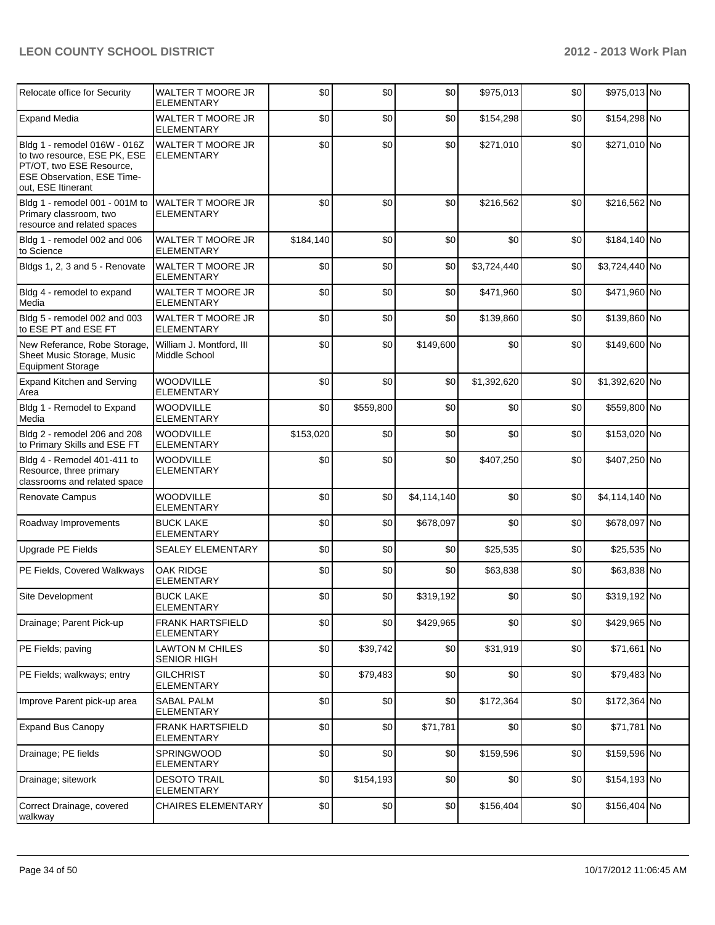| Relocate office for Security                                                                                                                 | WALTER T MOORE JR<br><b>ELEMENTARY</b>        | \$0       | \$0       | \$0         | \$975,013   | \$0 | \$975,013 No   |  |
|----------------------------------------------------------------------------------------------------------------------------------------------|-----------------------------------------------|-----------|-----------|-------------|-------------|-----|----------------|--|
| <b>Expand Media</b>                                                                                                                          | WALTER T MOORE JR<br><b>ELEMENTARY</b>        | \$0       | \$0       | \$0         | \$154,298   | \$0 | \$154,298 No   |  |
| Bldg 1 - remodel 016W - 016Z<br>to two resource, ESE PK, ESE<br>PT/OT, two ESE Resource,<br>ESE Observation, ESE Time-<br>out, ESE Itinerant | <b>WALTER T MOORE JR</b><br><b>ELEMENTARY</b> | \$0       | \$0       | \$0         | \$271,010   | \$0 | \$271,010 No   |  |
| Bldg 1 - remodel 001 - 001M to<br>Primary classroom, two<br>resource and related spaces                                                      | WALTER T MOORE JR<br><b>ELEMENTARY</b>        | \$0       | \$0       | \$0         | \$216,562   | \$0 | \$216,562 No   |  |
| Bldg 1 - remodel 002 and 006<br>to Science                                                                                                   | <b>WALTER T MOORE JR</b><br>ELEMENTARY        | \$184,140 | \$0       | \$0         | \$0         | \$0 | \$184,140 No   |  |
| Bldgs 1, 2, 3 and 5 - Renovate                                                                                                               | <b>WALTER T MOORE JR</b><br><b>ELEMENTARY</b> | \$0       | \$0       | \$0         | \$3,724,440 | \$0 | \$3,724,440 No |  |
| Bldg 4 - remodel to expand<br>Media                                                                                                          | WALTER T MOORE JR<br><b>ELEMENTARY</b>        | \$0       | \$0       | \$0         | \$471,960   | \$0 | \$471,960 No   |  |
| Bldg 5 - remodel 002 and 003<br>to ESE PT and ESE FT                                                                                         | WALTER T MOORE JR<br><b>ELEMENTARY</b>        | \$0       | \$0       | \$0         | \$139,860   | \$0 | \$139,860 No   |  |
| New Referance, Robe Storage,<br>Sheet Music Storage, Music<br>Equipment Storage                                                              | William J. Montford, III<br>Middle School     | \$0       | \$0       | \$149,600   | \$0         | \$0 | \$149,600 No   |  |
| <b>Expand Kitchen and Serving</b><br>Area                                                                                                    | <b>WOODVILLE</b><br><b>ELEMENTARY</b>         | \$0       | \$0       | \$0         | \$1,392,620 | \$0 | \$1,392,620 No |  |
| Bldg 1 - Remodel to Expand<br>Media                                                                                                          | WOODVILLE<br><b>ELEMENTARY</b>                | \$0       | \$559,800 | \$0         | \$0         | \$0 | \$559,800 No   |  |
| Bldg 2 - remodel 206 and 208<br>to Primary Skills and ESE FT                                                                                 | <b>WOODVILLE</b><br><b>ELEMENTARY</b>         | \$153,020 | \$0       | \$0         | \$0         | \$0 | \$153,020 No   |  |
| Bldg 4 - Remodel 401-411 to<br>Resource, three primary<br>classrooms and related space                                                       | <b>WOODVILLE</b><br><b>ELEMENTARY</b>         | \$0       | \$0       | \$0         | \$407,250   | \$0 | \$407,250 No   |  |
| Renovate Campus                                                                                                                              | WOODVILLE<br><b>ELEMENTARY</b>                | \$0       | \$0       | \$4,114,140 | \$0         | \$0 | \$4,114,140 No |  |
| Roadway Improvements                                                                                                                         | <b>BUCK LAKE</b><br><b>ELEMENTARY</b>         | \$0       | \$0       | \$678,097   | \$0         | \$0 | \$678,097 No   |  |
| Upgrade PE Fields                                                                                                                            | <b>SEALEY ELEMENTARY</b>                      | \$0       | \$0       | \$0         | \$25,535    | \$0 | \$25,535 No    |  |
| PE Fields, Covered Walkways                                                                                                                  | OAK RIDGE<br><b>ELEMENTARY</b>                | \$0       | \$0       | \$0         | \$63,838    | \$0 | \$63,838 No    |  |
| Site Development                                                                                                                             | <b>BUCK LAKE</b><br>ELEMENTARY                | \$0       | \$0       | \$319,192   | \$0         | \$0 | \$319,192 No   |  |
| Drainage; Parent Pick-up                                                                                                                     | <b>FRANK HARTSFIELD</b><br><b>ELEMENTARY</b>  | \$0       | \$0       | \$429,965   | \$0         | \$0 | \$429,965 No   |  |
| PE Fields; paving                                                                                                                            | <b>LAWTON M CHILES</b><br>SENIOR HIGH         | \$0       | \$39,742  | \$0         | \$31,919    | \$0 | \$71,661 No    |  |
| PE Fields; walkways; entry                                                                                                                   | <b>GILCHRIST</b><br><b>ELEMENTARY</b>         | \$0       | \$79,483  | \$0         | \$0         | \$0 | \$79,483 No    |  |
| Improve Parent pick-up area                                                                                                                  | <b>SABAL PALM</b><br><b>ELEMENTARY</b>        | \$0       | \$0       | \$0         | \$172,364   | \$0 | \$172,364 No   |  |
| <b>Expand Bus Canopy</b>                                                                                                                     | <b>FRANK HARTSFIELD</b><br><b>ELEMENTARY</b>  | \$0       | \$0       | \$71,781    | \$0         | \$0 | \$71,781 No    |  |
| Drainage; PE fields                                                                                                                          | SPRINGWOOD<br>ELEMENTARY                      | \$0       | \$0       | \$0         | \$159,596   | \$0 | \$159,596 No   |  |
| Drainage; sitework                                                                                                                           | <b>DESOTO TRAIL</b><br>ELEMENTARY             | \$0       | \$154,193 | \$0         | \$0         | \$0 | \$154,193 No   |  |
| Correct Drainage, covered<br>walkway                                                                                                         | <b>CHAIRES ELEMENTARY</b>                     | \$0       | \$0       | \$0         | \$156,404   | \$0 | \$156,404 No   |  |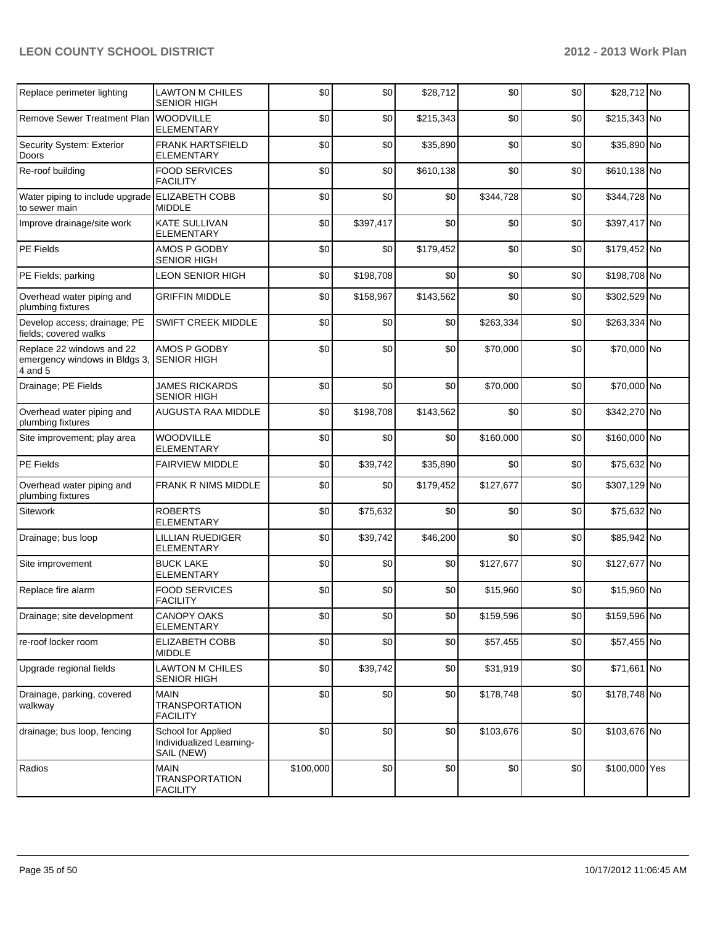| Replace perimeter lighting                                            | LAWTON M CHILES<br><b>SENIOR HIGH</b>                        | \$0       | \$0       | \$28,712  | \$0       | \$0 | \$28,712 No   |  |
|-----------------------------------------------------------------------|--------------------------------------------------------------|-----------|-----------|-----------|-----------|-----|---------------|--|
| Remove Sewer Treatment Plan WOODVILLE                                 | <b>ELEMENTARY</b>                                            | \$0       | \$0       | \$215,343 | \$0       | \$0 | \$215,343 No  |  |
| Security System: Exterior<br>Doors                                    | <b>FRANK HARTSFIELD</b><br><b>ELEMENTARY</b>                 | \$0       | \$0       | \$35,890  | \$0       | \$0 | \$35,890 No   |  |
| Re-roof building                                                      | <b>FOOD SERVICES</b><br><b>FACILITY</b>                      | \$0       | \$0       | \$610,138 | \$0       | \$0 | \$610,138 No  |  |
| Water piping to include upgrade ELIZABETH COBB<br>to sewer main       | <b>MIDDLE</b>                                                | \$0       | \$0       | \$0       | \$344,728 | \$0 | \$344,728 No  |  |
| Improve drainage/site work                                            | <b>KATE SULLIVAN</b><br><b>ELEMENTARY</b>                    | \$0       | \$397,417 | \$0       | \$0       | \$0 | \$397,417 No  |  |
| PE Fields                                                             | AMOS P GODBY<br><b>SENIOR HIGH</b>                           | \$0       | \$0       | \$179,452 | \$0       | \$0 | \$179,452 No  |  |
| PE Fields; parking                                                    | <b>LEON SENIOR HIGH</b>                                      | \$0       | \$198,708 | \$0       | \$0       | \$0 | \$198,708 No  |  |
| Overhead water piping and<br>plumbing fixtures                        | <b>GRIFFIN MIDDLE</b>                                        | \$0       | \$158,967 | \$143,562 | \$0       | \$0 | \$302,529 No  |  |
| Develop access; drainage; PE<br>fields; covered walks                 | <b>SWIFT CREEK MIDDLE</b>                                    | \$0       | \$0       | \$0       | \$263,334 | \$0 | \$263,334 No  |  |
| Replace 22 windows and 22<br>emergency windows in Bldgs 3,<br>4 and 5 | AMOS P GODBY<br><b>SENIOR HIGH</b>                           | \$0       | \$0       | \$0       | \$70,000  | \$0 | \$70,000 No   |  |
| Drainage; PE Fields                                                   | <b>JAMES RICKARDS</b><br><b>SENIOR HIGH</b>                  | \$0       | \$0       | \$0       | \$70,000  | \$0 | \$70,000 No   |  |
| Overhead water piping and<br>plumbing fixtures                        | AUGUSTA RAA MIDDLE                                           | \$0       | \$198,708 | \$143,562 | \$0       | \$0 | \$342,270 No  |  |
| Site improvement; play area                                           | WOODVILLE<br><b>ELEMENTARY</b>                               | \$0       | \$0       | \$0       | \$160,000 | \$0 | \$160,000 No  |  |
| <b>PE Fields</b>                                                      | <b>FAIRVIEW MIDDLE</b>                                       | \$0       | \$39,742  | \$35,890  | \$0       | \$0 | \$75,632 No   |  |
| Overhead water piping and<br>plumbing fixtures                        | FRANK R NIMS MIDDLE                                          | \$0       | \$0       | \$179,452 | \$127,677 | \$0 | \$307,129 No  |  |
| Sitework                                                              | <b>ROBERTS</b><br><b>ELEMENTARY</b>                          | \$0       | \$75,632  | \$0       | \$0       | \$0 | \$75,632 No   |  |
| Drainage; bus loop                                                    | <b>LILLIAN RUEDIGER</b><br><b>ELEMENTARY</b>                 | \$0       | \$39,742  | \$46,200  | \$0       | \$0 | \$85,942 No   |  |
| Site improvement                                                      | <b>BUCK LAKE</b><br><b>ELEMENTARY</b>                        | \$0       | \$0       | \$0       | \$127,677 | \$0 | \$127,677 No  |  |
| Replace fire alarm                                                    | <b>FOOD SERVICES</b><br><b>FACILITY</b>                      | \$0       | \$0       | \$0       | \$15,960  | \$0 | \$15,960 No   |  |
| Drainage; site development                                            | <b>CANOPY OAKS</b><br><b>ELEMENTARY</b>                      | \$0       | \$0       | \$0       | \$159,596 | \$0 | \$159,596 No  |  |
| re-roof locker room                                                   | ELIZABETH COBB<br><b>MIDDLE</b>                              | \$0       | \$0       | \$0       | \$57,455  | \$0 | \$57,455 No   |  |
| Upgrade regional fields                                               | LAWTON M CHILES<br><b>SENIOR HIGH</b>                        | \$0       | \$39,742  | \$0       | \$31,919  | \$0 | \$71,661 No   |  |
| Drainage, parking, covered<br>walkway                                 | <b>MAIN</b><br><b>TRANSPORTATION</b><br><b>FACILITY</b>      | \$0       | \$0       | \$0       | \$178,748 | \$0 | \$178,748 No  |  |
| drainage; bus loop, fencing                                           | School for Applied<br>Individualized Learning-<br>SAIL (NEW) | \$0       | \$0       | \$0       | \$103,676 | \$0 | \$103,676 No  |  |
| Radios                                                                | <b>MAIN</b><br><b>TRANSPORTATION</b><br><b>FACILITY</b>      | \$100,000 | \$0       | \$0       | \$0       | \$0 | \$100,000 Yes |  |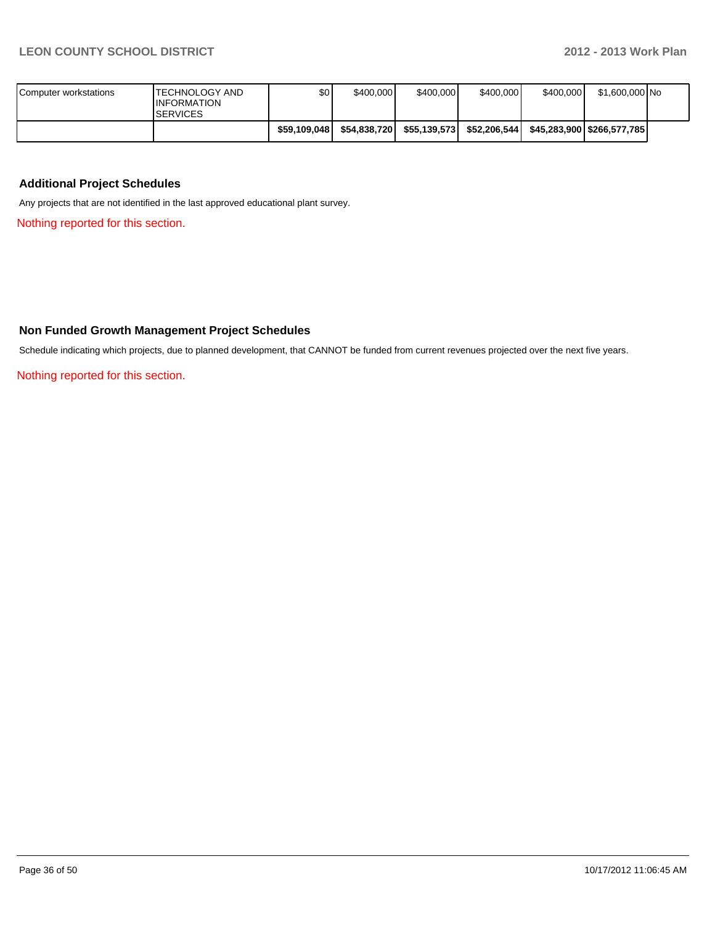| Computer workstations | <b>ITECHNOLOGY AND</b><br><b>INFORMATION</b><br><b>SERVICES</b> | \$0          | \$400,000     | \$400,000    | \$400,000    | \$400,000 | \$1.600.000 No |  |
|-----------------------|-----------------------------------------------------------------|--------------|---------------|--------------|--------------|-----------|----------------|--|
|                       |                                                                 | \$59.109.048 | \$54.838.7201 | \$55.139.573 | \$52.206.544 |           |                |  |

#### **Additional Project Schedules**

Any projects that are not identified in the last approved educational plant survey.

Nothing reported for this section.

#### **Non Funded Growth Management Project Schedules**

Schedule indicating which projects, due to planned development, that CANNOT be funded from current revenues projected over the next five years.

Nothing reported for this section.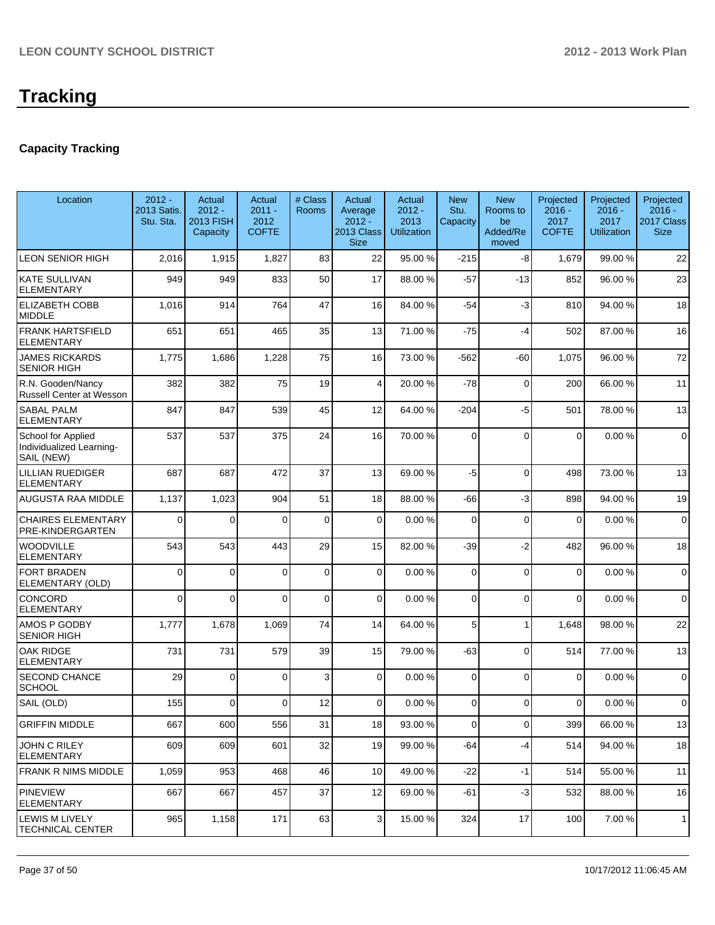### **Capacity Tracking**

| Location                                                     | $2012 -$<br>2013 Satis.<br>Stu. Sta. | Actual<br>$2012 -$<br><b>2013 FISH</b><br>Capacity | Actual<br>$2011 -$<br>2012<br><b>COFTE</b> | # Class<br>Rooms | Actual<br>Average<br>$2012 -$<br>2013 Class<br><b>Size</b> | Actual<br>$2012 -$<br>2013<br><b>Utilization</b> | <b>New</b><br>Stu.<br>Capacity | <b>New</b><br>Rooms to<br>be<br>Added/Re<br>moved | Projected<br>$2016 -$<br>2017<br><b>COFTE</b> | Projected<br>$2016 -$<br>2017<br>Utilization | Projected<br>$2016 -$<br>2017 Class<br><b>Size</b> |
|--------------------------------------------------------------|--------------------------------------|----------------------------------------------------|--------------------------------------------|------------------|------------------------------------------------------------|--------------------------------------------------|--------------------------------|---------------------------------------------------|-----------------------------------------------|----------------------------------------------|----------------------------------------------------|
| <b>LEON SENIOR HIGH</b>                                      | 2,016                                | 1,915                                              | 1,827                                      | 83               | 22                                                         | 95.00 %                                          | $-215$                         | $-8$                                              | 1,679                                         | 99.00 %                                      | 22                                                 |
| <b>KATE SULLIVAN</b><br><b>ELEMENTARY</b>                    | 949                                  | 949                                                | 833                                        | 50               | 17                                                         | 88.00 %                                          | $-57$                          | $-13$                                             | 852                                           | 96.00%                                       | 23                                                 |
| <b>ELIZABETH COBB</b><br><b>MIDDLE</b>                       | 1,016                                | 914                                                | 764                                        | 47               | 16                                                         | 84.00 %                                          | $-54$                          | $-3$                                              | 810                                           | 94.00%                                       | 18                                                 |
| <b>FRANK HARTSFIELD</b><br><b>ELEMENTARY</b>                 | 651                                  | 651                                                | 465                                        | 35               | 13                                                         | 71.00 %                                          | $-75$                          | $-4$                                              | 502                                           | 87.00 %                                      | 16                                                 |
| <b>JAMES RICKARDS</b><br><b>SENIOR HIGH</b>                  | 1,775                                | 1,686                                              | 1,228                                      | 75               | 16                                                         | 73.00 %                                          | $-562$                         | -60                                               | 1,075                                         | 96.00%                                       | 72                                                 |
| R.N. Gooden/Nancy<br><b>Russell Center at Wesson</b>         | 382                                  | 382                                                | 75                                         | 19               | $\vert 4 \vert$                                            | 20.00 %                                          | $-78$                          | $\mathbf 0$                                       | 200                                           | 66.00 %                                      | 11                                                 |
| <b>SABAL PALM</b><br><b>ELEMENTARY</b>                       | 847                                  | 847                                                | 539                                        | 45               | 12                                                         | 64.00 %                                          | $-204$                         | $-5$                                              | 501                                           | 78.00 %                                      | 13                                                 |
| School for Applied<br>Individualized Learning-<br>SAIL (NEW) | 537                                  | 537                                                | 375                                        | 24               | 16                                                         | 70.00 %                                          | 0                              | $\Omega$                                          | $\Omega$                                      | 0.00%                                        | $\mathbf 0$                                        |
| <b>LILLIAN RUEDIGER</b><br>ELEMENTARY                        | 687                                  | 687                                                | 472                                        | 37               | 13                                                         | 69.00 %                                          | -5                             | $\Omega$                                          | 498                                           | 73.00 %                                      | 13                                                 |
| <b>AUGUSTA RAA MIDDLE</b>                                    | 1,137                                | 1,023                                              | 904                                        | 51               | 18                                                         | 88.00 %                                          | -66                            | $-3$                                              | 898                                           | 94.00%                                       | 19                                                 |
| <b>CHAIRES ELEMENTARY</b><br>PRE-KINDERGARTEN                | $\mathbf{0}$                         | 0                                                  | $\Omega$                                   | 0                | $\mathbf 0$                                                | 0.00%                                            | 0                              | $\Omega$                                          | 0                                             | 0.00%                                        | $\mathbf 0$                                        |
| <b>WOODVILLE</b><br><b>ELEMENTARY</b>                        | 543                                  | 543                                                | 443                                        | 29               | 15                                                         | 82.00 %                                          | $-39$                          | $-2$                                              | 482                                           | 96.00%                                       | 18                                                 |
| <b>FORT BRADEN</b><br>ELEMENTARY (OLD)                       | $\mathbf{0}$                         | $\Omega$                                           | $\Omega$                                   | $\mathbf 0$      | $\overline{0}$                                             | 0.00%                                            | 0                              | $\Omega$                                          | 0                                             | 0.00%                                        | $\mathbf 0$                                        |
| CONCORD<br><b>ELEMENTARY</b>                                 | $\mathbf 0$                          | $\mathbf{0}$                                       | $\Omega$                                   | $\mathbf 0$      | $\overline{0}$                                             | 0.00%                                            | 0                              | $\Omega$                                          | $\mathbf 0$                                   | 0.00%                                        | $\mathbf 0$                                        |
| AMOS P GODBY<br><b>SENIOR HIGH</b>                           | 1,777                                | 1,678                                              | 1,069                                      | 74               | 14                                                         | 64.00 %                                          | 5                              | 1                                                 | 1,648                                         | 98.00 %                                      | 22                                                 |
| <b>OAK RIDGE</b><br><b>ELEMENTARY</b>                        | 731                                  | 731                                                | 579                                        | 39               | 15                                                         | 79.00 %                                          | $-63$                          | $\Omega$                                          | 514                                           | 77.00 %                                      | 13                                                 |
| <b>SECOND CHANCE</b><br><b>SCHOOL</b>                        | 29                                   | $\Omega$                                           | $\Omega$                                   | 3                | $\overline{0}$                                             | 0.00%                                            | 0                              | $\Omega$                                          | 0                                             | 0.00%                                        | $\mathbf 0$                                        |
| SAIL (OLD)                                                   | 155                                  | $\Omega$                                           | 0                                          | 12               | $\overline{0}$                                             | 0.00%                                            | 0                              | $\Omega$                                          | 0                                             | 0.00%                                        | $\mathbf 0$                                        |
| <b>GRIFFIN MIDDLE</b>                                        | 667                                  | 600                                                | 556                                        | 31               | 18                                                         | 93.00 %                                          | 0                              | $\overline{0}$                                    | 399                                           | 66.00%                                       | 13                                                 |
| <b>JOHN C RILEY</b><br><b>ELEMENTARY</b>                     | 609                                  | 609                                                | 601                                        | 32               | 19                                                         | 99.00 %                                          | -64                            | -4                                                | 514                                           | 94.00 %                                      | 18                                                 |
| <b>FRANK R NIMS MIDDLE</b>                                   | 1,059                                | 953                                                | 468                                        | 46               | 10 <sup>1</sup>                                            | 49.00 %                                          | -22                            | $-1$                                              | 514                                           | 55.00 %                                      | 11                                                 |
| PINEVIEW<br><b>ELEMENTARY</b>                                | 667                                  | 667                                                | 457                                        | 37               | 12                                                         | 69.00 %                                          | -61                            | $-3$                                              | 532                                           | 88.00 %                                      | 16                                                 |
| <b>LEWIS M LIVELY</b><br><b>TECHNICAL CENTER</b>             | 965                                  | 1,158                                              | 171                                        | 63               | $\overline{3}$                                             | 15.00 %                                          | 324                            | 17                                                | 100                                           | 7.00 %                                       | 1                                                  |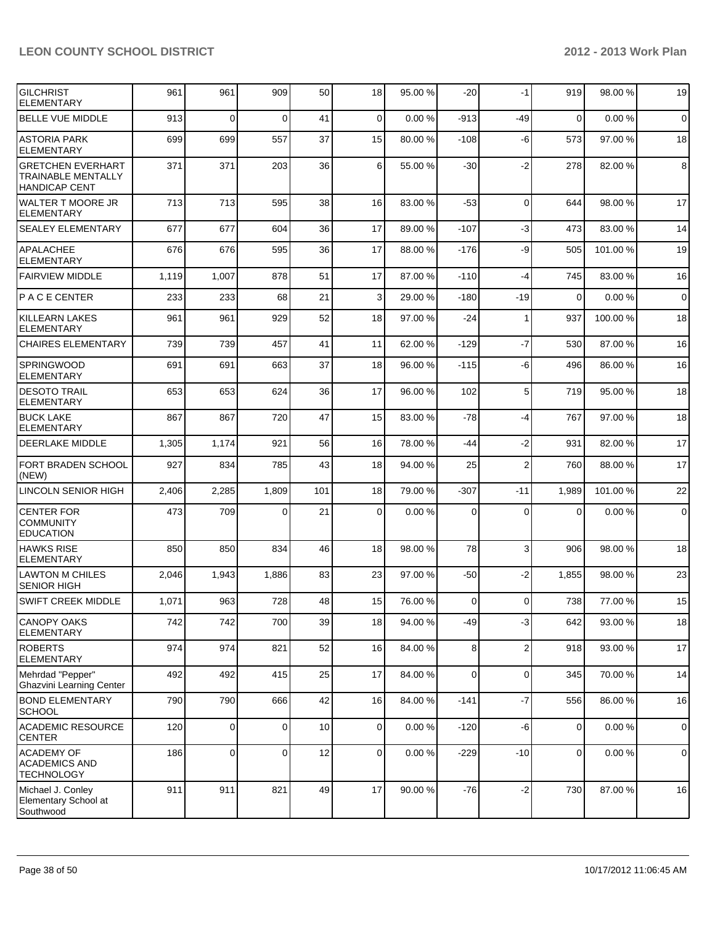| <b>GILCHRIST</b><br><b>ELEMENTARY</b>                                  | 961   | 961            | 909      | 50  | 18             | 95.00 % | $-20$          | $-1$           | 919            | 98.00 %  | 19          |
|------------------------------------------------------------------------|-------|----------------|----------|-----|----------------|---------|----------------|----------------|----------------|----------|-------------|
| <b>BELLE VUE MIDDLE</b>                                                | 913   | $\overline{0}$ | $\Omega$ | 41  | $\mathbf 0$    | 0.00%   | $-913$         | -49            | $\mathbf 0$    | 0.00%    | $\mathbf 0$ |
| <b>ASTORIA PARK</b><br><b>ELEMENTARY</b>                               | 699   | 699            | 557      | 37  | 15             | 80.00 % | $-108$         | -6             | 573            | 97.00 %  | 18          |
| <b>GRETCHEN EVERHART</b><br>TRAINABLE MENTALLY<br><b>HANDICAP CENT</b> | 371   | 371            | 203      | 36  | 6              | 55.00 % | $-30$          | $-2$           | 278            | 82.00%   | 8           |
| <b>WALTER T MOORE JR</b><br><b>ELEMENTARY</b>                          | 713   | 713            | 595      | 38  | 16             | 83.00 % | $-53$          | $\Omega$       | 644            | 98.00 %  | 17          |
| <b>SEALEY ELEMENTARY</b>                                               | 677   | 677            | 604      | 36  | 17             | 89.00 % | $-107$         | $-3$           | 473            | 83.00 %  | 14          |
| <b>APALACHEE</b><br><b>ELEMENTARY</b>                                  | 676   | 676            | 595      | 36  | 17             | 88.00 % | $-176$         | -9             | 505            | 101.00%  | 19          |
| <b>FAIRVIEW MIDDLE</b>                                                 | 1,119 | 1,007          | 878      | 51  | 17             | 87.00 % | $-110$         | $-4$           | 745            | 83.00 %  | 16          |
| IP A C E CENTER                                                        | 233   | 233            | 68       | 21  | 3              | 29.00 % | $-180$         | $-19$          | $\Omega$       | 0.00%    | $\mathbf 0$ |
| <b>KILLEARN LAKES</b><br><b>ELEMENTARY</b>                             | 961   | 961            | 929      | 52  | 18             | 97.00 % | -24            | 1              | 937            | 100.00%  | 18          |
| <b>CHAIRES ELEMENTARY</b>                                              | 739   | 739            | 457      | 41  | 11             | 62.00 % | $-129$         | $-7$           | 530            | 87.00 %  | 16          |
| <b>SPRINGWOOD</b><br><b>ELEMENTARY</b>                                 | 691   | 691            | 663      | 37  | 18             | 96.00 % | $-115$         | -6             | 496            | 86.00 %  | 16          |
| <b>DESOTO TRAIL</b><br><b>ELEMENTARY</b>                               | 653   | 653            | 624      | 36  | 17             | 96.00 % | 102            | 5              | 719            | 95.00 %  | 18          |
| <b>BUCK LAKE</b><br><b>ELEMENTARY</b>                                  | 867   | 867            | 720      | 47  | 15             | 83.00 % | -78            | $-4$           | 767            | 97.00 %  | 18          |
| <b>DEERLAKE MIDDLE</b>                                                 | 1,305 | 1,174          | 921      | 56  | 16             | 78.00 % | -44            | $-2$           | 931            | 82.00%   | 17          |
| <b>FORT BRADEN SCHOOL</b><br>(NEW)                                     | 927   | 834            | 785      | 43  | 18             | 94.00 % | 25             | $\overline{2}$ | 760            | 88.00 %  | 17          |
| LINCOLN SENIOR HIGH                                                    | 2,406 | 2,285          | 1,809    | 101 | 18             | 79.00 % | $-307$         | $-11$          | 1,989          | 101.00 % | 22          |
| <b>CENTER FOR</b><br><b>COMMUNITY</b><br><b>EDUCATION</b>              | 473   | 709            | 0        | 21  | 0              | 0.00%   | 0              | $\Omega$       | 0              | 0.00%    | $\mathbf 0$ |
| <b>HAWKS RISE</b><br><b>ELEMENTARY</b>                                 | 850   | 850            | 834      | 46  | 18             | 98.00 % | 78             | 3              | 906            | 98.00 %  | 18          |
| <b>LAWTON M CHILES</b><br><b>SENIOR HIGH</b>                           | 2,046 | 1,943          | 1,886    | 83  | 23             | 97.00 % | $-50$          | $-2$           | 1,855          | 98.00 %  | 23          |
| <b>SWIFT CREEK MIDDLE</b>                                              | 1,071 | 963            | 728      | 48  | 15             | 76.00 % | $\overline{0}$ | $\Omega$       | 738            | 77.00 %  | 15          |
| <b>CANOPY OAKS</b><br><b>ELEMENTARY</b>                                | 742   | 742            | 700      | 39  | 18             | 94.00 % | $-49$          | $-3$           | 642            | 93.00 %  | 18          |
| <b>ROBERTS</b><br><b>ELEMENTARY</b>                                    | 974   | 974            | 821      | 52  | 16             | 84.00 % | 8 <sup>1</sup> | $\overline{2}$ | 918            | 93.00 %  | 17          |
| Mehrdad "Pepper"<br><b>Ghazvini Learning Center</b>                    | 492   | 492            | 415      | 25  | 17             | 84.00 % | 0              | $\mathbf 0$    | 345            | 70.00%   | 14          |
| <b>BOND ELEMENTARY</b><br><b>SCHOOL</b>                                | 790   | 790            | 666      | 42  | 16             | 84.00 % | $-141$         | $-7$           | 556            | 86.00%   | 16          |
| <b>ACADEMIC RESOURCE</b><br><b>CENTER</b>                              | 120   | $\overline{0}$ | 0        | 10  | $\overline{0}$ | 0.00%   | $-120$         | $-6$           | $\overline{0}$ | 0.00%    | $\mathsf 0$ |
| <b>ACADEMY OF</b><br><b>ACADEMICS AND</b><br><b>TECHNOLOGY</b>         | 186   | $\overline{0}$ | 0        | 12  | $\overline{0}$ | 0.00%   | $-229$         | $-10$          | $\overline{0}$ | 0.00%    | $\mathbf 0$ |
| Michael J. Conley<br>Elementary School at<br>Southwood                 | 911   | 911            | 821      | 49  | 17             | 90.00 % | $-76$          | $-2$           | 730            | 87.00 %  | 16          |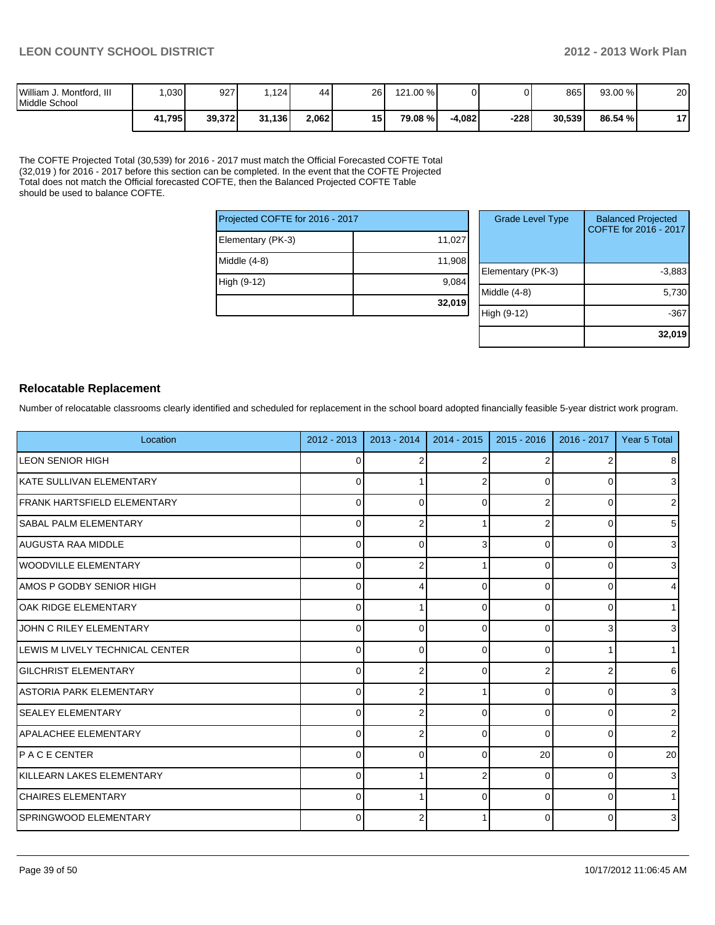| William J. Montford, III<br>Middle School | 030 <sub>1</sub> | 927    | .1241  | 44    | 26 | 121.00 % |          |      | 865    | $93.00\%$ | 20       |
|-------------------------------------------|------------------|--------|--------|-------|----|----------|----------|------|--------|-----------|----------|
|                                           | 41,795           | 39,372 | 31,136 | 2,062 | 15 | 79.08 %। | $-4.082$ | -228 | 30,539 | 86.54 %   | 47<br>'' |

The COFTE Projected Total (30,539) for 2016 - 2017 must match the Official Forecasted COFTE Total (32,019 ) for 2016 - 2017 before this section can be completed. In the event that the COFTE Projected Total does not match the Official forecasted COFTE, then the Balanced Projected COFTE Table should be used to balance COFTE.

| Projected COFTE for 2016 - 2017 |        |  |  |  |  |
|---------------------------------|--------|--|--|--|--|
| Elementary (PK-3)               | 11,027 |  |  |  |  |
| Middle (4-8)                    | 11,908 |  |  |  |  |
| High (9-12)                     | 9,084  |  |  |  |  |
|                                 | 32,019 |  |  |  |  |

| <b>Grade Level Type</b> | <b>Balanced Projected</b><br>COFTE for 2016 - 2017 |
|-------------------------|----------------------------------------------------|
| Elementary (PK-3)       | $-3,883$                                           |
| Middle $(4-8)$          | 5,730                                              |
| High (9-12)             | -367                                               |
|                         | 32,019                                             |

#### **Relocatable Replacement**

Number of relocatable classrooms clearly identified and scheduled for replacement in the school board adopted financially feasible 5-year district work program.

| Location                            | $2012 - 2013$ | $2013 - 2014$ | $2014 - 2015$ | $2015 - 2016$ | 2016 - 2017 | Year 5 Total   |
|-------------------------------------|---------------|---------------|---------------|---------------|-------------|----------------|
| <b>LEON SENIOR HIGH</b>             | 0             |               |               |               | 2           | 8              |
| IKATE SULLIVAN ELEMENTARY           | $\Omega$      |               |               |               | $\Omega$    | 3 <sup>1</sup> |
| <b>IFRANK HARTSFIELD ELEMENTARY</b> | 0             | O             | U             |               | 0           | $\overline{2}$ |
| <b>ISABAL PALM ELEMENTARY</b>       | $\Omega$      |               |               |               | 0           | 5 <sup>1</sup> |
| AUGUSTA RAA MIDDLE                  | $\mathbf{0}$  | 0             |               | $\Omega$      | $\Omega$    | $\mathbf{3}$   |
| WOODVILLE ELEMENTARY                | $\Omega$      |               |               | 0             | 0           | $\mathbf{3}$   |
| AMOS P GODBY SENIOR HIGH            | $\Omega$      |               | U             | $\Omega$      | 0           | $\overline{4}$ |
| <b>OAK RIDGE ELEMENTARY</b>         | $\Omega$      |               | ŋ             | $\Omega$      | 0           | 1 <sup>1</sup> |
| JOHN C RILEY ELEMENTARY             | $\Omega$      | $\Omega$      | 0             | $\Omega$      | 3           | 3 <sup>1</sup> |
| LEWIS M LIVELY TECHNICAL CENTER     | $\Omega$      | ∩             | $\Omega$      | $\Omega$      |             | 1              |
| <b>GILCHRIST ELEMENTARY</b>         | $\Omega$      |               | $\Omega$      | 2             |             | $6 \mid$       |
| LASTORIA PARK ELEMENTARY            | $\Omega$      |               |               | $\Omega$      | 0           | 3 <sup>1</sup> |
| <b>SEALEY ELEMENTARY</b>            | 0             |               | 0             | $\Omega$      | 0           | 2 <sub>1</sub> |
| APALACHEE ELEMENTARY                | 0             |               | 0             | $\Omega$      | 0           | $\overline{2}$ |
| IP A C E CENTER                     | 0             | n             | U             | 20            | 0           | 20             |
| <b>IKILLEARN LAKES ELEMENTARY</b>   | $\Omega$      |               |               | $\Omega$      | 0           | $\overline{3}$ |
| <b>CHAIRES ELEMENTARY</b>           | $\Omega$      |               | $\Omega$      | $\Omega$      | 0           | 1              |
| SPRINGWOOD ELEMENTARY               | $\Omega$      |               |               | 0             | 0           | $\mathbf{3}$   |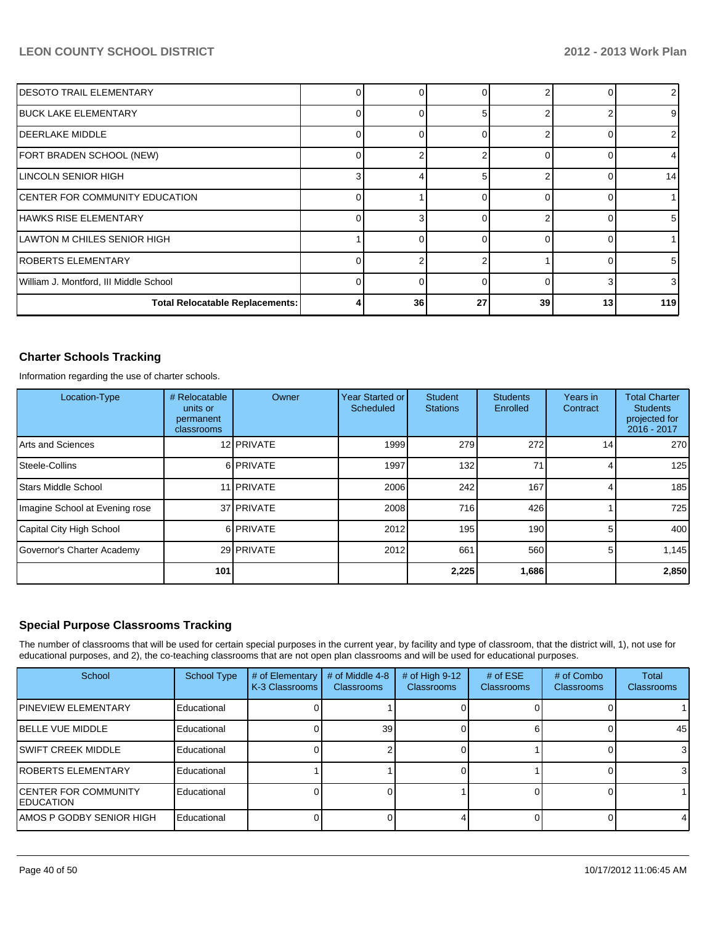| IDESOTO TRAIL ELEMENTARY               |          |    |    |    |    |                |
|----------------------------------------|----------|----|----|----|----|----------------|
| <b>BUCK LAKE ELEMENTARY</b>            |          |    |    |    |    | 91             |
| <b>IDEERLAKE MIDDLE</b>                |          |    |    |    |    | 2              |
| FORT BRADEN SCHOOL (NEW)               |          |    |    |    |    |                |
| <b>LINCOLN SENIOR HIGH</b>             | 3        |    |    |    |    | 14             |
| <b>CENTER FOR COMMUNITY EDUCATION</b>  |          |    |    |    |    |                |
| lHAWKS RISE ELEMENTARY                 |          |    |    |    |    | 51             |
| LAWTON M CHILES SENIOR HIGH            |          |    |    |    |    |                |
| IROBERTS ELEMENTARY                    |          |    |    |    |    | $5 \mid$       |
| William J. Montford, III Middle School | $\Omega$ | U  | ∩  |    |    | 3 <sup>l</sup> |
| <b>Total Relocatable Replacements:</b> | Δ        | 36 | 27 | 39 | 13 | 119            |

#### **Charter Schools Tracking**

Information regarding the use of charter schools.

| Location-Type                  | # Relocatable<br>units or<br>permanent<br>classrooms | Owner             | Year Started or<br>Scheduled | <b>Student</b><br><b>Stations</b> | <b>Students</b><br>Enrolled | Years in<br>Contract | <b>Total Charter</b><br><b>Students</b><br>projected for<br>2016 - 2017 |
|--------------------------------|------------------------------------------------------|-------------------|------------------------------|-----------------------------------|-----------------------------|----------------------|-------------------------------------------------------------------------|
| Arts and Sciences              |                                                      | 12 PRIVATE        | 1999                         | 279                               | 272                         | 14 <sub>1</sub>      | 270                                                                     |
| Steele-Collins                 |                                                      | 6 PRIVATE         | 1997                         | 132                               | 71                          |                      | 125                                                                     |
| <b>Stars Middle School</b>     |                                                      | 11 <b>PRIVATE</b> | 2006                         | 242                               | 167                         | 4                    | 185                                                                     |
| Imagine School at Evening rose |                                                      | 37 <b>PRIVATE</b> | 2008                         | 716                               | 426                         |                      | 725                                                                     |
| Capital City High School       |                                                      | 6 PRIVATE         | 2012                         | 195                               | 190 <sup>1</sup>            | 5                    | 400                                                                     |
| Governor's Charter Academy     |                                                      | 29 PRIVATE        | 2012                         | 661                               | 560                         | 5                    | 1.145                                                                   |
|                                | 101                                                  |                   |                              | 2,225                             | 1,686                       |                      | 2,850                                                                   |

#### **Special Purpose Classrooms Tracking**

The number of classrooms that will be used for certain special purposes in the current year, by facility and type of classroom, that the district will, 1), not use for educational purposes, and 2), the co-teaching classrooms that are not open plan classrooms and will be used for educational purposes.

| School                                            | <b>School Type</b> | # of Elementary<br>K-3 Classrooms | # of Middle 4-8<br><b>Classrooms</b> | # of High 9-12<br><b>Classrooms</b> | # of $ESE$<br><b>Classrooms</b> | # of Combo<br><b>Classrooms</b> | <b>Total</b><br>Classrooms |
|---------------------------------------------------|--------------------|-----------------------------------|--------------------------------------|-------------------------------------|---------------------------------|---------------------------------|----------------------------|
| <b>IPINEVIEW ELEMENTARY</b>                       | Educational        |                                   |                                      |                                     |                                 |                                 |                            |
| <b>IBELLE VUE MIDDLE</b>                          | Educational        |                                   | 39 <sup>1</sup>                      |                                     |                                 |                                 | 45                         |
| ISWIFT CREEK MIDDLE                               | Educational        |                                   |                                      |                                     |                                 |                                 | 3                          |
| <b>IROBERTS ELEMENTARY</b>                        | Educational        |                                   |                                      |                                     |                                 |                                 | 3                          |
| <b>ICENTER FOR COMMUNITY</b><br><b>IEDUCATION</b> | Educational        |                                   |                                      |                                     |                                 |                                 |                            |
| IAMOS P GODBY SENIOR HIGH                         | Educational        |                                   |                                      |                                     |                                 |                                 | 4                          |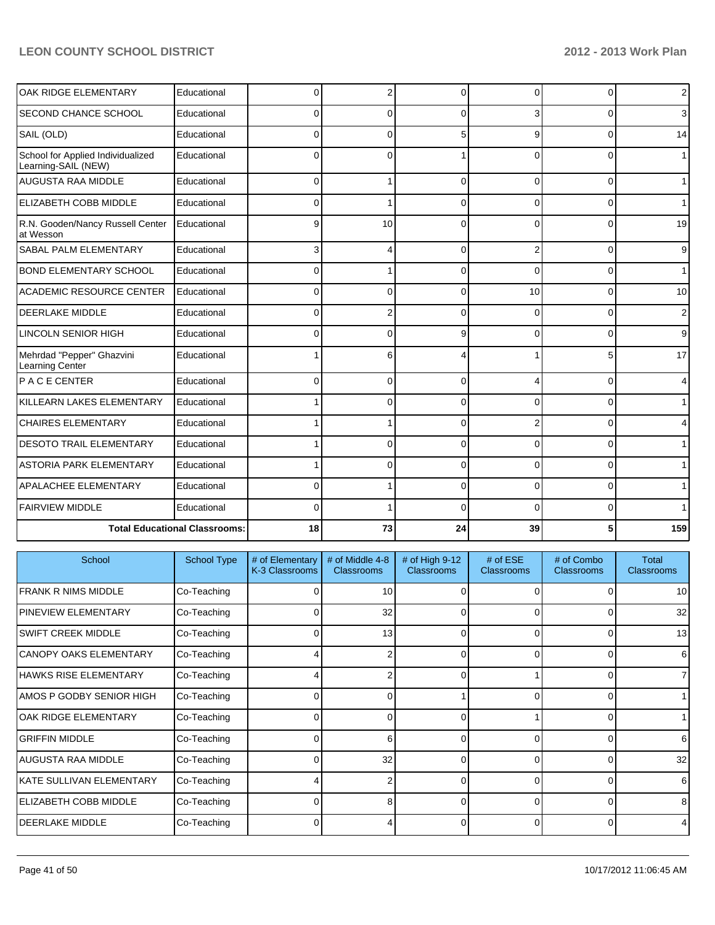| OAK RIDGE ELEMENTARY                                     | Educational                          | 0            | $\overline{2}$ | $\Omega$ | 0               | 0              | $\overline{2}$ |
|----------------------------------------------------------|--------------------------------------|--------------|----------------|----------|-----------------|----------------|----------------|
| <b>SECOND CHANCE SCHOOL</b>                              | Educational                          | 0            | 0              | ∩        | 3               | 0              | $\overline{3}$ |
| SAIL (OLD)                                               | Educational                          | <sup>0</sup> | 0              | 5        | 9               | 0              | 14             |
| School for Applied Individualized<br>Learning-SAIL (NEW) | Educational                          | <sup>0</sup> | 0              |          | U               | 0              | $\mathbf{1}$   |
| <b>AUGUSTA RAA MIDDLE</b>                                | Educational                          | 0            |                | $\Omega$ | $\Omega$        | $\overline{0}$ | $\mathbf{1}$   |
| ELIZABETH COBB MIDDLE                                    | Educational                          |              |                | ∩        | U               | 0              | $\mathbf{1}$   |
| R.N. Gooden/Nancy Russell Center<br>at Wesson            | Educational                          | 9            | 10             | $\Omega$ | 0               | 0              | 19             |
| SABAL PALM ELEMENTARY                                    | Educational                          | 3            | 4              | $\Omega$ |                 | $\Omega$       | 9              |
| BOND ELEMENTARY SCHOOL                                   | Educational                          | 0            |                | $\Omega$ | 0               | 0              | $\mathbf{1}$   |
| <b>ACADEMIC RESOURCE CENTER</b>                          | Educational                          | 0            | 0              | $\Omega$ | 10 <sup>1</sup> | $\overline{0}$ | 10             |
| <b>DEERLAKE MIDDLE</b>                                   | Educational                          |              | 2              | C        | O               | 0              | $\overline{2}$ |
| <b>LINCOLN SENIOR HIGH</b>                               | Educational                          | <sup>0</sup> | 0              | g        | 0               | $\Omega$       | 9              |
| Mehrdad "Pepper" Ghazvini<br>Learning Center             | Educational                          |              | 6              |          |                 | 5              | 17             |
| P A C E CENTER                                           | Educational                          | 0            | 0              | $\Omega$ |                 | $\Omega$       | $\overline{4}$ |
| KILLEARN LAKES ELEMENTARY                                | Educational                          |              | 0              | $\Omega$ | $\Omega$        | $\Omega$       | $\mathbf{1}$   |
| <b>CHAIRES ELEMENTARY</b>                                | Educational                          |              |                | ∩        |                 | 0              | $\overline{4}$ |
| <b>DESOTO TRAIL ELEMENTARY</b>                           | Educational                          |              | 0              | $\Omega$ | 0               | $\overline{0}$ | $\mathbf{1}$   |
| <b>ASTORIA PARK ELEMENTARY</b>                           | Educational                          |              | 0              | ∩        | 0               | 0              | $\mathbf{1}$   |
| <b>APALACHEE ELEMENTARY</b>                              | Educational                          | 0            | 1              | $\Omega$ | 0               | $\Omega$       | $\mathbf{1}$   |
| <b>FAIRVIEW MIDDLE</b>                                   | Educational                          | <sup>0</sup> |                | ∩        | U               | 0              | 1              |
|                                                          | <b>Total Educational Classrooms:</b> | 18           | 73             | 24       | 39              | 5              | 159            |

| School                        | <b>School Type</b> | # of Elementary<br>K-3 Classrooms | # of Middle 4-8<br><b>Classrooms</b> | # of High 9-12<br>Classrooms | # of $ESE$<br><b>Classrooms</b> | # of Combo<br><b>Classrooms</b> | Total<br><b>Classrooms</b> |
|-------------------------------|--------------------|-----------------------------------|--------------------------------------|------------------------------|---------------------------------|---------------------------------|----------------------------|
| FRANK R NIMS MIDDLE           | Co-Teaching        |                                   | 10                                   |                              | O                               | 0                               | 10 <sup>1</sup>            |
| <b>IPINEVIEW ELEMENTARY</b>   | Co-Teaching        |                                   | 32                                   | 0                            | $\Omega$                        | 0                               | 32                         |
| <b>SWIFT CREEK MIDDLE</b>     | Co-Teaching        | 0                                 | 13                                   | 0                            | $\Omega$                        | 0                               | 13 <sup>l</sup>            |
| <b>CANOPY OAKS ELEMENTARY</b> | Co-Teaching        |                                   |                                      |                              | $\Omega$                        | 0                               | 6                          |
| <b>HAWKS RISE ELEMENTARY</b>  | Co-Teaching        |                                   | n                                    |                              |                                 | O                               | 71                         |
| AMOS P GODBY SENIOR HIGH      | Co-Teaching        |                                   | ∩                                    |                              | $\Omega$                        | 0                               |                            |
| OAK RIDGE ELEMENTARY          | Co-Teaching        |                                   | 0                                    |                              |                                 | $\Omega$                        |                            |
| <b>GRIFFIN MIDDLE</b>         | Co-Teaching        |                                   | 6                                    |                              | 0                               | 0                               | 6                          |
| <b>AUGUSTA RAA MIDDLE</b>     | Co-Teaching        |                                   | 32                                   |                              |                                 | $\Omega$                        | 32                         |
| KATE SULLIVAN ELEMENTARY      | Co-Teaching        |                                   | 2                                    | U                            | $\Omega$                        | $\Omega$                        | 6                          |
| <b>ELIZABETH COBB MIDDLE</b>  | Co-Teaching        |                                   | 8                                    | U                            | $\Omega$                        | $\Omega$                        | 8                          |
| <b>IDEERLAKE MIDDLE</b>       | Co-Teaching        |                                   |                                      |                              | 0                               | $\Omega$                        | 41                         |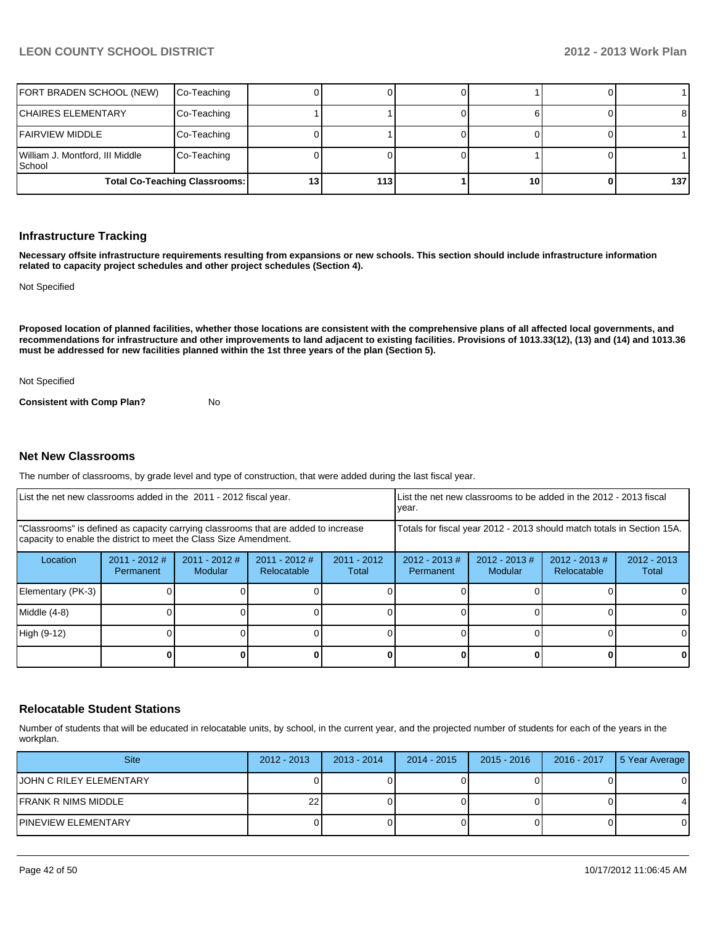| FORT BRADEN SCHOOL (NEW)                  | Co-Teaching                          |    |      |    |                  |
|-------------------------------------------|--------------------------------------|----|------|----|------------------|
| <b>ICHAIRES ELEMENTARY</b>                | Co-Teaching                          |    |      |    | 81               |
| IFAIRVIEW MIDDLE                          | Co-Teaching                          |    |      |    |                  |
| William J. Montford, III Middle<br>School | Co-Teaching                          |    |      |    |                  |
|                                           | <b>Total Co-Teaching Classrooms:</b> | I3 | 1131 | 10 | 137 <sup>1</sup> |

#### **Infrastructure Tracking**

**Necessary offsite infrastructure requirements resulting from expansions or new schools. This section should include infrastructure information related to capacity project schedules and other project schedules (Section 4).**

Not Specified

**Proposed location of planned facilities, whether those locations are consistent with the comprehensive plans of all affected local governments, and recommendations for infrastructure and other improvements to land adjacent to existing facilities. Provisions of 1013.33(12), (13) and (14) and 1013.36 must be addressed for new facilities planned within the 1st three years of the plan (Section 5).**

Not Specified

**Consistent with Comp Plan?** No

#### **Net New Classrooms**

The number of classrooms, by grade level and type of construction, that were added during the last fiscal year.

| List the net new classrooms added in the 2011 - 2012 fiscal year.                                                                                       |                              |                                   |                                |                                                                        | List the net new classrooms to be added in the 2012 - 2013 fiscal<br>Ivear. |                             |                                 |                        |
|---------------------------------------------------------------------------------------------------------------------------------------------------------|------------------------------|-----------------------------------|--------------------------------|------------------------------------------------------------------------|-----------------------------------------------------------------------------|-----------------------------|---------------------------------|------------------------|
| "Classrooms" is defined as capacity carrying classrooms that are added to increase<br>capacity to enable the district to meet the Class Size Amendment. |                              |                                   |                                | Totals for fiscal year 2012 - 2013 should match totals in Section 15A. |                                                                             |                             |                                 |                        |
| Location                                                                                                                                                | $2011 - 2012$ #<br>Permanent | $2011 - 2012$ #<br><b>Modular</b> | $2011 - 2012$ #<br>Relocatable | $2011 - 2012$<br>Total                                                 | $2012 - 2013 \#$<br>Permanent                                               | $2012 - 2013 \#$<br>Modular | $2012 - 2013 \#$<br>Relocatable | $2012 - 2013$<br>Total |
| Elementary (PK-3)                                                                                                                                       |                              |                                   |                                |                                                                        |                                                                             |                             |                                 | 0                      |
| Middle (4-8)                                                                                                                                            |                              |                                   |                                |                                                                        |                                                                             |                             |                                 | 0                      |
| High (9-12)                                                                                                                                             |                              |                                   |                                |                                                                        |                                                                             |                             |                                 | 0                      |
|                                                                                                                                                         |                              |                                   |                                |                                                                        |                                                                             |                             |                                 | 0                      |

#### **Relocatable Student Stations**

Number of students that will be educated in relocatable units, by school, in the current year, and the projected number of students for each of the years in the workplan.

| <b>Site</b>             | $2012 - 2013$ | $2013 - 2014$ | $2014 - 2015$ | $2015 - 2016$ | 2016 - 2017 | 5 Year Average |
|-------------------------|---------------|---------------|---------------|---------------|-------------|----------------|
| JOHN C RILEY ELEMENTARY |               |               |               |               |             |                |
| IFRANK R NIMS MIDDLE    | 221           |               |               |               |             |                |
| IPINEVIEW ELEMENTARY    |               |               |               |               |             |                |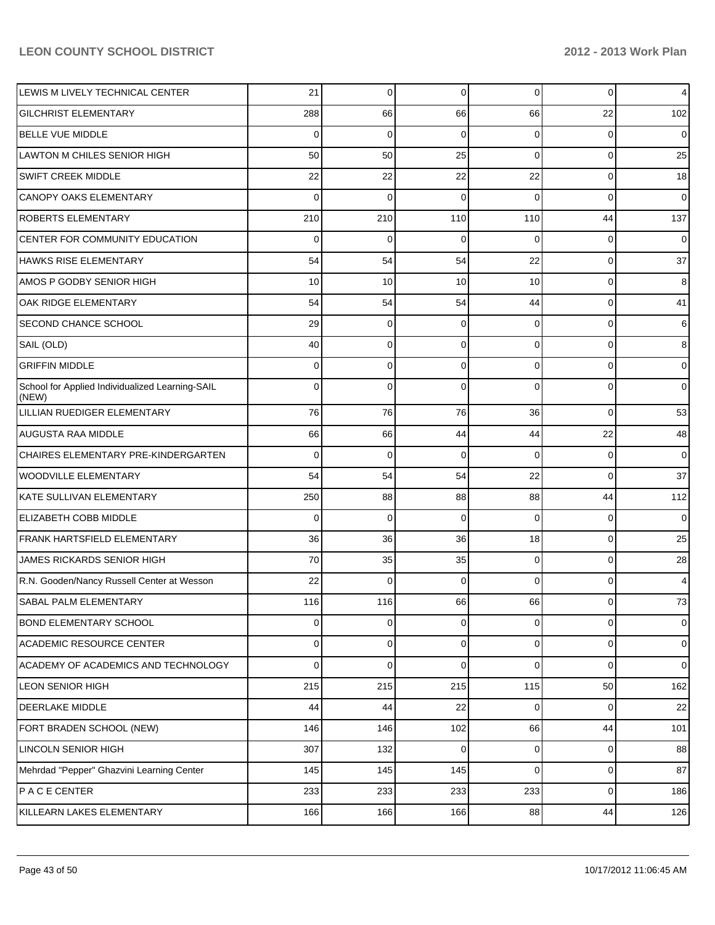| LEWIS M LIVELY TECHNICAL CENTER                          | 21             | 0           | 0           | $\overline{0}$ | 0              | $\overline{4}$ |
|----------------------------------------------------------|----------------|-------------|-------------|----------------|----------------|----------------|
| <b>GILCHRIST ELEMENTARY</b>                              | 288            | 66          | 66          | 66             | 22             | 102            |
| <b>BELLE VUE MIDDLE</b>                                  | 0              | 0           | 0           | $\Omega$       | $\Omega$       | 0              |
| LAWTON M CHILES SENIOR HIGH                              | 50             | 50          | 25          | $\Omega$       | 0              | 25             |
| <b>SWIFT CREEK MIDDLE</b>                                | 22             | 22          | 22          | 22             | 0              | 18             |
| <b>CANOPY OAKS ELEMENTARY</b>                            | $\Omega$       | 0           | 0           | $\Omega$       | 0              | 0              |
| ROBERTS ELEMENTARY                                       | 210            | 210         | 110         | 110            | 44             | 137            |
| CENTER FOR COMMUNITY EDUCATION                           | 0              | 0           | 0           | $\Omega$       | 0              | 0              |
| <b>HAWKS RISE ELEMENTARY</b>                             | 54             | 54          | 54          | 22             | 0              | 37             |
| AMOS P GODBY SENIOR HIGH                                 | 10             | 10          | 10          | 10             | 0              | 8              |
| OAK RIDGE ELEMENTARY                                     | 54             | 54          | 54          | 44             | 0              | 41             |
| SECOND CHANCE SCHOOL                                     | 29             | 0           | 0           | $\Omega$       | $\Omega$       | 6              |
| SAIL (OLD)                                               | 40             | 0           | 0           | $\Omega$       | $\Omega$       | 8              |
| <b>GRIFFIN MIDDLE</b>                                    | 0              | 0           | 0           | 0              | $\Omega$       | 0              |
| School for Applied Individualized Learning-SAIL<br>(NEW) | <sup>0</sup>   | $\Omega$    | C           | 0              | $\Omega$       | 0              |
| LILLIAN RUEDIGER ELEMENTARY                              | 76             | 76          | 76          | 36             | $\Omega$       | 53             |
| <b>AUGUSTA RAA MIDDLE</b>                                | 66             | 66          | 44          | 44             | 22             | 48             |
| CHAIRES ELEMENTARY PRE-KINDERGARTEN                      | 0              | 0           | 0           | $\Omega$       | 0              | $\overline{0}$ |
| <b>WOODVILLE ELEMENTARY</b>                              | 54             | 54          | 54          | 22             | 0              | 37             |
| KATE SULLIVAN ELEMENTARY                                 | 250            | 88          | 88          | 88             | 44             | 112            |
| ELIZABETH COBB MIDDLE                                    | 0              | 0           | 0           | 0              | 0              | $\overline{0}$ |
| FRANK HARTSFIELD ELEMENTARY                              | 36             | 36          | 36          | 18             | 0              | 25             |
| JAMES RICKARDS SENIOR HIGH                               | 70             | 35          | 35          | $\overline{0}$ | 0              | 28             |
| R.N. Gooden/Nancy Russell Center at Wesson               | 22             | $\Omega$    | 0           | 0              | 0              | 4              |
| <b>SABAL PALM ELEMENTARY</b>                             | 116            | 116         | 66          | 66             | $\overline{0}$ | 73             |
| <b>BOND ELEMENTARY SCHOOL</b>                            | $\overline{0}$ | $\pmb{0}$   | 0           | $\overline{0}$ | 0              | $\overline{0}$ |
| <b>ACADEMIC RESOURCE CENTER</b>                          | 0              | 0           | $\mathbf 0$ | $\overline{0}$ | 0              | $\overline{0}$ |
| <b>ACADEMY OF ACADEMICS AND TECHNOLOGY</b>               | 0              | $\mathbf 0$ | $\mathbf 0$ | $\overline{0}$ | 0              | $\overline{0}$ |
| <b>LEON SENIOR HIGH</b>                                  | 215            | 215         | 215         | 115            | 50             | 162            |
| <b>DEERLAKE MIDDLE</b>                                   | 44             | 44          | 22          | $\overline{0}$ | 0              | 22             |
| FORT BRADEN SCHOOL (NEW)                                 | 146            | 146         | 102         | 66             | 44             | 101            |
| <b>LINCOLN SENIOR HIGH</b>                               | 307            | 132         | $\mathbf 0$ | $\overline{0}$ | 0              | 88             |
| Mehrdad "Pepper" Ghazvini Learning Center                | 145            | 145         | 145         | $\overline{0}$ | $\overline{0}$ | 87             |
| <b>PACE CENTER</b>                                       | 233            | 233         | 233         | 233            | 0              | 186            |
| KILLEARN LAKES ELEMENTARY                                | 166            | 166         | 166         | 88             | 44             | 126            |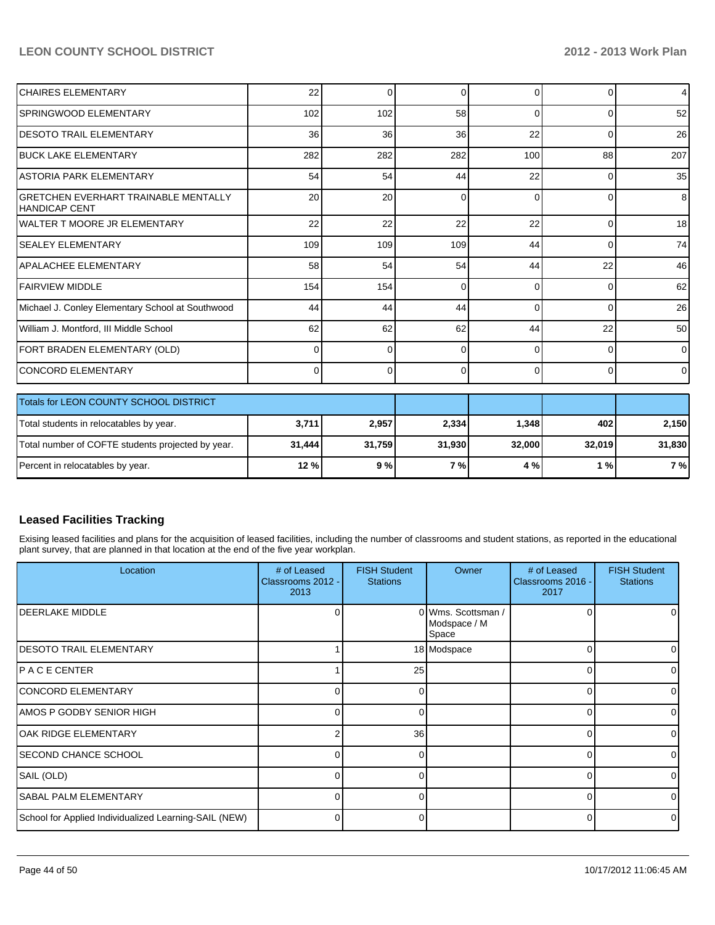| ICHAIRES ELEMENTARY                                           | 22       | $\Omega$ | $\Omega$ | $\Omega$ | $\Omega$ | 4               |
|---------------------------------------------------------------|----------|----------|----------|----------|----------|-----------------|
| SPRINGWOOD ELEMENTARY                                         | 102      | 102      | 58       | $\Omega$ | $\Omega$ | 52              |
| <b>DESOTO TRAIL ELEMENTARY</b>                                | 36       | 36       | 36       | 22       | $\Omega$ | 26              |
| <b>IBUCK LAKE ELEMENTARY</b>                                  | 282      | 282      | 282      | 100      | 88       | 207             |
| IASTORIA PARK ELEMENTARY                                      | 54       | 54       | 44       | 22       | 0        | 35              |
| IGRETCHEN EVERHART TRAINABLE MENTALLY<br><b>HANDICAP CENT</b> | 20       | 20       | $\Omega$ | $\Omega$ | $\Omega$ | 8               |
| lWALTER T MOORE JR ELEMENTARY                                 | 22       | 22       | 22       | 22       | $\Omega$ | 18 <sup>1</sup> |
| <b>SEALEY ELEMENTARY</b>                                      | 109      | 109      | 109      | 44       | $\Omega$ | 74              |
| <b>APALACHEE ELEMENTARY</b>                                   | 58       | 54       | 54       | 44       | 22       | 46              |
| FAIRVIEW MIDDLE                                               | 154      | 154      | $\Omega$ | $\Omega$ | $\Omega$ | 62              |
| Michael J. Conley Elementary School at Southwood              | 44       | 44       | 44       | $\Omega$ | $\Omega$ | 26              |
| William J. Montford, III Middle School                        | 62       | 62       | 62       | 44       | 22       | 50 <sub>1</sub> |
| FORT BRADEN ELEMENTARY (OLD)                                  | $\Omega$ | $\Omega$ | $\Omega$ | $\Omega$ | $\Omega$ | $\Omega$        |
| ICONCORD ELEMENTARY                                           | $\Omega$ | $\Omega$ | $\Omega$ | $\Omega$ | $\Omega$ | $\Omega$        |
| Totals for LEON COUNTY SCHOOL DISTRICT                        |          |          |          |          |          |                 |
| Total students in relocatables by year.                       | 3,711    | 2,957    | 2,334    | 1,348    | 402      | 2,150           |
| Total number of COFTE students projected by year.             | 31,444   | 31,759   | 31,930   | 32,000   | 32,019   | 31,830          |
| Percent in relocatables by year.                              | 12%      | 9%       | 7%       | 4 %      | 1%       | 7%              |

#### **Leased Facilities Tracking**

Exising leased facilities and plans for the acquisition of leased facilities, including the number of classrooms and student stations, as reported in the educational plant survey, that are planned in that location at the end of the five year workplan.

| Location                                              | # of Leased<br>Classrooms 2012 -<br>2013 | <b>FISH Student</b><br><b>Stations</b> | Owner                                       | # of Leased<br>Classrooms 2016 -<br>2017 | <b>FISH Student</b><br><b>Stations</b> |
|-------------------------------------------------------|------------------------------------------|----------------------------------------|---------------------------------------------|------------------------------------------|----------------------------------------|
| <b>IDEERLAKE MIDDLE</b>                               |                                          |                                        | 0 Wms. Scottsman /<br>Modspace / M<br>Space |                                          |                                        |
| <b>DESOTO TRAIL ELEMENTARY</b>                        |                                          |                                        | 18 Modspace                                 |                                          |                                        |
| IP A C E CENTER                                       |                                          | 25                                     |                                             |                                          |                                        |
| CONCORD ELEMENTARY                                    | 0                                        | 0                                      |                                             | $\Omega$                                 |                                        |
| AMOS P GODBY SENIOR HIGH                              | 0                                        |                                        |                                             | 0                                        |                                        |
| OAK RIDGE ELEMENTARY                                  |                                          | 36                                     |                                             | 0                                        |                                        |
| <b>SECOND CHANCE SCHOOL</b>                           | 01                                       | 0                                      |                                             | 0                                        |                                        |
| SAIL (OLD)                                            | 0                                        |                                        |                                             | $\Omega$                                 |                                        |
| <b>SABAL PALM ELEMENTARY</b>                          |                                          |                                        |                                             |                                          |                                        |
| School for Applied Individualized Learning-SAIL (NEW) |                                          |                                        |                                             |                                          |                                        |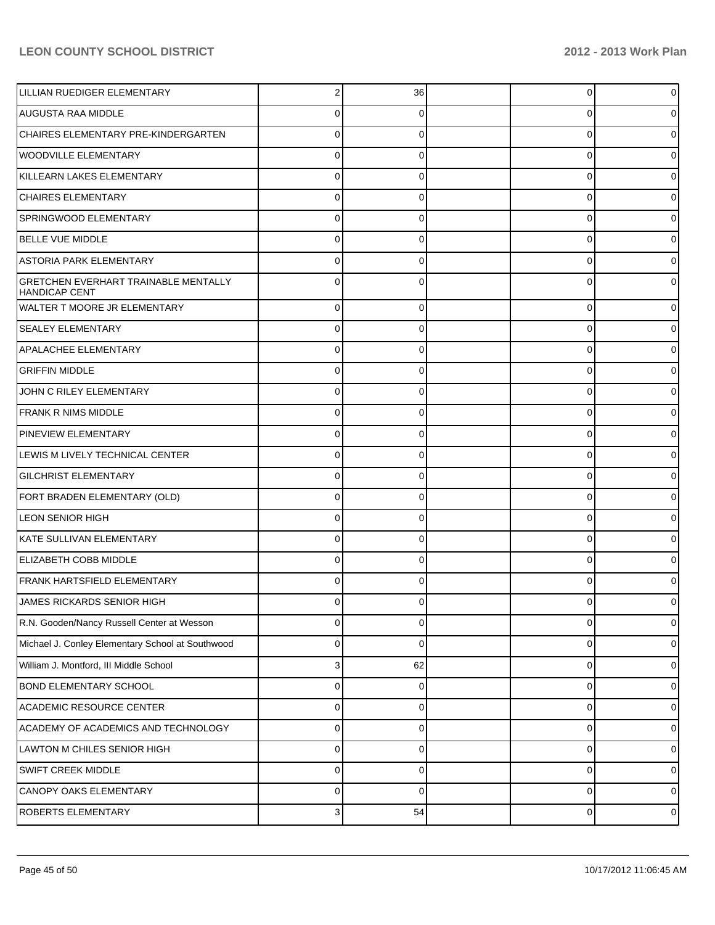| LILLIAN RUEDIGER ELEMENTARY                                         | 2            | 36       | 0 | 0 |
|---------------------------------------------------------------------|--------------|----------|---|---|
| AUGUSTA RAA MIDDLE                                                  | 0            | 0        | 0 |   |
| CHAIRES ELEMENTARY PRE-KINDERGARTEN                                 | $\Omega$     | 0        | 0 |   |
| <b>WOODVILLE ELEMENTARY</b>                                         | 0            | 0        | 0 |   |
| KILLEARN LAKES ELEMENTARY                                           | $\Omega$     | 0        | 0 |   |
| <b>CHAIRES ELEMENTARY</b>                                           | 0            | 0        | 0 |   |
| SPRINGWOOD ELEMENTARY                                               | $\Omega$     | 0        | 0 |   |
| <b>BELLE VUE MIDDLE</b>                                             | 0            | 0        | 0 |   |
| <b>ASTORIA PARK ELEMENTARY</b>                                      | $\Omega$     | 0        | 0 |   |
| <b>GRETCHEN EVERHART TRAINABLE MENTALLY</b><br><b>HANDICAP CENT</b> | 0            | 0        | 0 |   |
| WALTER T MOORE JR ELEMENTARY                                        | 0            | 0        | 0 |   |
| <b>SEALEY ELEMENTARY</b>                                            | 0            | 0        | 0 |   |
| <b>APALACHEE ELEMENTARY</b>                                         | 0            | 0        | 0 |   |
| <b>GRIFFIN MIDDLE</b>                                               | 0            | 0        | 0 |   |
| JOHN C RILEY ELEMENTARY                                             | 0            | 0        | 0 |   |
| <b>FRANK R NIMS MIDDLE</b>                                          | 0            | 0        | 0 |   |
| <b>PINEVIEW ELEMENTARY</b>                                          | 0            | 0        | 0 |   |
| LEWIS M LIVELY TECHNICAL CENTER                                     | 0            | 0        | 0 |   |
| <b>GILCHRIST ELEMENTARY</b>                                         | 0            | 0        | 0 |   |
| FORT BRADEN ELEMENTARY (OLD)                                        | 0            | 0        | 0 |   |
| <b>LEON SENIOR HIGH</b>                                             | 0            | 0        | 0 |   |
| KATE SULLIVAN ELEMENTARY                                            | 0            | 0        | 0 |   |
| <b>ELIZABETH COBB MIDDLE</b>                                        | 0            | 0        | 0 |   |
| <b>FRANK HARTSFIELD ELEMENTARY</b>                                  | 0            |          | 0 |   |
| JAMES RICKARDS SENIOR HIGH                                          | $\Omega$     | U        | 0 |   |
| R.N. Gooden/Nancy Russell Center at Wesson                          | 0            | 0        | 0 |   |
| Michael J. Conley Elementary School at Southwood                    | 0            | $\Omega$ | 0 |   |
| William J. Montford, III Middle School                              | 3            | 62       | 0 |   |
| BOND ELEMENTARY SCHOOL                                              | 0            | 0        | 0 |   |
| <b>ACADEMIC RESOURCE CENTER</b>                                     | 0            | 0        | 0 |   |
| ACADEMY OF ACADEMICS AND TECHNOLOGY                                 | 0            | 0        | 0 |   |
| LAWTON M CHILES SENIOR HIGH                                         | 0            | 0        | 0 |   |
| SWIFT CREEK MIDDLE                                                  | 0            | 0        | 0 |   |
| CANOPY OAKS ELEMENTARY                                              | 0            | 0        | 0 |   |
| <b>ROBERTS ELEMENTARY</b>                                           | $\mathbf{3}$ | 54       | 0 |   |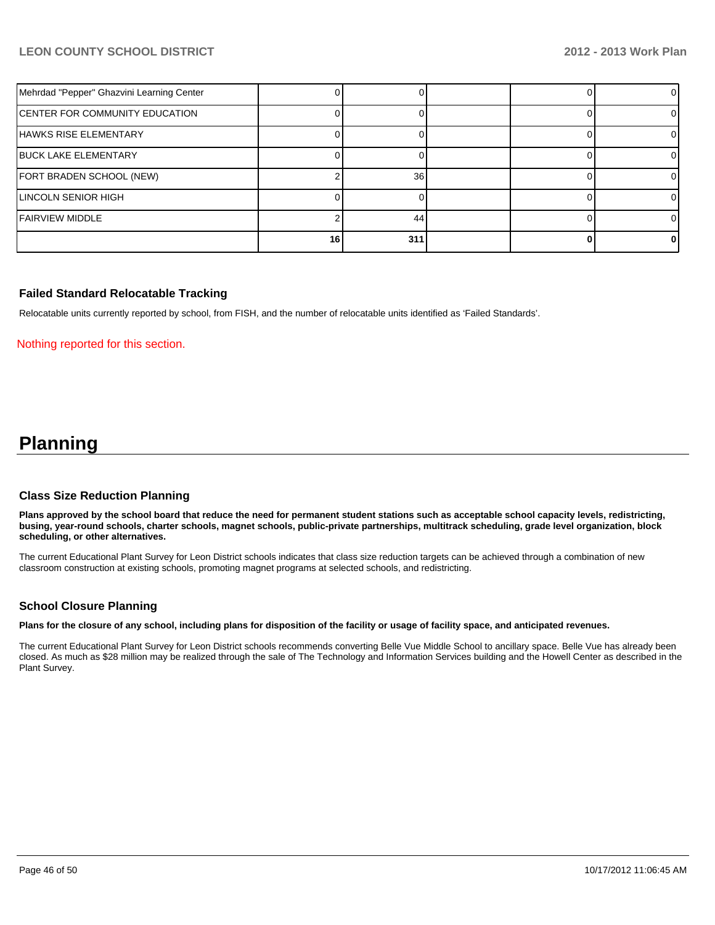| Mehrdad "Pepper" Ghazvini Learning Center |    |     |  | $\Omega$ |
|-------------------------------------------|----|-----|--|----------|
| <b>CENTER FOR COMMUNITY EDUCATION</b>     |    |     |  |          |
| <b>HAWKS RISE ELEMENTARY</b>              |    |     |  |          |
| <b>BUCK LAKE ELEMENTARY</b>               |    |     |  |          |
| FORT BRADEN SCHOOL (NEW)                  |    | 36  |  |          |
| LINCOLN SENIOR HIGH                       |    |     |  |          |
| <b>IFAIRVIEW MIDDLE</b>                   |    | 44  |  |          |
|                                           | 16 | 311 |  |          |

#### **Failed Standard Relocatable Tracking**

Relocatable units currently reported by school, from FISH, and the number of relocatable units identified as 'Failed Standards'.

#### Nothing reported for this section.

# **Planning**

#### **Class Size Reduction Planning**

**Plans approved by the school board that reduce the need for permanent student stations such as acceptable school capacity levels, redistricting, busing, year-round schools, charter schools, magnet schools, public-private partnerships, multitrack scheduling, grade level organization, block scheduling, or other alternatives.**

The current Educational Plant Survey for Leon District schools indicates that class size reduction targets can be achieved through a combination of new classroom construction at existing schools, promoting magnet programs at selected schools, and redistricting.

#### **School Closure Planning**

**Plans for the closure of any school, including plans for disposition of the facility or usage of facility space, and anticipated revenues.**

The current Educational Plant Survey for Leon District schools recommends converting Belle Vue Middle School to ancillary space. Belle Vue has already been closed. As much as \$28 million may be realized through the sale of The Technology and Information Services building and the Howell Center as described in the Plant Survey.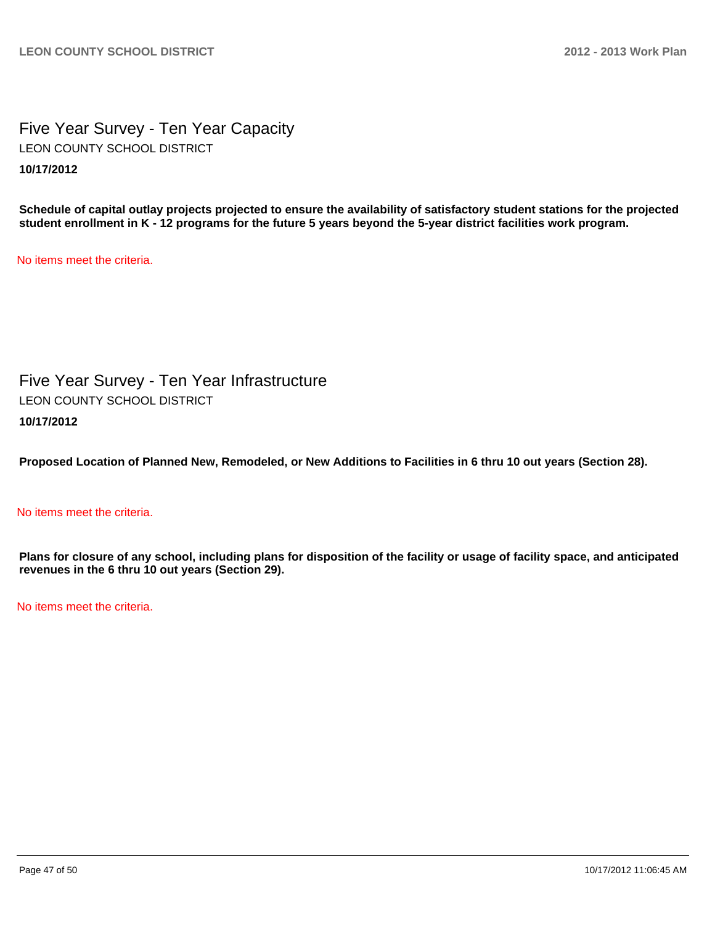Five Year Survey - Ten Year Capacity **10/17/2012** LEON COUNTY SCHOOL DISTRICT

**Schedule of capital outlay projects projected to ensure the availability of satisfactory student stations for the projected student enrollment in K - 12 programs for the future 5 years beyond the 5-year district facilities work program.**

No items meet the criteria.

Five Year Survey - Ten Year Infrastructure **10/17/2012** LEON COUNTY SCHOOL DISTRICT

**Proposed Location of Planned New, Remodeled, or New Additions to Facilities in 6 thru 10 out years (Section 28).**

#### No items meet the criteria.

**Plans for closure of any school, including plans for disposition of the facility or usage of facility space, and anticipated revenues in the 6 thru 10 out years (Section 29).**

No items meet the criteria.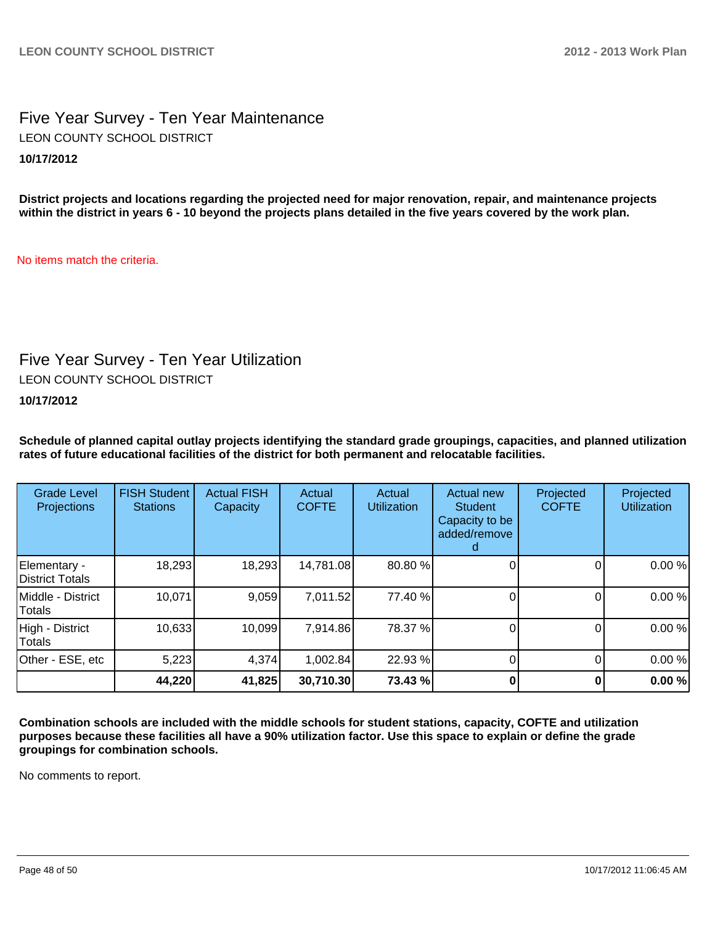# Five Year Survey - Ten Year Maintenance **10/17/2012** LEON COUNTY SCHOOL DISTRICT

**District projects and locations regarding the projected need for major renovation, repair, and maintenance projects within the district in years 6 - 10 beyond the projects plans detailed in the five years covered by the work plan.**

No items match the criteria.

# Five Year Survey - Ten Year Utilization

LEON COUNTY SCHOOL DISTRICT

#### **10/17/2012**

**Schedule of planned capital outlay projects identifying the standard grade groupings, capacities, and planned utilization rates of future educational facilities of the district for both permanent and relocatable facilities.**

| <b>Grade Level</b><br>Projections | <b>FISH Student</b><br><b>Stations</b> | <b>Actual FISH</b><br>Capacity | Actual<br><b>COFTE</b> | Actual<br><b>Utilization</b> | Actual new<br><b>Student</b><br>Capacity to be<br>added/remove | Projected<br><b>COFTE</b> | Projected<br><b>Utilization</b> |
|-----------------------------------|----------------------------------------|--------------------------------|------------------------|------------------------------|----------------------------------------------------------------|---------------------------|---------------------------------|
| Elementary -<br>District Totals   | 18,293                                 | 18,293                         | 14,781.08              | 80.80 %                      |                                                                |                           | 0.00%                           |
| Middle - District<br>Totals       | 10,071                                 | 9,059                          | 7,011.52               | 77.40 %                      |                                                                |                           | 0.00%                           |
| High - District<br>Totals         | 10,633                                 | 10,099                         | 7,914.86               | 78.37 %                      |                                                                |                           | 0.00%                           |
| Other - ESE, etc                  | 5,223                                  | 4,374                          | 1,002.84               | 22.93 %                      |                                                                |                           | 0.00%                           |
|                                   | 44,220                                 | 41,825                         | 30,710.30              | 73.43 %                      |                                                                |                           | 0.00%                           |

**Combination schools are included with the middle schools for student stations, capacity, COFTE and utilization purposes because these facilities all have a 90% utilization factor. Use this space to explain or define the grade groupings for combination schools.**

No comments to report.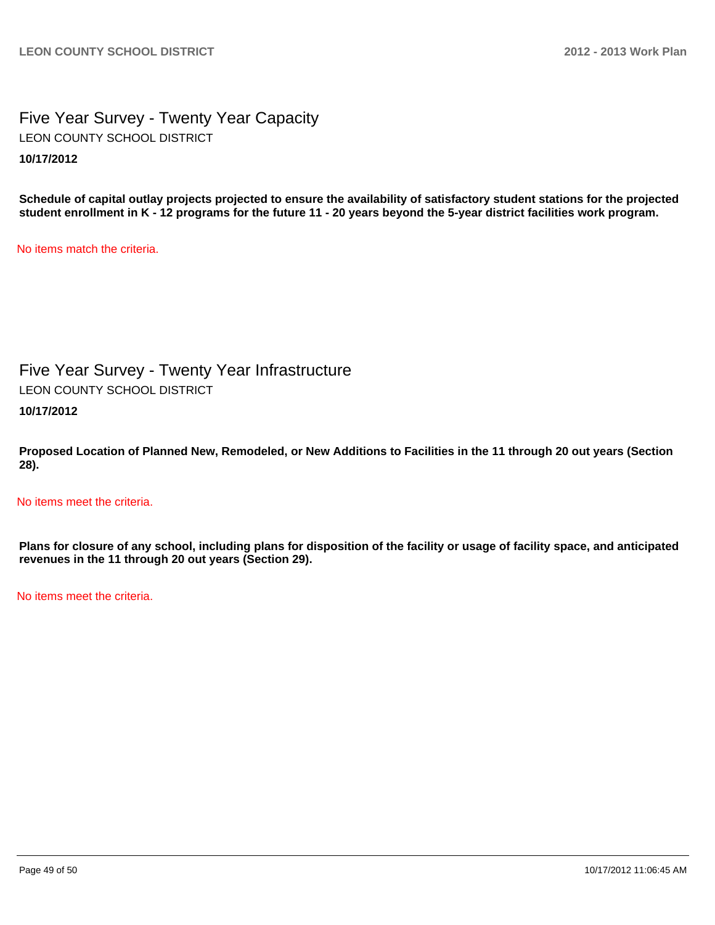### Five Year Survey - Twenty Year Capacity **10/17/2012** LEON COUNTY SCHOOL DISTRICT

**Schedule of capital outlay projects projected to ensure the availability of satisfactory student stations for the projected student enrollment in K - 12 programs for the future 11 - 20 years beyond the 5-year district facilities work program.**

No items match the criteria.

Five Year Survey - Twenty Year Infrastructure LEON COUNTY SCHOOL DISTRICT

**10/17/2012**

**Proposed Location of Planned New, Remodeled, or New Additions to Facilities in the 11 through 20 out years (Section 28).**

No items meet the criteria.

**Plans for closure of any school, including plans for disposition of the facility or usage of facility space, and anticipated revenues in the 11 through 20 out years (Section 29).**

No items meet the criteria.